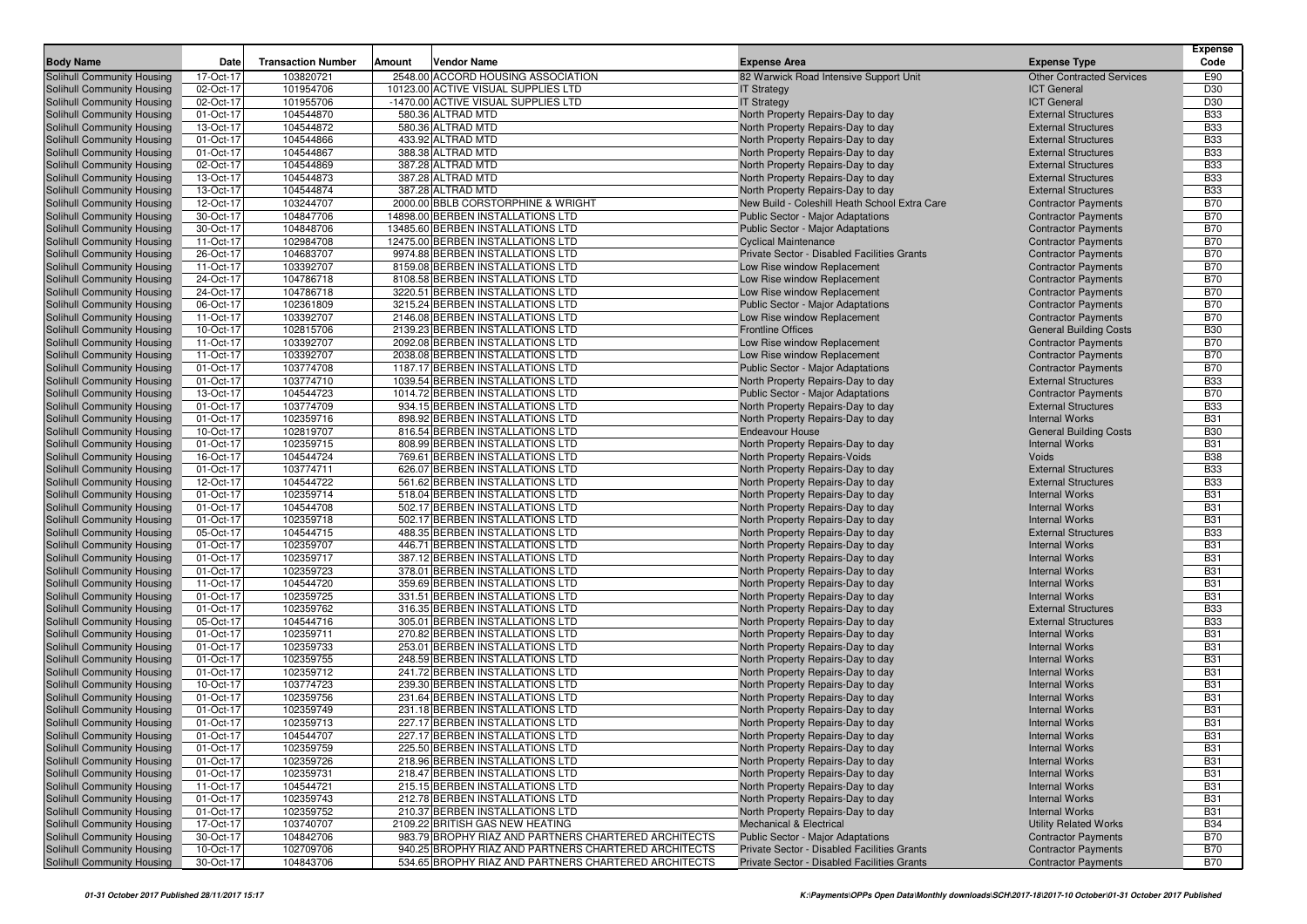|                                                          |                        | <b>Transaction Number</b> | Vendor Name                                                                |                                                                               |                                                          | <b>Expense</b><br>Code   |
|----------------------------------------------------------|------------------------|---------------------------|----------------------------------------------------------------------------|-------------------------------------------------------------------------------|----------------------------------------------------------|--------------------------|
| <b>Body Name</b>                                         | Date                   |                           | Amount                                                                     | <b>Expense Area</b>                                                           | <b>Expense Type</b>                                      |                          |
| Solihull Community Housing                               | 17-Oct-17              | 103820721                 | 2548.00 ACCORD HOUSING ASSOCIATION                                         | 82 Warwick Road Intensive Support Unit                                        | <b>Other Contracted Services</b><br><b>ICT General</b>   | E90<br>D30               |
| Solihull Community Housing<br>Solihull Community Housing | 02-Oct-17<br>02-Oct-17 | 101954706<br>101955706    | 10123.00 ACTIVE VISUAL SUPPLIES LTD<br>-1470.00 ACTIVE VISUAL SUPPLIES LTD | <b>IT Strategy</b><br><b>IT Strategy</b>                                      | <b>ICT General</b>                                       | D30                      |
| Solihull Community Housing                               | 01-Oct-17              | 104544870                 | 580.36 ALTRAD MTD                                                          | North Property Repairs-Day to day                                             | <b>External Structures</b>                               | <b>B33</b>               |
| Solihull Community Housing                               | 13-Oct-17              | 104544872                 | 580.36 ALTRAD MTD                                                          | North Property Repairs-Day to day                                             | <b>External Structures</b>                               | <b>B33</b>               |
| Solihull Community Housing                               | 01-Oct-17              | 104544866                 | 433.92 ALTRAD MTD                                                          | North Property Repairs-Day to day                                             | <b>External Structures</b>                               | <b>B33</b>               |
| Solihull Community Housing                               | 01-Oct-17              | 104544867                 | 388.38 ALTRAD MTD                                                          | North Property Repairs-Day to day                                             | <b>External Structures</b>                               | <b>B33</b>               |
| Solihull Community Housing                               | 02-Oct-17              | 104544869                 | 387.28 ALTRAD MTD                                                          | North Property Repairs-Day to day                                             | <b>External Structures</b>                               | <b>B33</b>               |
| Solihull Community Housing                               | 13-Oct-17              | 104544873                 | 387.28 ALTRAD MTD                                                          | North Property Repairs-Day to day                                             | <b>External Structures</b>                               | <b>B33</b>               |
| Solihull Community Housing                               | 13-Oct-17              | 104544874                 | 387.28 ALTRAD MTD                                                          | North Property Repairs-Day to day                                             | <b>External Structures</b>                               | <b>B33</b>               |
| Solihull Community Housing                               | 12-Oct-17              | 103244707                 | 2000.00 BBLB CORSTORPHINE & WRIGHT                                         | New Build - Coleshill Heath School Extra Care                                 | <b>Contractor Payments</b>                               | <b>B70</b>               |
| Solihull Community Housing                               | 30-Oct-17              | 104847706                 | 14898.00 BERBEN INSTALLATIONS LTD                                          | Public Sector - Major Adaptations                                             | <b>Contractor Payments</b>                               | <b>B70</b>               |
| Solihull Community Housing                               | 30-Oct-17              | 104848706                 | 13485.60 BERBEN INSTALLATIONS LTD                                          | <b>Public Sector - Major Adaptations</b>                                      | <b>Contractor Payments</b>                               | <b>B70</b>               |
| Solihull Community Housing                               | 11-Oct-17              | 102984708                 | 12475.00 BERBEN INSTALLATIONS LTD                                          | <b>Cyclical Maintenance</b>                                                   | <b>Contractor Payments</b>                               | <b>B70</b>               |
| Solihull Community Housing                               | 26-Oct-17              | 104683707                 | 9974.88 BERBEN INSTALLATIONS LTD                                           | Private Sector - Disabled Facilities Grants                                   | <b>Contractor Payments</b>                               | <b>B70</b>               |
| Solihull Community Housing                               | 11-Oct-17              | 103392707                 | 8159.08 BERBEN INSTALLATIONS LTD                                           | Low Rise window Replacement                                                   | <b>Contractor Payments</b>                               | <b>B70</b>               |
| Solihull Community Housing                               | 24-Oct-17              | 104786718                 | 8108.58 BERBEN INSTALLATIONS LTD                                           | Low Rise window Replacement                                                   | <b>Contractor Payments</b>                               | <b>B70</b>               |
| Solihull Community Housing                               | 24-Oct-17              | 104786718                 | 3220.51 BERBEN INSTALLATIONS LTD                                           | Low Rise window Replacement                                                   | <b>Contractor Payments</b>                               | <b>B70</b>               |
| <b>Solihull Community Housing</b>                        | 06-Oct-17              | 102361809                 | 3215.24 BERBEN INSTALLATIONS LTD                                           | <b>Public Sector - Major Adaptations</b>                                      | <b>Contractor Payments</b>                               | <b>B70</b>               |
| Solihull Community Housing                               | 11-Oct-17              | 103392707                 | 2146.08 BERBEN INSTALLATIONS LTD                                           | Low Rise window Replacement                                                   | <b>Contractor Payments</b>                               | <b>B70</b>               |
| Solihull Community Housing                               | 10-Oct-17              | 102815706                 | 2139.23 BERBEN INSTALLATIONS LTD                                           | <b>Frontline Offices</b>                                                      | <b>General Building Costs</b>                            | <b>B30</b>               |
| Solihull Community Housing                               | 11-Oct-17              | 103392707                 | 2092.08 BERBEN INSTALLATIONS LTD                                           | Low Rise window Replacement                                                   | <b>Contractor Payments</b>                               | <b>B70</b>               |
| Solihull Community Housing                               | 11-Oct-17              | 103392707                 | 2038.08 BERBEN INSTALLATIONS LTD                                           | Low Rise window Replacement                                                   | <b>Contractor Payments</b>                               | <b>B70</b>               |
| Solihull Community Housing                               | 01-Oct-17<br>01-Oct-17 | 103774708<br>103774710    | 1187.17 BERBEN INSTALLATIONS LTD<br>1039.54 BERBEN INSTALLATIONS LTD       | <b>Public Sector - Major Adaptations</b>                                      | <b>Contractor Payments</b><br><b>External Structures</b> | <b>B70</b><br><b>B33</b> |
| Solihull Community Housing<br>Solihull Community Housing | 13-Oct-17              | 104544723                 | 1014.72 BERBEN INSTALLATIONS LTD                                           | North Property Repairs-Day to day<br><b>Public Sector - Major Adaptations</b> |                                                          | <b>B70</b>               |
| Solihull Community Housing                               | 01-Oct-17              | 103774709                 | 934.15 BERBEN INSTALLATIONS LTD                                            | North Property Repairs-Day to day                                             | <b>Contractor Payments</b><br><b>External Structures</b> | <b>B33</b>               |
| Solihull Community Housing                               | 01-Oct-17              | 102359716                 | 898.92 BERBEN INSTALLATIONS LTD                                            | North Property Repairs-Day to day                                             | <b>Internal Works</b>                                    | <b>B31</b>               |
| Solihull Community Housing                               | 10-Oct-17              | 102819707                 | 816.54 BERBEN INSTALLATIONS LTD                                            | <b>Endeavour House</b>                                                        | <b>General Building Costs</b>                            | <b>B30</b>               |
| Solihull Community Housing                               | 01-Oct-17              | 102359715                 | 808.99 BERBEN INSTALLATIONS LTD                                            | North Property Repairs-Day to day                                             | <b>Internal Works</b>                                    | <b>B31</b>               |
| Solihull Community Housing                               | 16-Oct-17              | 104544724                 | 769.61 BERBEN INSTALLATIONS LTD                                            | North Property Repairs-Voids                                                  | Voids                                                    | <b>B38</b>               |
| Solihull Community Housing                               | 01-Oct-17              | 103774711                 | 626.07 BERBEN INSTALLATIONS LTD                                            | North Property Repairs-Day to day                                             | <b>External Structures</b>                               | <b>B33</b>               |
| Solihull Community Housing                               | 12-Oct-17              | 104544722                 | 561.62 BERBEN INSTALLATIONS LTD                                            | North Property Repairs-Day to day                                             | <b>External Structures</b>                               | <b>B33</b>               |
| Solihull Community Housing                               | 01-Oct-17              | 102359714                 | 518.04 BERBEN INSTALLATIONS LTD                                            | North Property Repairs-Day to day                                             | <b>Internal Works</b>                                    | <b>B31</b>               |
| Solihull Community Housing                               | 01-Oct-17              | 104544708                 | 502.17 BERBEN INSTALLATIONS LTD                                            | North Property Repairs-Day to day                                             | <b>Internal Works</b>                                    | <b>B31</b>               |
| Solihull Community Housing                               | 01-Oct-17              | 102359718                 | 502.17 BERBEN INSTALLATIONS LTD                                            | North Property Repairs-Day to day                                             | <b>Internal Works</b>                                    | <b>B31</b>               |
| Solihull Community Housing                               | 05-Oct-17              | 104544715                 | 488.35 BERBEN INSTALLATIONS LTD                                            | North Property Repairs-Day to day                                             | <b>External Structures</b>                               | <b>B33</b>               |
| Solihull Community Housing                               | 01-Oct-17              | 102359707                 | 446.71 BERBEN INSTALLATIONS LTD                                            | North Property Repairs-Day to day                                             | <b>Internal Works</b>                                    | <b>B31</b>               |
| Solihull Community Housing                               | 01-Oct-17              | 102359717                 | 387.12 BERBEN INSTALLATIONS LTD                                            | North Property Repairs-Day to day                                             | <b>Internal Works</b>                                    | <b>B31</b>               |
| Solihull Community Housing                               | 01-Oct-17              | 102359723                 | 378.01 BERBEN INSTALLATIONS LTD                                            | North Property Repairs-Day to day                                             | <b>Internal Works</b>                                    | <b>B31</b>               |
| Solihull Community Housing                               | 11-Oct-17              | 104544720                 | 359.69 BERBEN INSTALLATIONS LTD                                            | North Property Repairs-Day to day                                             | <b>Internal Works</b>                                    | <b>B31</b>               |
| Solihull Community Housing                               | 01-Oct-17              | 102359725                 | 331.51 BERBEN INSTALLATIONS LTD                                            | North Property Repairs-Day to day                                             | <b>Internal Works</b>                                    | <b>B31</b>               |
| Solihull Community Housing                               | 01-Oct-17              | 102359762                 | 316.35 BERBEN INSTALLATIONS LTD                                            | North Property Repairs-Day to day                                             | <b>External Structures</b>                               | <b>B33</b>               |
| Solihull Community Housing                               | 05-Oct-17              | 104544716                 | 305.01 BERBEN INSTALLATIONS LTD                                            | North Property Repairs-Day to day                                             | <b>External Structures</b>                               | <b>B33</b>               |
| Solihull Community Housing<br>Solihull Community Housing | 01-Oct-17<br>01-Oct-17 | 102359711<br>102359733    | 270.82 BERBEN INSTALLATIONS LTD<br>253.01 BERBEN INSTALLATIONS LTD         | North Property Repairs-Day to day                                             | <b>Internal Works</b><br><b>Internal Works</b>           | <b>B31</b><br><b>B31</b> |
|                                                          | 01-Oct-17              | 102359755                 | 248.59 BERBEN INSTALLATIONS LTD                                            | North Property Repairs-Day to day                                             | <b>Internal Works</b>                                    | <b>B31</b>               |
| Solihull Community Housing<br>Solihull Community Housing | 01-Oct-17              | 102359712                 | 241.72 BERBEN INSTALLATIONS LTD                                            | North Property Repairs-Day to day<br>North Property Repairs-Day to day        | <b>Internal Works</b>                                    | <b>B31</b>               |
| Solihull Community Housing                               | 10-Oct-17              | 103774723                 | 239.30 BERBEN INSTALLATIONS LTD                                            | North Property Repairs-Day to day                                             | <b>Internal Works</b>                                    | <b>B31</b>               |
| Solihull Community Housing                               | 01-Oct-17              | 102359756                 | 231.64 BERBEN INSTALLATIONS LTD                                            | North Property Repairs-Day to day                                             | <b>Internal Works</b>                                    | <b>B31</b>               |
| Solihull Community Housing                               | 01-Oct-17              | 102359749                 | 231.18 BERBEN INSTALLATIONS LTD                                            | North Property Repairs-Day to day                                             | <b>Internal Works</b>                                    | <b>B31</b>               |
| Solihull Community Housing                               | 01-Oct-17              | 102359713                 | 227.17 BERBEN INSTALLATIONS LTD                                            | North Property Repairs-Day to day                                             | <b>Internal Works</b>                                    | <b>B31</b>               |
| Solihull Community Housing                               | $01$ -Oct-17           | 104544707                 | 227.17 BERBEN INSTALLATIONS LTD                                            | North Property Repairs-Day to day                                             | <b>Internal Works</b>                                    | <b>B31</b>               |
| Solihull Community Housing                               | 01-Oct-17              | 102359759                 | 225.50 BERBEN INSTALLATIONS LTD                                            | North Property Repairs-Day to day                                             | <b>Internal Works</b>                                    | <b>B31</b>               |
| Solihull Community Housing                               | 01-Oct-17              | 102359726                 | 218.96 BERBEN INSTALLATIONS LTD                                            | North Property Repairs-Day to day                                             | <b>Internal Works</b>                                    | <b>B31</b>               |
| Solihull Community Housing                               | 01-Oct-17              | 102359731                 | 218.47 BERBEN INSTALLATIONS LTD                                            | North Property Repairs-Day to day                                             | <b>Internal Works</b>                                    | <b>B31</b>               |
| Solihull Community Housing                               | 11-Oct-17              | 104544721                 | 215.15 BERBEN INSTALLATIONS LTD                                            | North Property Repairs-Day to day                                             | <b>Internal Works</b>                                    | <b>B31</b>               |
| <b>Solihull Community Housing</b>                        | 01-Oct-17              | 102359743                 | 212.78 BERBEN INSTALLATIONS LTD                                            | North Property Repairs-Day to day                                             | <b>Internal Works</b>                                    | <b>B31</b>               |
| Solihull Community Housing                               | 01-Oct-17              | 102359752                 | 210.37 BERBEN INSTALLATIONS LTD                                            | North Property Repairs-Day to day                                             | <b>Internal Works</b>                                    | <b>B31</b>               |
| Solihull Community Housing                               | 17-Oct-17              | 103740707                 | 2109.22 BRITISH GAS NEW HEATING                                            | <b>Mechanical &amp; Electrical</b>                                            | <b>Utility Related Works</b>                             | <b>B34</b>               |
| Solihull Community Housing                               | 30-Oct-17              | 104842706                 | 983.79 BROPHY RIAZ AND PARTNERS CHARTERED ARCHITECTS                       | <b>Public Sector - Major Adaptations</b>                                      | <b>Contractor Payments</b>                               | <b>B70</b>               |
| Solihull Community Housing                               | 10-Oct-17              | 102709706                 | 940.25 BROPHY RIAZ AND PARTNERS CHARTERED ARCHITECTS                       | Private Sector - Disabled Facilities Grants                                   | <b>Contractor Payments</b>                               | <b>B70</b>               |
| Solihull Community Housing                               | 30-Oct-17              | 104843706                 | 534.65 BROPHY RIAZ AND PARTNERS CHARTERED ARCHITECTS                       | Private Sector - Disabled Facilities Grants                                   | <b>Contractor Payments</b>                               | B70                      |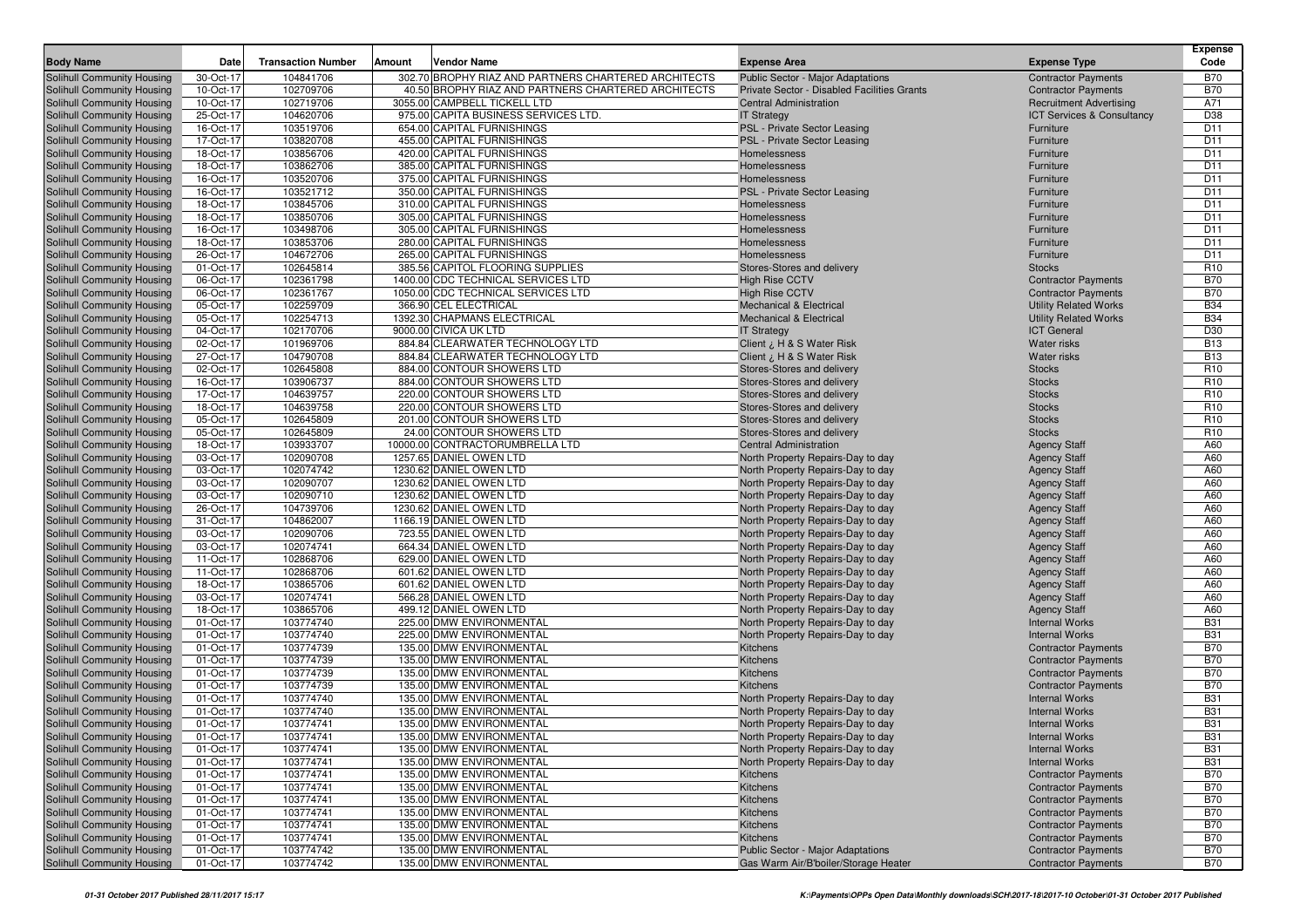| <b>Body Name</b>                  | Date      | <b>Transaction Number</b> | Amount | Vendor Name                                          | <b>Expense Area</b>                         | <b>Expense Type</b>            | <b>Expense</b><br>Code |
|-----------------------------------|-----------|---------------------------|--------|------------------------------------------------------|---------------------------------------------|--------------------------------|------------------------|
| Solihull Community Housing        | 30-Oct-17 | 104841706                 |        | 302.70 BROPHY RIAZ AND PARTNERS CHARTERED ARCHITECTS | Public Sector - Major Adaptations           | <b>Contractor Payments</b>     | <b>B70</b>             |
| Solihull Community Housing        | 10-Oct-17 | 102709706                 |        | 40.50 BROPHY RIAZ AND PARTNERS CHARTERED ARCHITECTS  | Private Sector - Disabled Facilities Grants | <b>Contractor Payments</b>     | <b>B70</b>             |
| Solihull Community Housing        | 10-Oct-17 | 102719706                 |        | 3055.00 CAMPBELL TICKELL LTD                         | <b>Central Administration</b>               | <b>Recruitment Advertising</b> | A71                    |
| Solihull Community Housing        | 25-Oct-17 | 104620706                 |        | 975.00 CAPITA BUSINESS SERVICES LTD.                 | <b>IT Strategy</b>                          | ICT Services & Consultancy     | D38                    |
| Solihull Community Housing        | 16-Oct-17 | 103519706                 |        | 654.00 CAPITAL FURNISHINGS                           | PSL - Private Sector Leasing                | Furniture                      | D <sub>11</sub>        |
| Solihull Community Housing        | 17-Oct-17 | 103820708                 |        | 455.00 CAPITAL FURNISHINGS                           | PSL - Private Sector Leasing                | Furniture                      | D <sub>11</sub>        |
| Solihull Community Housing        | 18-Oct-17 | 103856706                 |        | 420.00 CAPITAL FURNISHINGS                           | Homelessness                                | Furniture                      | D <sub>11</sub>        |
| Solihull Community Housing        | 18-Oct-17 | 103862706                 |        | 385.00 CAPITAL FURNISHINGS                           | Homelessness                                | Furniture                      | D <sub>11</sub>        |
| Solihull Community Housing        | 16-Oct-17 | 103520706                 |        | 375.00 CAPITAL FURNISHINGS                           | Homelessness                                | Furniture                      | D <sub>11</sub>        |
| Solihull Community Housing        | 16-Oct-17 | 103521712                 |        | 350.00 CAPITAL FURNISHINGS                           | PSL - Private Sector Leasing                | Furniture                      | D <sub>11</sub>        |
| Solihull Community Housing        | 18-Oct-17 | 103845706                 |        | 310.00 CAPITAL FURNISHINGS                           | Homelessness                                | Furniture                      | D <sub>11</sub>        |
| Solihull Community Housing        | 18-Oct-17 | 103850706                 |        | 305.00 CAPITAL FURNISHINGS                           | Homelessness                                | Furniture                      | D <sub>11</sub>        |
| Solihull Community Housing        | 16-Oct-17 | 103498706                 |        | 305.00 CAPITAL FURNISHINGS                           | Homelessness                                | Furniture                      | D <sub>11</sub>        |
| Solihull Community Housing        | 18-Oct-17 | 103853706                 |        | 280.00 CAPITAL FURNISHINGS                           | Homelessness                                | Furniture                      | D <sub>11</sub>        |
| Solihull Community Housing        | 26-Oct-17 | 104672706                 |        | 265.00 CAPITAL FURNISHINGS                           | Homelessness                                | Furniture                      | D <sub>11</sub>        |
| Solihull Community Housing        | 01-Oct-17 | 102645814                 |        | 385.56 CAPITOL FLOORING SUPPLIES                     | Stores-Stores and delivery                  | <b>Stocks</b>                  | R <sub>10</sub>        |
| Solihull Community Housing        | 06-Oct-17 | 102361798                 |        | 1400.00 CDC TECHNICAL SERVICES LTD                   | <b>High Rise CCTV</b>                       | <b>Contractor Payments</b>     | <b>B70</b>             |
| Solihull Community Housing        | 06-Oct-17 | 102361767                 |        | 1050.00 CDC TECHNICAL SERVICES LTD                   | <b>High Rise CCTV</b>                       | <b>Contractor Payments</b>     | <b>B70</b>             |
| Solihull Community Housing        | 05-Oct-17 | 102259709                 |        | 366.90 CEL ELECTRICAL                                | Mechanical & Electrical                     | <b>Utility Related Works</b>   | <b>B34</b>             |
| Solihull Community Housing        | 05-Oct-17 | 102254713                 |        | 1392.30 CHAPMANS ELECTRICAL                          | <b>Mechanical &amp; Electrical</b>          | <b>Utility Related Works</b>   | <b>B34</b>             |
| Solihull Community Housing        | 04-Oct-17 | 102170706                 |        | 9000.00 CIVICA UK LTD                                |                                             | <b>ICT</b> General             | D30                    |
| <b>Solihull Community Housing</b> | 02-Oct-17 | 101969706                 |        | 884.84 CLEARWATER TECHNOLOGY LTD                     | <b>IT Strategy</b>                          | <b>Water risks</b>             | <b>B13</b>             |
| Solihull Community Housing        | 27-Oct-17 | 104790708                 |        | 884.84 CLEARWATER TECHNOLOGY LTD                     | Client ¿ H & S Water Risk                   | <b>Water risks</b>             | <b>B13</b>             |
| Solihull Community Housing        |           |                           |        |                                                      | Client ¿ H & S Water Risk                   |                                | R <sub>10</sub>        |
|                                   | 02-Oct-17 | 102645808                 |        | 884.00 CONTOUR SHOWERS LTD                           | Stores-Stores and delivery                  | <b>Stocks</b>                  |                        |
| Solihull Community Housing        | 16-Oct-17 | 103906737                 |        | 884.00 CONTOUR SHOWERS LTD                           | Stores-Stores and delivery                  | <b>Stocks</b>                  | R <sub>10</sub>        |
| Solihull Community Housing        | 17-Oct-17 | 104639757                 |        | 220.00 CONTOUR SHOWERS LTD                           | Stores-Stores and delivery                  | <b>Stocks</b>                  | R <sub>10</sub>        |
| Solihull Community Housing        | 18-Oct-17 | 104639758                 |        | 220.00 CONTOUR SHOWERS LTD                           | Stores-Stores and delivery                  | <b>Stocks</b>                  | R <sub>10</sub>        |
| Solihull Community Housing        | 05-Oct-17 | 102645809                 |        | 201.00 CONTOUR SHOWERS LTD                           | Stores-Stores and delivery                  | <b>Stocks</b>                  | R <sub>10</sub>        |
| Solihull Community Housing        | 05-Oct-17 | 102645809                 |        | 24.00 CONTOUR SHOWERS LTD                            | Stores-Stores and delivery                  | <b>Stocks</b>                  | R <sub>10</sub>        |
| Solihull Community Housing        | 18-Oct-17 | 103933707                 |        | 10000.00 CONTRACTORUMBRELLA LTD                      | <b>Central Administration</b>               | <b>Agency Staff</b>            | A60                    |
| Solihull Community Housing        | 03-Oct-17 | 102090708                 |        | 1257.65 DANIEL OWEN LTD                              | North Property Repairs-Day to day           | <b>Agency Staff</b>            | A60                    |
| Solihull Community Housing        | 03-Oct-17 | 102074742                 |        | 1230.62 DANIEL OWEN LTD                              | North Property Repairs-Day to day           | <b>Agency Staff</b>            | A60                    |
| Solihull Community Housing        | 03-Oct-17 | 102090707                 |        | 1230.62 DANIEL OWEN LTD                              | North Property Repairs-Day to day           | <b>Agency Staff</b>            | A60                    |
| Solihull Community Housing        | 03-Oct-17 | 102090710                 |        | 1230.62 DANIEL OWEN LTD                              | North Property Repairs-Day to day           | <b>Agency Staff</b>            | A60                    |
| Solihull Community Housing        | 26-Oct-17 | 104739706                 |        | 1230.62 DANIEL OWEN LTD                              | North Property Repairs-Day to day           | <b>Agency Staff</b>            | A60                    |
| Solihull Community Housing        | 31-Oct-17 | 104862007                 |        | 1166.19 DANIEL OWEN LTD                              | North Property Repairs-Day to day           | <b>Agency Staff</b>            | A60                    |
| Solihull Community Housing        | 03-Oct-17 | 102090706                 |        | 723.55 DANIEL OWEN LTD                               | North Property Repairs-Day to day           | <b>Agency Staff</b>            | A60                    |
| Solihull Community Housing        | 03-Oct-17 | 102074741                 |        | 664.34 DANIEL OWEN LTD                               | North Property Repairs-Day to day           | <b>Agency Staff</b>            | A60                    |
| Solihull Community Housing        | 11-Oct-17 | 102868706                 |        | 629.00 DANIEL OWEN LTD                               | North Property Repairs-Day to day           | <b>Agency Staff</b>            | A60                    |
| Solihull Community Housing        | 11-Oct-17 | 102868706                 |        | 601.62 DANIEL OWEN LTD                               | North Property Repairs-Day to day           | <b>Agency Staff</b>            | A60                    |
| Solihull Community Housing        | 18-Oct-17 | 103865706                 |        | 601.62 DANIEL OWEN LTD                               | North Property Repairs-Day to day           | <b>Agency Staff</b>            | A60                    |
| Solihull Community Housing        | 03-Oct-17 | 102074741                 |        | 566.28 DANIEL OWEN LTD                               | North Property Repairs-Day to day           | <b>Agency Staff</b>            | A60                    |
| Solihull Community Housing        | 18-Oct-17 | 103865706                 |        | 499.12 DANIEL OWEN LTD                               | North Property Repairs-Day to day           | <b>Agency Staff</b>            | A60                    |
| Solihull Community Housing        | 01-Oct-17 | 103774740                 |        | 225.00 DMW ENVIRONMENTAL                             | North Property Repairs-Day to day           | <b>Internal Works</b>          | <b>B31</b>             |
| Solihull Community Housing        | 01-Oct-17 | 103774740                 |        | 225.00 DMW ENVIRONMENTAL                             | North Property Repairs-Day to day           | <b>Internal Works</b>          | <b>B31</b>             |
| Solihull Community Housing        | 01-Oct-17 | 103774739                 |        | 135.00 DMW ENVIRONMENTAL                             | Kitchens                                    | <b>Contractor Payments</b>     | <b>B70</b>             |
| Solihull Community Housing        | 01-Oct-17 | 103774739                 |        | 135.00 DMW ENVIRONMENTAL                             | Kitchens                                    | <b>Contractor Payments</b>     | <b>B70</b>             |
| Solihull Community Housing        | 01-Oct-17 | 103774739                 |        | 135.00 DMW ENVIRONMENTAL                             | Kitchens                                    | <b>Contractor Payments</b>     | <b>B70</b>             |
| Solihull Community Housing        | 01-Oct-17 | 103774739                 |        | 135.00 DMW ENVIRONMENTAL                             | Kitchens                                    | <b>Contractor Payments</b>     | <b>B70</b>             |
| Solihull Community Housing        | 01-Oct-17 | 103774740                 |        | 135.00 DMW ENVIRONMENTAL                             | North Property Repairs-Day to day           | <b>Internal Works</b>          | <b>B31</b>             |
| Solihull Community Housing        | 01-Oct-17 | 103774740                 |        | 135.00 DMW ENVIRONMENTAL                             | North Property Repairs-Day to day           | <b>Internal Works</b>          | <b>B31</b>             |
| Solihull Community Housing        | 01-Oct-17 | 103774741                 |        | 135.00 DMW ENVIRONMENTAL                             | North Property Repairs-Day to day           | <b>Internal Works</b>          | <b>B31</b>             |
| Solihull Community Housing        | 01-Oct-17 | 103774741                 |        | 135.00 DMW ENVIRONMENTAL                             | North Property Repairs-Day to day           | <b>Internal Works</b>          | <b>B31</b>             |
| Solihull Community Housing        | 01-Oct-17 | 103774741                 |        | 135.00 DMW ENVIRONMENTAL                             | North Property Repairs-Day to day           | <b>Internal Works</b>          | <b>B31</b>             |
| Solihull Community Housing        | 01-Oct-17 | 103774741                 |        | 135.00 DMW ENVIRONMENTAL                             | North Property Repairs-Day to day           | <b>Internal Works</b>          | <b>B31</b>             |
| Solihull Community Housing        | 01-Oct-17 | 103774741                 |        | 135.00 DMW ENVIRONMENTAL                             | Kitchens                                    | <b>Contractor Payments</b>     | <b>B70</b>             |
| Solihull Community Housing        | 01-Oct-17 | 103774741                 |        | 135.00 DMW ENVIRONMENTAL                             | Kitchens                                    | <b>Contractor Payments</b>     | <b>B70</b>             |
| Solihull Community Housing        | 01-Oct-17 | 103774741                 |        | 135.00 DMW ENVIRONMENTAL                             | Kitchens                                    | <b>Contractor Payments</b>     | <b>B70</b>             |
| Solihull Community Housing        | 01-Oct-17 | 103774741                 |        | 135.00 DMW ENVIRONMENTAL                             | Kitchens                                    | <b>Contractor Payments</b>     | <b>B70</b>             |
| Solihull Community Housing        | 01-Oct-17 | 103774741                 |        | 135.00 DMW ENVIRONMENTAL                             | Kitchens                                    | <b>Contractor Payments</b>     | <b>B70</b>             |
| Solihull Community Housing        | 01-Oct-17 | 103774741                 |        | 135.00 DMW ENVIRONMENTAL                             | Kitchens                                    | <b>Contractor Payments</b>     | <b>B70</b>             |
| Solihull Community Housing        | 01-Oct-17 | 103774742                 |        | 135.00 DMW ENVIRONMENTAL                             | Public Sector - Major Adaptations           | <b>Contractor Payments</b>     | <b>B70</b>             |
| Solihull Community Housing        | 01-Oct-17 | 103774742                 |        | 135.00 DMW ENVIRONMENTAL                             | Gas Warm Air/B'boiler/Storage Heater        | <b>Contractor Payments</b>     | <b>B70</b>             |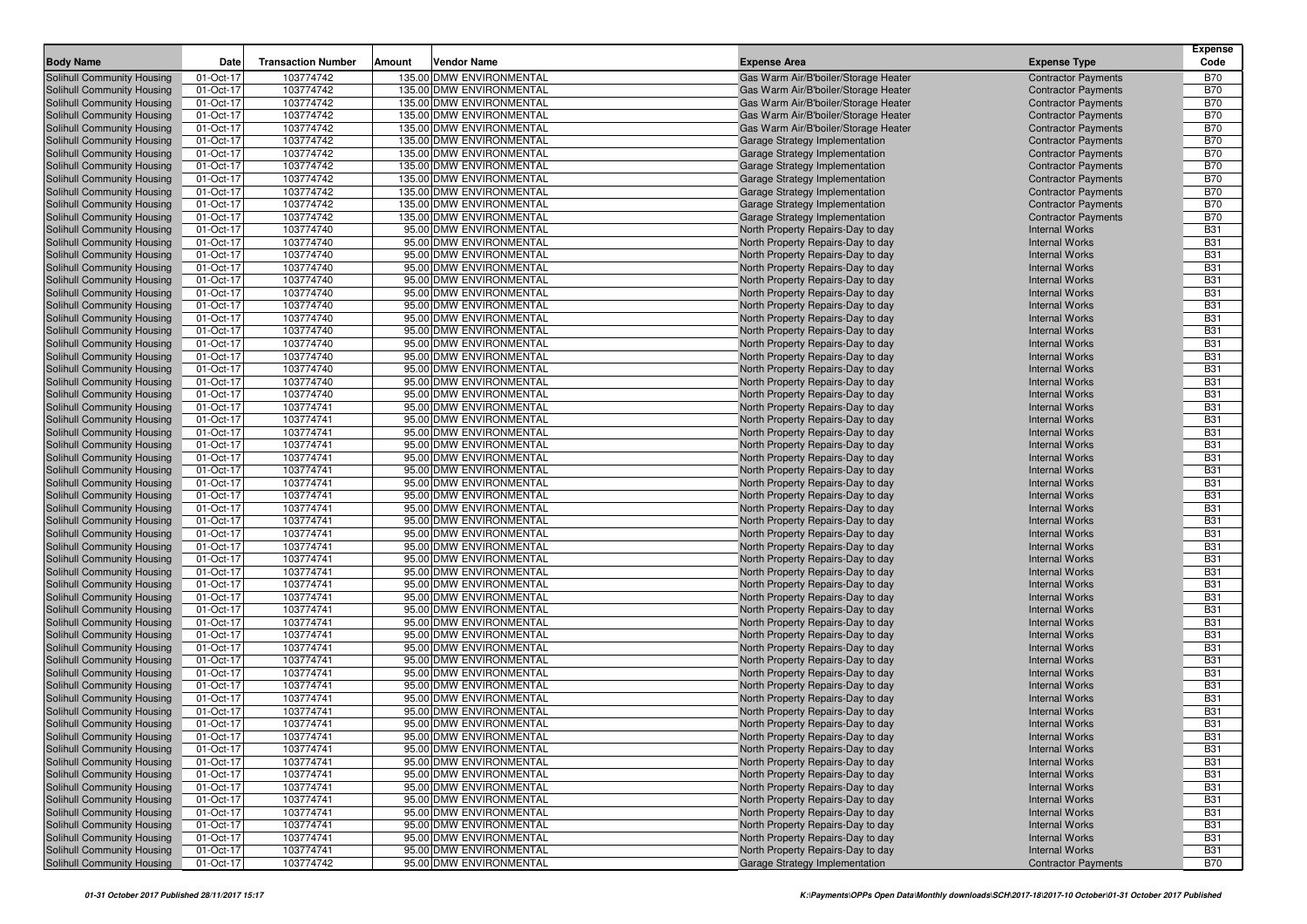| <b>Body Name</b>                                         | Date                   | <b>Transaction Number</b> | Amount<br>Vendor Name                                |                                                                              | <b>Expense Type</b>                                      | <b>Expense</b><br>Code   |
|----------------------------------------------------------|------------------------|---------------------------|------------------------------------------------------|------------------------------------------------------------------------------|----------------------------------------------------------|--------------------------|
|                                                          |                        |                           |                                                      | <b>Expense Area</b>                                                          |                                                          |                          |
| Solihull Community Housing                               | 01-Oct-17              | 103774742                 | 135.00 DMW ENVIRONMENTAL                             | Gas Warm Air/B'boiler/Storage Heater                                         | <b>Contractor Payments</b>                               | <b>B70</b>               |
| Solihull Community Housing                               | 01-Oct-17              | 103774742<br>103774742    | 135.00 DMW ENVIRONMENTAL<br>135.00 DMW ENVIRONMENTAL | Gas Warm Air/B'boiler/Storage Heater                                         | <b>Contractor Payments</b>                               | <b>B70</b><br><b>B70</b> |
| Solihull Community Housing<br>Solihull Community Housing | 01-Oct-17<br>01-Oct-17 | 103774742                 | 135.00 DMW ENVIRONMENTAL                             | Gas Warm Air/B'boiler/Storage Heater<br>Gas Warm Air/B'boiler/Storage Heater | <b>Contractor Payments</b><br><b>Contractor Payments</b> | <b>B70</b>               |
| Solihull Community Housing                               | 01-Oct-17              | 103774742                 | 135.00 DMW ENVIRONMENTAL                             | Gas Warm Air/B'boiler/Storage Heater                                         | <b>Contractor Payments</b>                               | <b>B70</b>               |
| Solihull Community Housing                               | 01-Oct-17              | 103774742                 | 135.00 DMW ENVIRONMENTAL                             | Garage Strategy Implementation                                               | <b>Contractor Payments</b>                               | <b>B70</b>               |
| Solihull Community Housing                               | 01-Oct-17              | 103774742                 | 135.00 DMW ENVIRONMENTAL                             | Garage Strategy Implementation                                               | <b>Contractor Payments</b>                               | <b>B70</b>               |
| Solihull Community Housing                               | 01-Oct-17              | 103774742                 | 135.00 DMW ENVIRONMENTAL                             | Garage Strategy Implementation                                               | <b>Contractor Payments</b>                               | <b>B70</b>               |
| Solihull Community Housing                               | 01-Oct-17              | 103774742                 | 135.00 DMW ENVIRONMENTAL                             | Garage Strategy Implementation                                               | <b>Contractor Payments</b>                               | <b>B70</b>               |
| Solihull Community Housing                               | 01-Oct-17              | 103774742                 | 135.00 DMW ENVIRONMENTAL                             | Garage Strategy Implementation                                               | <b>Contractor Payments</b>                               | <b>B70</b>               |
| Solihull Community Housing                               | 01-Oct-17              | 103774742                 | 135.00 DMW ENVIRONMENTAL                             | Garage Strategy Implementation                                               | <b>Contractor Payments</b>                               | <b>B70</b>               |
| Solihull Community Housing                               | 01-Oct-17              | 103774742                 | 135.00 DMW ENVIRONMENTAL                             | Garage Strategy Implementation                                               | <b>Contractor Payments</b>                               | <b>B70</b>               |
| Solihull Community Housing                               | 01-Oct-17              | 103774740                 | 95.00 DMW ENVIRONMENTAL                              | North Property Repairs-Day to day                                            | <b>Internal Works</b>                                    | <b>B31</b>               |
| Solihull Community Housing                               | 01-Oct-17              | 103774740                 | 95.00 DMW ENVIRONMENTAL                              | North Property Repairs-Day to day                                            | <b>Internal Works</b>                                    | <b>B31</b>               |
| Solihull Community Housing                               | 01-Oct-17              | 103774740                 | 95.00 DMW ENVIRONMENTAL                              | North Property Repairs-Day to day                                            | <b>Internal Works</b>                                    | <b>B31</b>               |
| Solihull Community Housing                               | 01-Oct-17              | 103774740                 | 95.00 DMW ENVIRONMENTAL                              | North Property Repairs-Day to day                                            | <b>Internal Works</b>                                    | <b>B31</b>               |
| Solihull Community Housing                               | 01-Oct-17              | 103774740                 | 95.00 DMW ENVIRONMENTAL                              | North Property Repairs-Day to day                                            | <b>Internal Works</b>                                    | <b>B31</b>               |
| Solihull Community Housing                               | 01-Oct-17              | 103774740                 | 95.00 DMW ENVIRONMENTAL                              | North Property Repairs-Day to day                                            | <b>Internal Works</b>                                    | <b>B31</b>               |
| Solihull Community Housing                               | 01-Oct-17              | 103774740                 | 95.00 DMW ENVIRONMENTAL                              | North Property Repairs-Day to day                                            | <b>Internal Works</b>                                    | <b>B31</b>               |
| Solihull Community Housing                               | 01-Oct-17              | 103774740                 | 95.00 DMW ENVIRONMENTAL                              | North Property Repairs-Day to day                                            | <b>Internal Works</b>                                    | <b>B31</b>               |
| Solihull Community Housing                               | 01-Oct-17              | 103774740                 | 95.00 DMW ENVIRONMENTAL                              | North Property Repairs-Day to day                                            | <b>Internal Works</b>                                    | <b>B31</b>               |
| Solihull Community Housing                               | 01-Oct-17              | 103774740                 | 95.00 DMW ENVIRONMENTAL                              | North Property Repairs-Day to day                                            | <b>Internal Works</b>                                    | <b>B31</b>               |
| Solihull Community Housing                               | 01-Oct-17              | 103774740                 | 95.00 DMW ENVIRONMENTAL                              | North Property Repairs-Day to day                                            | <b>Internal Works</b>                                    | <b>B31</b>               |
| Solihull Community Housing                               | 01-Oct-17              | 103774740                 | 95.00 DMW ENVIRONMENTAL                              | North Property Repairs-Day to day                                            | <b>Internal Works</b>                                    | <b>B31</b>               |
| Solihull Community Housing                               | 01-Oct-17              | 103774740                 | 95.00 DMW ENVIRONMENTAL                              | North Property Repairs-Day to day                                            | <b>Internal Works</b>                                    | <b>B31</b>               |
| Solihull Community Housing                               | 01-Oct-17              | 103774740                 | 95.00 DMW ENVIRONMENTAL                              | North Property Repairs-Day to day                                            | <b>Internal Works</b>                                    | <b>B31</b>               |
| Solihull Community Housing                               | 01-Oct-17              | 103774741                 | 95.00 DMW ENVIRONMENTAL                              | North Property Repairs-Day to day                                            | <b>Internal Works</b>                                    | <b>B31</b>               |
| Solihull Community Housing                               | 01-Oct-17              | 103774741                 | 95.00 DMW ENVIRONMENTAL                              | North Property Repairs-Day to day                                            | <b>Internal Works</b>                                    | <b>B31</b>               |
| Solihull Community Housing                               | 01-Oct-17              | 103774741                 | 95.00 DMW ENVIRONMENTAL                              | North Property Repairs-Day to day                                            | <b>Internal Works</b>                                    | <b>B31</b>               |
| Solihull Community Housing                               | 01-Oct-17              | 103774741                 | 95.00 DMW ENVIRONMENTAL                              | North Property Repairs-Day to day                                            | <b>Internal Works</b>                                    | <b>B31</b>               |
| Solihull Community Housing                               | 01-Oct-17              | 103774741                 | 95.00 DMW ENVIRONMENTAL                              | North Property Repairs-Day to day                                            | <b>Internal Works</b>                                    | <b>B31</b>               |
| Solihull Community Housing                               | 01-Oct-17              | 103774741                 | 95.00 DMW ENVIRONMENTAL                              | North Property Repairs-Day to day                                            | <b>Internal Works</b>                                    | <b>B31</b>               |
| Solihull Community Housing                               | 01-Oct-17              | 103774741                 | 95.00 DMW ENVIRONMENTAL                              | North Property Repairs-Day to day                                            | <b>Internal Works</b>                                    | <b>B31</b>               |
| Solihull Community Housing                               | 01-Oct-17              | 103774741<br>103774741    | 95.00 DMW ENVIRONMENTAL<br>95.00 DMW ENVIRONMENTAL   | North Property Repairs-Day to day                                            | <b>Internal Works</b>                                    | <b>B31</b><br><b>B31</b> |
| Solihull Community Housing<br>Solihull Community Housing | 01-Oct-17<br>01-Oct-17 | 103774741                 | 95.00 DMW ENVIRONMENTAL                              | North Property Repairs-Day to day<br>North Property Repairs-Day to day       | <b>Internal Works</b><br><b>Internal Works</b>           | <b>B31</b>               |
| Solihull Community Housing                               | 01-Oct-17              | 103774741                 | 95.00 DMW ENVIRONMENTAL                              | North Property Repairs-Day to day                                            | <b>Internal Works</b>                                    | <b>B31</b>               |
| Solihull Community Housing                               | 01-Oct-17              | 103774741                 | 95.00 DMW ENVIRONMENTAL                              | North Property Repairs-Day to day                                            | <b>Internal Works</b>                                    | <b>B31</b>               |
| Solihull Community Housing                               | 01-Oct-17              | 103774741                 | 95.00 DMW ENVIRONMENTAL                              | North Property Repairs-Day to day                                            | <b>Internal Works</b>                                    | <b>B31</b>               |
| Solihull Community Housing                               | 01-Oct-17              | 103774741                 | 95.00 DMW ENVIRONMENTAL                              | North Property Repairs-Day to day                                            | <b>Internal Works</b>                                    | <b>B31</b>               |
| Solihull Community Housing                               | 01-Oct-17              | 103774741                 | 95.00 DMW ENVIRONMENTAL                              | North Property Repairs-Day to day                                            | <b>Internal Works</b>                                    | <b>B31</b>               |
| Solihull Community Housing                               | 01-Oct-17              | 103774741                 | 95.00 DMW ENVIRONMENTAL                              | North Property Repairs-Day to day                                            | <b>Internal Works</b>                                    | <b>B31</b>               |
| Solihull Community Housing                               | 01-Oct-17              | 103774741                 | 95.00 DMW ENVIRONMENTAL                              | North Property Repairs-Day to day                                            | <b>Internal Works</b>                                    | <b>B31</b>               |
| Solihull Community Housing                               | 01-Oct-17              | 103774741                 | 95.00 DMW ENVIRONMENTAL                              | North Property Repairs-Day to day                                            | <b>Internal Works</b>                                    | <b>B31</b>               |
| Solihull Community Housing                               | 01-Oct-17              | 103774741                 | 95.00 DMW ENVIRONMENTAL                              | North Property Repairs-Day to day                                            | <b>Internal Works</b>                                    | <b>B31</b>               |
| Solihull Community Housing                               | 01-Oct-17              | 103774741                 | 95.00 DMW ENVIRONMENTAL                              | North Property Repairs-Day to day                                            | <b>Internal Works</b>                                    | <b>B31</b>               |
| Solihull Community Housing                               | 01-Oct-17              | 103774741                 | 95.00 DMW ENVIRONMENTAL                              | North Property Repairs-Day to day                                            | <b>Internal Works</b>                                    | <b>B31</b>               |
| Solihull Community Housing                               | 01-Oct-17              | 103774741                 | 95.00 DMW ENVIRONMENTAL                              | North Property Repairs-Day to day                                            | <b>Internal Works</b>                                    | <b>B31</b>               |
| Solihull Community Housing                               | 01-Oct-17              | 103774741                 | 95.00 DMW ENVIRONMENTAL                              | North Property Repairs-Day to day                                            | <b>Internal Works</b>                                    | <b>B31</b>               |
| Solihull Community Housing                               | 01-Oct-17              | 103774741                 | 95.00 DMW ENVIRONMENTAL                              | North Property Repairs-Day to day                                            | <b>Internal Works</b>                                    | <b>B31</b>               |
| Solihull Community Housing                               | 01-Oct-17              | 103774741                 | 95.00 DMW ENVIRONMENTAL                              | North Property Repairs-Day to day                                            | <b>Internal Works</b>                                    | <b>B31</b>               |
| <b>Solihull Community Housing</b>                        | 01-Oct-17              | 103774741                 | 95.00 DMW ENVIRONMENTAL                              | North Property Repairs-Day to day                                            | <b>Internal Works</b>                                    | <b>B31</b>               |
| Solihull Community Housing                               | 01-Oct-17              | 103774741                 | 95.00 DMW ENVIRONMENTAL                              | North Property Repairs-Day to day                                            | <b>Internal Works</b>                                    | <b>B31</b>               |
| Solihull Community Housing                               | 01-Oct-17              | 103774741                 | 95.00 DMW ENVIRONMENTAL                              | North Property Repairs-Day to day                                            | <b>Internal Works</b>                                    | <b>B31</b>               |
| Solihull Community Housing                               | 01-Oct-17              | 103774741                 | 95.00 DMW ENVIRONMENTAL                              | North Property Repairs-Day to day                                            | <b>Internal Works</b>                                    | <b>B31</b>               |
| Solihull Community Housing                               | 01-Oct-17              | 103774741                 | 95.00 DMW ENVIRONMENTAL                              | North Property Repairs-Day to day                                            | <b>Internal Works</b>                                    | <b>B31</b>               |
| Solihull Community Housing                               | 01-Oct-17              | 103774741                 | 95.00 DMW ENVIRONMENTAL                              | North Property Repairs-Day to day                                            | <b>Internal Works</b>                                    | <b>B31</b>               |
| Solihull Community Housing                               | 01-Oct-17              | 103774741                 | 95.00 DMW ENVIRONMENTAL                              | North Property Repairs-Day to day                                            | <b>Internal Works</b>                                    | <b>B31</b>               |
| Solihull Community Housing                               | 01-Oct-17              | 103774741                 | 95.00 DMW ENVIRONMENTAL                              | North Property Repairs-Day to day                                            | <b>Internal Works</b>                                    | <b>B31</b>               |
| Solihull Community Housing                               | 01-Oct-17              | 103774741                 | 95.00 DMW ENVIRONMENTAL                              | North Property Repairs-Day to day                                            | <b>Internal Works</b>                                    | <b>B31</b>               |
| Solihull Community Housing                               | 01-Oct-17              | 103774741                 | 95.00 DMW ENVIRONMENTAL                              | North Property Repairs-Day to day                                            | <b>Internal Works</b>                                    | <b>B31</b>               |
| Solihull Community Housing                               | 01-Oct-17              | 103774741                 | 95.00 DMW ENVIRONMENTAL                              | North Property Repairs-Day to day                                            | <b>Internal Works</b>                                    | <b>B31</b>               |
| Solihull Community Housing                               | 01-Oct-17              | 103774742                 | 95.00 DMW ENVIRONMENTAL                              | Garage Strategy Implementation                                               | <b>Contractor Payments</b>                               | <b>B70</b>               |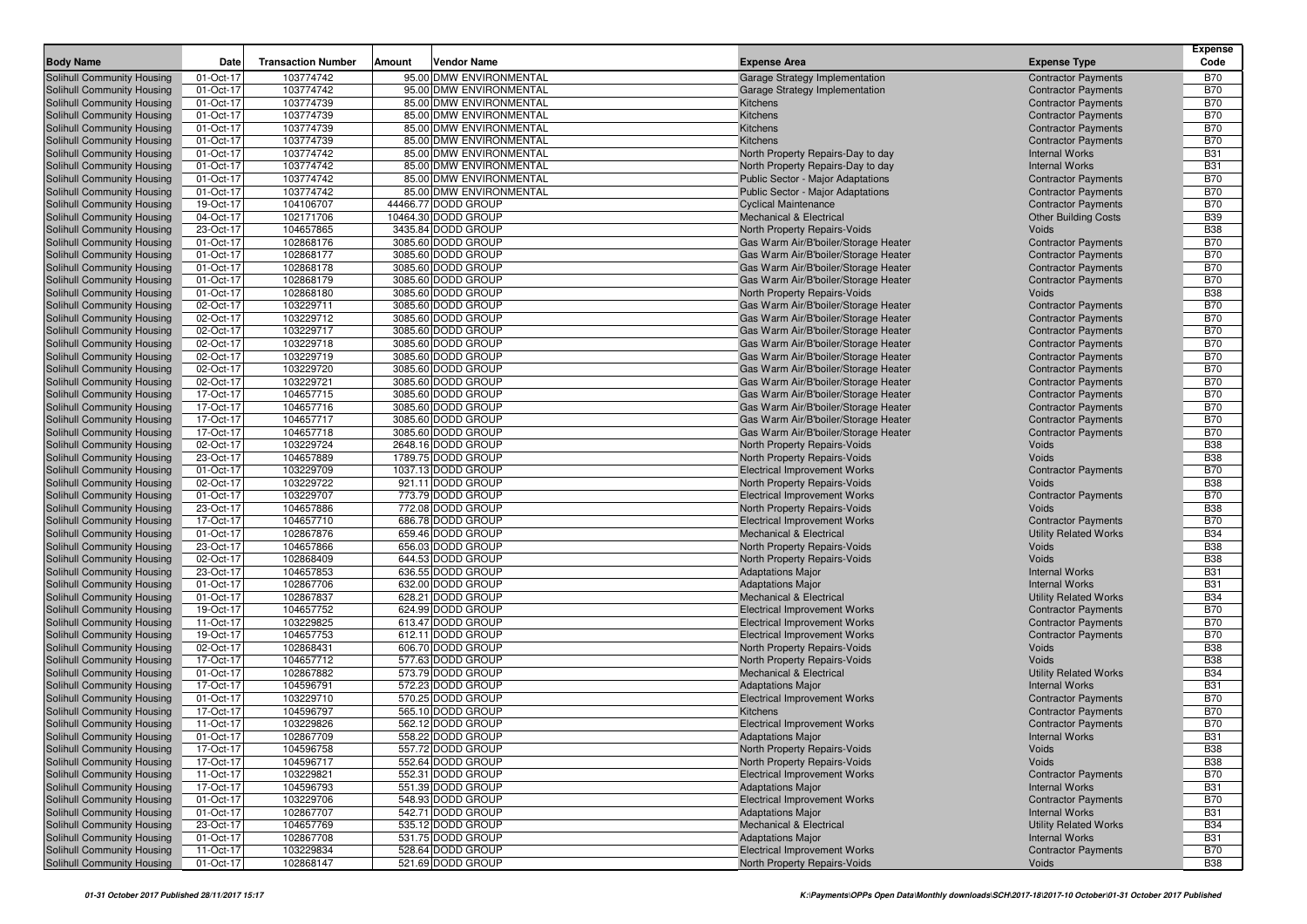| <b>Body Name</b>                                         | Date                   | <b>Transaction Number</b> | Vendor Name<br>Amount                    | <b>Expense Area</b>                                                          | <b>Expense Type</b>                                      | <b>Expense</b><br>Code   |
|----------------------------------------------------------|------------------------|---------------------------|------------------------------------------|------------------------------------------------------------------------------|----------------------------------------------------------|--------------------------|
| Solihull Community Housing                               | 01-Oct-17              | 103774742                 | 95.00 DMW ENVIRONMENTAL                  | Garage Strategy Implementation                                               | <b>Contractor Payments</b>                               | <b>B70</b>               |
| Solihull Community Housing                               | 01-Oct-17              | 103774742                 | 95.00 DMW ENVIRONMENTAL                  | Garage Strategy Implementation                                               | <b>Contractor Payments</b>                               | <b>B70</b>               |
| Solihull Community Housing                               | 01-Oct-17              | 103774739                 | 85.00 DMW ENVIRONMENTAL                  | Kitchens                                                                     | <b>Contractor Payments</b>                               | <b>B70</b>               |
| Solihull Community Housing                               | 01-Oct-17              | 103774739                 | 85.00 DMW ENVIRONMENTAL                  | Kitchens                                                                     | <b>Contractor Payments</b>                               | <b>B70</b>               |
| Solihull Community Housing                               | 01-Oct-17              | 103774739                 | 85.00 DMW ENVIRONMENTAL                  | Kitchens                                                                     | <b>Contractor Payments</b>                               | <b>B70</b>               |
| Solihull Community Housing                               | 01-Oct-17              | 103774739                 | 85.00 DMW ENVIRONMENTAL                  | Kitchens                                                                     | <b>Contractor Payments</b>                               | <b>B70</b>               |
| Solihull Community Housing                               | 01-Oct-17              | 103774742                 | 85.00 DMW ENVIRONMENTAL                  | North Property Repairs-Day to day                                            | <b>Internal Works</b>                                    | <b>B31</b>               |
| Solihull Community Housing                               | 01-Oct-17              | 103774742                 | 85.00 DMW ENVIRONMENTAL                  | North Property Repairs-Day to day                                            | <b>Internal Works</b>                                    | <b>B31</b>               |
| <b>Solihull Community Housing</b>                        | 01-Oct-17              | 103774742                 | 85.00 DMW ENVIRONMENTAL                  | <b>Public Sector - Major Adaptations</b>                                     | <b>Contractor Payments</b>                               | <b>B70</b>               |
| Solihull Community Housing                               | 01-Oct-17              | 103774742                 | 85.00 DMW ENVIRONMENTAL                  | Public Sector - Major Adaptations                                            | <b>Contractor Payments</b>                               | <b>B70</b>               |
| Solihull Community Housing                               | 19-Oct-17              | 104106707                 | 44466.77 DODD GROUP                      | <b>Cyclical Maintenance</b>                                                  | <b>Contractor Payments</b>                               | <b>B70</b>               |
| Solihull Community Housing                               | 04-Oct-17              | 102171706                 | 10464.30 DODD GROUP                      | <b>Mechanical &amp; Electrical</b>                                           | <b>Other Building Costs</b>                              | <b>B39</b>               |
| Solihull Community Housing                               | 23-Oct-17              | 104657865                 | 3435.84 DODD GROUP                       | North Property Repairs-Voids                                                 | Voids                                                    | <b>B38</b>               |
| Solihull Community Housing                               | 01-Oct-17              | 102868176                 | 3085.60 DODD GROUP                       | Gas Warm Air/B'boiler/Storage Heater                                         | <b>Contractor Payments</b>                               | <b>B70</b>               |
| Solihull Community Housing                               | 01-Oct-17              | 102868177                 | 3085.60 DODD GROUP                       | Gas Warm Air/B'boiler/Storage Heater                                         | <b>Contractor Payments</b>                               | <b>B70</b>               |
| Solihull Community Housing                               | 01-Oct-17              | 102868178                 | 3085.60 DODD GROUP                       | Gas Warm Air/B'boiler/Storage Heater                                         | <b>Contractor Payments</b>                               | <b>B70</b>               |
| Solihull Community Housing                               | 01-Oct-17              | 102868179                 | 3085.60 DODD GROUP                       | Gas Warm Air/B'boiler/Storage Heater                                         | <b>Contractor Payments</b>                               | <b>B70</b>               |
| Solihull Community Housing                               | 01-Oct-17<br>02-Oct-17 | 102868180<br>103229711    | 3085.60 DODD GROUP<br>3085.60 DODD GROUP | North Property Repairs-Voids                                                 | Voids                                                    | <b>B38</b><br><b>B70</b> |
| Solihull Community Housing<br>Solihull Community Housing | 02-Oct-17              | 103229712                 | 3085.60 DODD GROUP                       | Gas Warm Air/B'boiler/Storage Heater<br>Gas Warm Air/B'boiler/Storage Heater | <b>Contractor Payments</b><br><b>Contractor Payments</b> | <b>B70</b>               |
| Solihull Community Housing                               | 02-Oct-17              | 103229717                 | 3085.60 DODD GROUP                       | Gas Warm Air/B'boiler/Storage Heater                                         | <b>Contractor Payments</b>                               | <b>B70</b>               |
| Solihull Community Housing                               | 02-Oct-17              | 103229718                 | 3085.60 DODD GROUP                       | Gas Warm Air/B'boiler/Storage Heater                                         | <b>Contractor Payments</b>                               | <b>B70</b>               |
| Solihull Community Housing                               | 02-Oct-17              | 103229719                 | 3085.60 DODD GROUP                       | Gas Warm Air/B'boiler/Storage Heater                                         | <b>Contractor Payments</b>                               | <b>B70</b>               |
| Solihull Community Housing                               | 02-Oct-17              | 103229720                 | 3085.60 DODD GROUP                       | Gas Warm Air/B'boiler/Storage Heater                                         | <b>Contractor Payments</b>                               | <b>B70</b>               |
| Solihull Community Housing                               | 02-Oct-17              | 103229721                 | 3085.60 DODD GROUP                       | Gas Warm Air/B'boiler/Storage Heater                                         | <b>Contractor Payments</b>                               | <b>B70</b>               |
| Solihull Community Housing                               | 17-Oct-17              | 104657715                 | 3085.60 DODD GROUP                       | Gas Warm Air/B'boiler/Storage Heater                                         | <b>Contractor Payments</b>                               | <b>B70</b>               |
| Solihull Community Housing                               | 17-Oct-17              | 104657716                 | 3085.60 DODD GROUP                       | Gas Warm Air/B'boiler/Storage Heater                                         | <b>Contractor Payments</b>                               | <b>B70</b>               |
| Solihull Community Housing                               | 17-Oct-17              | 104657717                 | 3085.60 DODD GROUP                       | Gas Warm Air/B'boiler/Storage Heater                                         | <b>Contractor Payments</b>                               | <b>B70</b>               |
| Solihull Community Housing                               | 17-Oct-17              | 104657718                 | 3085.60 DODD GROUP                       | Gas Warm Air/B'boiler/Storage Heater                                         | <b>Contractor Payments</b>                               | <b>B70</b>               |
| Solihull Community Housing                               | 02-Oct-17              | 103229724                 | 2648.16 DODD GROUP                       | North Property Repairs-Voids                                                 | Voids                                                    | <b>B38</b>               |
| Solihull Community Housing                               | 23-Oct-17              | 104657889                 | 1789.75 DODD GROUP                       | North Property Repairs-Voids                                                 | Voids                                                    | <b>B38</b>               |
| Solihull Community Housing                               | 01-Oct-17              | 103229709                 | 1037.13 DODD GROUP                       | <b>Electrical Improvement Works</b>                                          | <b>Contractor Payments</b>                               | <b>B70</b>               |
| Solihull Community Housing                               | 02-Oct-17              | 103229722                 | 921.11 DODD GROUP                        | North Property Repairs-Voids                                                 | Voids                                                    | <b>B38</b>               |
| Solihull Community Housing                               | 01-Oct-17              | 103229707                 | 773.79 DODD GROUP                        | <b>Electrical Improvement Works</b>                                          | <b>Contractor Payments</b>                               | <b>B70</b>               |
| Solihull Community Housing                               | 23-Oct-17              | 104657886                 | 772.08 DODD GROUP                        | North Property Repairs-Voids                                                 | Voids                                                    | <b>B38</b>               |
| Solihull Community Housing                               | 17-Oct-17              | 104657710                 | 686.78 DODD GROUP                        | <b>Electrical Improvement Works</b>                                          | <b>Contractor Payments</b>                               | <b>B70</b>               |
| Solihull Community Housing                               | 01-Oct-17              | 102867876                 | 659.46 DODD GROUP                        | <b>Mechanical &amp; Electrical</b>                                           | <b>Utility Related Works</b>                             | <b>B34</b>               |
| Solihull Community Housing                               | 23-Oct-17              | 104657866                 | 656.03 DODD GROUP                        | North Property Repairs-Voids                                                 | Voids                                                    | <b>B38</b>               |
| Solihull Community Housing                               | 02-Oct-17<br>23-Oct-17 | 102868409<br>104657853    | 644.53 DODD GROUP<br>636.55 DODD GROUP   | North Property Repairs-Voids                                                 | Voids<br><b>Internal Works</b>                           | <b>B38</b><br><b>B31</b> |
| Solihull Community Housing<br>Solihull Community Housing | 01-Oct-17              | 102867706                 | 632.00 DODD GROUP                        | <b>Adaptations Major</b><br><b>Adaptations Major</b>                         | <b>Internal Works</b>                                    | <b>B31</b>               |
| Solihull Community Housing                               | 01-Oct-17              | 102867837                 | 628.21 DODD GROUP                        | <b>Mechanical &amp; Electrical</b>                                           | <b>Utility Related Works</b>                             | <b>B34</b>               |
| Solihull Community Housing                               | 19-Oct-17              | 104657752                 | 624.99 DODD GROUP                        | <b>Electrical Improvement Works</b>                                          | <b>Contractor Payments</b>                               | <b>B70</b>               |
| Solihull Community Housing                               | 11-Oct-17              | 103229825                 | 613.47 DODD GROUP                        | <b>Electrical Improvement Works</b>                                          | <b>Contractor Payments</b>                               | <b>B70</b>               |
| Solihull Community Housing                               | 19-Oct-17              | 104657753                 | 612.11 DODD GROUP                        | <b>Electrical Improvement Works</b>                                          | <b>Contractor Payments</b>                               | <b>B70</b>               |
| Solihull Community Housing                               | 02-Oct-17              | 102868431                 | 606.70 DODD GROUP                        | North Property Repairs-Voids                                                 | Voids                                                    | <b>B38</b>               |
| Solihull Community Housing                               | 17-Oct-17              | 104657712                 | 577.63 DODD GROUP                        | North Property Repairs-Voids                                                 | Voids                                                    | <b>B38</b>               |
| Solihull Community Housing                               | 01-Oct-17              | 102867882                 | 573.79 DODD GROUP                        | <b>Mechanical &amp; Electrical</b>                                           | <b>Utility Related Works</b>                             | <b>B34</b>               |
| Solihull Community Housing                               | 17-Oct-17              | 104596791                 | 572.23 DODD GROUP                        | <b>Adaptations Major</b>                                                     | <b>Internal Works</b>                                    | <b>B31</b>               |
| Solihull Community Housing                               | 01-Oct-17              | 103229710                 | 570.25 DODD GROUP                        | <b>Electrical Improvement Works</b>                                          | <b>Contractor Payments</b>                               | <b>B70</b>               |
| Solihull Community Housing                               | 17-Oct-17              | 104596797                 | 565.10 DODD GROUP                        | Kitchens                                                                     | <b>Contractor Payments</b>                               | <b>B70</b>               |
| Solihull Community Housing                               | 11-Oct-17              | 103229826                 | 562.12 DODD GROUP                        | <b>Electrical Improvement Works</b>                                          | <b>Contractor Payments</b>                               | <b>B70</b>               |
| Solihull Community Housing                               | 01-Oct-17              | 102867709                 | 558.22 DODD GROUP                        | <b>Adaptations Major</b>                                                     | <b>Internal Works</b>                                    | <b>B31</b>               |
| Solihull Community Housing                               | 17-Oct-17              | 104596758                 | 557.72 DODD GROUP                        | North Property Repairs-Voids                                                 | Voids                                                    | <b>B38</b>               |
| Solihull Community Housing                               | 17-Oct-17              | 104596717                 | 552.64 DODD GROUP                        | North Property Repairs-Voids                                                 | Voids                                                    | <b>B38</b>               |
| Solihull Community Housing                               | 11-Oct-17              | 103229821                 | 552.31 DODD GROUP                        | <b>Electrical Improvement Works</b>                                          | <b>Contractor Payments</b>                               | <b>B70</b>               |
| Solihull Community Housing                               | 17-Oct-17              | 104596793                 | 551.39 DODD GROUP                        | <b>Adaptations Major</b>                                                     | <b>Internal Works</b>                                    | <b>B31</b>               |
| Solihull Community Housing                               | 01-Oct-17              | 103229706                 | 548.93 DODD GROUP                        | <b>Electrical Improvement Works</b>                                          | <b>Contractor Payments</b>                               | <b>B70</b>               |
| Solihull Community Housing                               | 01-Oct-17              | 102867707                 | 542.71 DODD GROUP                        | <b>Adaptations Major</b>                                                     | <b>Internal Works</b>                                    | <b>B31</b>               |
| Solihull Community Housing                               | 23-Oct-17              | 104657769                 | 535.12 DODD GROUP                        | Mechanical & Electrical                                                      | <b>Utility Related Works</b>                             | <b>B34</b>               |
| Solihull Community Housing                               | 01-Oct-17              | 102867708                 | 531.75 DODD GROUP                        | <b>Adaptations Major</b>                                                     | <b>Internal Works</b>                                    | <b>B31</b>               |
| Solihull Community Housing                               | 11-Oct-17              | 103229834                 | 528.64 DODD GROUP                        | <b>Electrical Improvement Works</b>                                          | <b>Contractor Payments</b>                               | <b>B70</b>               |
| Solihull Community Housing                               | 01-Oct-17              | 102868147                 | 521.69 DODD GROUP                        | North Property Repairs-Voids                                                 | Voids                                                    | <b>B38</b>               |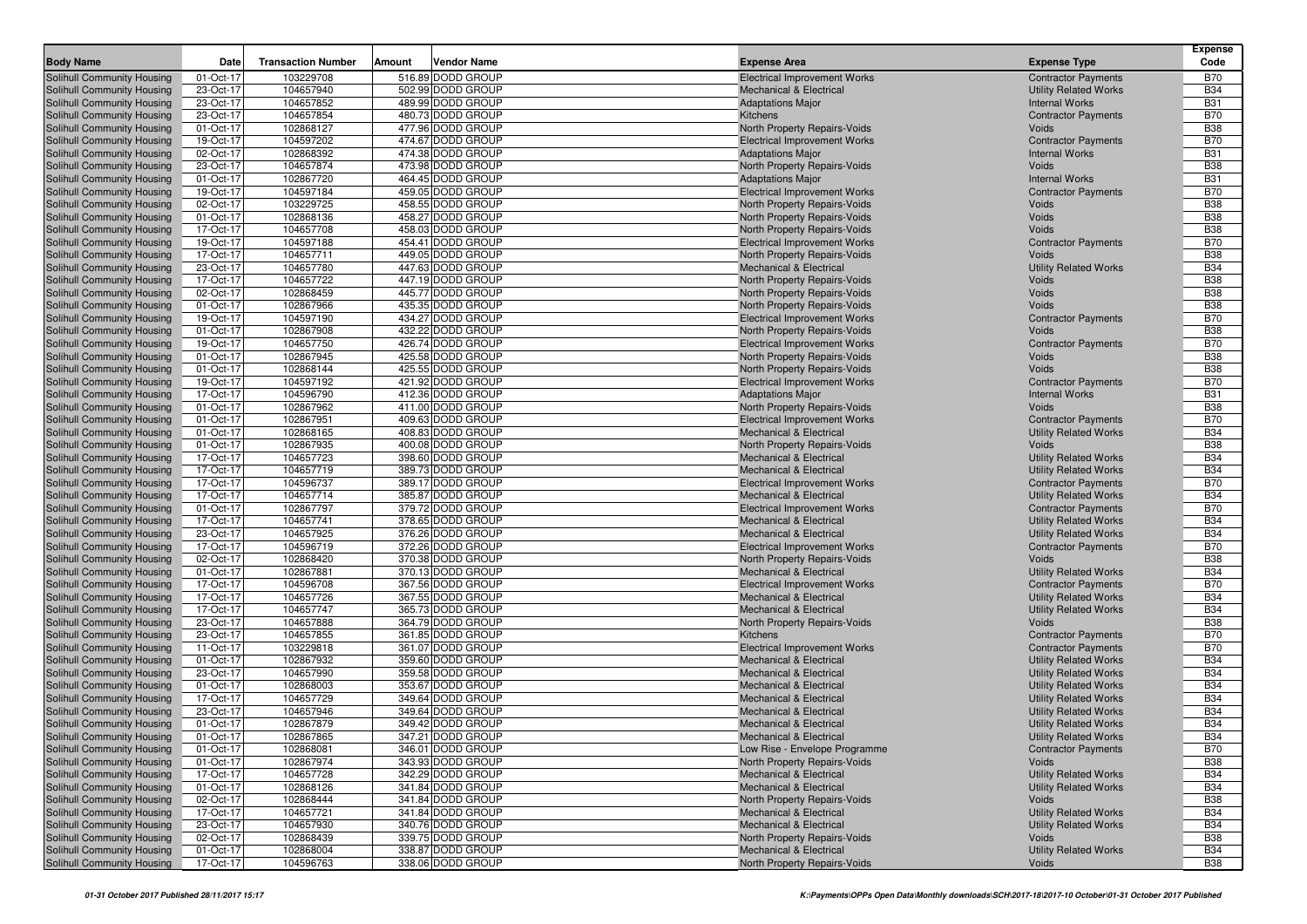|                                                          |                        |                           |        |                                        |                                                                           |                                                              | Expense                  |
|----------------------------------------------------------|------------------------|---------------------------|--------|----------------------------------------|---------------------------------------------------------------------------|--------------------------------------------------------------|--------------------------|
| <b>Body Name</b>                                         | Date                   | <b>Transaction Number</b> | Amount | Vendor Name                            | <b>Expense Area</b>                                                       | <b>Expense Type</b>                                          | Code                     |
| Solihull Community Housing                               | 01-Oct-17              | 103229708                 |        | 516.89 DODD GROUP                      | <b>Electrical Improvement Works</b>                                       | <b>Contractor Payments</b>                                   | <b>B70</b>               |
| Solihull Community Housing                               | 23-Oct-17              | 104657940                 |        | 502.99 DODD GROUP                      | <b>Mechanical &amp; Electrical</b>                                        | <b>Utility Related Works</b>                                 | <b>B34</b>               |
| Solihull Community Housing                               | 23-Oct-17              | 104657852                 |        | 489.99 DODD GROUP                      | <b>Adaptations Major</b>                                                  | <b>Internal Works</b>                                        | <b>B31</b>               |
| Solihull Community Housing<br>Solihull Community Housing | 23-Oct-17              | 104657854                 |        | 480.73 DODD GROUP                      | Kitchens                                                                  | <b>Contractor Payments</b>                                   | <b>B70</b>               |
| Solihull Community Housing                               | 01-Oct-17<br>19-Oct-17 | 102868127<br>104597202    |        | 477.96 DODD GROUP<br>474.67 DODD GROUP | North Property Repairs-Voids<br><b>Electrical Improvement Works</b>       | Voids<br><b>Contractor Payments</b>                          | <b>B38</b><br><b>B70</b> |
| Solihull Community Housing                               | 02-Oct-17              | 102868392                 |        | 474.38 DODD GROUP                      | <b>Adaptations Major</b>                                                  | <b>Internal Works</b>                                        | <b>B31</b>               |
| Solihull Community Housing                               | 23-Oct-17              | 104657874                 |        | 473.98 DODD GROUP                      | North Property Repairs-Voids                                              | Voids                                                        | <b>B38</b>               |
| Solihull Community Housing                               | 01-Oct-17              | 102867720                 |        | 464.45 DODD GROUP                      | <b>Adaptations Major</b>                                                  | <b>Internal Works</b>                                        | <b>B31</b>               |
| Solihull Community Housing                               | 19-Oct-17              | 104597184                 |        | 459.05 DODD GROUP                      | <b>Electrical Improvement Works</b>                                       | <b>Contractor Payments</b>                                   | <b>B70</b>               |
| Solihull Community Housing                               | 02-Oct-17              | 103229725                 |        | 458.55 DODD GROUP                      | <b>North Property Repairs-Voids</b>                                       | Voids                                                        | <b>B38</b>               |
| Solihull Community Housing                               | 01-Oct-17              | 102868136                 |        | 458.27 DODD GROUP                      | North Property Repairs-Voids                                              | Voids                                                        | <b>B38</b>               |
| Solihull Community Housing                               | 17-Oct-17              | 104657708                 |        | 458.03 DODD GROUP                      | North Property Repairs-Voids                                              | Voids                                                        | <b>B38</b>               |
| Solihull Community Housing                               | 19-Oct-17              | 104597188                 |        | 454.41 DODD GROUP                      | <b>Electrical Improvement Works</b>                                       | <b>Contractor Payments</b>                                   | <b>B70</b>               |
| Solihull Community Housing                               | 17-Oct-17              | 104657711                 |        | 449.05 DODD GROUP                      | North Property Repairs-Voids                                              | Voids                                                        | <b>B38</b>               |
| Solihull Community Housing                               | 23-Oct-17              | 104657780                 |        | 447.63 DODD GROUP                      | <b>Mechanical &amp; Electrical</b>                                        | <b>Utility Related Works</b>                                 | <b>B34</b>               |
| Solihull Community Housing                               | 17-Oct-17              | 104657722                 |        | 447.19 DODD GROUP                      | <b>North Property Repairs-Voids</b>                                       | Voids                                                        | <b>B38</b>               |
| Solihull Community Housing                               | 02-Oct-17              | 102868459                 |        | 445.77 DODD GROUP                      | North Property Repairs-Voids                                              | Voids                                                        | <b>B38</b>               |
| Solihull Community Housing                               | 01-Oct-17              | 102867966                 |        | 435.35 DODD GROUP                      | North Property Repairs-Voids                                              | Voids                                                        | <b>B38</b>               |
| Solihull Community Housing                               | 19-Oct-17<br>01-Oct-17 | 104597190<br>102867908    |        | 434.27 DODD GROUP<br>432.22 DODD GROUP | <b>Electrical Improvement Works</b>                                       | <b>Contractor Payments</b><br>Voids                          | <b>B70</b><br><b>B38</b> |
| Solihull Community Housing<br>Solihull Community Housing | 19-Oct-17              | 104657750                 |        | 426.74 DODD GROUP                      | North Property Repairs-Voids<br><b>Electrical Improvement Works</b>       | <b>Contractor Payments</b>                                   | <b>B70</b>               |
| Solihull Community Housing                               | 01-Oct-17              | 102867945                 |        | 425.58 DODD GROUP                      | North Property Repairs-Voids                                              | Voids                                                        | <b>B38</b>               |
| Solihull Community Housing                               | 01-Oct-17              | 102868144                 |        | 425.55 DODD GROUP                      | <b>North Property Repairs-Voids</b>                                       | Voids                                                        | <b>B38</b>               |
| Solihull Community Housing                               | 19-Oct-17              | 104597192                 |        | 421.92 DODD GROUP                      | <b>Electrical Improvement Works</b>                                       | <b>Contractor Payments</b>                                   | <b>B70</b>               |
| Solihull Community Housing                               | 17-Oct-17              | 104596790                 |        | 412.36 DODD GROUP                      | <b>Adaptations Major</b>                                                  | <b>Internal Works</b>                                        | <b>B31</b>               |
| Solihull Community Housing                               | 01-Oct-17              | 102867962                 |        | 411.00 DODD GROUP                      | North Property Repairs-Voids                                              | Voids                                                        | <b>B38</b>               |
| Solihull Community Housing                               | 01-Oct-17              | 102867951                 |        | 409.63 DODD GROUP                      | <b>Electrical Improvement Works</b>                                       | <b>Contractor Payments</b>                                   | <b>B70</b>               |
| Solihull Community Housing                               | 01-Oct-17              | 102868165                 |        | 408.83 DODD GROUP                      | Mechanical & Electrical                                                   | <b>Utility Related Works</b>                                 | <b>B34</b>               |
| Solihull Community Housing                               | 01-Oct-17              | 102867935                 |        | 400.08 DODD GROUP                      | North Property Repairs-Voids                                              | Voids                                                        | <b>B38</b>               |
| Solihull Community Housing                               | 17-Oct-17              | 104657723                 |        | 398.60 DODD GROUP                      | Mechanical & Electrical                                                   | <b>Utility Related Works</b>                                 | <b>B34</b>               |
| Solihull Community Housing                               | 17-Oct-17              | 104657719                 |        | 389.73 DODD GROUP                      | <b>Mechanical &amp; Electrical</b>                                        | <b>Utility Related Works</b>                                 | <b>B34</b>               |
| Solihull Community Housing                               | 17-Oct-17              | 104596737                 |        | 389.17 DODD GROUP                      | <b>Electrical Improvement Works</b>                                       | <b>Contractor Payments</b>                                   | <b>B70</b>               |
| Solihull Community Housing                               | 17-Oct-17              | 104657714                 |        | 385.87 DODD GROUP                      | <b>Mechanical &amp; Electrical</b>                                        | <b>Utility Related Works</b>                                 | <b>B34</b>               |
| Solihull Community Housing<br>Solihull Community Housing | 01-Oct-17<br>17-Oct-17 | 102867797<br>104657741    |        | 379.72 DODD GROUP<br>378.65 DODD GROUP | <b>Electrical Improvement Works</b><br><b>Mechanical &amp; Electrical</b> | <b>Contractor Payments</b><br><b>Utility Related Works</b>   | <b>B70</b><br><b>B34</b> |
| Solihull Community Housing                               | 23-Oct-17              | 104657925                 |        | 376.26 DODD GROUP                      | <b>Mechanical &amp; Electrical</b>                                        | <b>Utility Related Works</b>                                 | <b>B34</b>               |
| Solihull Community Housing                               | 17-Oct-17              | 104596719                 |        | 372.26 DODD GROUP                      | <b>Electrical Improvement Works</b>                                       | <b>Contractor Payments</b>                                   | <b>B70</b>               |
| Solihull Community Housing                               | 02-Oct-17              | 102868420                 |        | 370.38 DODD GROUP                      | North Property Repairs-Voids                                              | Voids                                                        | <b>B38</b>               |
| Solihull Community Housing                               | 01-Oct-17              | 102867881                 |        | 370.13 DODD GROUP                      | Mechanical & Electrical                                                   | <b>Utility Related Works</b>                                 | <b>B34</b>               |
| Solihull Community Housing                               | 17-Oct-17              | 104596708                 |        | 367.56 DODD GROUP                      | <b>Electrical Improvement Works</b>                                       | <b>Contractor Payments</b>                                   | <b>B70</b>               |
| Solihull Community Housing                               | 17-Oct-17              | 104657726                 |        | 367.55 DODD GROUP                      | <b>Mechanical &amp; Electrical</b>                                        | <b>Utility Related Works</b>                                 | <b>B34</b>               |
| Solihull Community Housing                               | 17-Oct-17              | 104657747                 |        | 365.73 DODD GROUP                      | <b>Mechanical &amp; Electrical</b>                                        | <b>Utility Related Works</b>                                 | <b>B34</b>               |
| Solihull Community Housing                               | 23-Oct-17              | 104657888                 |        | 364.79 DODD GROUP                      | North Property Repairs-Voids                                              | Voids                                                        | <b>B38</b>               |
| Solihull Community Housing                               | 23-Oct-17              | 104657855                 |        | 361.85 DODD GROUP                      | Kitchens                                                                  | <b>Contractor Payments</b>                                   | <b>B70</b>               |
| Solihull Community Housing                               | 11-Oct-17              | 103229818                 |        | 361.07 DODD GROUP                      | <b>Electrical Improvement Works</b>                                       | <b>Contractor Payments</b>                                   | <b>B70</b>               |
| Solihull Community Housing                               | 01-Oct-17              | 102867932                 |        | 359.60 DODD GROUP                      | <b>Mechanical &amp; Electrical</b>                                        | <b>Utility Related Works</b>                                 | <b>B34</b>               |
| Solihull Community Housing                               | 23-Oct-17              | 104657990                 |        | 359.58 DODD GROUP                      | <b>Mechanical &amp; Electrical</b>                                        | <b>Utility Related Works</b>                                 | <b>B34</b>               |
| Solihull Community Housing                               | 01-Oct-17              | 102868003<br>104657729    |        | 353.67 DODD GROUP<br>349.64 DODD GROUP | <b>Mechanical &amp; Electrical</b><br><b>Mechanical &amp; Electrical</b>  | <b>Utility Related Works</b>                                 | <b>B34</b><br><b>B34</b> |
| Solihull Community Housing<br>Solihull Community Housing | 17-Oct-17<br>23-Oct-17 | 104657946                 |        | 349.64 DODD GROUP                      | <b>Mechanical &amp; Electrical</b>                                        | <b>Utility Related Works</b><br><b>Utility Related Works</b> | <b>B34</b>               |
| Solihull Community Housing                               | 01-Oct-17              | 102867879                 |        | 349.42 DODD GROUP                      | <b>Mechanical &amp; Electrical</b>                                        | <b>Utility Related Works</b>                                 | <b>B34</b>               |
| Solihull Community Housing                               | 01-Oct-17              | 102867865                 |        | 347.21 DODD GROUP                      | <b>Mechanical &amp; Electrical</b>                                        | <b>Utility Related Works</b>                                 | <b>B34</b>               |
| Solihull Community Housing                               | 01-Oct-17              | 102868081                 |        | 346.01 DODD GROUP                      | Low Rise - Envelope Programme                                             | <b>Contractor Payments</b>                                   | <b>B70</b>               |
| Solihull Community Housing                               | 01-Oct-17              | 102867974                 |        | 343.93 DODD GROUP                      | North Property Repairs-Voids                                              | Voids                                                        | <b>B38</b>               |
| Solihull Community Housing                               | 17-Oct-17              | 104657728                 |        | 342.29 DODD GROUP                      | <b>Mechanical &amp; Electrical</b>                                        | <b>Utility Related Works</b>                                 | <b>B34</b>               |
| Solihull Community Housing                               | 01-Oct-17              | 102868126                 |        | 341.84 DODD GROUP                      | <b>Mechanical &amp; Electrical</b>                                        | <b>Utility Related Works</b>                                 | <b>B34</b>               |
| Solihull Community Housing                               | 02-Oct-17              | 102868444                 |        | 341.84 DODD GROUP                      | North Property Repairs-Voids                                              | Voids                                                        | <b>B38</b>               |
| Solihull Community Housing                               | 17-Oct-17              | 104657721                 |        | 341.84 DODD GROUP                      | Mechanical & Electrical                                                   | <b>Utility Related Works</b>                                 | <b>B34</b>               |
| Solihull Community Housing                               | 23-Oct-17              | 104657930                 |        | 340.76 DODD GROUP                      | <b>Mechanical &amp; Electrical</b>                                        | <b>Utility Related Works</b>                                 | <b>B34</b>               |
| Solihull Community Housing                               | 02-Oct-17              | 102868439                 |        | 339.75 DODD GROUP                      | North Property Repairs-Voids                                              | Voids                                                        | <b>B38</b>               |
| Solihull Community Housing                               | 01-Oct-17              | 102868004                 |        | 338.87 DODD GROUP                      | <b>Mechanical &amp; Electrical</b>                                        | <b>Utility Related Works</b>                                 | <b>B34</b>               |
| Solihull Community Housing                               | 17-Oct-17              | 104596763                 |        | 338.06 DODD GROUP                      | North Property Repairs-Voids                                              | Voids                                                        | <b>B38</b>               |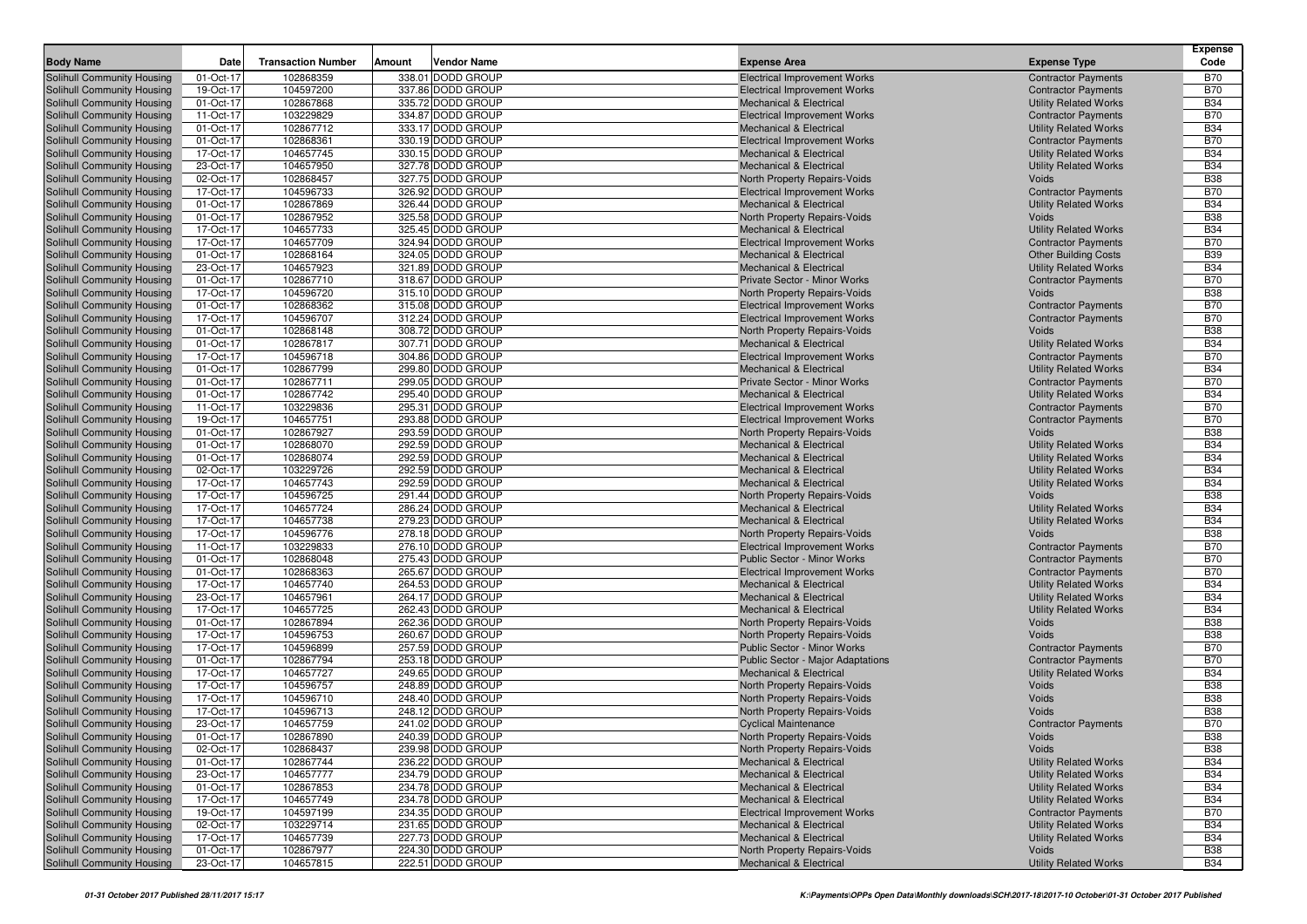|                                                          | Date                   | <b>Transaction Number</b> | Amount | <b>Vendor Name</b>                     |                                                                           |                                                            | <b>Expense</b><br>Code   |
|----------------------------------------------------------|------------------------|---------------------------|--------|----------------------------------------|---------------------------------------------------------------------------|------------------------------------------------------------|--------------------------|
| <b>Body Name</b>                                         |                        |                           |        |                                        | <b>Expense Area</b>                                                       | <b>Expense Type</b>                                        |                          |
| Solihull Community Housing                               | 01-Oct-17              | 102868359                 |        | 338.01 DODD GROUP                      | <b>Electrical Improvement Works</b>                                       | <b>Contractor Payments</b>                                 | <b>B70</b>               |
| Solihull Community Housing                               | 19-Oct-17              | 104597200                 |        | 337.86 DODD GROUP                      | <b>Electrical Improvement Works</b>                                       | <b>Contractor Payments</b>                                 | <b>B70</b>               |
| Solihull Community Housing                               | 01-Oct-17              | 102867868                 |        | 335.72 DODD GROUP                      | <b>Mechanical &amp; Electrical</b>                                        | <b>Utility Related Works</b>                               | <b>B34</b><br><b>B70</b> |
| Solihull Community Housing<br>Solihull Community Housing | 11-Oct-17<br>01-Oct-17 | 103229829<br>102867712    |        | 334.87 DODD GROUP<br>333.17 DODD GROUP | <b>Electrical Improvement Works</b><br><b>Mechanical &amp; Electrical</b> | <b>Contractor Payments</b><br><b>Utility Related Works</b> | <b>B34</b>               |
| Solihull Community Housing                               | 01-Oct-17              | 102868361                 |        | 330.19 DODD GROUP                      | <b>Electrical Improvement Works</b>                                       | <b>Contractor Payments</b>                                 | <b>B70</b>               |
| Solihull Community Housing                               | 17-Oct-17              | 104657745                 |        | 330.15 DODD GROUP                      | <b>Mechanical &amp; Electrical</b>                                        | <b>Utility Related Works</b>                               | <b>B34</b>               |
| Solihull Community Housing                               | 23-Oct-17              | 104657950                 |        | 327.78 DODD GROUP                      | <b>Mechanical &amp; Electrical</b>                                        | <b>Utility Related Works</b>                               | <b>B34</b>               |
| Solihull Community Housing                               | 02-Oct-17              | 102868457                 |        | 327.75 DODD GROUP                      | North Property Repairs-Voids                                              | Voids                                                      | <b>B38</b>               |
| Solihull Community Housing                               | 17-Oct-17              | 104596733                 |        | 326.92 DODD GROUP                      | <b>Electrical Improvement Works</b>                                       | <b>Contractor Payments</b>                                 | <b>B70</b>               |
| Solihull Community Housing                               | 01-Oct-17              | 102867869                 |        | 326.44 DODD GROUP                      | <b>Mechanical &amp; Electrical</b>                                        | <b>Utility Related Works</b>                               | <b>B34</b>               |
| Solihull Community Housing                               | 01-Oct-17              | 102867952                 |        | 325.58 DODD GROUP                      | North Property Repairs-Voids                                              | Voids                                                      | <b>B38</b>               |
| Solihull Community Housing                               | 17-Oct-17              | 104657733                 |        | 325.45 DODD GROUP                      | <b>Mechanical &amp; Electrical</b>                                        | <b>Utility Related Works</b>                               | <b>B34</b>               |
| Solihull Community Housing                               | 17-Oct-17              | 104657709                 |        | 324.94 DODD GROUP                      | <b>Electrical Improvement Works</b>                                       | <b>Contractor Payments</b>                                 | <b>B70</b>               |
| Solihull Community Housing                               | 01-Oct-17              | 102868164                 |        | 324.05 DODD GROUP                      | <b>Mechanical &amp; Electrical</b>                                        | <b>Other Building Costs</b>                                | <b>B39</b>               |
| Solihull Community Housing                               | 23-Oct-17              | 104657923                 |        | 321.89 DODD GROUP                      | <b>Mechanical &amp; Electrical</b>                                        | <b>Utility Related Works</b>                               | <b>B34</b>               |
| Solihull Community Housing                               | 01-Oct-17              | 102867710                 |        | 318.67 DODD GROUP                      | Private Sector - Minor Works                                              | <b>Contractor Payments</b>                                 | <b>B70</b>               |
| Solihull Community Housing                               | 17-Oct-17              | 104596720                 |        | 315.10 DODD GROUP                      | North Property Repairs-Voids                                              | Voids                                                      | <b>B38</b>               |
| Solihull Community Housing                               | 01-Oct-17              | 102868362                 |        | 315.08 DODD GROUP                      | <b>Electrical Improvement Works</b>                                       | <b>Contractor Payments</b>                                 | <b>B70</b>               |
| Solihull Community Housing                               | 17-Oct-17              | 104596707                 |        | 312.24 DODD GROUP                      | <b>Electrical Improvement Works</b>                                       | <b>Contractor Payments</b>                                 | <b>B70</b>               |
| Solihull Community Housing                               | 01-Oct-17              | 102868148                 |        | 308.72 DODD GROUP                      | North Property Repairs-Voids                                              | Voids                                                      | <b>B38</b>               |
| Solihull Community Housing                               | 01-Oct-17              | 102867817                 |        | 307.71 DODD GROUP                      | <b>Mechanical &amp; Electrical</b>                                        | <b>Utility Related Works</b>                               | <b>B34</b>               |
| Solihull Community Housing                               | 17-Oct-17              | 104596718                 |        | 304.86 DODD GROUP                      | <b>Electrical Improvement Works</b>                                       | <b>Contractor Payments</b>                                 | <b>B70</b>               |
| Solihull Community Housing                               | 01-Oct-17              | 102867799                 |        | 299.80 DODD GROUP                      | <b>Mechanical &amp; Electrical</b>                                        | <b>Utility Related Works</b>                               | <b>B34</b>               |
| Solihull Community Housing                               | 01-Oct-17              | 102867711                 |        | 299.05 DODD GROUP                      | Private Sector - Minor Works                                              | <b>Contractor Payments</b>                                 | <b>B70</b>               |
| Solihull Community Housing                               | 01-Oct-17              | 102867742                 |        | 295.40 DODD GROUP                      | <b>Mechanical &amp; Electrical</b>                                        | <b>Utility Related Works</b>                               | <b>B34</b>               |
| Solihull Community Housing                               | 11-Oct-17              | 103229836                 |        | 295.31 DODD GROUP                      | <b>Electrical Improvement Works</b>                                       | <b>Contractor Payments</b>                                 | <b>B70</b>               |
| Solihull Community Housing<br>Solihull Community Housing | 19-Oct-17<br>01-Oct-17 | 104657751<br>102867927    |        | 293.88 DODD GROUP<br>293.59 DODD GROUP | <b>Electrical Improvement Works</b>                                       | <b>Contractor Payments</b><br>Voids                        | <b>B70</b><br><b>B38</b> |
| Solihull Community Housing                               | 01-Oct-17              | 102868070                 |        | 292.59 DODD GROUP                      | North Property Repairs-Voids<br><b>Mechanical &amp; Electrical</b>        | <b>Utility Related Works</b>                               | <b>B34</b>               |
| Solihull Community Housing                               | 01-Oct-17              | 102868074                 |        | 292.59 DODD GROUP                      | <b>Mechanical &amp; Electrical</b>                                        | <b>Utility Related Works</b>                               | <b>B34</b>               |
| Solihull Community Housing                               | 02-Oct-17              | 103229726                 |        | 292.59 DODD GROUP                      | <b>Mechanical &amp; Electrical</b>                                        | <b>Utility Related Works</b>                               | <b>B34</b>               |
| Solihull Community Housing                               | 17-Oct-17              | 104657743                 |        | 292.59 DODD GROUP                      | <b>Mechanical &amp; Electrical</b>                                        | <b>Utility Related Works</b>                               | <b>B34</b>               |
| Solihull Community Housing                               | 17-Oct-17              | 104596725                 |        | 291.44 DODD GROUP                      | North Property Repairs-Voids                                              | Voids                                                      | <b>B38</b>               |
| Solihull Community Housing                               | 17-Oct-17              | 104657724                 |        | 286.24 DODD GROUP                      | <b>Mechanical &amp; Electrical</b>                                        | <b>Utility Related Works</b>                               | <b>B34</b>               |
| Solihull Community Housing                               | 17-Oct-17              | 104657738                 |        | 279.23 DODD GROUP                      | <b>Mechanical &amp; Electrical</b>                                        | <b>Utility Related Works</b>                               | <b>B34</b>               |
| Solihull Community Housing                               | 17-Oct-17              | 104596776                 |        | 278.18 DODD GROUP                      | North Property Repairs-Voids                                              | Voids                                                      | <b>B38</b>               |
| Solihull Community Housing                               | 11-Oct-17              | 103229833                 |        | 276.10 DODD GROUP                      | <b>Electrical Improvement Works</b>                                       | <b>Contractor Payments</b>                                 | <b>B70</b>               |
| Solihull Community Housing                               | 01-Oct-17              | 102868048                 |        | 275.43 DODD GROUP                      | <b>Public Sector - Minor Works</b>                                        | <b>Contractor Payments</b>                                 | <b>B70</b>               |
| Solihull Community Housing                               | 01-Oct-17              | 102868363                 |        | 265.67 DODD GROUP                      | <b>Electrical Improvement Works</b>                                       | <b>Contractor Payments</b>                                 | <b>B70</b>               |
| Solihull Community Housing                               | 17-Oct-17              | 104657740                 |        | 264.53 DODD GROUP                      | <b>Mechanical &amp; Electrical</b>                                        | <b>Utility Related Works</b>                               | <b>B34</b>               |
| Solihull Community Housing                               | 23-Oct-17              | 104657961                 |        | 264.17 DODD GROUP                      | <b>Mechanical &amp; Electrical</b>                                        | <b>Utility Related Works</b>                               | <b>B34</b>               |
| Solihull Community Housing                               | 17-Oct-17              | 104657725                 |        | 262.43 DODD GROUP                      | <b>Mechanical &amp; Electrical</b>                                        | <b>Utility Related Works</b>                               | <b>B34</b>               |
| Solihull Community Housing                               | 01-Oct-17              | 102867894                 |        | 262.36 DODD GROUP                      | North Property Repairs-Voids                                              | Voids                                                      | <b>B38</b>               |
| Solihull Community Housing                               | 17-Oct-17              | 104596753                 |        | 260.67 DODD GROUP                      | North Property Repairs-Voids                                              | Voids                                                      | <b>B38</b>               |
| Solihull Community Housing                               | 17-Oct-17              | 104596899                 |        | 257.59 DODD GROUP                      | Public Sector - Minor Works                                               | <b>Contractor Payments</b>                                 | <b>B70</b>               |
| Solihull Community Housing                               | 01-Oct-17              | 102867794<br>104657727    |        | 253.18 DODD GROUP                      | Public Sector - Major Adaptations                                         | <b>Contractor Payments</b>                                 | <b>B70</b>               |
| Solihull Community Housing<br>Solihull Community Housing | 17-Oct-17<br>17-Oct-17 | 104596757                 |        | 249.65 DODD GROUP<br>248.89 DODD GROUP | Mechanical & Electrical<br>North Property Repairs-Voids                   | <b>Utility Related Works</b><br>Voids                      | <b>B34</b><br><b>B38</b> |
| Solihull Community Housing                               | 17-Oct-17              | 104596710                 |        | 248.40 DODD GROUP                      | North Property Repairs-Voids                                              | Voids                                                      | <b>B38</b>               |
| Solihull Community Housing                               | 17-Oct-17              | 104596713                 |        | 248.12 DODD GROUP                      | North Property Repairs-Voids                                              | Voids                                                      | <b>B38</b>               |
| Solihull Community Housing                               | 23-Oct-17              | 104657759                 |        | 241.02 DODD GROUP                      | <b>Cyclical Maintenance</b>                                               | <b>Contractor Payments</b>                                 | <b>B70</b>               |
| Solihull Community Housing                               | 01-Oct-17              | 102867890                 |        | 240.39 DODD GROUP                      | North Property Repairs-Voids                                              | Voids                                                      | <b>B38</b>               |
| Solihull Community Housing                               | 02-Oct-17              | 102868437                 |        | 239.98 DODD GROUP                      | North Property Repairs-Voids                                              | Voids                                                      | <b>B38</b>               |
| Solihull Community Housing                               | 01-Oct-17              | 102867744                 |        | 236.22 DODD GROUP                      | <b>Mechanical &amp; Electrical</b>                                        | <b>Utility Related Works</b>                               | <b>B34</b>               |
| Solihull Community Housing                               | 23-Oct-17              | 104657777                 |        | 234.79 DODD GROUP                      | <b>Mechanical &amp; Electrical</b>                                        | <b>Utility Related Works</b>                               | <b>B34</b>               |
| Solihull Community Housing                               | 01-Oct-17              | 102867853                 |        | 234.78 DODD GROUP                      | <b>Mechanical &amp; Electrical</b>                                        | <b>Utility Related Works</b>                               | <b>B34</b>               |
| Solihull Community Housing                               | 17-Oct-17              | 104657749                 |        | 234.78 DODD GROUP                      | Mechanical & Electrical                                                   | <b>Utility Related Works</b>                               | <b>B34</b>               |
| Solihull Community Housing                               | 19-Oct-17              | 104597199                 |        | 234.35 DODD GROUP                      | <b>Electrical Improvement Works</b>                                       | <b>Contractor Payments</b>                                 | <b>B70</b>               |
| Solihull Community Housing                               | 02-Oct-17              | 103229714                 |        | 231.65 DODD GROUP                      | <b>Mechanical &amp; Electrical</b>                                        | <b>Utility Related Works</b>                               | <b>B34</b>               |
| Solihull Community Housing                               | 17-Oct-17              | 104657739                 |        | 227.73 DODD GROUP                      | <b>Mechanical &amp; Electrical</b>                                        | <b>Utility Related Works</b>                               | <b>B34</b>               |
| Solihull Community Housing                               | 01-Oct-17              | 102867977                 |        | 224.30 DODD GROUP                      | North Property Repairs-Voids                                              | Voids                                                      | <b>B38</b>               |
| Solihull Community Housing                               | 23-Oct-17              | 104657815                 |        | 222.51 DODD GROUP                      | Mechanical & Electrical                                                   | <b>Utility Related Works</b>                               | <b>B34</b>               |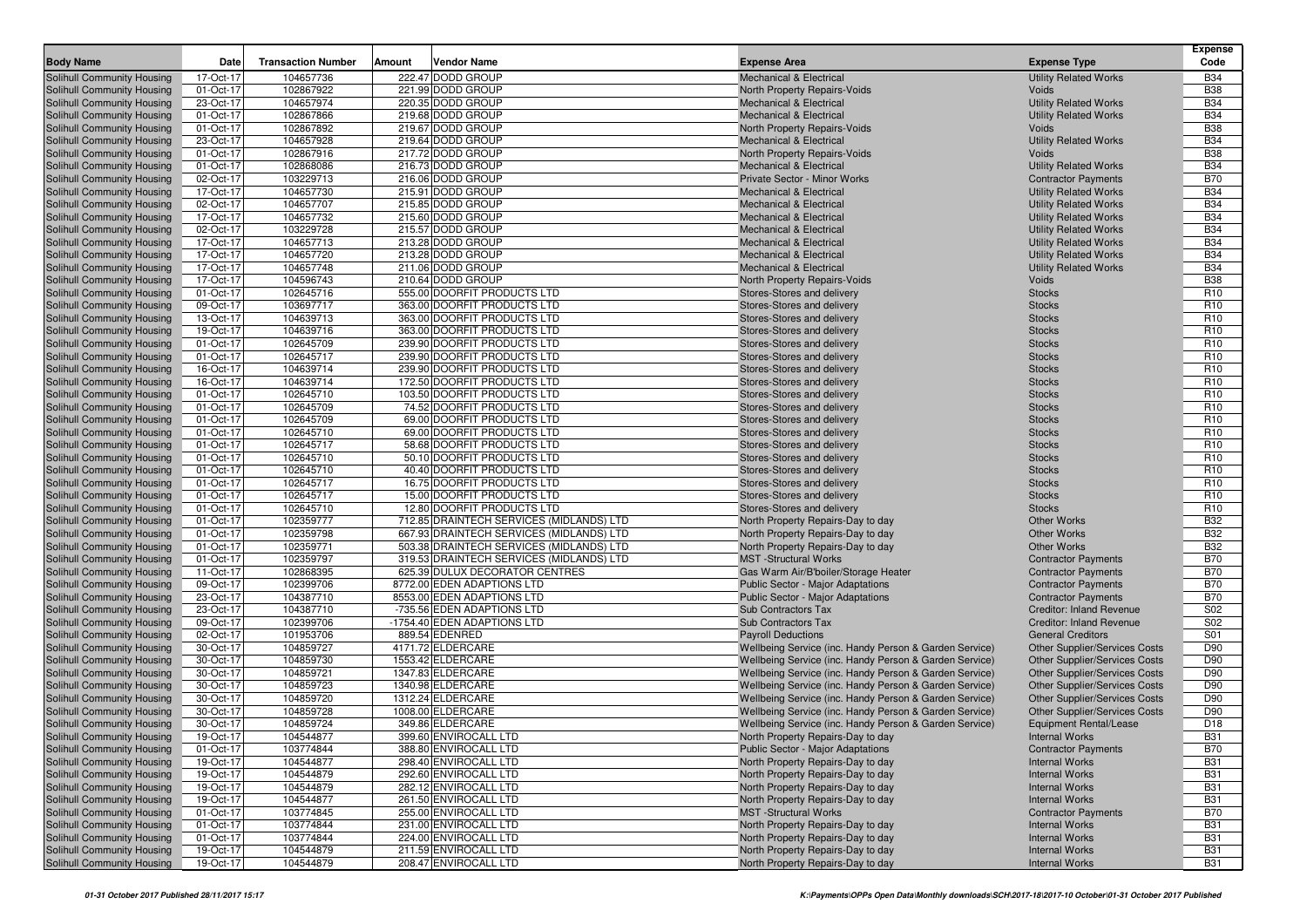| <b>Body Name</b>                                         | Date                   | <b>Transaction Number</b> | Vendor Name<br>Amount                                    | <b>Expense Area</b>                                                                 | <b>Expense Type</b>                                         | <b>Expense</b><br>Code             |
|----------------------------------------------------------|------------------------|---------------------------|----------------------------------------------------------|-------------------------------------------------------------------------------------|-------------------------------------------------------------|------------------------------------|
|                                                          | 17-Oct-17              | 104657736                 | 222.47 DODD GROUP                                        | <b>Mechanical &amp; Electrical</b>                                                  | <b>Utility Related Works</b>                                | <b>B34</b>                         |
| Solihull Community Housing<br>Solihull Community Housing | 01-Oct-17              | 102867922                 | 221.99 DODD GROUP                                        | North Property Repairs-Voids                                                        | Voids                                                       | <b>B38</b>                         |
| Solihull Community Housing                               | 23-Oct-17              | 104657974                 | 220.35 DODD GROUP                                        | <b>Mechanical &amp; Electrical</b>                                                  | <b>Utility Related Works</b>                                | <b>B34</b>                         |
| Solihull Community Housing                               | 01-Oct-17              | 102867866                 | 219.68 DODD GROUP                                        | <b>Mechanical &amp; Electrical</b>                                                  | <b>Utility Related Works</b>                                | <b>B34</b>                         |
| Solihull Community Housing                               | 01-Oct-17              | 102867892                 | 219.67 DODD GROUP                                        | North Property Repairs-Voids                                                        | Voids                                                       | <b>B38</b>                         |
| Solihull Community Housing                               | 23-Oct-17              | 104657928                 | 219.64 DODD GROUP                                        | <b>Mechanical &amp; Electrical</b>                                                  | <b>Utility Related Works</b>                                | <b>B34</b>                         |
| Solihull Community Housing                               | 01-Oct-17              | 102867916                 | 217.72 DODD GROUP                                        | North Property Repairs-Voids                                                        | Voids                                                       | <b>B38</b>                         |
| Solihull Community Housing                               | 01-Oct-17              | 102868086                 | 216.73 DODD GROUP                                        | <b>Mechanical &amp; Electrical</b>                                                  | <b>Utility Related Works</b>                                | <b>B34</b>                         |
| Solihull Community Housing                               | 02-Oct-17              | 103229713                 | 216.06 DODD GROUP                                        | Private Sector - Minor Works                                                        | <b>Contractor Payments</b>                                  | <b>B70</b>                         |
| Solihull Community Housing                               | 17-Oct-17              | 104657730                 | 215.91 DODD GROUP                                        | <b>Mechanical &amp; Electrical</b>                                                  | <b>Utility Related Works</b>                                | <b>B34</b>                         |
| Solihull Community Housing                               | 02-Oct-17              | 104657707                 | 215.85 DODD GROUP                                        | <b>Mechanical &amp; Electrical</b>                                                  | <b>Utility Related Works</b>                                | <b>B34</b>                         |
| Solihull Community Housing                               | 17-Oct-17              | 104657732                 | 215.60 DODD GROUP                                        | <b>Mechanical &amp; Electrical</b>                                                  | <b>Utility Related Works</b>                                | <b>B34</b>                         |
| Solihull Community Housing                               | 02-Oct-17              | 103229728                 | 215.57 DODD GROUP                                        | <b>Mechanical &amp; Electrical</b>                                                  | <b>Utility Related Works</b>                                | <b>B34</b>                         |
| Solihull Community Housing                               | 17-Oct-17              | 104657713                 | 213.28 DODD GROUP                                        | <b>Mechanical &amp; Electrical</b>                                                  | <b>Utility Related Works</b>                                | <b>B34</b>                         |
| Solihull Community Housing                               | 17-Oct-17              | 104657720                 | 213.28 DODD GROUP                                        | <b>Mechanical &amp; Electrical</b>                                                  | <b>Utility Related Works</b>                                | <b>B34</b>                         |
| Solihull Community Housing                               | 17-Oct-17<br>17-Oct-17 | 104657748<br>104596743    | 211.06 DODD GROUP<br>210.64 DODD GROUP                   | <b>Mechanical &amp; Electrical</b>                                                  | <b>Utility Related Works</b><br>Voids                       | <b>B34</b><br><b>B38</b>           |
| Solihull Community Housing<br>Solihull Community Housing | 01-Oct-17              | 102645716                 | 555.00 DOORFIT PRODUCTS LTD                              | North Property Repairs-Voids<br>Stores-Stores and delivery                          | <b>Stocks</b>                                               | R <sub>10</sub>                    |
| Solihull Community Housing                               | 09-Oct-17              | 103697717                 | 363.00 DOORFIT PRODUCTS LTD                              | Stores-Stores and delivery                                                          | <b>Stocks</b>                                               | R <sub>10</sub>                    |
| Solihull Community Housing                               | 13-Oct-17              | 104639713                 | 363.00 DOORFIT PRODUCTS LTD                              | Stores-Stores and delivery                                                          | <b>Stocks</b>                                               | R <sub>10</sub>                    |
| Solihull Community Housing                               | 19-Oct-17              | 104639716                 | 363.00 DOORFIT PRODUCTS LTD                              | Stores-Stores and delivery                                                          | <b>Stocks</b>                                               | R <sub>10</sub>                    |
| Solihull Community Housing                               | 01-Oct-17              | 102645709                 | 239.90 DOORFIT PRODUCTS LTD                              | Stores-Stores and delivery                                                          | <b>Stocks</b>                                               | R <sub>10</sub>                    |
| Solihull Community Housing                               | 01-Oct-17              | 102645717                 | 239.90 DOORFIT PRODUCTS LTD                              | Stores-Stores and delivery                                                          | <b>Stocks</b>                                               | R <sub>10</sub>                    |
| Solihull Community Housing                               | 16-Oct-17              | 104639714                 | 239.90 DOORFIT PRODUCTS LTD                              | Stores-Stores and delivery                                                          | <b>Stocks</b>                                               | R <sub>10</sub>                    |
| Solihull Community Housing                               | 16-Oct-17              | 104639714                 | 172.50 DOORFIT PRODUCTS LTD                              | Stores-Stores and delivery                                                          | <b>Stocks</b>                                               | R <sub>10</sub>                    |
| Solihull Community Housing                               | 01-Oct-17              | 102645710                 | 103.50 DOORFIT PRODUCTS LTD                              | Stores-Stores and delivery                                                          | <b>Stocks</b>                                               | R <sub>10</sub>                    |
| Solihull Community Housing                               | 01-Oct-17              | 102645709                 | 74.52 DOORFIT PRODUCTS LTD                               | Stores-Stores and delivery                                                          | <b>Stocks</b>                                               | R <sub>10</sub>                    |
| Solihull Community Housing                               | 01-Oct-17              | 102645709                 | 69.00 DOORFIT PRODUCTS LTD                               | Stores-Stores and delivery                                                          | <b>Stocks</b>                                               | R <sub>10</sub>                    |
| Solihull Community Housing                               | 01-Oct-17              | 102645710                 | 69.00 DOORFIT PRODUCTS LTD                               | Stores-Stores and delivery                                                          | <b>Stocks</b>                                               | R <sub>10</sub>                    |
| Solihull Community Housing                               | 01-Oct-17              | 102645717                 | 58.68 DOORFIT PRODUCTS LTD                               | Stores-Stores and delivery                                                          | <b>Stocks</b>                                               | R <sub>10</sub>                    |
| Solihull Community Housing<br>Solihull Community Housing | 01-Oct-17<br>01-Oct-17 | 102645710<br>102645710    | 50.10 DOORFIT PRODUCTS LTD<br>40.40 DOORFIT PRODUCTS LTD | Stores-Stores and delivery<br>Stores-Stores and delivery                            | <b>Stocks</b><br><b>Stocks</b>                              | R <sub>10</sub><br>R <sub>10</sub> |
| Solihull Community Housing                               | 01-Oct-17              | 102645717                 | 16.75 DOORFIT PRODUCTS LTD                               | Stores-Stores and delivery                                                          | <b>Stocks</b>                                               | R <sub>10</sub>                    |
| Solihull Community Housing                               | 01-Oct-17              | 102645717                 | 15.00 DOORFIT PRODUCTS LTD                               | Stores-Stores and delivery                                                          | <b>Stocks</b>                                               | R <sub>10</sub>                    |
| Solihull Community Housing                               | 01-Oct-17              | 102645710                 | 12.80 DOORFIT PRODUCTS LTD                               | Stores-Stores and delivery                                                          | <b>Stocks</b>                                               | R <sub>10</sub>                    |
| Solihull Community Housing                               | 01-Oct-17              | 102359777                 | 712.85 DRAINTECH SERVICES (MIDLANDS) LTD                 | North Property Repairs-Day to day                                                   | <b>Other Works</b>                                          | <b>B32</b>                         |
| Solihull Community Housing                               | 01-Oct-17              | 102359798                 | 667.93 DRAINTECH SERVICES (MIDLANDS) LTD                 | North Property Repairs-Day to day                                                   | <b>Other Works</b>                                          | <b>B32</b>                         |
| Solihull Community Housing                               | 01-Oct-17              | 102359771                 | 503.38 DRAINTECH SERVICES (MIDLANDS) LTD                 | North Property Repairs-Day to day                                                   | <b>Other Works</b>                                          | <b>B32</b>                         |
| Solihull Community Housing                               | 01-Oct-17              | 102359797                 | 319.53 DRAINTECH SERVICES (MIDLANDS) LTD                 | <b>MST</b> -Structural Works                                                        | <b>Contractor Payments</b>                                  | <b>B70</b>                         |
| Solihull Community Housing                               | 11-Oct-17              | 102868395                 | 625.39 DULUX DECORATOR CENTRES                           | Gas Warm Air/B'boiler/Storage Heater                                                | <b>Contractor Payments</b>                                  | <b>B70</b>                         |
| Solihull Community Housing                               | 09-Oct-17              | 102399706                 | 8772.00 EDEN ADAPTIONS LTD                               | <b>Public Sector - Major Adaptations</b>                                            | <b>Contractor Payments</b>                                  | <b>B70</b>                         |
| Solihull Community Housing                               | 23-Oct-17              | 104387710                 | 8553.00 EDEN ADAPTIONS LTD                               | <b>Public Sector - Major Adaptations</b>                                            | <b>Contractor Payments</b>                                  | <b>B70</b>                         |
| Solihull Community Housing                               | 23-Oct-17              | 104387710                 | -735.56 EDEN ADAPTIONS LTD                               | Sub Contractors Tax                                                                 | <b>Creditor: Inland Revenue</b>                             | S02                                |
| Solihull Community Housing                               | 09-Oct-17<br>02-Oct-17 | 102399706<br>101953706    | -1754.40 EDEN ADAPTIONS LTD<br>889.54 EDENRED            | <b>Sub Contractors Tax</b>                                                          | <b>Creditor: Inland Revenue</b><br><b>General Creditors</b> | S <sub>02</sub><br>S01             |
| Solihull Community Housing<br>Solihull Community Housing | 30-Oct-17              | 104859727                 | 4171.72 ELDERCARE                                        | <b>Payroll Deductions</b><br>Wellbeing Service (inc. Handy Person & Garden Service) | <b>Other Supplier/Services Costs</b>                        | D90                                |
| Solihull Community Housing                               | 30-Oct-17              | 104859730                 | 1553.42 ELDERCARE                                        | Wellbeing Service (inc. Handy Person & Garden Service)                              | <b>Other Supplier/Services Costs</b>                        | D90                                |
| Solihull Community Housing                               | 30-Oct-17              | 104859721                 | 1347.83 ELDERCARE                                        | Wellbeing Service (inc. Handy Person & Garden Service)                              | Other Supplier/Services Costs                               | D90                                |
| Solihull Community Housing                               | 30-Oct-17              | 104859723                 | 1340.98 ELDERCARE                                        | Wellbeing Service (inc. Handy Person & Garden Service)                              | <b>Other Supplier/Services Costs</b>                        | D90                                |
| Solihull Community Housing                               | 30-Oct-17              | 104859720                 | 1312.24 ELDERCARE                                        | Wellbeing Service (inc. Handy Person & Garden Service)                              | <b>Other Supplier/Services Costs</b>                        | D90                                |
| Solihull Community Housing                               | 30-Oct-17              | 104859728                 | 1008.00 ELDERCARE                                        | Wellbeing Service (inc. Handy Person & Garden Service)                              | <b>Other Supplier/Services Costs</b>                        | D90                                |
| Solihull Community Housing                               | 30-Oct-17              | 104859724                 | 349.86 ELDERCARE                                         | Wellbeing Service (inc. Handy Person & Garden Service)                              | <b>Equipment Rental/Lease</b>                               | D <sub>18</sub>                    |
| <b>Solihull Community Housing</b>                        | 19-Oct-17              | 104544877                 | 399.60 ENVIROCALL LTD                                    | North Property Repairs-Day to day                                                   | <b>Internal Works</b>                                       | <b>B31</b>                         |
| Solihull Community Housing                               | 01-Oct-17              | 103774844                 | 388.80 ENVIROCALL LTD                                    | Public Sector - Major Adaptations                                                   | <b>Contractor Payments</b>                                  | <b>B70</b>                         |
| Solihull Community Housing                               | 19-Oct-17              | 104544877                 | 298.40 ENVIROCALL LTD                                    | North Property Repairs-Day to day                                                   | <b>Internal Works</b>                                       | <b>B31</b>                         |
| Solihull Community Housing                               | 19-Oct-17              | 104544879                 | 292.60 ENVIROCALL LTD                                    | North Property Repairs-Day to day                                                   | <b>Internal Works</b>                                       | <b>B31</b>                         |
| Solihull Community Housing                               | 19-Oct-17              | 104544879                 | 282.12 ENVIROCALL LTD                                    | North Property Repairs-Day to day                                                   | <b>Internal Works</b>                                       | <b>B31</b>                         |
| Solihull Community Housing                               | 19-Oct-17              | 104544877                 | 261.50 ENVIROCALL LTD                                    | North Property Repairs-Day to day                                                   | <b>Internal Works</b>                                       | <b>B31</b>                         |
| Solihull Community Housing<br>Solihull Community Housing | 01-Oct-17<br>01-Oct-17 | 103774845<br>103774844    | 255.00 ENVIROCALL LTD<br>231.00 ENVIROCALL LTD           | <b>MST</b> -Structural Works                                                        | <b>Contractor Payments</b><br><b>Internal Works</b>         | <b>B70</b><br><b>B31</b>           |
| Solihull Community Housing                               | 01-Oct-17              | 103774844                 | 224.00 ENVIROCALL LTD                                    | North Property Repairs-Day to day<br>North Property Repairs-Day to day              | <b>Internal Works</b>                                       | <b>B31</b>                         |
| Solihull Community Housing                               | 19-Oct-17              | 104544879                 | 211.59 ENVIROCALL LTD                                    | North Property Repairs-Day to day                                                   | <b>Internal Works</b>                                       | <b>B31</b>                         |
| Solihull Community Housing                               | 19-Oct-17              | 104544879                 | 208.47 ENVIROCALL LTD                                    | North Property Repairs-Day to day                                                   | <b>Internal Works</b>                                       | <b>B31</b>                         |
|                                                          |                        |                           |                                                          |                                                                                     |                                                             |                                    |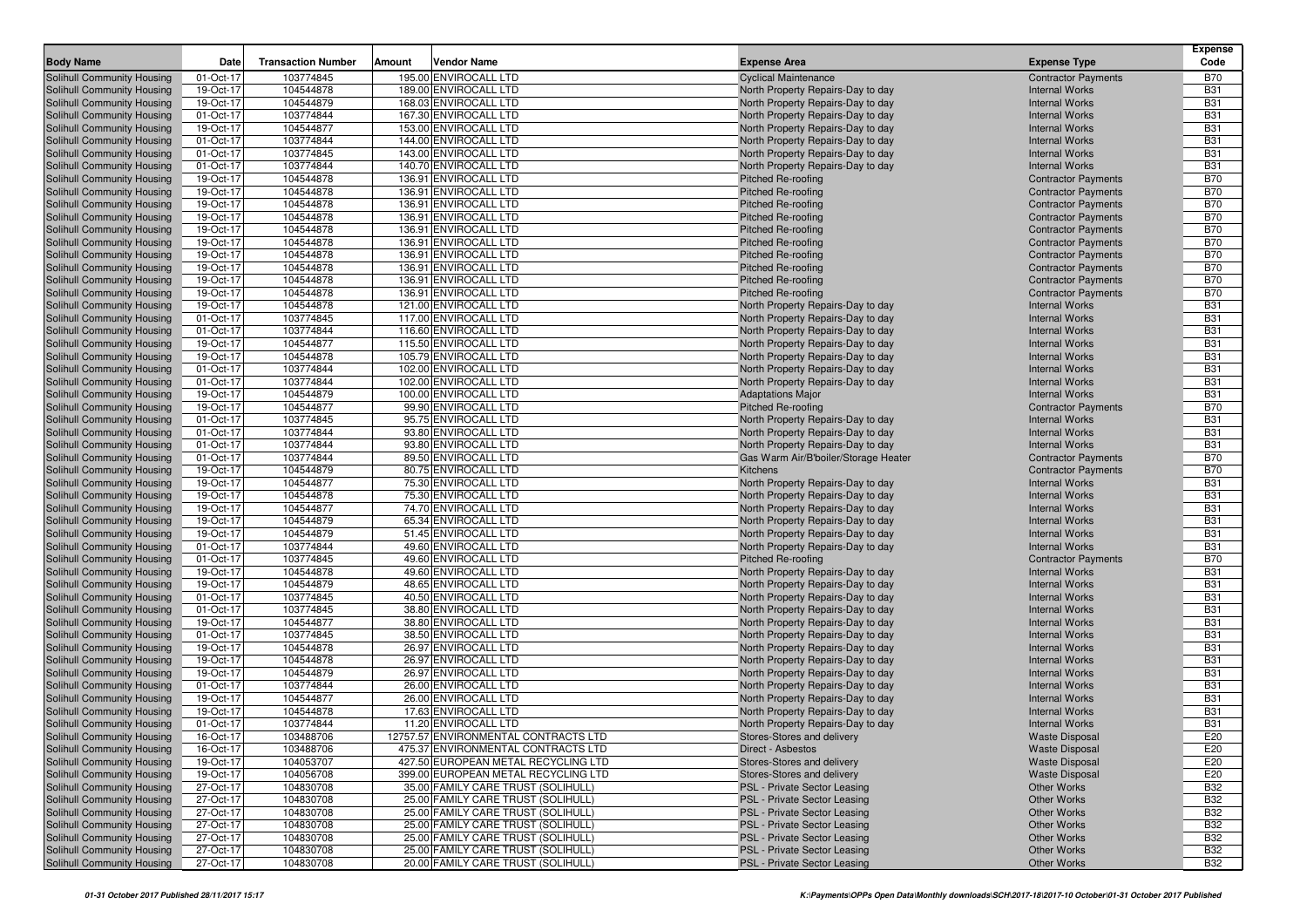|                                                          |                        |                           |        |                                                |                                                                        |                                                | Expense                  |
|----------------------------------------------------------|------------------------|---------------------------|--------|------------------------------------------------|------------------------------------------------------------------------|------------------------------------------------|--------------------------|
| <b>Body Name</b>                                         | Date                   | <b>Transaction Number</b> | Amount | Vendor Name                                    | <b>Expense Area</b>                                                    | <b>Expense Type</b>                            | Code                     |
| Solihull Community Housing                               | 01-Oct-17              | 103774845                 |        | 195.00 ENVIROCALL LTD                          | <b>Cyclical Maintenance</b>                                            | <b>Contractor Payments</b>                     | <b>B70</b>               |
| Solihull Community Housing                               | 19-Oct-17              | 104544878                 |        | 189.00 ENVIROCALL LTD                          | North Property Repairs-Day to day                                      | <b>Internal Works</b>                          | <b>B31</b><br><b>B31</b> |
| Solihull Community Housing<br>Solihull Community Housing | 19-Oct-17<br>01-Oct-17 | 104544879<br>103774844    |        | 168.03 ENVIROCALL LTD<br>167.30 ENVIROCALL LTD | North Property Repairs-Day to day<br>North Property Repairs-Day to day | <b>Internal Works</b><br><b>Internal Works</b> | <b>B31</b>               |
| Solihull Community Housing                               | 19-Oct-17              | 104544877                 |        | 153.00 ENVIROCALL LTD                          | North Property Repairs-Day to day                                      | <b>Internal Works</b>                          | <b>B31</b>               |
| Solihull Community Housing                               | 01-Oct-17              | 103774844                 |        | 144.00 ENVIROCALL LTD                          | North Property Repairs-Day to day                                      | <b>Internal Works</b>                          | <b>B31</b>               |
| Solihull Community Housing                               | 01-Oct-17              | 103774845                 |        | 143.00 ENVIROCALL LTD                          | North Property Repairs-Day to day                                      | <b>Internal Works</b>                          | <b>B31</b>               |
| Solihull Community Housing                               | 01-Oct-17              | 103774844                 |        | 140.70 ENVIROCALL LTD                          | North Property Repairs-Day to day                                      | <b>Internal Works</b>                          | <b>B31</b>               |
| Solihull Community Housing                               | 19-Oct-17              | 104544878                 |        | 136.91 ENVIROCALL LTD                          | <b>Pitched Re-roofing</b>                                              | <b>Contractor Payments</b>                     | <b>B70</b>               |
| Solihull Community Housing                               | 19-Oct-17              | 104544878                 |        | 136.91 ENVIROCALL LTD                          | <b>Pitched Re-roofing</b>                                              | <b>Contractor Payments</b>                     | <b>B70</b>               |
| Solihull Community Housing                               | 19-Oct-17              | 104544878                 |        | 136.91 ENVIROCALL LTD                          | <b>Pitched Re-roofing</b>                                              | <b>Contractor Payments</b>                     | <b>B70</b>               |
| Solihull Community Housing                               | 19-Oct-17              | 104544878                 |        | 136.91 ENVIROCALL LTD                          | <b>Pitched Re-roofing</b>                                              | <b>Contractor Payments</b>                     | <b>B70</b>               |
| Solihull Community Housing                               | 19-Oct-17              | 104544878                 |        | 136.91 ENVIROCALL LTD                          | <b>Pitched Re-roofing</b>                                              | <b>Contractor Payments</b>                     | <b>B70</b>               |
| Solihull Community Housing                               | 19-Oct-17              | 104544878                 |        | 136.91 ENVIROCALL LTD                          | <b>Pitched Re-roofing</b>                                              | <b>Contractor Payments</b>                     | <b>B70</b>               |
| Solihull Community Housing                               | 19-Oct-17              | 104544878                 |        | 136.91 ENVIROCALL LTD                          | <b>Pitched Re-roofing</b>                                              | <b>Contractor Payments</b>                     | <b>B70</b>               |
| Solihull Community Housing                               | 19-Oct-17              | 104544878                 |        | 136.91 ENVIROCALL LTD                          | <b>Pitched Re-roofing</b>                                              | <b>Contractor Payments</b>                     | <b>B70</b>               |
| Solihull Community Housing                               | 19-Oct-17              | 104544878                 |        | 136.91 ENVIROCALL LTD                          | <b>Pitched Re-roofing</b>                                              | <b>Contractor Payments</b>                     | <b>B70</b>               |
| Solihull Community Housing                               | 19-Oct-17              | 104544878                 |        | 136.91 ENVIROCALL LTD                          | Pitched Re-roofing                                                     | <b>Contractor Payments</b>                     | <b>B70</b>               |
| Solihull Community Housing                               | 19-Oct-17              | 104544878                 |        | 121.00 ENVIROCALL LTD                          | North Property Repairs-Day to day                                      | <b>Internal Works</b>                          | <b>B31</b>               |
| Solihull Community Housing                               | 01-Oct-17              | 103774845                 |        | 117.00 ENVIROCALL LTD                          | North Property Repairs-Day to day                                      | <b>Internal Works</b>                          | <b>B31</b>               |
| Solihull Community Housing                               | 01-Oct-17              | 103774844                 |        | 116.60 ENVIROCALL LTD                          | North Property Repairs-Day to day                                      | <b>Internal Works</b>                          | <b>B31</b>               |
| Solihull Community Housing                               | 19-Oct-17              | 104544877                 |        | 115.50 ENVIROCALL LTD                          | North Property Repairs-Day to day                                      | <b>Internal Works</b>                          | <b>B31</b>               |
| Solihull Community Housing                               | 19-Oct-17              | 104544878                 |        | 105.79 ENVIROCALL LTD                          | North Property Repairs-Day to day                                      | <b>Internal Works</b>                          | <b>B31</b>               |
| Solihull Community Housing                               | 01-Oct-17              | 103774844<br>103774844    |        | 102.00 ENVIROCALL LTD                          | North Property Repairs-Day to day                                      | <b>Internal Works</b><br><b>Internal Works</b> | <b>B31</b><br><b>B31</b> |
| Solihull Community Housing<br>Solihull Community Housing | 01-Oct-17<br>19-Oct-17 | 104544879                 |        | 102.00 ENVIROCALL LTD<br>100.00 ENVIROCALL LTD | North Property Repairs-Day to day<br><b>Adaptations Major</b>          | <b>Internal Works</b>                          | <b>B31</b>               |
| Solihull Community Housing                               | 19-Oct-17              | 104544877                 |        | 99.90 ENVIROCALL LTD                           | Pitched Re-roofing                                                     | <b>Contractor Payments</b>                     | <b>B70</b>               |
| Solihull Community Housing                               | 01-Oct-17              | 103774845                 |        | 95.75 ENVIROCALL LTD                           | North Property Repairs-Day to day                                      | <b>Internal Works</b>                          | <b>B31</b>               |
| Solihull Community Housing                               | 01-Oct-17              | 103774844                 |        | 93.80 ENVIROCALL LTD                           | North Property Repairs-Day to day                                      | <b>Internal Works</b>                          | <b>B31</b>               |
| Solihull Community Housing                               | 01-Oct-17              | 103774844                 |        | 93.80 ENVIROCALL LTD                           | North Property Repairs-Day to day                                      | <b>Internal Works</b>                          | <b>B31</b>               |
| Solihull Community Housing                               | 01-Oct-17              | 103774844                 |        | 89.50 ENVIROCALL LTD                           | Gas Warm Air/B'boiler/Storage Heater                                   | <b>Contractor Payments</b>                     | <b>B70</b>               |
| Solihull Community Housing                               | 19-Oct-17              | 104544879                 |        | 80.75 ENVIROCALL LTD                           | Kitchens                                                               | <b>Contractor Payments</b>                     | <b>B70</b>               |
| Solihull Community Housing                               | 19-Oct-17              | 104544877                 |        | 75.30 ENVIROCALL LTD                           | North Property Repairs-Day to day                                      | <b>Internal Works</b>                          | <b>B31</b>               |
| Solihull Community Housing                               | 19-Oct-17              | 104544878                 |        | 75.30 ENVIROCALL LTD                           | North Property Repairs-Day to day                                      | <b>Internal Works</b>                          | <b>B31</b>               |
| Solihull Community Housing                               | 19-Oct-17              | 104544877                 |        | 74.70 ENVIROCALL LTD                           | North Property Repairs-Day to day                                      | <b>Internal Works</b>                          | <b>B31</b>               |
| Solihull Community Housing                               | 19-Oct-17              | 104544879                 |        | 65.34 ENVIROCALL LTD                           | North Property Repairs-Day to day                                      | <b>Internal Works</b>                          | <b>B31</b>               |
| Solihull Community Housing                               | 19-Oct-17              | 104544879                 |        | 51.45 ENVIROCALL LTD                           | North Property Repairs-Day to day                                      | <b>Internal Works</b>                          | <b>B31</b>               |
| Solihull Community Housing                               | 01-Oct-17              | 103774844                 |        | 49.60 ENVIROCALL LTD                           | North Property Repairs-Day to day                                      | <b>Internal Works</b>                          | <b>B31</b>               |
| Solihull Community Housing                               | 01-Oct-17              | 103774845                 |        | 49.60 ENVIROCALL LTD                           | <b>Pitched Re-roofing</b>                                              | <b>Contractor Payments</b>                     | <b>B70</b>               |
| Solihull Community Housing                               | 19-Oct-17              | 104544878                 |        | 49.60 ENVIROCALL LTD                           | North Property Repairs-Day to day                                      | <b>Internal Works</b>                          | <b>B31</b>               |
| Solihull Community Housing                               | 19-Oct-17              | 104544879                 |        | 48.65 ENVIROCALL LTD                           | North Property Repairs-Day to day                                      | <b>Internal Works</b>                          | <b>B31</b>               |
| Solihull Community Housing                               | 01-Oct-17              | 103774845                 |        | 40.50 ENVIROCALL LTD                           | North Property Repairs-Day to day                                      | <b>Internal Works</b>                          | <b>B31</b>               |
| Solihull Community Housing                               | 01-Oct-17<br>19-Oct-17 | 103774845<br>104544877    |        | 38.80 ENVIROCALL LTD<br>38.80 ENVIROCALL LTD   | North Property Repairs-Day to day                                      | <b>Internal Works</b><br><b>Internal Works</b> | <b>B31</b><br><b>B31</b> |
| Solihull Community Housing<br>Solihull Community Housing | 01-Oct-17              | 103774845                 |        | 38.50 ENVIROCALL LTD                           | North Property Repairs-Day to day<br>North Property Repairs-Day to day | <b>Internal Works</b>                          | <b>B31</b>               |
| Solihull Community Housing                               | 19-Oct-17              | 104544878                 |        | 26.97 ENVIROCALL LTD                           | North Property Repairs-Day to day                                      | <b>Internal Works</b>                          | <b>B31</b>               |
| Solihull Community Housing                               | 19-Oct-17              | 104544878                 |        | 26.97 ENVIROCALL LTD                           | North Property Repairs-Day to day                                      | <b>Internal Works</b>                          | <b>B31</b>               |
| Solihull Community Housing                               | 19-Oct-17              | 104544879                 |        | 26.97 ENVIROCALL LTD                           | North Property Repairs-Day to day                                      | <b>Internal Works</b>                          | <b>B31</b>               |
| Solihull Community Housing                               | 01-Oct-17              | 103774844                 |        | 26.00 ENVIROCALL LTD                           | North Property Repairs-Day to day                                      | <b>Internal Works</b>                          | <b>B31</b>               |
| Solihull Community Housing                               | 19-Oct-17              | 104544877                 |        | 26.00 ENVIROCALL LTD                           | North Property Repairs-Day to day                                      | <b>Internal Works</b>                          | <b>B31</b>               |
| Solihull Community Housing                               | 19-Oct-17              | 104544878                 |        | 17.63 ENVIROCALL LTD                           | North Property Repairs-Day to day                                      | <b>Internal Works</b>                          | <b>B31</b>               |
| <b>Solihull Community Housing</b>                        | 01-Oct-17              | 103774844                 |        | 11.20 ENVIROCALL LTD                           | North Property Repairs-Day to day                                      | <b>Internal Works</b>                          | <b>B31</b>               |
| Solihull Community Housing                               | 16-Oct-17              | 103488706                 |        | 12757.57 ENVIRONMENTAL CONTRACTS LTD           | Stores-Stores and delivery                                             | <b>Waste Disposal</b>                          | E20                      |
| Solihull Community Housing                               | 16-Oct-17              | 103488706                 |        | 475.37 ENVIRONMENTAL CONTRACTS LTD             | Direct - Asbestos                                                      | <b>Waste Disposal</b>                          | E20                      |
| Solihull Community Housing                               | 19-Oct-17              | 104053707                 |        | 427.50 EUROPEAN METAL RECYCLING LTD            | Stores-Stores and delivery                                             | <b>Waste Disposal</b>                          | E20                      |
| Solihull Community Housing                               | 19-Oct-17              | 104056708                 |        | 399.00 EUROPEAN METAL RECYCLING LTD            | Stores-Stores and delivery                                             | <b>Waste Disposal</b>                          | E20                      |
| Solihull Community Housing                               | 27-Oct-17              | 104830708                 |        | 35.00 FAMILY CARE TRUST (SOLIHULL)             | PSL - Private Sector Leasing                                           | Other Works                                    | <b>B32</b>               |
| Solihull Community Housing                               | 27-Oct-17              | 104830708                 |        | 25.00 FAMILY CARE TRUST (SOLIHULL)             | PSL - Private Sector Leasing                                           | Other Works                                    | <b>B32</b>               |
| Solihull Community Housing                               | 27-Oct-17              | 104830708                 |        | 25.00 FAMILY CARE TRUST (SOLIHULL)             | PSL - Private Sector Leasing                                           | <b>Other Works</b>                             | <b>B32</b>               |
| Solihull Community Housing                               | 27-Oct-17              | 104830708                 |        | 25.00 FAMILY CARE TRUST (SOLIHULL)             | PSL - Private Sector Leasing                                           | <b>Other Works</b>                             | <b>B32</b>               |
| Solihull Community Housing                               | 27-Oct-17              | 104830708                 |        | 25.00 FAMILY CARE TRUST (SOLIHULL)             | PSL - Private Sector Leasing                                           | <b>Other Works</b>                             | <b>B32</b>               |
| Solihull Community Housing                               | 27-Oct-17              | 104830708                 |        | 25.00 FAMILY CARE TRUST (SOLIHULL)             | PSL - Private Sector Leasing                                           | <b>Other Works</b>                             | <b>B32</b>               |
| Solihull Community Housing                               | 27-Oct-17              | 104830708                 |        | 20.00 FAMILY CARE TRUST (SOLIHULL)             | PSL - Private Sector Leasing                                           | Other Works                                    | <b>B32</b>               |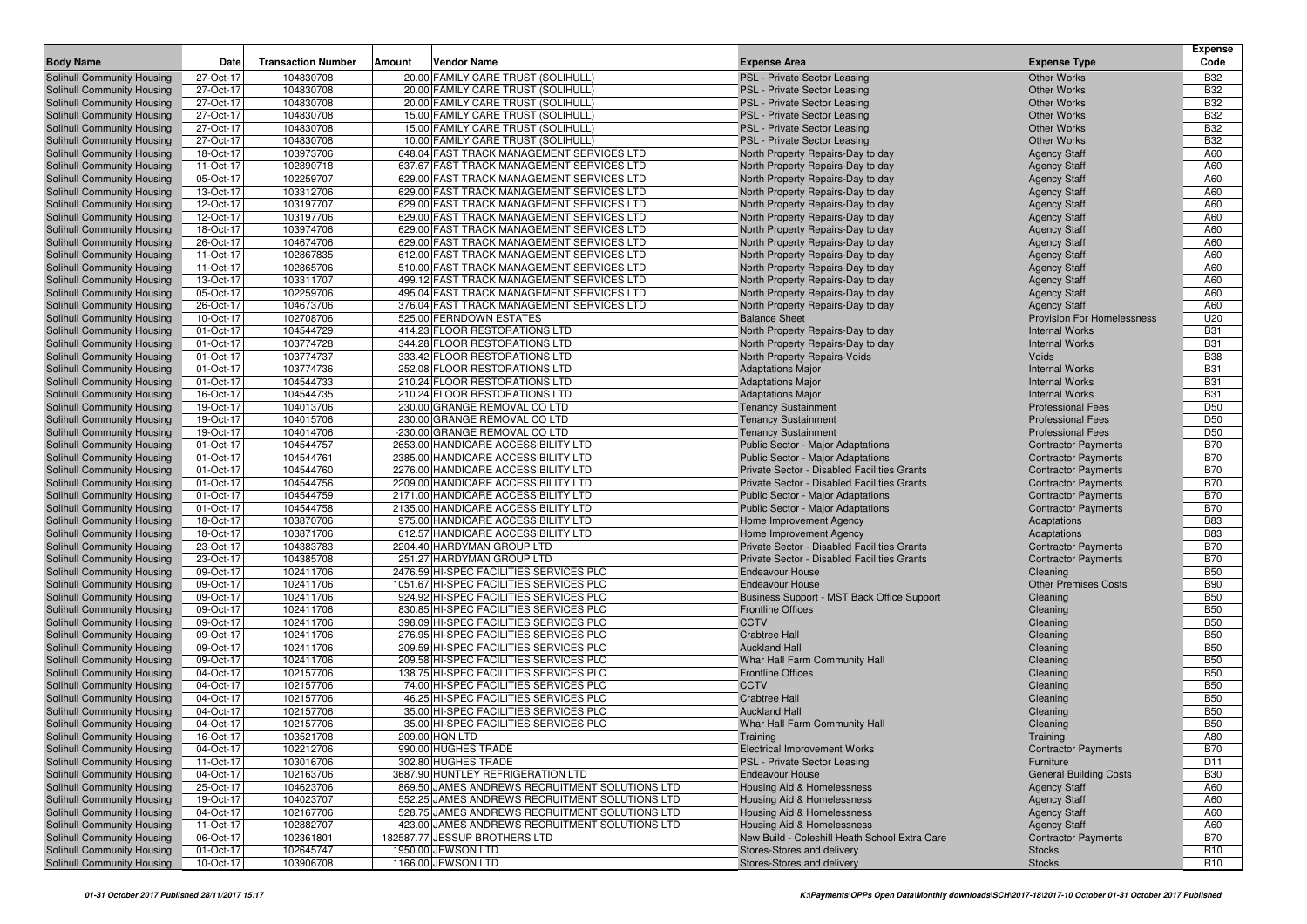| <b>Body Name</b>                                         | Date                   | <b>Transaction Number</b> | Vendor Name<br><b>Amount</b>                                                           | <b>Expense Area</b>                                                                  | <b>Expense Type</b>                                      | <b>Expense</b><br>Code   |
|----------------------------------------------------------|------------------------|---------------------------|----------------------------------------------------------------------------------------|--------------------------------------------------------------------------------------|----------------------------------------------------------|--------------------------|
| Solihull Community Housing                               | 27-Oct-17              | 104830708                 | 20.00 FAMILY CARE TRUST (SOLIHULL)                                                     | PSL - Private Sector Leasing                                                         | <b>Other Works</b>                                       | <b>B32</b>               |
| Solihull Community Housing                               | 27-Oct-17              | 104830708                 | 20.00 FAMILY CARE TRUST (SOLIHULL)                                                     | PSL - Private Sector Leasing                                                         | <b>Other Works</b>                                       | <b>B32</b>               |
| Solihull Community Housing                               | 27-Oct-17              | 104830708                 | 20.00 FAMILY CARE TRUST (SOLIHULL)                                                     | PSL - Private Sector Leasing                                                         | <b>Other Works</b>                                       | <b>B32</b>               |
| Solihull Community Housing                               | 27-Oct-17              | 104830708                 | 15.00 FAMILY CARE TRUST (SOLIHULL)                                                     | <b>PSL - Private Sector Leasing</b>                                                  | <b>Other Works</b>                                       | <b>B32</b>               |
| Solihull Community Housing                               | 27-Oct-17              | 104830708                 | 15.00 FAMILY CARE TRUST (SOLIHULL)                                                     | PSL - Private Sector Leasing                                                         | <b>Other Works</b>                                       | <b>B32</b>               |
| Solihull Community Housing                               | 27-Oct-17              | 104830708                 | 10.00 FAMILY CARE TRUST (SOLIHULL)                                                     | PSL - Private Sector Leasing                                                         | <b>Other Works</b>                                       | <b>B32</b>               |
| Solihull Community Housing                               | 18-Oct-17              | 103973706                 | 648.04 FAST TRACK MANAGEMENT SERVICES LTD                                              | North Property Repairs-Day to day                                                    | <b>Agency Staff</b>                                      | A60                      |
| Solihull Community Housing                               | 11-Oct-17              | 102890718                 | 637.67 FAST TRACK MANAGEMENT SERVICES LTD                                              | North Property Repairs-Day to day                                                    | <b>Agency Staff</b>                                      | A60                      |
| Solihull Community Housing                               | 05-Oct-17              | 102259707                 | 629.00 FAST TRACK MANAGEMENT SERVICES LTD                                              | North Property Repairs-Day to day                                                    | <b>Agency Staff</b>                                      | A60                      |
| Solihull Community Housing                               | 13-Oct-17              | 103312706                 | 629.00 FAST TRACK MANAGEMENT SERVICES LTD                                              | North Property Repairs-Day to day                                                    | <b>Agency Staff</b>                                      | A60                      |
| <b>Solihull Community Housing</b>                        | 12-Oct-17              | 103197707                 | 629.00 FAST TRACK MANAGEMENT SERVICES LTD                                              | North Property Repairs-Day to day                                                    | <b>Agency Staff</b>                                      | A60                      |
| Solihull Community Housing                               | 12-Oct-17              | 103197706                 | 629.00 FAST TRACK MANAGEMENT SERVICES LTD<br>629.00 FAST TRACK MANAGEMENT SERVICES LTD | North Property Repairs-Day to day                                                    | <b>Agency Staff</b>                                      | A60                      |
| Solihull Community Housing<br>Solihull Community Housing | 18-Oct-17<br>26-Oct-17 | 103974706<br>104674706    | 629.00 FAST TRACK MANAGEMENT SERVICES LTD                                              | North Property Repairs-Day to day<br>North Property Repairs-Day to day               | <b>Agency Staff</b><br><b>Agency Staff</b>               | A60<br>A60               |
| Solihull Community Housing                               | 11-Oct-17              | 102867835                 | 612.00 FAST TRACK MANAGEMENT SERVICES LTD                                              | North Property Repairs-Day to day                                                    | <b>Agency Staff</b>                                      | A60                      |
| Solihull Community Housing                               | 11-Oct-17              | 102865706                 | 510.00 FAST TRACK MANAGEMENT SERVICES LTD                                              | North Property Repairs-Day to day                                                    | <b>Agency Staff</b>                                      | A60                      |
| Solihull Community Housing                               | 13-Oct-17              | 103311707                 | 499.12 FAST TRACK MANAGEMENT SERVICES LTD                                              | North Property Repairs-Day to day                                                    | <b>Agency Staff</b>                                      | A60                      |
| Solihull Community Housing                               | 05-Oct-17              | 102259706                 | 495.04 FAST TRACK MANAGEMENT SERVICES LTD                                              | North Property Repairs-Day to day                                                    | <b>Agency Staff</b>                                      | A60                      |
| Solihull Community Housing                               | 26-Oct-17              | 104673706                 | 376.04 FAST TRACK MANAGEMENT SERVICES LTD                                              | North Property Repairs-Day to day                                                    | <b>Agency Staff</b>                                      | A60                      |
| Solihull Community Housing                               | 10-Oct-17              | 102708706                 | 525.00 FERNDOWN ESTATES                                                                | <b>Balance Sheet</b>                                                                 | <b>Provision For Homelessness</b>                        | U20                      |
| Solihull Community Housing                               | 01-Oct-17              | 104544729                 | 414.23 FLOOR RESTORATIONS LTD                                                          | North Property Repairs-Day to day                                                    | <b>Internal Works</b>                                    | <b>B31</b>               |
| Solihull Community Housing                               | 01-Oct-17              | 103774728                 | 344.28 FLOOR RESTORATIONS LTD                                                          | North Property Repairs-Day to day                                                    | <b>Internal Works</b>                                    | <b>B31</b>               |
| Solihull Community Housing                               | 01-Oct-17              | 103774737                 | 333.42 FLOOR RESTORATIONS LTD                                                          | North Property Repairs-Voids                                                         | Voids                                                    | <b>B38</b>               |
| Solihull Community Housing                               | 01-Oct-17              | 103774736                 | 252.08 FLOOR RESTORATIONS LTD                                                          | <b>Adaptations Major</b>                                                             | <b>Internal Works</b>                                    | <b>B31</b>               |
| Solihull Community Housing                               | 01-Oct-17              | 104544733                 | 210.24 FLOOR RESTORATIONS LTD                                                          | <b>Adaptations Major</b>                                                             | <b>Internal Works</b>                                    | <b>B31</b>               |
| Solihull Community Housing                               | 16-Oct-17              | 104544735                 | 210.24 FLOOR RESTORATIONS LTD                                                          | <b>Adaptations Major</b>                                                             | <b>Internal Works</b>                                    | <b>B31</b>               |
| Solihull Community Housing                               | 19-Oct-17              | 104013706                 | 230.00 GRANGE REMOVAL CO LTD                                                           | <b>Tenancy Sustainment</b>                                                           | <b>Professional Fees</b>                                 | D <sub>50</sub>          |
| Solihull Community Housing                               | 19-Oct-17              | 104015706                 | 230.00 GRANGE REMOVAL CO LTD                                                           | <b>Tenancy Sustainment</b>                                                           | <b>Professional Fees</b>                                 | D <sub>50</sub>          |
| Solihull Community Housing                               | 19-Oct-17              | 104014706                 | -230.00 GRANGE REMOVAL CO LTD                                                          | <b>Tenancy Sustainment</b>                                                           | <b>Professional Fees</b>                                 | D <sub>50</sub>          |
| Solihull Community Housing<br>Solihull Community Housing | 01-Oct-17<br>01-Oct-17 | 104544757<br>104544761    | 2653.00 HANDICARE ACCESSIBILITY LTD<br>2385.00 HANDICARE ACCESSIBILITY LTD             | <b>Public Sector - Major Adaptations</b><br><b>Public Sector - Major Adaptations</b> | <b>Contractor Payments</b><br><b>Contractor Payments</b> | <b>B70</b><br><b>B70</b> |
| Solihull Community Housing                               | 01-Oct-17              | 104544760                 | 2276.00 HANDICARE ACCESSIBILITY LTD                                                    | Private Sector - Disabled Facilities Grants                                          | <b>Contractor Payments</b>                               | <b>B70</b>               |
| Solihull Community Housing                               | 01-Oct-17              | 104544756                 | 2209.00 HANDICARE ACCESSIBILITY LTD                                                    | Private Sector - Disabled Facilities Grants                                          | <b>Contractor Payments</b>                               | <b>B70</b>               |
| Solihull Community Housing                               | 01-Oct-17              | 104544759                 | 2171.00 HANDICARE ACCESSIBILITY LTD                                                    | Public Sector - Major Adaptations                                                    | <b>Contractor Payments</b>                               | <b>B70</b>               |
| Solihull Community Housing                               | 01-Oct-17              | 104544758                 | 2135.00 HANDICARE ACCESSIBILITY LTD                                                    | <b>Public Sector - Major Adaptations</b>                                             | <b>Contractor Payments</b>                               | <b>B70</b>               |
| Solihull Community Housing                               | 18-Oct-17              | 103870706                 | 975.00 HANDICARE ACCESSIBILITY LTD                                                     | Home Improvement Agency                                                              | Adaptations                                              | <b>B83</b>               |
| Solihull Community Housing                               | 18-Oct-17              | 103871706                 | 612.57 HANDICARE ACCESSIBILITY LTD                                                     | Home Improvement Agency                                                              | Adaptations                                              | <b>B83</b>               |
| Solihull Community Housing                               | 23-Oct-17              | 104383783                 | 2204.40 HARDYMAN GROUP LTD                                                             | Private Sector - Disabled Facilities Grants                                          | <b>Contractor Payments</b>                               | <b>B70</b>               |
| Solihull Community Housing                               | 23-Oct-17              | 104385708                 | 251.27 HARDYMAN GROUP LTD                                                              | Private Sector - Disabled Facilities Grants                                          | <b>Contractor Payments</b>                               | <b>B70</b>               |
| Solihull Community Housing                               | 09-Oct-17              | 102411706                 | 2476.59 HI-SPEC FACILITIES SERVICES PLC                                                | <b>Endeavour House</b>                                                               | Cleaning                                                 | <b>B50</b>               |
| Solihull Community Housing                               | 09-Oct-17              | 102411706                 | 1051.67 HI-SPEC FACILITIES SERVICES PLC                                                | <b>Endeavour House</b>                                                               | <b>Other Premises Costs</b>                              | <b>B90</b>               |
| Solihull Community Housing                               | 09-Oct-17              | 102411706                 | 924.92 HI-SPEC FACILITIES SERVICES PLC                                                 | Business Support - MST Back Office Support                                           | Cleaning                                                 | <b>B50</b>               |
| Solihull Community Housing                               | 09-Oct-17              | 102411706                 | 830.85 HI-SPEC FACILITIES SERVICES PLC                                                 | <b>Frontline Offices</b>                                                             | Cleaning                                                 | <b>B50</b>               |
| Solihull Community Housing<br>Solihull Community Housing | 09-Oct-17<br>09-Oct-17 | 102411706<br>102411706    | 398.09 HI-SPEC FACILITIES SERVICES PLC<br>276.95 HI-SPEC FACILITIES SERVICES PLC       | <b>CCTV</b><br><b>Crabtree Hall</b>                                                  | Cleaning<br>Cleaning                                     | <b>B50</b><br><b>B50</b> |
| Solihull Community Housing                               | 09-Oct-17              | 102411706                 | 209.59 HI-SPEC FACILITIES SERVICES PLC                                                 | <b>Auckland Hall</b>                                                                 | Cleaning                                                 | <b>B50</b>               |
| Solihull Community Housing                               | 09-Oct-17              | 102411706                 | 209.58 HI-SPEC FACILITIES SERVICES PLC                                                 | Whar Hall Farm Community Hall                                                        | Cleaning                                                 | <b>B50</b>               |
| Solihull Community Housing                               | 04-Oct-17              | 102157706                 | 138.75 HI-SPEC FACILITIES SERVICES PLC                                                 | <b>Frontline Offices</b>                                                             | Cleaning                                                 | <b>B50</b>               |
| Solihull Community Housing                               | 04-Oct-17              | 102157706                 | 74.00 HI-SPEC FACILITIES SERVICES PLC                                                  | <b>CCTV</b>                                                                          | Cleaning                                                 | <b>B50</b>               |
| Solihull Community Housing                               | 04-Oct-17              | 102157706                 | 46.25 HI-SPEC FACILITIES SERVICES PLC                                                  | <b>Crabtree Hall</b>                                                                 | Cleaning                                                 | <b>B50</b>               |
| Solihull Community Housing                               | 04-Oct-17              | 102157706                 | 35.00 HI-SPEC FACILITIES SERVICES PLC                                                  | <b>Auckland Hall</b>                                                                 | Cleaning                                                 | <b>B50</b>               |
| Solihull Community Housing                               | 04-Oct-17              | 102157706                 | 35.00 HI-SPEC FACILITIES SERVICES PLC                                                  | Whar Hall Farm Community Hall                                                        | Cleaning                                                 | <b>B50</b>               |
| Solihull Community Housing                               | 16-Oct-17              | 103521708                 | 209.00 HQN LTD                                                                         | Training                                                                             | Training                                                 | A80                      |
| Solihull Community Housing                               | 04-Oct-17              | 102212706                 | 990.00 HUGHES TRADE                                                                    | <b>Electrical Improvement Works</b>                                                  | <b>Contractor Payments</b>                               | <b>B70</b>               |
| Solihull Community Housing                               | 11-Oct-17              | 103016706                 | 302.80 HUGHES TRADE                                                                    | PSL - Private Sector Leasing                                                         | Furniture                                                | D <sub>11</sub>          |
| Solihull Community Housing                               | 04-Oct-17              | 102163706                 | 3687.90 HUNTLEY REFRIGERATION LTD                                                      | <b>Endeavour House</b>                                                               | <b>General Building Costs</b>                            | <b>B30</b>               |
| Solihull Community Housing                               | 25-Oct-17              | 104623706                 | 869.50 JAMES ANDREWS RECRUITMENT SOLUTIONS LTD                                         | <b>Housing Aid &amp; Homelessness</b>                                                | <b>Agency Staff</b>                                      | A60                      |
| Solihull Community Housing                               | 19-Oct-17              | 104023707                 | 552.25 JAMES ANDREWS RECRUITMENT SOLUTIONS LTD                                         | Housing Aid & Homelessness                                                           | <b>Agency Staff</b>                                      | A60                      |
| Solihull Community Housing                               | 04-Oct-17              | 102167706                 | 528.75 JAMES ANDREWS RECRUITMENT SOLUTIONS LTD                                         | Housing Aid & Homelessness                                                           | <b>Agency Staff</b>                                      | A60                      |
| Solihull Community Housing<br>Solihull Community Housing | 11-Oct-17<br>06-Oct-17 | 102882707<br>102361801    | 423.00 JAMES ANDREWS RECRUITMENT SOLUTIONS LTD<br>182587.77 JESSUP BROTHERS LTD        | Housing Aid & Homelessness<br>New Build - Coleshill Heath School Extra Care          | <b>Agency Staff</b><br><b>Contractor Payments</b>        | A60<br><b>B70</b>        |
| Solihull Community Housing                               | 01-Oct-17              | 102645747                 | 1950.00 JEWSON LTD                                                                     | Stores-Stores and delivery                                                           | <b>Stocks</b>                                            | R <sub>10</sub>          |
| Solihull Community Housing                               | 10-Oct-17              | 103906708                 | 1166.00 JEWSON LTD                                                                     | Stores-Stores and delivery                                                           | <b>Stocks</b>                                            | R <sub>10</sub>          |
|                                                          |                        |                           |                                                                                        |                                                                                      |                                                          |                          |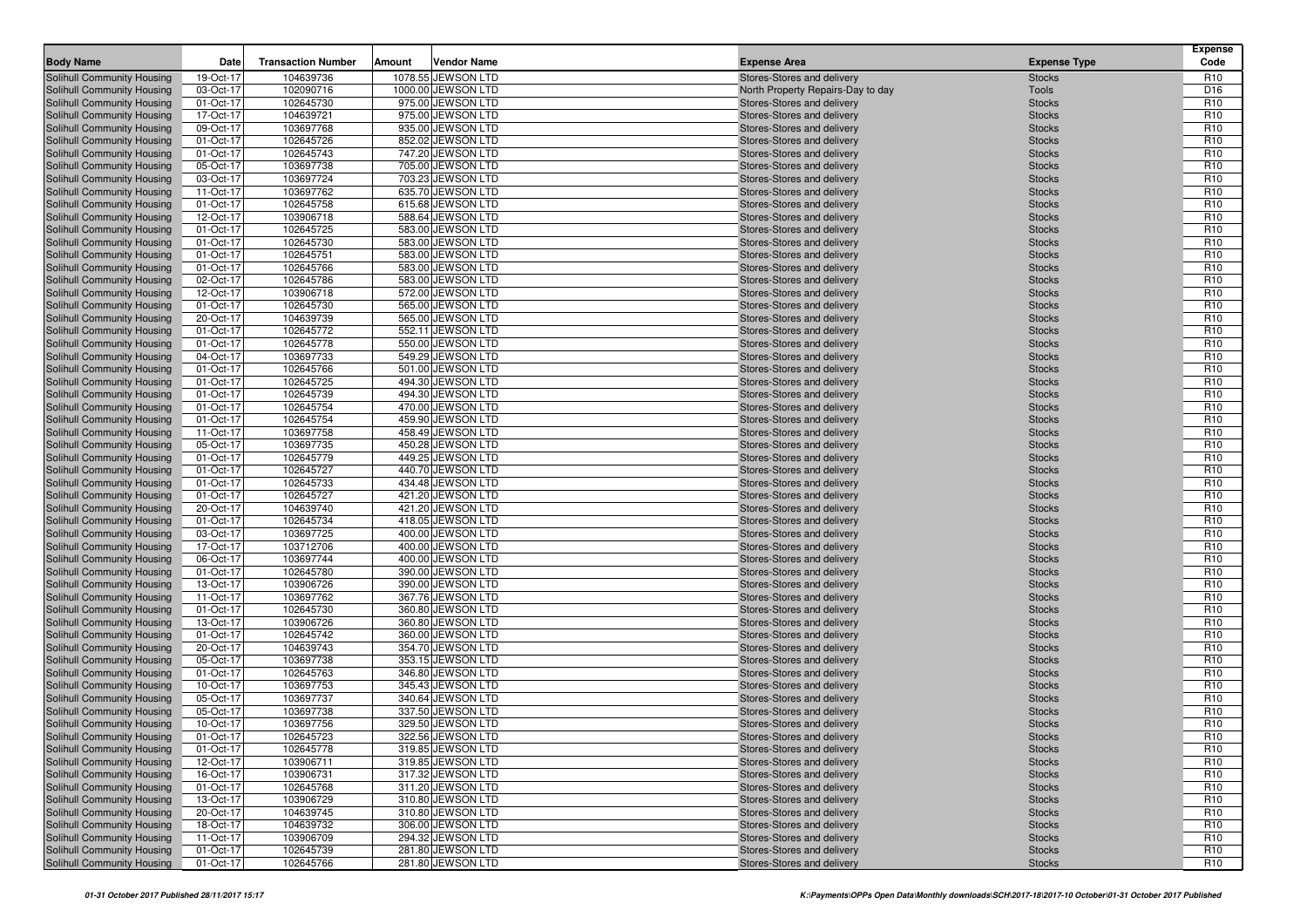| 19-Oct-17<br>104639736<br>1078.55 JEWSON LTD<br>Stores-Stores and delivery<br>Solihull Community Housing<br><b>Stocks</b><br>R <sub>10</sub><br>102090716<br>1000.00 JEWSON LTD<br>D <sub>16</sub><br>Solihull Community Housing<br>03-Oct-17<br>North Property Repairs-Day to day<br><b>Tools</b><br>R <sub>10</sub><br>102645730<br>Solihull Community Housing<br>01-Oct-17<br>975.00 JEWSON LTD<br>Stores-Stores and delivery<br><b>Stocks</b><br>17-Oct-17<br>104639721<br>975.00 JEWSON LTD<br>R <sub>10</sub><br>Solihull Community Housing<br>Stores-Stores and delivery<br><b>Stocks</b><br>09-Oct-17<br>103697768<br>935.00 JEWSON LTD<br>R <sub>10</sub><br>Solihull Community Housing<br>Stores-Stores and delivery<br><b>Stocks</b><br>R <sub>10</sub><br>Solihull Community Housing<br>01-Oct-17<br>102645726<br>852.02 JEWSON LTD<br>Stores-Stores and delivery<br><b>Stocks</b><br>01-Oct-17<br>102645743<br>747.20 JEWSON LTD<br>R <sub>10</sub><br>Solihull Community Housing<br>Stores-Stores and delivery<br><b>Stocks</b><br>05-Oct-17<br>103697738<br>705.00 JEWSON LTD<br>R <sub>10</sub><br>Stores-Stores and delivery<br><b>Stocks</b><br>103697724<br>703.23 JEWSON LTD<br>R <sub>10</sub><br>03-Oct-17<br>Stores-Stores and delivery<br><b>Stocks</b><br>103697762<br>R <sub>10</sub><br>11-Oct-17<br>635.70 JEWSON LTD<br>Stores-Stores and delivery<br><b>Stocks</b><br>01-Oct-17<br>102645758<br>615.68 JEWSON LTD<br>R <sub>10</sub><br>Stores-Stores and delivery<br><b>Stocks</b><br>103906718<br>588.64 JEWSON LTD<br>R <sub>10</sub><br>12-Oct-17<br>Stores-Stores and delivery<br><b>Stocks</b><br>01-Oct-17<br>102645725<br>583.00 JEWSON LTD<br>R <sub>10</sub><br>Stores-Stores and delivery<br><b>Stocks</b><br>102645730<br>R <sub>10</sub><br>Solihull Community Housing<br>01-Oct-17<br>583.00 JEWSON LTD<br><b>Stocks</b><br>Stores-Stores and delivery<br>102645751<br>R <sub>10</sub><br>Solihull Community Housing<br>01-Oct-17<br>583.00 JEWSON LTD<br>Stores-Stores and delivery<br><b>Stocks</b><br>102645766<br>583.00 JEWSON LTD<br>R <sub>10</sub><br>Solihull Community Housing<br>01-Oct-17<br>Stores-Stores and delivery<br><b>Stocks</b><br>R <sub>10</sub><br>102645786<br>Solihull Community Housing<br>02-Oct-17<br>583.00 JEWSON LTD<br>Stores-Stores and delivery<br><b>Stocks</b><br>12-Oct-17<br>103906718<br>572.00 JEWSON LTD<br>R <sub>10</sub><br>Solihull Community Housing<br>Stores-Stores and delivery<br><b>Stocks</b><br>R <sub>10</sub><br>Solihull Community Housing<br>01-Oct-17<br>102645730<br>565.00 JEWSON LTD<br>Stores-Stores and delivery<br><b>Stocks</b><br>20-Oct-17<br>104639739<br>565.00 JEWSON LTD<br>R <sub>10</sub><br>Solihull Community Housing<br>Stores-Stores and delivery<br><b>Stocks</b><br>102645772<br>552.11 JEWSON LTD<br>R <sub>10</sub><br>Solihull Community Housing<br>01-Oct-17<br>Stores-Stores and delivery<br><b>Stocks</b><br>01-Oct-17<br>102645778<br>550.00 JEWSON LTD<br>R <sub>10</sub><br>Solihull Community Housing<br>Stores-Stores and delivery<br><b>Stocks</b><br>103697733<br>R <sub>10</sub><br>04-Oct-17<br>549.29 JEWSON LTD<br><b>Stocks</b><br>Solihull Community Housing<br>Stores-Stores and delivery<br>R <sub>10</sub><br>102645766<br>Solihull Community Housing<br>01-Oct-17<br>501.00 JEWSON LTD<br>Stores-Stores and delivery<br><b>Stocks</b><br>102645725<br>494.30 JEWSON LTD<br>R <sub>10</sub><br>Solihull Community Housing<br>01-Oct-17<br>Stores-Stores and delivery<br><b>Stocks</b><br>102645739<br>494.30 JEWSON LTD<br>R <sub>10</sub><br>Solihull Community Housing<br>01-Oct-17<br>Stores-Stores and delivery<br><b>Stocks</b><br>102645754<br>470.00 JEWSON LTD<br>R <sub>10</sub><br>Solihull Community Housing<br>01-Oct-17<br>Stores-Stores and delivery<br><b>Stocks</b><br>R <sub>10</sub><br>01-Oct-17<br>102645754<br>459.90 JEWSON LTD<br>Stores-Stores and delivery<br><b>Stocks</b><br>11-Oct-17<br>103697758<br>458.49 JEWSON LTD<br>R <sub>10</sub><br>Stores-Stores and delivery<br><b>Stocks</b><br>103697735<br>450.28 JEWSON LTD<br>R <sub>10</sub><br>05-Oct-17<br>Stores-Stores and delivery<br><b>Stocks</b><br>R <sub>10</sub><br>01-Oct-17<br>102645779<br>449.25 JEWSON LTD<br>Stores-Stores and delivery<br><b>Stocks</b><br>102645727<br>440.70 JEWSON LTD<br>R <sub>10</sub><br>01-Oct-17<br>Stores-Stores and delivery<br><b>Stocks</b><br>R <sub>10</sub><br>01-Oct-17<br>102645733<br>434.48 JEWSON LTD<br>Stores-Stores and delivery<br><b>Stocks</b><br>102645727<br>421.20 JEWSON LTD<br>R <sub>10</sub><br>Solihull Community Housing<br>01-Oct-17<br>Stores-Stores and delivery<br><b>Stocks</b><br>20-Oct-17<br>104639740<br>421.20 JEWSON LTD<br>R <sub>10</sub><br>Solihull Community Housing<br>Stores-Stores and delivery<br><b>Stocks</b><br>418.05 JEWSON LTD<br>R <sub>10</sub><br>Solihull Community Housing<br>01-Oct-17<br>102645734<br>Stores-Stores and delivery<br><b>Stocks</b><br>103697725<br>400.00 JEWSON LTD<br>R <sub>10</sub><br>Solihull Community Housing<br>03-Oct-17<br>Stores-Stores and delivery<br><b>Stocks</b><br>17-Oct-17<br>103712706<br>400.00 JEWSON LTD<br>R <sub>10</sub><br>Solihull Community Housing<br>Stores-Stores and delivery<br><b>Stocks</b><br>103697744<br>R <sub>10</sub><br>Solihull Community Housing<br>06-Oct-17<br>400.00 JEWSON LTD<br>Stores-Stores and delivery<br><b>Stocks</b><br>R <sub>10</sub><br>Solihull Community Housing<br>01-Oct-17<br>102645780<br>390.00 JEWSON LTD<br>Stores-Stores and delivery<br><b>Stocks</b><br>13-Oct-17<br>103906726<br>390.00 JEWSON LTD<br>R <sub>10</sub><br>Solihull Community Housing<br>Stores-Stores and delivery<br><b>Stocks</b><br>R <sub>10</sub><br>103697762<br>Solihull Community Housing<br>11-Oct-17<br>367.76 JEWSON LTD<br>Stores-Stores and delivery<br><b>Stocks</b><br>01-Oct-17<br>102645730<br>360.80 JEWSON LTD<br>R <sub>10</sub><br>Solihull Community Housing<br>Stores-Stores and delivery<br><b>Stocks</b><br>103906726<br>R <sub>10</sub><br>Solihull Community Housing<br>13-Oct-17<br>360.80 JEWSON LTD<br>Stores-Stores and delivery<br><b>Stocks</b><br>102645742<br>R <sub>10</sub><br>Solihull Community Housing<br>01-Oct-17<br>360.00 JEWSON LTD<br>Stores-Stores and delivery<br><b>Stocks</b><br>20-Oct-17<br>104639743<br>354.70 JEWSON LTD<br>R <sub>10</sub><br>Stores-Stores and delivery<br><b>Stocks</b><br>05-Oct-17<br>353.15 JEWSON LTD<br>R <sub>10</sub><br>103697738<br>Stores-Stores and delivery<br><b>Stocks</b><br>102645763<br>R <sub>10</sub><br>01-Oct-17<br>346.80 JEWSON LTD<br><b>Stocks</b><br>Stores-Stores and delivery<br>10-Oct-17<br>103697753<br>R <sub>10</sub><br>345.43 JEWSON LTD<br>Stores-Stores and delivery<br><b>Stocks</b><br>103697737<br>340.64 JEWSON LTD<br>R <sub>10</sub><br>05-Oct-17<br>Stores-Stores and delivery<br><b>Stocks</b><br>05-Oct-17<br>103697738<br>337.50 JEWSON LTD<br>R <sub>10</sub><br>Stores-Stores and delivery<br><b>Stocks</b><br><b>Solihull Community Housing</b><br>10-Oct-17<br>103697756<br>329.50 JEWSON LTD<br>R <sub>10</sub><br>Stores-Stores and delivery<br><b>Stocks</b><br>R <sub>10</sub><br>Solihull Community Housing<br>01-Oct-17<br>322.56 JEWSON LTD<br>Stores-Stores and delivery<br>102645723<br><b>Stocks</b><br><b>Solihull Community Housing</b><br>319.85 JEWSON LTD<br>R <sub>10</sub><br>01-Oct-17<br>102645778<br>Stores-Stores and delivery<br><b>Stocks</b><br>Solihull Community Housing<br>12-Oct-17<br>103906711<br>319.85 JEWSON LTD<br>Stores-Stores and delivery<br>R <sub>10</sub><br><b>Stocks</b><br>Solihull Community Housing<br>103906731<br>317.32 JEWSON LTD<br>Stores-Stores and delivery<br>R <sub>10</sub><br>16-Oct-17<br><b>Stocks</b><br>Solihull Community Housing<br>102645768<br>311.20 JEWSON LTD<br>Stores-Stores and delivery<br>01-Oct-17<br><b>Stocks</b><br>R <sub>10</sub><br><b>Solihull Community Housing</b><br>13-Oct-17<br>103906729<br>310.80 JEWSON LTD<br>R <sub>10</sub><br>Stores-Stores and delivery<br><b>Stocks</b><br>Solihull Community Housing<br>104639745<br>310.80 JEWSON LTD<br>Stores-Stores and delivery<br>R <sub>10</sub><br>20-Oct-17<br><b>Stocks</b><br>Solihull Community Housing<br>18-Oct-17<br>104639732<br>306.00 JEWSON LTD<br>Stores-Stores and delivery<br>R <sub>10</sub><br><b>Stocks</b><br>Solihull Community Housing<br>294.32 JEWSON LTD<br>11-Oct-17<br>103906709<br>Stores-Stores and delivery<br><b>Stocks</b><br>R <sub>10</sub><br>Solihull Community Housing<br>01-Oct-17<br>102645739<br>281.80 JEWSON LTD<br>Stores-Stores and delivery<br>R <sub>10</sub><br><b>Stocks</b><br>01-Oct-17<br>102645766<br>281.80 JEWSON LTD<br>Stores-Stores and delivery<br>R <sub>10</sub><br><b>Stocks</b> | <b>Body Name</b>           | Date | <b>Transaction Number</b> | Amount | <b>Vendor Name</b> | <b>Expense Area</b> | <b>Expense Type</b> | <b>Expense</b><br>Code |
|------------------------------------------------------------------------------------------------------------------------------------------------------------------------------------------------------------------------------------------------------------------------------------------------------------------------------------------------------------------------------------------------------------------------------------------------------------------------------------------------------------------------------------------------------------------------------------------------------------------------------------------------------------------------------------------------------------------------------------------------------------------------------------------------------------------------------------------------------------------------------------------------------------------------------------------------------------------------------------------------------------------------------------------------------------------------------------------------------------------------------------------------------------------------------------------------------------------------------------------------------------------------------------------------------------------------------------------------------------------------------------------------------------------------------------------------------------------------------------------------------------------------------------------------------------------------------------------------------------------------------------------------------------------------------------------------------------------------------------------------------------------------------------------------------------------------------------------------------------------------------------------------------------------------------------------------------------------------------------------------------------------------------------------------------------------------------------------------------------------------------------------------------------------------------------------------------------------------------------------------------------------------------------------------------------------------------------------------------------------------------------------------------------------------------------------------------------------------------------------------------------------------------------------------------------------------------------------------------------------------------------------------------------------------------------------------------------------------------------------------------------------------------------------------------------------------------------------------------------------------------------------------------------------------------------------------------------------------------------------------------------------------------------------------------------------------------------------------------------------------------------------------------------------------------------------------------------------------------------------------------------------------------------------------------------------------------------------------------------------------------------------------------------------------------------------------------------------------------------------------------------------------------------------------------------------------------------------------------------------------------------------------------------------------------------------------------------------------------------------------------------------------------------------------------------------------------------------------------------------------------------------------------------------------------------------------------------------------------------------------------------------------------------------------------------------------------------------------------------------------------------------------------------------------------------------------------------------------------------------------------------------------------------------------------------------------------------------------------------------------------------------------------------------------------------------------------------------------------------------------------------------------------------------------------------------------------------------------------------------------------------------------------------------------------------------------------------------------------------------------------------------------------------------------------------------------------------------------------------------------------------------------------------------------------------------------------------------------------------------------------------------------------------------------------------------------------------------------------------------------------------------------------------------------------------------------------------------------------------------------------------------------------------------------------------------------------------------------------------------------------------------------------------------------------------------------------------------------------------------------------------------------------------------------------------------------------------------------------------------------------------------------------------------------------------------------------------------------------------------------------------------------------------------------------------------------------------------------------------------------------------------------------------------------------------------------------------------------------------------------------------------------------------------------------------------------------------------------------------------------------------------------------------------------------------------------------------------------------------------------------------------------------------------------------------------------------------------------------------------------------------------------------------------------------------------------------------------------------------------------------------------------------------------------------------------------------------------------------------------------------------------------------------------------------------------------------------------------------------------------------------------------------------------------------------------------------------------------------------------------------------------------------------------------------------------------------------------------------------------------------------------------------------------------------------------------------------------------------------------------------------------------------------------------------------------------------------------------------------------------------------------------------------------------------------------------------------------------------------------------------------------------------------------------------------------------------------------------------------------------------------------------------------------------------------------------------------------------------------------------------------------------------------------------------------------------------------------------------------------------------------------------------------------------------------------------------------------------------------------------------------------------------------------------------------------------------------------------------------------------------------------------------------------------------------------------------------------------------------------------------------------------------------------------------------------------------------------------------------------------------------------------------------------------------------------------------------------------------------------------------------------------------------------------------------------------------------------------------------------------------------------------------------------------------------------------------------------------------------------------------------------------------------------------------------------------------------------------------------------------------------------------------------------------------------------|----------------------------|------|---------------------------|--------|--------------------|---------------------|---------------------|------------------------|
|                                                                                                                                                                                                                                                                                                                                                                                                                                                                                                                                                                                                                                                                                                                                                                                                                                                                                                                                                                                                                                                                                                                                                                                                                                                                                                                                                                                                                                                                                                                                                                                                                                                                                                                                                                                                                                                                                                                                                                                                                                                                                                                                                                                                                                                                                                                                                                                                                                                                                                                                                                                                                                                                                                                                                                                                                                                                                                                                                                                                                                                                                                                                                                                                                                                                                                                                                                                                                                                                                                                                                                                                                                                                                                                                                                                                                                                                                                                                                                                                                                                                                                                                                                                                                                                                                                                                                                                                                                                                                                                                                                                                                                                                                                                                                                                                                                                                                                                                                                                                                                                                                                                                                                                                                                                                                                                                                                                                                                                                                                                                                                                                                                                                                                                                                                                                                                                                                                                                                                                                                                                                                                                                                                                                                                                                                                                                                                                                                                                                                                                                                                                                                                                                                                                                                                                                                                                                                                                                                                                                                                                                                                                                                                                                                                                                                                                                                                                                                                                                                                                                                                                                                                                                                                                                                                                                                                                                                                                                                                                                                                                                                                                                                                                                                                                                                                                                                                                                                                                                                                                                                                                                                                                                                                                                                                                                                  |                            |      |                           |        |                    |                     |                     |                        |
|                                                                                                                                                                                                                                                                                                                                                                                                                                                                                                                                                                                                                                                                                                                                                                                                                                                                                                                                                                                                                                                                                                                                                                                                                                                                                                                                                                                                                                                                                                                                                                                                                                                                                                                                                                                                                                                                                                                                                                                                                                                                                                                                                                                                                                                                                                                                                                                                                                                                                                                                                                                                                                                                                                                                                                                                                                                                                                                                                                                                                                                                                                                                                                                                                                                                                                                                                                                                                                                                                                                                                                                                                                                                                                                                                                                                                                                                                                                                                                                                                                                                                                                                                                                                                                                                                                                                                                                                                                                                                                                                                                                                                                                                                                                                                                                                                                                                                                                                                                                                                                                                                                                                                                                                                                                                                                                                                                                                                                                                                                                                                                                                                                                                                                                                                                                                                                                                                                                                                                                                                                                                                                                                                                                                                                                                                                                                                                                                                                                                                                                                                                                                                                                                                                                                                                                                                                                                                                                                                                                                                                                                                                                                                                                                                                                                                                                                                                                                                                                                                                                                                                                                                                                                                                                                                                                                                                                                                                                                                                                                                                                                                                                                                                                                                                                                                                                                                                                                                                                                                                                                                                                                                                                                                                                                                                                                                  |                            |      |                           |        |                    |                     |                     |                        |
|                                                                                                                                                                                                                                                                                                                                                                                                                                                                                                                                                                                                                                                                                                                                                                                                                                                                                                                                                                                                                                                                                                                                                                                                                                                                                                                                                                                                                                                                                                                                                                                                                                                                                                                                                                                                                                                                                                                                                                                                                                                                                                                                                                                                                                                                                                                                                                                                                                                                                                                                                                                                                                                                                                                                                                                                                                                                                                                                                                                                                                                                                                                                                                                                                                                                                                                                                                                                                                                                                                                                                                                                                                                                                                                                                                                                                                                                                                                                                                                                                                                                                                                                                                                                                                                                                                                                                                                                                                                                                                                                                                                                                                                                                                                                                                                                                                                                                                                                                                                                                                                                                                                                                                                                                                                                                                                                                                                                                                                                                                                                                                                                                                                                                                                                                                                                                                                                                                                                                                                                                                                                                                                                                                                                                                                                                                                                                                                                                                                                                                                                                                                                                                                                                                                                                                                                                                                                                                                                                                                                                                                                                                                                                                                                                                                                                                                                                                                                                                                                                                                                                                                                                                                                                                                                                                                                                                                                                                                                                                                                                                                                                                                                                                                                                                                                                                                                                                                                                                                                                                                                                                                                                                                                                                                                                                                                                  |                            |      |                           |        |                    |                     |                     |                        |
|                                                                                                                                                                                                                                                                                                                                                                                                                                                                                                                                                                                                                                                                                                                                                                                                                                                                                                                                                                                                                                                                                                                                                                                                                                                                                                                                                                                                                                                                                                                                                                                                                                                                                                                                                                                                                                                                                                                                                                                                                                                                                                                                                                                                                                                                                                                                                                                                                                                                                                                                                                                                                                                                                                                                                                                                                                                                                                                                                                                                                                                                                                                                                                                                                                                                                                                                                                                                                                                                                                                                                                                                                                                                                                                                                                                                                                                                                                                                                                                                                                                                                                                                                                                                                                                                                                                                                                                                                                                                                                                                                                                                                                                                                                                                                                                                                                                                                                                                                                                                                                                                                                                                                                                                                                                                                                                                                                                                                                                                                                                                                                                                                                                                                                                                                                                                                                                                                                                                                                                                                                                                                                                                                                                                                                                                                                                                                                                                                                                                                                                                                                                                                                                                                                                                                                                                                                                                                                                                                                                                                                                                                                                                                                                                                                                                                                                                                                                                                                                                                                                                                                                                                                                                                                                                                                                                                                                                                                                                                                                                                                                                                                                                                                                                                                                                                                                                                                                                                                                                                                                                                                                                                                                                                                                                                                                                                  |                            |      |                           |        |                    |                     |                     |                        |
|                                                                                                                                                                                                                                                                                                                                                                                                                                                                                                                                                                                                                                                                                                                                                                                                                                                                                                                                                                                                                                                                                                                                                                                                                                                                                                                                                                                                                                                                                                                                                                                                                                                                                                                                                                                                                                                                                                                                                                                                                                                                                                                                                                                                                                                                                                                                                                                                                                                                                                                                                                                                                                                                                                                                                                                                                                                                                                                                                                                                                                                                                                                                                                                                                                                                                                                                                                                                                                                                                                                                                                                                                                                                                                                                                                                                                                                                                                                                                                                                                                                                                                                                                                                                                                                                                                                                                                                                                                                                                                                                                                                                                                                                                                                                                                                                                                                                                                                                                                                                                                                                                                                                                                                                                                                                                                                                                                                                                                                                                                                                                                                                                                                                                                                                                                                                                                                                                                                                                                                                                                                                                                                                                                                                                                                                                                                                                                                                                                                                                                                                                                                                                                                                                                                                                                                                                                                                                                                                                                                                                                                                                                                                                                                                                                                                                                                                                                                                                                                                                                                                                                                                                                                                                                                                                                                                                                                                                                                                                                                                                                                                                                                                                                                                                                                                                                                                                                                                                                                                                                                                                                                                                                                                                                                                                                                                                  |                            |      |                           |        |                    |                     |                     |                        |
|                                                                                                                                                                                                                                                                                                                                                                                                                                                                                                                                                                                                                                                                                                                                                                                                                                                                                                                                                                                                                                                                                                                                                                                                                                                                                                                                                                                                                                                                                                                                                                                                                                                                                                                                                                                                                                                                                                                                                                                                                                                                                                                                                                                                                                                                                                                                                                                                                                                                                                                                                                                                                                                                                                                                                                                                                                                                                                                                                                                                                                                                                                                                                                                                                                                                                                                                                                                                                                                                                                                                                                                                                                                                                                                                                                                                                                                                                                                                                                                                                                                                                                                                                                                                                                                                                                                                                                                                                                                                                                                                                                                                                                                                                                                                                                                                                                                                                                                                                                                                                                                                                                                                                                                                                                                                                                                                                                                                                                                                                                                                                                                                                                                                                                                                                                                                                                                                                                                                                                                                                                                                                                                                                                                                                                                                                                                                                                                                                                                                                                                                                                                                                                                                                                                                                                                                                                                                                                                                                                                                                                                                                                                                                                                                                                                                                                                                                                                                                                                                                                                                                                                                                                                                                                                                                                                                                                                                                                                                                                                                                                                                                                                                                                                                                                                                                                                                                                                                                                                                                                                                                                                                                                                                                                                                                                                                                  |                            |      |                           |        |                    |                     |                     |                        |
|                                                                                                                                                                                                                                                                                                                                                                                                                                                                                                                                                                                                                                                                                                                                                                                                                                                                                                                                                                                                                                                                                                                                                                                                                                                                                                                                                                                                                                                                                                                                                                                                                                                                                                                                                                                                                                                                                                                                                                                                                                                                                                                                                                                                                                                                                                                                                                                                                                                                                                                                                                                                                                                                                                                                                                                                                                                                                                                                                                                                                                                                                                                                                                                                                                                                                                                                                                                                                                                                                                                                                                                                                                                                                                                                                                                                                                                                                                                                                                                                                                                                                                                                                                                                                                                                                                                                                                                                                                                                                                                                                                                                                                                                                                                                                                                                                                                                                                                                                                                                                                                                                                                                                                                                                                                                                                                                                                                                                                                                                                                                                                                                                                                                                                                                                                                                                                                                                                                                                                                                                                                                                                                                                                                                                                                                                                                                                                                                                                                                                                                                                                                                                                                                                                                                                                                                                                                                                                                                                                                                                                                                                                                                                                                                                                                                                                                                                                                                                                                                                                                                                                                                                                                                                                                                                                                                                                                                                                                                                                                                                                                                                                                                                                                                                                                                                                                                                                                                                                                                                                                                                                                                                                                                                                                                                                                                                  |                            |      |                           |        |                    |                     |                     |                        |
|                                                                                                                                                                                                                                                                                                                                                                                                                                                                                                                                                                                                                                                                                                                                                                                                                                                                                                                                                                                                                                                                                                                                                                                                                                                                                                                                                                                                                                                                                                                                                                                                                                                                                                                                                                                                                                                                                                                                                                                                                                                                                                                                                                                                                                                                                                                                                                                                                                                                                                                                                                                                                                                                                                                                                                                                                                                                                                                                                                                                                                                                                                                                                                                                                                                                                                                                                                                                                                                                                                                                                                                                                                                                                                                                                                                                                                                                                                                                                                                                                                                                                                                                                                                                                                                                                                                                                                                                                                                                                                                                                                                                                                                                                                                                                                                                                                                                                                                                                                                                                                                                                                                                                                                                                                                                                                                                                                                                                                                                                                                                                                                                                                                                                                                                                                                                                                                                                                                                                                                                                                                                                                                                                                                                                                                                                                                                                                                                                                                                                                                                                                                                                                                                                                                                                                                                                                                                                                                                                                                                                                                                                                                                                                                                                                                                                                                                                                                                                                                                                                                                                                                                                                                                                                                                                                                                                                                                                                                                                                                                                                                                                                                                                                                                                                                                                                                                                                                                                                                                                                                                                                                                                                                                                                                                                                                                                  | Solihull Community Housing |      |                           |        |                    |                     |                     |                        |
|                                                                                                                                                                                                                                                                                                                                                                                                                                                                                                                                                                                                                                                                                                                                                                                                                                                                                                                                                                                                                                                                                                                                                                                                                                                                                                                                                                                                                                                                                                                                                                                                                                                                                                                                                                                                                                                                                                                                                                                                                                                                                                                                                                                                                                                                                                                                                                                                                                                                                                                                                                                                                                                                                                                                                                                                                                                                                                                                                                                                                                                                                                                                                                                                                                                                                                                                                                                                                                                                                                                                                                                                                                                                                                                                                                                                                                                                                                                                                                                                                                                                                                                                                                                                                                                                                                                                                                                                                                                                                                                                                                                                                                                                                                                                                                                                                                                                                                                                                                                                                                                                                                                                                                                                                                                                                                                                                                                                                                                                                                                                                                                                                                                                                                                                                                                                                                                                                                                                                                                                                                                                                                                                                                                                                                                                                                                                                                                                                                                                                                                                                                                                                                                                                                                                                                                                                                                                                                                                                                                                                                                                                                                                                                                                                                                                                                                                                                                                                                                                                                                                                                                                                                                                                                                                                                                                                                                                                                                                                                                                                                                                                                                                                                                                                                                                                                                                                                                                                                                                                                                                                                                                                                                                                                                                                                                                                  | Solihull Community Housing |      |                           |        |                    |                     |                     |                        |
|                                                                                                                                                                                                                                                                                                                                                                                                                                                                                                                                                                                                                                                                                                                                                                                                                                                                                                                                                                                                                                                                                                                                                                                                                                                                                                                                                                                                                                                                                                                                                                                                                                                                                                                                                                                                                                                                                                                                                                                                                                                                                                                                                                                                                                                                                                                                                                                                                                                                                                                                                                                                                                                                                                                                                                                                                                                                                                                                                                                                                                                                                                                                                                                                                                                                                                                                                                                                                                                                                                                                                                                                                                                                                                                                                                                                                                                                                                                                                                                                                                                                                                                                                                                                                                                                                                                                                                                                                                                                                                                                                                                                                                                                                                                                                                                                                                                                                                                                                                                                                                                                                                                                                                                                                                                                                                                                                                                                                                                                                                                                                                                                                                                                                                                                                                                                                                                                                                                                                                                                                                                                                                                                                                                                                                                                                                                                                                                                                                                                                                                                                                                                                                                                                                                                                                                                                                                                                                                                                                                                                                                                                                                                                                                                                                                                                                                                                                                                                                                                                                                                                                                                                                                                                                                                                                                                                                                                                                                                                                                                                                                                                                                                                                                                                                                                                                                                                                                                                                                                                                                                                                                                                                                                                                                                                                                                                  | Solihull Community Housing |      |                           |        |                    |                     |                     |                        |
|                                                                                                                                                                                                                                                                                                                                                                                                                                                                                                                                                                                                                                                                                                                                                                                                                                                                                                                                                                                                                                                                                                                                                                                                                                                                                                                                                                                                                                                                                                                                                                                                                                                                                                                                                                                                                                                                                                                                                                                                                                                                                                                                                                                                                                                                                                                                                                                                                                                                                                                                                                                                                                                                                                                                                                                                                                                                                                                                                                                                                                                                                                                                                                                                                                                                                                                                                                                                                                                                                                                                                                                                                                                                                                                                                                                                                                                                                                                                                                                                                                                                                                                                                                                                                                                                                                                                                                                                                                                                                                                                                                                                                                                                                                                                                                                                                                                                                                                                                                                                                                                                                                                                                                                                                                                                                                                                                                                                                                                                                                                                                                                                                                                                                                                                                                                                                                                                                                                                                                                                                                                                                                                                                                                                                                                                                                                                                                                                                                                                                                                                                                                                                                                                                                                                                                                                                                                                                                                                                                                                                                                                                                                                                                                                                                                                                                                                                                                                                                                                                                                                                                                                                                                                                                                                                                                                                                                                                                                                                                                                                                                                                                                                                                                                                                                                                                                                                                                                                                                                                                                                                                                                                                                                                                                                                                                                                  | Solihull Community Housing |      |                           |        |                    |                     |                     |                        |
|                                                                                                                                                                                                                                                                                                                                                                                                                                                                                                                                                                                                                                                                                                                                                                                                                                                                                                                                                                                                                                                                                                                                                                                                                                                                                                                                                                                                                                                                                                                                                                                                                                                                                                                                                                                                                                                                                                                                                                                                                                                                                                                                                                                                                                                                                                                                                                                                                                                                                                                                                                                                                                                                                                                                                                                                                                                                                                                                                                                                                                                                                                                                                                                                                                                                                                                                                                                                                                                                                                                                                                                                                                                                                                                                                                                                                                                                                                                                                                                                                                                                                                                                                                                                                                                                                                                                                                                                                                                                                                                                                                                                                                                                                                                                                                                                                                                                                                                                                                                                                                                                                                                                                                                                                                                                                                                                                                                                                                                                                                                                                                                                                                                                                                                                                                                                                                                                                                                                                                                                                                                                                                                                                                                                                                                                                                                                                                                                                                                                                                                                                                                                                                                                                                                                                                                                                                                                                                                                                                                                                                                                                                                                                                                                                                                                                                                                                                                                                                                                                                                                                                                                                                                                                                                                                                                                                                                                                                                                                                                                                                                                                                                                                                                                                                                                                                                                                                                                                                                                                                                                                                                                                                                                                                                                                                                                                  | Solihull Community Housing |      |                           |        |                    |                     |                     |                        |
|                                                                                                                                                                                                                                                                                                                                                                                                                                                                                                                                                                                                                                                                                                                                                                                                                                                                                                                                                                                                                                                                                                                                                                                                                                                                                                                                                                                                                                                                                                                                                                                                                                                                                                                                                                                                                                                                                                                                                                                                                                                                                                                                                                                                                                                                                                                                                                                                                                                                                                                                                                                                                                                                                                                                                                                                                                                                                                                                                                                                                                                                                                                                                                                                                                                                                                                                                                                                                                                                                                                                                                                                                                                                                                                                                                                                                                                                                                                                                                                                                                                                                                                                                                                                                                                                                                                                                                                                                                                                                                                                                                                                                                                                                                                                                                                                                                                                                                                                                                                                                                                                                                                                                                                                                                                                                                                                                                                                                                                                                                                                                                                                                                                                                                                                                                                                                                                                                                                                                                                                                                                                                                                                                                                                                                                                                                                                                                                                                                                                                                                                                                                                                                                                                                                                                                                                                                                                                                                                                                                                                                                                                                                                                                                                                                                                                                                                                                                                                                                                                                                                                                                                                                                                                                                                                                                                                                                                                                                                                                                                                                                                                                                                                                                                                                                                                                                                                                                                                                                                                                                                                                                                                                                                                                                                                                                                                  | Solihull Community Housing |      |                           |        |                    |                     |                     |                        |
|                                                                                                                                                                                                                                                                                                                                                                                                                                                                                                                                                                                                                                                                                                                                                                                                                                                                                                                                                                                                                                                                                                                                                                                                                                                                                                                                                                                                                                                                                                                                                                                                                                                                                                                                                                                                                                                                                                                                                                                                                                                                                                                                                                                                                                                                                                                                                                                                                                                                                                                                                                                                                                                                                                                                                                                                                                                                                                                                                                                                                                                                                                                                                                                                                                                                                                                                                                                                                                                                                                                                                                                                                                                                                                                                                                                                                                                                                                                                                                                                                                                                                                                                                                                                                                                                                                                                                                                                                                                                                                                                                                                                                                                                                                                                                                                                                                                                                                                                                                                                                                                                                                                                                                                                                                                                                                                                                                                                                                                                                                                                                                                                                                                                                                                                                                                                                                                                                                                                                                                                                                                                                                                                                                                                                                                                                                                                                                                                                                                                                                                                                                                                                                                                                                                                                                                                                                                                                                                                                                                                                                                                                                                                                                                                                                                                                                                                                                                                                                                                                                                                                                                                                                                                                                                                                                                                                                                                                                                                                                                                                                                                                                                                                                                                                                                                                                                                                                                                                                                                                                                                                                                                                                                                                                                                                                                                                  |                            |      |                           |        |                    |                     |                     |                        |
|                                                                                                                                                                                                                                                                                                                                                                                                                                                                                                                                                                                                                                                                                                                                                                                                                                                                                                                                                                                                                                                                                                                                                                                                                                                                                                                                                                                                                                                                                                                                                                                                                                                                                                                                                                                                                                                                                                                                                                                                                                                                                                                                                                                                                                                                                                                                                                                                                                                                                                                                                                                                                                                                                                                                                                                                                                                                                                                                                                                                                                                                                                                                                                                                                                                                                                                                                                                                                                                                                                                                                                                                                                                                                                                                                                                                                                                                                                                                                                                                                                                                                                                                                                                                                                                                                                                                                                                                                                                                                                                                                                                                                                                                                                                                                                                                                                                                                                                                                                                                                                                                                                                                                                                                                                                                                                                                                                                                                                                                                                                                                                                                                                                                                                                                                                                                                                                                                                                                                                                                                                                                                                                                                                                                                                                                                                                                                                                                                                                                                                                                                                                                                                                                                                                                                                                                                                                                                                                                                                                                                                                                                                                                                                                                                                                                                                                                                                                                                                                                                                                                                                                                                                                                                                                                                                                                                                                                                                                                                                                                                                                                                                                                                                                                                                                                                                                                                                                                                                                                                                                                                                                                                                                                                                                                                                                                                  |                            |      |                           |        |                    |                     |                     |                        |
|                                                                                                                                                                                                                                                                                                                                                                                                                                                                                                                                                                                                                                                                                                                                                                                                                                                                                                                                                                                                                                                                                                                                                                                                                                                                                                                                                                                                                                                                                                                                                                                                                                                                                                                                                                                                                                                                                                                                                                                                                                                                                                                                                                                                                                                                                                                                                                                                                                                                                                                                                                                                                                                                                                                                                                                                                                                                                                                                                                                                                                                                                                                                                                                                                                                                                                                                                                                                                                                                                                                                                                                                                                                                                                                                                                                                                                                                                                                                                                                                                                                                                                                                                                                                                                                                                                                                                                                                                                                                                                                                                                                                                                                                                                                                                                                                                                                                                                                                                                                                                                                                                                                                                                                                                                                                                                                                                                                                                                                                                                                                                                                                                                                                                                                                                                                                                                                                                                                                                                                                                                                                                                                                                                                                                                                                                                                                                                                                                                                                                                                                                                                                                                                                                                                                                                                                                                                                                                                                                                                                                                                                                                                                                                                                                                                                                                                                                                                                                                                                                                                                                                                                                                                                                                                                                                                                                                                                                                                                                                                                                                                                                                                                                                                                                                                                                                                                                                                                                                                                                                                                                                                                                                                                                                                                                                                                                  |                            |      |                           |        |                    |                     |                     |                        |
|                                                                                                                                                                                                                                                                                                                                                                                                                                                                                                                                                                                                                                                                                                                                                                                                                                                                                                                                                                                                                                                                                                                                                                                                                                                                                                                                                                                                                                                                                                                                                                                                                                                                                                                                                                                                                                                                                                                                                                                                                                                                                                                                                                                                                                                                                                                                                                                                                                                                                                                                                                                                                                                                                                                                                                                                                                                                                                                                                                                                                                                                                                                                                                                                                                                                                                                                                                                                                                                                                                                                                                                                                                                                                                                                                                                                                                                                                                                                                                                                                                                                                                                                                                                                                                                                                                                                                                                                                                                                                                                                                                                                                                                                                                                                                                                                                                                                                                                                                                                                                                                                                                                                                                                                                                                                                                                                                                                                                                                                                                                                                                                                                                                                                                                                                                                                                                                                                                                                                                                                                                                                                                                                                                                                                                                                                                                                                                                                                                                                                                                                                                                                                                                                                                                                                                                                                                                                                                                                                                                                                                                                                                                                                                                                                                                                                                                                                                                                                                                                                                                                                                                                                                                                                                                                                                                                                                                                                                                                                                                                                                                                                                                                                                                                                                                                                                                                                                                                                                                                                                                                                                                                                                                                                                                                                                                                                  |                            |      |                           |        |                    |                     |                     |                        |
|                                                                                                                                                                                                                                                                                                                                                                                                                                                                                                                                                                                                                                                                                                                                                                                                                                                                                                                                                                                                                                                                                                                                                                                                                                                                                                                                                                                                                                                                                                                                                                                                                                                                                                                                                                                                                                                                                                                                                                                                                                                                                                                                                                                                                                                                                                                                                                                                                                                                                                                                                                                                                                                                                                                                                                                                                                                                                                                                                                                                                                                                                                                                                                                                                                                                                                                                                                                                                                                                                                                                                                                                                                                                                                                                                                                                                                                                                                                                                                                                                                                                                                                                                                                                                                                                                                                                                                                                                                                                                                                                                                                                                                                                                                                                                                                                                                                                                                                                                                                                                                                                                                                                                                                                                                                                                                                                                                                                                                                                                                                                                                                                                                                                                                                                                                                                                                                                                                                                                                                                                                                                                                                                                                                                                                                                                                                                                                                                                                                                                                                                                                                                                                                                                                                                                                                                                                                                                                                                                                                                                                                                                                                                                                                                                                                                                                                                                                                                                                                                                                                                                                                                                                                                                                                                                                                                                                                                                                                                                                                                                                                                                                                                                                                                                                                                                                                                                                                                                                                                                                                                                                                                                                                                                                                                                                                                                  |                            |      |                           |        |                    |                     |                     |                        |
|                                                                                                                                                                                                                                                                                                                                                                                                                                                                                                                                                                                                                                                                                                                                                                                                                                                                                                                                                                                                                                                                                                                                                                                                                                                                                                                                                                                                                                                                                                                                                                                                                                                                                                                                                                                                                                                                                                                                                                                                                                                                                                                                                                                                                                                                                                                                                                                                                                                                                                                                                                                                                                                                                                                                                                                                                                                                                                                                                                                                                                                                                                                                                                                                                                                                                                                                                                                                                                                                                                                                                                                                                                                                                                                                                                                                                                                                                                                                                                                                                                                                                                                                                                                                                                                                                                                                                                                                                                                                                                                                                                                                                                                                                                                                                                                                                                                                                                                                                                                                                                                                                                                                                                                                                                                                                                                                                                                                                                                                                                                                                                                                                                                                                                                                                                                                                                                                                                                                                                                                                                                                                                                                                                                                                                                                                                                                                                                                                                                                                                                                                                                                                                                                                                                                                                                                                                                                                                                                                                                                                                                                                                                                                                                                                                                                                                                                                                                                                                                                                                                                                                                                                                                                                                                                                                                                                                                                                                                                                                                                                                                                                                                                                                                                                                                                                                                                                                                                                                                                                                                                                                                                                                                                                                                                                                                                                  |                            |      |                           |        |                    |                     |                     |                        |
|                                                                                                                                                                                                                                                                                                                                                                                                                                                                                                                                                                                                                                                                                                                                                                                                                                                                                                                                                                                                                                                                                                                                                                                                                                                                                                                                                                                                                                                                                                                                                                                                                                                                                                                                                                                                                                                                                                                                                                                                                                                                                                                                                                                                                                                                                                                                                                                                                                                                                                                                                                                                                                                                                                                                                                                                                                                                                                                                                                                                                                                                                                                                                                                                                                                                                                                                                                                                                                                                                                                                                                                                                                                                                                                                                                                                                                                                                                                                                                                                                                                                                                                                                                                                                                                                                                                                                                                                                                                                                                                                                                                                                                                                                                                                                                                                                                                                                                                                                                                                                                                                                                                                                                                                                                                                                                                                                                                                                                                                                                                                                                                                                                                                                                                                                                                                                                                                                                                                                                                                                                                                                                                                                                                                                                                                                                                                                                                                                                                                                                                                                                                                                                                                                                                                                                                                                                                                                                                                                                                                                                                                                                                                                                                                                                                                                                                                                                                                                                                                                                                                                                                                                                                                                                                                                                                                                                                                                                                                                                                                                                                                                                                                                                                                                                                                                                                                                                                                                                                                                                                                                                                                                                                                                                                                                                                                                  |                            |      |                           |        |                    |                     |                     |                        |
|                                                                                                                                                                                                                                                                                                                                                                                                                                                                                                                                                                                                                                                                                                                                                                                                                                                                                                                                                                                                                                                                                                                                                                                                                                                                                                                                                                                                                                                                                                                                                                                                                                                                                                                                                                                                                                                                                                                                                                                                                                                                                                                                                                                                                                                                                                                                                                                                                                                                                                                                                                                                                                                                                                                                                                                                                                                                                                                                                                                                                                                                                                                                                                                                                                                                                                                                                                                                                                                                                                                                                                                                                                                                                                                                                                                                                                                                                                                                                                                                                                                                                                                                                                                                                                                                                                                                                                                                                                                                                                                                                                                                                                                                                                                                                                                                                                                                                                                                                                                                                                                                                                                                                                                                                                                                                                                                                                                                                                                                                                                                                                                                                                                                                                                                                                                                                                                                                                                                                                                                                                                                                                                                                                                                                                                                                                                                                                                                                                                                                                                                                                                                                                                                                                                                                                                                                                                                                                                                                                                                                                                                                                                                                                                                                                                                                                                                                                                                                                                                                                                                                                                                                                                                                                                                                                                                                                                                                                                                                                                                                                                                                                                                                                                                                                                                                                                                                                                                                                                                                                                                                                                                                                                                                                                                                                                                                  |                            |      |                           |        |                    |                     |                     |                        |
|                                                                                                                                                                                                                                                                                                                                                                                                                                                                                                                                                                                                                                                                                                                                                                                                                                                                                                                                                                                                                                                                                                                                                                                                                                                                                                                                                                                                                                                                                                                                                                                                                                                                                                                                                                                                                                                                                                                                                                                                                                                                                                                                                                                                                                                                                                                                                                                                                                                                                                                                                                                                                                                                                                                                                                                                                                                                                                                                                                                                                                                                                                                                                                                                                                                                                                                                                                                                                                                                                                                                                                                                                                                                                                                                                                                                                                                                                                                                                                                                                                                                                                                                                                                                                                                                                                                                                                                                                                                                                                                                                                                                                                                                                                                                                                                                                                                                                                                                                                                                                                                                                                                                                                                                                                                                                                                                                                                                                                                                                                                                                                                                                                                                                                                                                                                                                                                                                                                                                                                                                                                                                                                                                                                                                                                                                                                                                                                                                                                                                                                                                                                                                                                                                                                                                                                                                                                                                                                                                                                                                                                                                                                                                                                                                                                                                                                                                                                                                                                                                                                                                                                                                                                                                                                                                                                                                                                                                                                                                                                                                                                                                                                                                                                                                                                                                                                                                                                                                                                                                                                                                                                                                                                                                                                                                                                                                  |                            |      |                           |        |                    |                     |                     |                        |
|                                                                                                                                                                                                                                                                                                                                                                                                                                                                                                                                                                                                                                                                                                                                                                                                                                                                                                                                                                                                                                                                                                                                                                                                                                                                                                                                                                                                                                                                                                                                                                                                                                                                                                                                                                                                                                                                                                                                                                                                                                                                                                                                                                                                                                                                                                                                                                                                                                                                                                                                                                                                                                                                                                                                                                                                                                                                                                                                                                                                                                                                                                                                                                                                                                                                                                                                                                                                                                                                                                                                                                                                                                                                                                                                                                                                                                                                                                                                                                                                                                                                                                                                                                                                                                                                                                                                                                                                                                                                                                                                                                                                                                                                                                                                                                                                                                                                                                                                                                                                                                                                                                                                                                                                                                                                                                                                                                                                                                                                                                                                                                                                                                                                                                                                                                                                                                                                                                                                                                                                                                                                                                                                                                                                                                                                                                                                                                                                                                                                                                                                                                                                                                                                                                                                                                                                                                                                                                                                                                                                                                                                                                                                                                                                                                                                                                                                                                                                                                                                                                                                                                                                                                                                                                                                                                                                                                                                                                                                                                                                                                                                                                                                                                                                                                                                                                                                                                                                                                                                                                                                                                                                                                                                                                                                                                                                                  |                            |      |                           |        |                    |                     |                     |                        |
|                                                                                                                                                                                                                                                                                                                                                                                                                                                                                                                                                                                                                                                                                                                                                                                                                                                                                                                                                                                                                                                                                                                                                                                                                                                                                                                                                                                                                                                                                                                                                                                                                                                                                                                                                                                                                                                                                                                                                                                                                                                                                                                                                                                                                                                                                                                                                                                                                                                                                                                                                                                                                                                                                                                                                                                                                                                                                                                                                                                                                                                                                                                                                                                                                                                                                                                                                                                                                                                                                                                                                                                                                                                                                                                                                                                                                                                                                                                                                                                                                                                                                                                                                                                                                                                                                                                                                                                                                                                                                                                                                                                                                                                                                                                                                                                                                                                                                                                                                                                                                                                                                                                                                                                                                                                                                                                                                                                                                                                                                                                                                                                                                                                                                                                                                                                                                                                                                                                                                                                                                                                                                                                                                                                                                                                                                                                                                                                                                                                                                                                                                                                                                                                                                                                                                                                                                                                                                                                                                                                                                                                                                                                                                                                                                                                                                                                                                                                                                                                                                                                                                                                                                                                                                                                                                                                                                                                                                                                                                                                                                                                                                                                                                                                                                                                                                                                                                                                                                                                                                                                                                                                                                                                                                                                                                                                                                  |                            |      |                           |        |                    |                     |                     |                        |
|                                                                                                                                                                                                                                                                                                                                                                                                                                                                                                                                                                                                                                                                                                                                                                                                                                                                                                                                                                                                                                                                                                                                                                                                                                                                                                                                                                                                                                                                                                                                                                                                                                                                                                                                                                                                                                                                                                                                                                                                                                                                                                                                                                                                                                                                                                                                                                                                                                                                                                                                                                                                                                                                                                                                                                                                                                                                                                                                                                                                                                                                                                                                                                                                                                                                                                                                                                                                                                                                                                                                                                                                                                                                                                                                                                                                                                                                                                                                                                                                                                                                                                                                                                                                                                                                                                                                                                                                                                                                                                                                                                                                                                                                                                                                                                                                                                                                                                                                                                                                                                                                                                                                                                                                                                                                                                                                                                                                                                                                                                                                                                                                                                                                                                                                                                                                                                                                                                                                                                                                                                                                                                                                                                                                                                                                                                                                                                                                                                                                                                                                                                                                                                                                                                                                                                                                                                                                                                                                                                                                                                                                                                                                                                                                                                                                                                                                                                                                                                                                                                                                                                                                                                                                                                                                                                                                                                                                                                                                                                                                                                                                                                                                                                                                                                                                                                                                                                                                                                                                                                                                                                                                                                                                                                                                                                                                                  |                            |      |                           |        |                    |                     |                     |                        |
|                                                                                                                                                                                                                                                                                                                                                                                                                                                                                                                                                                                                                                                                                                                                                                                                                                                                                                                                                                                                                                                                                                                                                                                                                                                                                                                                                                                                                                                                                                                                                                                                                                                                                                                                                                                                                                                                                                                                                                                                                                                                                                                                                                                                                                                                                                                                                                                                                                                                                                                                                                                                                                                                                                                                                                                                                                                                                                                                                                                                                                                                                                                                                                                                                                                                                                                                                                                                                                                                                                                                                                                                                                                                                                                                                                                                                                                                                                                                                                                                                                                                                                                                                                                                                                                                                                                                                                                                                                                                                                                                                                                                                                                                                                                                                                                                                                                                                                                                                                                                                                                                                                                                                                                                                                                                                                                                                                                                                                                                                                                                                                                                                                                                                                                                                                                                                                                                                                                                                                                                                                                                                                                                                                                                                                                                                                                                                                                                                                                                                                                                                                                                                                                                                                                                                                                                                                                                                                                                                                                                                                                                                                                                                                                                                                                                                                                                                                                                                                                                                                                                                                                                                                                                                                                                                                                                                                                                                                                                                                                                                                                                                                                                                                                                                                                                                                                                                                                                                                                                                                                                                                                                                                                                                                                                                                                                                  |                            |      |                           |        |                    |                     |                     |                        |
|                                                                                                                                                                                                                                                                                                                                                                                                                                                                                                                                                                                                                                                                                                                                                                                                                                                                                                                                                                                                                                                                                                                                                                                                                                                                                                                                                                                                                                                                                                                                                                                                                                                                                                                                                                                                                                                                                                                                                                                                                                                                                                                                                                                                                                                                                                                                                                                                                                                                                                                                                                                                                                                                                                                                                                                                                                                                                                                                                                                                                                                                                                                                                                                                                                                                                                                                                                                                                                                                                                                                                                                                                                                                                                                                                                                                                                                                                                                                                                                                                                                                                                                                                                                                                                                                                                                                                                                                                                                                                                                                                                                                                                                                                                                                                                                                                                                                                                                                                                                                                                                                                                                                                                                                                                                                                                                                                                                                                                                                                                                                                                                                                                                                                                                                                                                                                                                                                                                                                                                                                                                                                                                                                                                                                                                                                                                                                                                                                                                                                                                                                                                                                                                                                                                                                                                                                                                                                                                                                                                                                                                                                                                                                                                                                                                                                                                                                                                                                                                                                                                                                                                                                                                                                                                                                                                                                                                                                                                                                                                                                                                                                                                                                                                                                                                                                                                                                                                                                                                                                                                                                                                                                                                                                                                                                                                                                  | Solihull Community Housing |      |                           |        |                    |                     |                     |                        |
|                                                                                                                                                                                                                                                                                                                                                                                                                                                                                                                                                                                                                                                                                                                                                                                                                                                                                                                                                                                                                                                                                                                                                                                                                                                                                                                                                                                                                                                                                                                                                                                                                                                                                                                                                                                                                                                                                                                                                                                                                                                                                                                                                                                                                                                                                                                                                                                                                                                                                                                                                                                                                                                                                                                                                                                                                                                                                                                                                                                                                                                                                                                                                                                                                                                                                                                                                                                                                                                                                                                                                                                                                                                                                                                                                                                                                                                                                                                                                                                                                                                                                                                                                                                                                                                                                                                                                                                                                                                                                                                                                                                                                                                                                                                                                                                                                                                                                                                                                                                                                                                                                                                                                                                                                                                                                                                                                                                                                                                                                                                                                                                                                                                                                                                                                                                                                                                                                                                                                                                                                                                                                                                                                                                                                                                                                                                                                                                                                                                                                                                                                                                                                                                                                                                                                                                                                                                                                                                                                                                                                                                                                                                                                                                                                                                                                                                                                                                                                                                                                                                                                                                                                                                                                                                                                                                                                                                                                                                                                                                                                                                                                                                                                                                                                                                                                                                                                                                                                                                                                                                                                                                                                                                                                                                                                                                                                  | Solihull Community Housing |      |                           |        |                    |                     |                     |                        |
|                                                                                                                                                                                                                                                                                                                                                                                                                                                                                                                                                                                                                                                                                                                                                                                                                                                                                                                                                                                                                                                                                                                                                                                                                                                                                                                                                                                                                                                                                                                                                                                                                                                                                                                                                                                                                                                                                                                                                                                                                                                                                                                                                                                                                                                                                                                                                                                                                                                                                                                                                                                                                                                                                                                                                                                                                                                                                                                                                                                                                                                                                                                                                                                                                                                                                                                                                                                                                                                                                                                                                                                                                                                                                                                                                                                                                                                                                                                                                                                                                                                                                                                                                                                                                                                                                                                                                                                                                                                                                                                                                                                                                                                                                                                                                                                                                                                                                                                                                                                                                                                                                                                                                                                                                                                                                                                                                                                                                                                                                                                                                                                                                                                                                                                                                                                                                                                                                                                                                                                                                                                                                                                                                                                                                                                                                                                                                                                                                                                                                                                                                                                                                                                                                                                                                                                                                                                                                                                                                                                                                                                                                                                                                                                                                                                                                                                                                                                                                                                                                                                                                                                                                                                                                                                                                                                                                                                                                                                                                                                                                                                                                                                                                                                                                                                                                                                                                                                                                                                                                                                                                                                                                                                                                                                                                                                                                  | Solihull Community Housing |      |                           |        |                    |                     |                     |                        |
|                                                                                                                                                                                                                                                                                                                                                                                                                                                                                                                                                                                                                                                                                                                                                                                                                                                                                                                                                                                                                                                                                                                                                                                                                                                                                                                                                                                                                                                                                                                                                                                                                                                                                                                                                                                                                                                                                                                                                                                                                                                                                                                                                                                                                                                                                                                                                                                                                                                                                                                                                                                                                                                                                                                                                                                                                                                                                                                                                                                                                                                                                                                                                                                                                                                                                                                                                                                                                                                                                                                                                                                                                                                                                                                                                                                                                                                                                                                                                                                                                                                                                                                                                                                                                                                                                                                                                                                                                                                                                                                                                                                                                                                                                                                                                                                                                                                                                                                                                                                                                                                                                                                                                                                                                                                                                                                                                                                                                                                                                                                                                                                                                                                                                                                                                                                                                                                                                                                                                                                                                                                                                                                                                                                                                                                                                                                                                                                                                                                                                                                                                                                                                                                                                                                                                                                                                                                                                                                                                                                                                                                                                                                                                                                                                                                                                                                                                                                                                                                                                                                                                                                                                                                                                                                                                                                                                                                                                                                                                                                                                                                                                                                                                                                                                                                                                                                                                                                                                                                                                                                                                                                                                                                                                                                                                                                                                  | Solihull Community Housing |      |                           |        |                    |                     |                     |                        |
|                                                                                                                                                                                                                                                                                                                                                                                                                                                                                                                                                                                                                                                                                                                                                                                                                                                                                                                                                                                                                                                                                                                                                                                                                                                                                                                                                                                                                                                                                                                                                                                                                                                                                                                                                                                                                                                                                                                                                                                                                                                                                                                                                                                                                                                                                                                                                                                                                                                                                                                                                                                                                                                                                                                                                                                                                                                                                                                                                                                                                                                                                                                                                                                                                                                                                                                                                                                                                                                                                                                                                                                                                                                                                                                                                                                                                                                                                                                                                                                                                                                                                                                                                                                                                                                                                                                                                                                                                                                                                                                                                                                                                                                                                                                                                                                                                                                                                                                                                                                                                                                                                                                                                                                                                                                                                                                                                                                                                                                                                                                                                                                                                                                                                                                                                                                                                                                                                                                                                                                                                                                                                                                                                                                                                                                                                                                                                                                                                                                                                                                                                                                                                                                                                                                                                                                                                                                                                                                                                                                                                                                                                                                                                                                                                                                                                                                                                                                                                                                                                                                                                                                                                                                                                                                                                                                                                                                                                                                                                                                                                                                                                                                                                                                                                                                                                                                                                                                                                                                                                                                                                                                                                                                                                                                                                                                                                  | Solihull Community Housing |      |                           |        |                    |                     |                     |                        |
|                                                                                                                                                                                                                                                                                                                                                                                                                                                                                                                                                                                                                                                                                                                                                                                                                                                                                                                                                                                                                                                                                                                                                                                                                                                                                                                                                                                                                                                                                                                                                                                                                                                                                                                                                                                                                                                                                                                                                                                                                                                                                                                                                                                                                                                                                                                                                                                                                                                                                                                                                                                                                                                                                                                                                                                                                                                                                                                                                                                                                                                                                                                                                                                                                                                                                                                                                                                                                                                                                                                                                                                                                                                                                                                                                                                                                                                                                                                                                                                                                                                                                                                                                                                                                                                                                                                                                                                                                                                                                                                                                                                                                                                                                                                                                                                                                                                                                                                                                                                                                                                                                                                                                                                                                                                                                                                                                                                                                                                                                                                                                                                                                                                                                                                                                                                                                                                                                                                                                                                                                                                                                                                                                                                                                                                                                                                                                                                                                                                                                                                                                                                                                                                                                                                                                                                                                                                                                                                                                                                                                                                                                                                                                                                                                                                                                                                                                                                                                                                                                                                                                                                                                                                                                                                                                                                                                                                                                                                                                                                                                                                                                                                                                                                                                                                                                                                                                                                                                                                                                                                                                                                                                                                                                                                                                                                                                  | Solihull Community Housing |      |                           |        |                    |                     |                     |                        |
|                                                                                                                                                                                                                                                                                                                                                                                                                                                                                                                                                                                                                                                                                                                                                                                                                                                                                                                                                                                                                                                                                                                                                                                                                                                                                                                                                                                                                                                                                                                                                                                                                                                                                                                                                                                                                                                                                                                                                                                                                                                                                                                                                                                                                                                                                                                                                                                                                                                                                                                                                                                                                                                                                                                                                                                                                                                                                                                                                                                                                                                                                                                                                                                                                                                                                                                                                                                                                                                                                                                                                                                                                                                                                                                                                                                                                                                                                                                                                                                                                                                                                                                                                                                                                                                                                                                                                                                                                                                                                                                                                                                                                                                                                                                                                                                                                                                                                                                                                                                                                                                                                                                                                                                                                                                                                                                                                                                                                                                                                                                                                                                                                                                                                                                                                                                                                                                                                                                                                                                                                                                                                                                                                                                                                                                                                                                                                                                                                                                                                                                                                                                                                                                                                                                                                                                                                                                                                                                                                                                                                                                                                                                                                                                                                                                                                                                                                                                                                                                                                                                                                                                                                                                                                                                                                                                                                                                                                                                                                                                                                                                                                                                                                                                                                                                                                                                                                                                                                                                                                                                                                                                                                                                                                                                                                                                                                  |                            |      |                           |        |                    |                     |                     |                        |
|                                                                                                                                                                                                                                                                                                                                                                                                                                                                                                                                                                                                                                                                                                                                                                                                                                                                                                                                                                                                                                                                                                                                                                                                                                                                                                                                                                                                                                                                                                                                                                                                                                                                                                                                                                                                                                                                                                                                                                                                                                                                                                                                                                                                                                                                                                                                                                                                                                                                                                                                                                                                                                                                                                                                                                                                                                                                                                                                                                                                                                                                                                                                                                                                                                                                                                                                                                                                                                                                                                                                                                                                                                                                                                                                                                                                                                                                                                                                                                                                                                                                                                                                                                                                                                                                                                                                                                                                                                                                                                                                                                                                                                                                                                                                                                                                                                                                                                                                                                                                                                                                                                                                                                                                                                                                                                                                                                                                                                                                                                                                                                                                                                                                                                                                                                                                                                                                                                                                                                                                                                                                                                                                                                                                                                                                                                                                                                                                                                                                                                                                                                                                                                                                                                                                                                                                                                                                                                                                                                                                                                                                                                                                                                                                                                                                                                                                                                                                                                                                                                                                                                                                                                                                                                                                                                                                                                                                                                                                                                                                                                                                                                                                                                                                                                                                                                                                                                                                                                                                                                                                                                                                                                                                                                                                                                                                                  |                            |      |                           |        |                    |                     |                     |                        |
|                                                                                                                                                                                                                                                                                                                                                                                                                                                                                                                                                                                                                                                                                                                                                                                                                                                                                                                                                                                                                                                                                                                                                                                                                                                                                                                                                                                                                                                                                                                                                                                                                                                                                                                                                                                                                                                                                                                                                                                                                                                                                                                                                                                                                                                                                                                                                                                                                                                                                                                                                                                                                                                                                                                                                                                                                                                                                                                                                                                                                                                                                                                                                                                                                                                                                                                                                                                                                                                                                                                                                                                                                                                                                                                                                                                                                                                                                                                                                                                                                                                                                                                                                                                                                                                                                                                                                                                                                                                                                                                                                                                                                                                                                                                                                                                                                                                                                                                                                                                                                                                                                                                                                                                                                                                                                                                                                                                                                                                                                                                                                                                                                                                                                                                                                                                                                                                                                                                                                                                                                                                                                                                                                                                                                                                                                                                                                                                                                                                                                                                                                                                                                                                                                                                                                                                                                                                                                                                                                                                                                                                                                                                                                                                                                                                                                                                                                                                                                                                                                                                                                                                                                                                                                                                                                                                                                                                                                                                                                                                                                                                                                                                                                                                                                                                                                                                                                                                                                                                                                                                                                                                                                                                                                                                                                                                                                  |                            |      |                           |        |                    |                     |                     |                        |
|                                                                                                                                                                                                                                                                                                                                                                                                                                                                                                                                                                                                                                                                                                                                                                                                                                                                                                                                                                                                                                                                                                                                                                                                                                                                                                                                                                                                                                                                                                                                                                                                                                                                                                                                                                                                                                                                                                                                                                                                                                                                                                                                                                                                                                                                                                                                                                                                                                                                                                                                                                                                                                                                                                                                                                                                                                                                                                                                                                                                                                                                                                                                                                                                                                                                                                                                                                                                                                                                                                                                                                                                                                                                                                                                                                                                                                                                                                                                                                                                                                                                                                                                                                                                                                                                                                                                                                                                                                                                                                                                                                                                                                                                                                                                                                                                                                                                                                                                                                                                                                                                                                                                                                                                                                                                                                                                                                                                                                                                                                                                                                                                                                                                                                                                                                                                                                                                                                                                                                                                                                                                                                                                                                                                                                                                                                                                                                                                                                                                                                                                                                                                                                                                                                                                                                                                                                                                                                                                                                                                                                                                                                                                                                                                                                                                                                                                                                                                                                                                                                                                                                                                                                                                                                                                                                                                                                                                                                                                                                                                                                                                                                                                                                                                                                                                                                                                                                                                                                                                                                                                                                                                                                                                                                                                                                                                                  |                            |      |                           |        |                    |                     |                     |                        |
|                                                                                                                                                                                                                                                                                                                                                                                                                                                                                                                                                                                                                                                                                                                                                                                                                                                                                                                                                                                                                                                                                                                                                                                                                                                                                                                                                                                                                                                                                                                                                                                                                                                                                                                                                                                                                                                                                                                                                                                                                                                                                                                                                                                                                                                                                                                                                                                                                                                                                                                                                                                                                                                                                                                                                                                                                                                                                                                                                                                                                                                                                                                                                                                                                                                                                                                                                                                                                                                                                                                                                                                                                                                                                                                                                                                                                                                                                                                                                                                                                                                                                                                                                                                                                                                                                                                                                                                                                                                                                                                                                                                                                                                                                                                                                                                                                                                                                                                                                                                                                                                                                                                                                                                                                                                                                                                                                                                                                                                                                                                                                                                                                                                                                                                                                                                                                                                                                                                                                                                                                                                                                                                                                                                                                                                                                                                                                                                                                                                                                                                                                                                                                                                                                                                                                                                                                                                                                                                                                                                                                                                                                                                                                                                                                                                                                                                                                                                                                                                                                                                                                                                                                                                                                                                                                                                                                                                                                                                                                                                                                                                                                                                                                                                                                                                                                                                                                                                                                                                                                                                                                                                                                                                                                                                                                                                                                  |                            |      |                           |        |                    |                     |                     |                        |
|                                                                                                                                                                                                                                                                                                                                                                                                                                                                                                                                                                                                                                                                                                                                                                                                                                                                                                                                                                                                                                                                                                                                                                                                                                                                                                                                                                                                                                                                                                                                                                                                                                                                                                                                                                                                                                                                                                                                                                                                                                                                                                                                                                                                                                                                                                                                                                                                                                                                                                                                                                                                                                                                                                                                                                                                                                                                                                                                                                                                                                                                                                                                                                                                                                                                                                                                                                                                                                                                                                                                                                                                                                                                                                                                                                                                                                                                                                                                                                                                                                                                                                                                                                                                                                                                                                                                                                                                                                                                                                                                                                                                                                                                                                                                                                                                                                                                                                                                                                                                                                                                                                                                                                                                                                                                                                                                                                                                                                                                                                                                                                                                                                                                                                                                                                                                                                                                                                                                                                                                                                                                                                                                                                                                                                                                                                                                                                                                                                                                                                                                                                                                                                                                                                                                                                                                                                                                                                                                                                                                                                                                                                                                                                                                                                                                                                                                                                                                                                                                                                                                                                                                                                                                                                                                                                                                                                                                                                                                                                                                                                                                                                                                                                                                                                                                                                                                                                                                                                                                                                                                                                                                                                                                                                                                                                                                                  |                            |      |                           |        |                    |                     |                     |                        |
|                                                                                                                                                                                                                                                                                                                                                                                                                                                                                                                                                                                                                                                                                                                                                                                                                                                                                                                                                                                                                                                                                                                                                                                                                                                                                                                                                                                                                                                                                                                                                                                                                                                                                                                                                                                                                                                                                                                                                                                                                                                                                                                                                                                                                                                                                                                                                                                                                                                                                                                                                                                                                                                                                                                                                                                                                                                                                                                                                                                                                                                                                                                                                                                                                                                                                                                                                                                                                                                                                                                                                                                                                                                                                                                                                                                                                                                                                                                                                                                                                                                                                                                                                                                                                                                                                                                                                                                                                                                                                                                                                                                                                                                                                                                                                                                                                                                                                                                                                                                                                                                                                                                                                                                                                                                                                                                                                                                                                                                                                                                                                                                                                                                                                                                                                                                                                                                                                                                                                                                                                                                                                                                                                                                                                                                                                                                                                                                                                                                                                                                                                                                                                                                                                                                                                                                                                                                                                                                                                                                                                                                                                                                                                                                                                                                                                                                                                                                                                                                                                                                                                                                                                                                                                                                                                                                                                                                                                                                                                                                                                                                                                                                                                                                                                                                                                                                                                                                                                                                                                                                                                                                                                                                                                                                                                                                                                  |                            |      |                           |        |                    |                     |                     |                        |
|                                                                                                                                                                                                                                                                                                                                                                                                                                                                                                                                                                                                                                                                                                                                                                                                                                                                                                                                                                                                                                                                                                                                                                                                                                                                                                                                                                                                                                                                                                                                                                                                                                                                                                                                                                                                                                                                                                                                                                                                                                                                                                                                                                                                                                                                                                                                                                                                                                                                                                                                                                                                                                                                                                                                                                                                                                                                                                                                                                                                                                                                                                                                                                                                                                                                                                                                                                                                                                                                                                                                                                                                                                                                                                                                                                                                                                                                                                                                                                                                                                                                                                                                                                                                                                                                                                                                                                                                                                                                                                                                                                                                                                                                                                                                                                                                                                                                                                                                                                                                                                                                                                                                                                                                                                                                                                                                                                                                                                                                                                                                                                                                                                                                                                                                                                                                                                                                                                                                                                                                                                                                                                                                                                                                                                                                                                                                                                                                                                                                                                                                                                                                                                                                                                                                                                                                                                                                                                                                                                                                                                                                                                                                                                                                                                                                                                                                                                                                                                                                                                                                                                                                                                                                                                                                                                                                                                                                                                                                                                                                                                                                                                                                                                                                                                                                                                                                                                                                                                                                                                                                                                                                                                                                                                                                                                                                                  |                            |      |                           |        |                    |                     |                     |                        |
|                                                                                                                                                                                                                                                                                                                                                                                                                                                                                                                                                                                                                                                                                                                                                                                                                                                                                                                                                                                                                                                                                                                                                                                                                                                                                                                                                                                                                                                                                                                                                                                                                                                                                                                                                                                                                                                                                                                                                                                                                                                                                                                                                                                                                                                                                                                                                                                                                                                                                                                                                                                                                                                                                                                                                                                                                                                                                                                                                                                                                                                                                                                                                                                                                                                                                                                                                                                                                                                                                                                                                                                                                                                                                                                                                                                                                                                                                                                                                                                                                                                                                                                                                                                                                                                                                                                                                                                                                                                                                                                                                                                                                                                                                                                                                                                                                                                                                                                                                                                                                                                                                                                                                                                                                                                                                                                                                                                                                                                                                                                                                                                                                                                                                                                                                                                                                                                                                                                                                                                                                                                                                                                                                                                                                                                                                                                                                                                                                                                                                                                                                                                                                                                                                                                                                                                                                                                                                                                                                                                                                                                                                                                                                                                                                                                                                                                                                                                                                                                                                                                                                                                                                                                                                                                                                                                                                                                                                                                                                                                                                                                                                                                                                                                                                                                                                                                                                                                                                                                                                                                                                                                                                                                                                                                                                                                                                  |                            |      |                           |        |                    |                     |                     |                        |
|                                                                                                                                                                                                                                                                                                                                                                                                                                                                                                                                                                                                                                                                                                                                                                                                                                                                                                                                                                                                                                                                                                                                                                                                                                                                                                                                                                                                                                                                                                                                                                                                                                                                                                                                                                                                                                                                                                                                                                                                                                                                                                                                                                                                                                                                                                                                                                                                                                                                                                                                                                                                                                                                                                                                                                                                                                                                                                                                                                                                                                                                                                                                                                                                                                                                                                                                                                                                                                                                                                                                                                                                                                                                                                                                                                                                                                                                                                                                                                                                                                                                                                                                                                                                                                                                                                                                                                                                                                                                                                                                                                                                                                                                                                                                                                                                                                                                                                                                                                                                                                                                                                                                                                                                                                                                                                                                                                                                                                                                                                                                                                                                                                                                                                                                                                                                                                                                                                                                                                                                                                                                                                                                                                                                                                                                                                                                                                                                                                                                                                                                                                                                                                                                                                                                                                                                                                                                                                                                                                                                                                                                                                                                                                                                                                                                                                                                                                                                                                                                                                                                                                                                                                                                                                                                                                                                                                                                                                                                                                                                                                                                                                                                                                                                                                                                                                                                                                                                                                                                                                                                                                                                                                                                                                                                                                                                                  |                            |      |                           |        |                    |                     |                     |                        |
|                                                                                                                                                                                                                                                                                                                                                                                                                                                                                                                                                                                                                                                                                                                                                                                                                                                                                                                                                                                                                                                                                                                                                                                                                                                                                                                                                                                                                                                                                                                                                                                                                                                                                                                                                                                                                                                                                                                                                                                                                                                                                                                                                                                                                                                                                                                                                                                                                                                                                                                                                                                                                                                                                                                                                                                                                                                                                                                                                                                                                                                                                                                                                                                                                                                                                                                                                                                                                                                                                                                                                                                                                                                                                                                                                                                                                                                                                                                                                                                                                                                                                                                                                                                                                                                                                                                                                                                                                                                                                                                                                                                                                                                                                                                                                                                                                                                                                                                                                                                                                                                                                                                                                                                                                                                                                                                                                                                                                                                                                                                                                                                                                                                                                                                                                                                                                                                                                                                                                                                                                                                                                                                                                                                                                                                                                                                                                                                                                                                                                                                                                                                                                                                                                                                                                                                                                                                                                                                                                                                                                                                                                                                                                                                                                                                                                                                                                                                                                                                                                                                                                                                                                                                                                                                                                                                                                                                                                                                                                                                                                                                                                                                                                                                                                                                                                                                                                                                                                                                                                                                                                                                                                                                                                                                                                                                                                  |                            |      |                           |        |                    |                     |                     |                        |
|                                                                                                                                                                                                                                                                                                                                                                                                                                                                                                                                                                                                                                                                                                                                                                                                                                                                                                                                                                                                                                                                                                                                                                                                                                                                                                                                                                                                                                                                                                                                                                                                                                                                                                                                                                                                                                                                                                                                                                                                                                                                                                                                                                                                                                                                                                                                                                                                                                                                                                                                                                                                                                                                                                                                                                                                                                                                                                                                                                                                                                                                                                                                                                                                                                                                                                                                                                                                                                                                                                                                                                                                                                                                                                                                                                                                                                                                                                                                                                                                                                                                                                                                                                                                                                                                                                                                                                                                                                                                                                                                                                                                                                                                                                                                                                                                                                                                                                                                                                                                                                                                                                                                                                                                                                                                                                                                                                                                                                                                                                                                                                                                                                                                                                                                                                                                                                                                                                                                                                                                                                                                                                                                                                                                                                                                                                                                                                                                                                                                                                                                                                                                                                                                                                                                                                                                                                                                                                                                                                                                                                                                                                                                                                                                                                                                                                                                                                                                                                                                                                                                                                                                                                                                                                                                                                                                                                                                                                                                                                                                                                                                                                                                                                                                                                                                                                                                                                                                                                                                                                                                                                                                                                                                                                                                                                                                                  | Solihull Community Housing |      |                           |        |                    |                     |                     |                        |
|                                                                                                                                                                                                                                                                                                                                                                                                                                                                                                                                                                                                                                                                                                                                                                                                                                                                                                                                                                                                                                                                                                                                                                                                                                                                                                                                                                                                                                                                                                                                                                                                                                                                                                                                                                                                                                                                                                                                                                                                                                                                                                                                                                                                                                                                                                                                                                                                                                                                                                                                                                                                                                                                                                                                                                                                                                                                                                                                                                                                                                                                                                                                                                                                                                                                                                                                                                                                                                                                                                                                                                                                                                                                                                                                                                                                                                                                                                                                                                                                                                                                                                                                                                                                                                                                                                                                                                                                                                                                                                                                                                                                                                                                                                                                                                                                                                                                                                                                                                                                                                                                                                                                                                                                                                                                                                                                                                                                                                                                                                                                                                                                                                                                                                                                                                                                                                                                                                                                                                                                                                                                                                                                                                                                                                                                                                                                                                                                                                                                                                                                                                                                                                                                                                                                                                                                                                                                                                                                                                                                                                                                                                                                                                                                                                                                                                                                                                                                                                                                                                                                                                                                                                                                                                                                                                                                                                                                                                                                                                                                                                                                                                                                                                                                                                                                                                                                                                                                                                                                                                                                                                                                                                                                                                                                                                                                                  | Solihull Community Housing |      |                           |        |                    |                     |                     |                        |
|                                                                                                                                                                                                                                                                                                                                                                                                                                                                                                                                                                                                                                                                                                                                                                                                                                                                                                                                                                                                                                                                                                                                                                                                                                                                                                                                                                                                                                                                                                                                                                                                                                                                                                                                                                                                                                                                                                                                                                                                                                                                                                                                                                                                                                                                                                                                                                                                                                                                                                                                                                                                                                                                                                                                                                                                                                                                                                                                                                                                                                                                                                                                                                                                                                                                                                                                                                                                                                                                                                                                                                                                                                                                                                                                                                                                                                                                                                                                                                                                                                                                                                                                                                                                                                                                                                                                                                                                                                                                                                                                                                                                                                                                                                                                                                                                                                                                                                                                                                                                                                                                                                                                                                                                                                                                                                                                                                                                                                                                                                                                                                                                                                                                                                                                                                                                                                                                                                                                                                                                                                                                                                                                                                                                                                                                                                                                                                                                                                                                                                                                                                                                                                                                                                                                                                                                                                                                                                                                                                                                                                                                                                                                                                                                                                                                                                                                                                                                                                                                                                                                                                                                                                                                                                                                                                                                                                                                                                                                                                                                                                                                                                                                                                                                                                                                                                                                                                                                                                                                                                                                                                                                                                                                                                                                                                                                                  | Solihull Community Housing |      |                           |        |                    |                     |                     |                        |
|                                                                                                                                                                                                                                                                                                                                                                                                                                                                                                                                                                                                                                                                                                                                                                                                                                                                                                                                                                                                                                                                                                                                                                                                                                                                                                                                                                                                                                                                                                                                                                                                                                                                                                                                                                                                                                                                                                                                                                                                                                                                                                                                                                                                                                                                                                                                                                                                                                                                                                                                                                                                                                                                                                                                                                                                                                                                                                                                                                                                                                                                                                                                                                                                                                                                                                                                                                                                                                                                                                                                                                                                                                                                                                                                                                                                                                                                                                                                                                                                                                                                                                                                                                                                                                                                                                                                                                                                                                                                                                                                                                                                                                                                                                                                                                                                                                                                                                                                                                                                                                                                                                                                                                                                                                                                                                                                                                                                                                                                                                                                                                                                                                                                                                                                                                                                                                                                                                                                                                                                                                                                                                                                                                                                                                                                                                                                                                                                                                                                                                                                                                                                                                                                                                                                                                                                                                                                                                                                                                                                                                                                                                                                                                                                                                                                                                                                                                                                                                                                                                                                                                                                                                                                                                                                                                                                                                                                                                                                                                                                                                                                                                                                                                                                                                                                                                                                                                                                                                                                                                                                                                                                                                                                                                                                                                                                                  | Solihull Community Housing |      |                           |        |                    |                     |                     |                        |
|                                                                                                                                                                                                                                                                                                                                                                                                                                                                                                                                                                                                                                                                                                                                                                                                                                                                                                                                                                                                                                                                                                                                                                                                                                                                                                                                                                                                                                                                                                                                                                                                                                                                                                                                                                                                                                                                                                                                                                                                                                                                                                                                                                                                                                                                                                                                                                                                                                                                                                                                                                                                                                                                                                                                                                                                                                                                                                                                                                                                                                                                                                                                                                                                                                                                                                                                                                                                                                                                                                                                                                                                                                                                                                                                                                                                                                                                                                                                                                                                                                                                                                                                                                                                                                                                                                                                                                                                                                                                                                                                                                                                                                                                                                                                                                                                                                                                                                                                                                                                                                                                                                                                                                                                                                                                                                                                                                                                                                                                                                                                                                                                                                                                                                                                                                                                                                                                                                                                                                                                                                                                                                                                                                                                                                                                                                                                                                                                                                                                                                                                                                                                                                                                                                                                                                                                                                                                                                                                                                                                                                                                                                                                                                                                                                                                                                                                                                                                                                                                                                                                                                                                                                                                                                                                                                                                                                                                                                                                                                                                                                                                                                                                                                                                                                                                                                                                                                                                                                                                                                                                                                                                                                                                                                                                                                                                                  | Solihull Community Housing |      |                           |        |                    |                     |                     |                        |
|                                                                                                                                                                                                                                                                                                                                                                                                                                                                                                                                                                                                                                                                                                                                                                                                                                                                                                                                                                                                                                                                                                                                                                                                                                                                                                                                                                                                                                                                                                                                                                                                                                                                                                                                                                                                                                                                                                                                                                                                                                                                                                                                                                                                                                                                                                                                                                                                                                                                                                                                                                                                                                                                                                                                                                                                                                                                                                                                                                                                                                                                                                                                                                                                                                                                                                                                                                                                                                                                                                                                                                                                                                                                                                                                                                                                                                                                                                                                                                                                                                                                                                                                                                                                                                                                                                                                                                                                                                                                                                                                                                                                                                                                                                                                                                                                                                                                                                                                                                                                                                                                                                                                                                                                                                                                                                                                                                                                                                                                                                                                                                                                                                                                                                                                                                                                                                                                                                                                                                                                                                                                                                                                                                                                                                                                                                                                                                                                                                                                                                                                                                                                                                                                                                                                                                                                                                                                                                                                                                                                                                                                                                                                                                                                                                                                                                                                                                                                                                                                                                                                                                                                                                                                                                                                                                                                                                                                                                                                                                                                                                                                                                                                                                                                                                                                                                                                                                                                                                                                                                                                                                                                                                                                                                                                                                                                                  | Solihull Community Housing |      |                           |        |                    |                     |                     |                        |
|                                                                                                                                                                                                                                                                                                                                                                                                                                                                                                                                                                                                                                                                                                                                                                                                                                                                                                                                                                                                                                                                                                                                                                                                                                                                                                                                                                                                                                                                                                                                                                                                                                                                                                                                                                                                                                                                                                                                                                                                                                                                                                                                                                                                                                                                                                                                                                                                                                                                                                                                                                                                                                                                                                                                                                                                                                                                                                                                                                                                                                                                                                                                                                                                                                                                                                                                                                                                                                                                                                                                                                                                                                                                                                                                                                                                                                                                                                                                                                                                                                                                                                                                                                                                                                                                                                                                                                                                                                                                                                                                                                                                                                                                                                                                                                                                                                                                                                                                                                                                                                                                                                                                                                                                                                                                                                                                                                                                                                                                                                                                                                                                                                                                                                                                                                                                                                                                                                                                                                                                                                                                                                                                                                                                                                                                                                                                                                                                                                                                                                                                                                                                                                                                                                                                                                                                                                                                                                                                                                                                                                                                                                                                                                                                                                                                                                                                                                                                                                                                                                                                                                                                                                                                                                                                                                                                                                                                                                                                                                                                                                                                                                                                                                                                                                                                                                                                                                                                                                                                                                                                                                                                                                                                                                                                                                                                                  |                            |      |                           |        |                    |                     |                     |                        |
|                                                                                                                                                                                                                                                                                                                                                                                                                                                                                                                                                                                                                                                                                                                                                                                                                                                                                                                                                                                                                                                                                                                                                                                                                                                                                                                                                                                                                                                                                                                                                                                                                                                                                                                                                                                                                                                                                                                                                                                                                                                                                                                                                                                                                                                                                                                                                                                                                                                                                                                                                                                                                                                                                                                                                                                                                                                                                                                                                                                                                                                                                                                                                                                                                                                                                                                                                                                                                                                                                                                                                                                                                                                                                                                                                                                                                                                                                                                                                                                                                                                                                                                                                                                                                                                                                                                                                                                                                                                                                                                                                                                                                                                                                                                                                                                                                                                                                                                                                                                                                                                                                                                                                                                                                                                                                                                                                                                                                                                                                                                                                                                                                                                                                                                                                                                                                                                                                                                                                                                                                                                                                                                                                                                                                                                                                                                                                                                                                                                                                                                                                                                                                                                                                                                                                                                                                                                                                                                                                                                                                                                                                                                                                                                                                                                                                                                                                                                                                                                                                                                                                                                                                                                                                                                                                                                                                                                                                                                                                                                                                                                                                                                                                                                                                                                                                                                                                                                                                                                                                                                                                                                                                                                                                                                                                                                                                  |                            |      |                           |        |                    |                     |                     |                        |
|                                                                                                                                                                                                                                                                                                                                                                                                                                                                                                                                                                                                                                                                                                                                                                                                                                                                                                                                                                                                                                                                                                                                                                                                                                                                                                                                                                                                                                                                                                                                                                                                                                                                                                                                                                                                                                                                                                                                                                                                                                                                                                                                                                                                                                                                                                                                                                                                                                                                                                                                                                                                                                                                                                                                                                                                                                                                                                                                                                                                                                                                                                                                                                                                                                                                                                                                                                                                                                                                                                                                                                                                                                                                                                                                                                                                                                                                                                                                                                                                                                                                                                                                                                                                                                                                                                                                                                                                                                                                                                                                                                                                                                                                                                                                                                                                                                                                                                                                                                                                                                                                                                                                                                                                                                                                                                                                                                                                                                                                                                                                                                                                                                                                                                                                                                                                                                                                                                                                                                                                                                                                                                                                                                                                                                                                                                                                                                                                                                                                                                                                                                                                                                                                                                                                                                                                                                                                                                                                                                                                                                                                                                                                                                                                                                                                                                                                                                                                                                                                                                                                                                                                                                                                                                                                                                                                                                                                                                                                                                                                                                                                                                                                                                                                                                                                                                                                                                                                                                                                                                                                                                                                                                                                                                                                                                                                                  |                            |      |                           |        |                    |                     |                     |                        |
|                                                                                                                                                                                                                                                                                                                                                                                                                                                                                                                                                                                                                                                                                                                                                                                                                                                                                                                                                                                                                                                                                                                                                                                                                                                                                                                                                                                                                                                                                                                                                                                                                                                                                                                                                                                                                                                                                                                                                                                                                                                                                                                                                                                                                                                                                                                                                                                                                                                                                                                                                                                                                                                                                                                                                                                                                                                                                                                                                                                                                                                                                                                                                                                                                                                                                                                                                                                                                                                                                                                                                                                                                                                                                                                                                                                                                                                                                                                                                                                                                                                                                                                                                                                                                                                                                                                                                                                                                                                                                                                                                                                                                                                                                                                                                                                                                                                                                                                                                                                                                                                                                                                                                                                                                                                                                                                                                                                                                                                                                                                                                                                                                                                                                                                                                                                                                                                                                                                                                                                                                                                                                                                                                                                                                                                                                                                                                                                                                                                                                                                                                                                                                                                                                                                                                                                                                                                                                                                                                                                                                                                                                                                                                                                                                                                                                                                                                                                                                                                                                                                                                                                                                                                                                                                                                                                                                                                                                                                                                                                                                                                                                                                                                                                                                                                                                                                                                                                                                                                                                                                                                                                                                                                                                                                                                                                                                  |                            |      |                           |        |                    |                     |                     |                        |
|                                                                                                                                                                                                                                                                                                                                                                                                                                                                                                                                                                                                                                                                                                                                                                                                                                                                                                                                                                                                                                                                                                                                                                                                                                                                                                                                                                                                                                                                                                                                                                                                                                                                                                                                                                                                                                                                                                                                                                                                                                                                                                                                                                                                                                                                                                                                                                                                                                                                                                                                                                                                                                                                                                                                                                                                                                                                                                                                                                                                                                                                                                                                                                                                                                                                                                                                                                                                                                                                                                                                                                                                                                                                                                                                                                                                                                                                                                                                                                                                                                                                                                                                                                                                                                                                                                                                                                                                                                                                                                                                                                                                                                                                                                                                                                                                                                                                                                                                                                                                                                                                                                                                                                                                                                                                                                                                                                                                                                                                                                                                                                                                                                                                                                                                                                                                                                                                                                                                                                                                                                                                                                                                                                                                                                                                                                                                                                                                                                                                                                                                                                                                                                                                                                                                                                                                                                                                                                                                                                                                                                                                                                                                                                                                                                                                                                                                                                                                                                                                                                                                                                                                                                                                                                                                                                                                                                                                                                                                                                                                                                                                                                                                                                                                                                                                                                                                                                                                                                                                                                                                                                                                                                                                                                                                                                                                                  |                            |      |                           |        |                    |                     |                     |                        |
|                                                                                                                                                                                                                                                                                                                                                                                                                                                                                                                                                                                                                                                                                                                                                                                                                                                                                                                                                                                                                                                                                                                                                                                                                                                                                                                                                                                                                                                                                                                                                                                                                                                                                                                                                                                                                                                                                                                                                                                                                                                                                                                                                                                                                                                                                                                                                                                                                                                                                                                                                                                                                                                                                                                                                                                                                                                                                                                                                                                                                                                                                                                                                                                                                                                                                                                                                                                                                                                                                                                                                                                                                                                                                                                                                                                                                                                                                                                                                                                                                                                                                                                                                                                                                                                                                                                                                                                                                                                                                                                                                                                                                                                                                                                                                                                                                                                                                                                                                                                                                                                                                                                                                                                                                                                                                                                                                                                                                                                                                                                                                                                                                                                                                                                                                                                                                                                                                                                                                                                                                                                                                                                                                                                                                                                                                                                                                                                                                                                                                                                                                                                                                                                                                                                                                                                                                                                                                                                                                                                                                                                                                                                                                                                                                                                                                                                                                                                                                                                                                                                                                                                                                                                                                                                                                                                                                                                                                                                                                                                                                                                                                                                                                                                                                                                                                                                                                                                                                                                                                                                                                                                                                                                                                                                                                                                                                  |                            |      |                           |        |                    |                     |                     |                        |
|                                                                                                                                                                                                                                                                                                                                                                                                                                                                                                                                                                                                                                                                                                                                                                                                                                                                                                                                                                                                                                                                                                                                                                                                                                                                                                                                                                                                                                                                                                                                                                                                                                                                                                                                                                                                                                                                                                                                                                                                                                                                                                                                                                                                                                                                                                                                                                                                                                                                                                                                                                                                                                                                                                                                                                                                                                                                                                                                                                                                                                                                                                                                                                                                                                                                                                                                                                                                                                                                                                                                                                                                                                                                                                                                                                                                                                                                                                                                                                                                                                                                                                                                                                                                                                                                                                                                                                                                                                                                                                                                                                                                                                                                                                                                                                                                                                                                                                                                                                                                                                                                                                                                                                                                                                                                                                                                                                                                                                                                                                                                                                                                                                                                                                                                                                                                                                                                                                                                                                                                                                                                                                                                                                                                                                                                                                                                                                                                                                                                                                                                                                                                                                                                                                                                                                                                                                                                                                                                                                                                                                                                                                                                                                                                                                                                                                                                                                                                                                                                                                                                                                                                                                                                                                                                                                                                                                                                                                                                                                                                                                                                                                                                                                                                                                                                                                                                                                                                                                                                                                                                                                                                                                                                                                                                                                                                                  |                            |      |                           |        |                    |                     |                     |                        |
|                                                                                                                                                                                                                                                                                                                                                                                                                                                                                                                                                                                                                                                                                                                                                                                                                                                                                                                                                                                                                                                                                                                                                                                                                                                                                                                                                                                                                                                                                                                                                                                                                                                                                                                                                                                                                                                                                                                                                                                                                                                                                                                                                                                                                                                                                                                                                                                                                                                                                                                                                                                                                                                                                                                                                                                                                                                                                                                                                                                                                                                                                                                                                                                                                                                                                                                                                                                                                                                                                                                                                                                                                                                                                                                                                                                                                                                                                                                                                                                                                                                                                                                                                                                                                                                                                                                                                                                                                                                                                                                                                                                                                                                                                                                                                                                                                                                                                                                                                                                                                                                                                                                                                                                                                                                                                                                                                                                                                                                                                                                                                                                                                                                                                                                                                                                                                                                                                                                                                                                                                                                                                                                                                                                                                                                                                                                                                                                                                                                                                                                                                                                                                                                                                                                                                                                                                                                                                                                                                                                                                                                                                                                                                                                                                                                                                                                                                                                                                                                                                                                                                                                                                                                                                                                                                                                                                                                                                                                                                                                                                                                                                                                                                                                                                                                                                                                                                                                                                                                                                                                                                                                                                                                                                                                                                                                                                  |                            |      |                           |        |                    |                     |                     |                        |
|                                                                                                                                                                                                                                                                                                                                                                                                                                                                                                                                                                                                                                                                                                                                                                                                                                                                                                                                                                                                                                                                                                                                                                                                                                                                                                                                                                                                                                                                                                                                                                                                                                                                                                                                                                                                                                                                                                                                                                                                                                                                                                                                                                                                                                                                                                                                                                                                                                                                                                                                                                                                                                                                                                                                                                                                                                                                                                                                                                                                                                                                                                                                                                                                                                                                                                                                                                                                                                                                                                                                                                                                                                                                                                                                                                                                                                                                                                                                                                                                                                                                                                                                                                                                                                                                                                                                                                                                                                                                                                                                                                                                                                                                                                                                                                                                                                                                                                                                                                                                                                                                                                                                                                                                                                                                                                                                                                                                                                                                                                                                                                                                                                                                                                                                                                                                                                                                                                                                                                                                                                                                                                                                                                                                                                                                                                                                                                                                                                                                                                                                                                                                                                                                                                                                                                                                                                                                                                                                                                                                                                                                                                                                                                                                                                                                                                                                                                                                                                                                                                                                                                                                                                                                                                                                                                                                                                                                                                                                                                                                                                                                                                                                                                                                                                                                                                                                                                                                                                                                                                                                                                                                                                                                                                                                                                                                                  |                            |      |                           |        |                    |                     |                     |                        |
|                                                                                                                                                                                                                                                                                                                                                                                                                                                                                                                                                                                                                                                                                                                                                                                                                                                                                                                                                                                                                                                                                                                                                                                                                                                                                                                                                                                                                                                                                                                                                                                                                                                                                                                                                                                                                                                                                                                                                                                                                                                                                                                                                                                                                                                                                                                                                                                                                                                                                                                                                                                                                                                                                                                                                                                                                                                                                                                                                                                                                                                                                                                                                                                                                                                                                                                                                                                                                                                                                                                                                                                                                                                                                                                                                                                                                                                                                                                                                                                                                                                                                                                                                                                                                                                                                                                                                                                                                                                                                                                                                                                                                                                                                                                                                                                                                                                                                                                                                                                                                                                                                                                                                                                                                                                                                                                                                                                                                                                                                                                                                                                                                                                                                                                                                                                                                                                                                                                                                                                                                                                                                                                                                                                                                                                                                                                                                                                                                                                                                                                                                                                                                                                                                                                                                                                                                                                                                                                                                                                                                                                                                                                                                                                                                                                                                                                                                                                                                                                                                                                                                                                                                                                                                                                                                                                                                                                                                                                                                                                                                                                                                                                                                                                                                                                                                                                                                                                                                                                                                                                                                                                                                                                                                                                                                                                                                  |                            |      |                           |        |                    |                     |                     |                        |
|                                                                                                                                                                                                                                                                                                                                                                                                                                                                                                                                                                                                                                                                                                                                                                                                                                                                                                                                                                                                                                                                                                                                                                                                                                                                                                                                                                                                                                                                                                                                                                                                                                                                                                                                                                                                                                                                                                                                                                                                                                                                                                                                                                                                                                                                                                                                                                                                                                                                                                                                                                                                                                                                                                                                                                                                                                                                                                                                                                                                                                                                                                                                                                                                                                                                                                                                                                                                                                                                                                                                                                                                                                                                                                                                                                                                                                                                                                                                                                                                                                                                                                                                                                                                                                                                                                                                                                                                                                                                                                                                                                                                                                                                                                                                                                                                                                                                                                                                                                                                                                                                                                                                                                                                                                                                                                                                                                                                                                                                                                                                                                                                                                                                                                                                                                                                                                                                                                                                                                                                                                                                                                                                                                                                                                                                                                                                                                                                                                                                                                                                                                                                                                                                                                                                                                                                                                                                                                                                                                                                                                                                                                                                                                                                                                                                                                                                                                                                                                                                                                                                                                                                                                                                                                                                                                                                                                                                                                                                                                                                                                                                                                                                                                                                                                                                                                                                                                                                                                                                                                                                                                                                                                                                                                                                                                                                                  | Solihull Community Housing |      |                           |        |                    |                     |                     |                        |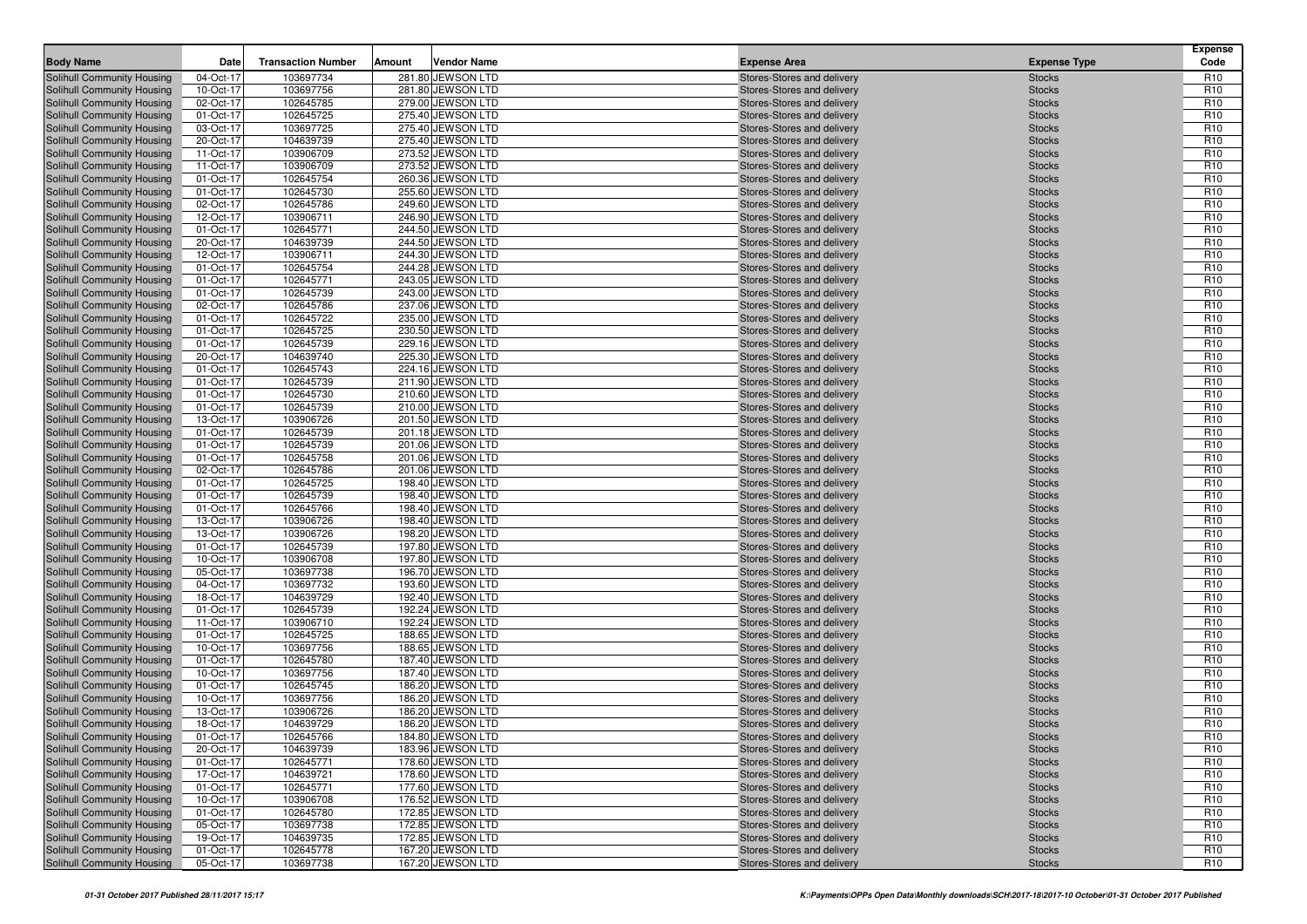| <b>Body Name</b>                                         | Date                   | <b>Transaction Number</b> | Amount | <b>Vendor Name</b>                     | <b>Expense Area</b>                                      | <b>Expense Type</b>            | <b>Expense</b><br>Code             |
|----------------------------------------------------------|------------------------|---------------------------|--------|----------------------------------------|----------------------------------------------------------|--------------------------------|------------------------------------|
| Solihull Community Housing                               | 04-Oct-17              | 103697734                 |        | 281.80 JEWSON LTD                      | Stores-Stores and delivery                               | <b>Stocks</b>                  | R <sub>10</sub>                    |
| Solihull Community Housing                               | 10-Oct-17              | 103697756                 |        | 281.80 JEWSON LTD                      | Stores-Stores and delivery                               | <b>Stocks</b>                  | R <sub>10</sub>                    |
| Solihull Community Housing                               | 02-Oct-17              | 102645785                 |        | 279.00 JEWSON LTD                      | Stores-Stores and delivery                               | <b>Stocks</b>                  | R <sub>10</sub>                    |
| Solihull Community Housing                               | 01-Oct-17              | 102645725                 |        | 275.40 JEWSON LTD                      | Stores-Stores and delivery                               | <b>Stocks</b>                  | R <sub>10</sub>                    |
| Solihull Community Housing                               | 03-Oct-17              | 103697725                 |        | 275.40 JEWSON LTD                      | Stores-Stores and delivery                               | <b>Stocks</b>                  | R <sub>10</sub>                    |
| Solihull Community Housing                               | 20-Oct-17              | 104639739                 |        | 275.40 JEWSON LTD                      | Stores-Stores and delivery                               | <b>Stocks</b>                  | R <sub>10</sub>                    |
| Solihull Community Housing                               | 11-Oct-17              | 103906709                 |        | 273.52 JEWSON LTD                      | Stores-Stores and delivery                               | <b>Stocks</b>                  | R <sub>10</sub>                    |
| Solihull Community Housing                               | 11-Oct-17              | 103906709                 |        | 273.52 JEWSON LTD                      | Stores-Stores and delivery                               | <b>Stocks</b>                  | R <sub>10</sub>                    |
| Solihull Community Housing                               | 01-Oct-17              | 102645754                 |        | 260.36 JEWSON LTD                      | Stores-Stores and delivery                               | <b>Stocks</b>                  | R <sub>10</sub>                    |
| Solihull Community Housing                               | 01-Oct-17              | 102645730                 |        | 255.60 JEWSON LTD                      | Stores-Stores and delivery                               | <b>Stocks</b>                  | R <sub>10</sub>                    |
| Solihull Community Housing                               | 02-Oct-17              | 102645786                 |        | 249.60 JEWSON LTD                      | Stores-Stores and delivery                               | <b>Stocks</b>                  | R <sub>10</sub>                    |
| Solihull Community Housing                               | 12-Oct-17              | 103906711                 |        | 246.90 JEWSON LTD                      | Stores-Stores and delivery                               | <b>Stocks</b>                  | R <sub>10</sub>                    |
| Solihull Community Housing                               | 01-Oct-17              | 102645771                 |        | 244.50 JEWSON LTD                      | Stores-Stores and delivery                               | <b>Stocks</b>                  | R <sub>10</sub>                    |
| Solihull Community Housing                               | 20-Oct-17              | 104639739                 |        | 244.50 JEWSON LTD                      | Stores-Stores and delivery                               | <b>Stocks</b>                  | R <sub>10</sub>                    |
| Solihull Community Housing                               | 12-Oct-17              | 103906711                 |        | 244.30 JEWSON LTD                      | Stores-Stores and delivery                               | <b>Stocks</b>                  | R <sub>10</sub>                    |
| Solihull Community Housing                               | 01-Oct-17              | 102645754                 |        | 244.28 JEWSON LTD                      | Stores-Stores and delivery                               | <b>Stocks</b>                  | R <sub>10</sub>                    |
| Solihull Community Housing                               | 01-Oct-17              | 102645771                 |        | 243.05 JEWSON LTD                      | Stores-Stores and delivery                               | <b>Stocks</b>                  | R <sub>10</sub>                    |
| Solihull Community Housing                               | 01-Oct-17              | 102645739                 |        | 243.00 JEWSON LTD                      | Stores-Stores and delivery                               | <b>Stocks</b>                  | R <sub>10</sub>                    |
| Solihull Community Housing                               | 02-Oct-17              | 102645786                 |        | 237.06 JEWSON LTD                      | Stores-Stores and delivery                               | <b>Stocks</b>                  | R <sub>10</sub>                    |
| Solihull Community Housing                               | 01-Oct-17              | 102645722                 |        | 235.00 JEWSON LTD                      | Stores-Stores and delivery                               | <b>Stocks</b>                  | R <sub>10</sub>                    |
| Solihull Community Housing                               | 01-Oct-17              | 102645725                 |        | 230.50 JEWSON LTD                      | Stores-Stores and delivery                               | <b>Stocks</b>                  | R <sub>10</sub>                    |
| Solihull Community Housing                               | 01-Oct-17              | 102645739                 |        | 229.16 JEWSON LTD                      | Stores-Stores and delivery                               | <b>Stocks</b>                  | R <sub>10</sub>                    |
| Solihull Community Housing                               | 20-Oct-17              | 104639740                 |        | 225.30 JEWSON LTD                      | Stores-Stores and delivery                               | <b>Stocks</b>                  | R <sub>10</sub>                    |
| Solihull Community Housing                               | 01-Oct-17              | 102645743                 |        | 224.16 JEWSON LTD                      | Stores-Stores and delivery                               | <b>Stocks</b>                  | R <sub>10</sub>                    |
| Solihull Community Housing                               | 01-Oct-17              | 102645739                 |        | 211.90 JEWSON LTD                      | Stores-Stores and delivery                               | <b>Stocks</b>                  | R <sub>10</sub>                    |
| Solihull Community Housing                               | 01-Oct-17              | 102645730                 |        | 210.60 JEWSON LTD                      | Stores-Stores and delivery                               | <b>Stocks</b>                  | R <sub>10</sub>                    |
| Solihull Community Housing                               | 01-Oct-17              | 102645739                 |        | 210.00 JEWSON LTD                      | Stores-Stores and delivery                               | <b>Stocks</b>                  | R <sub>10</sub>                    |
| Solihull Community Housing                               | 13-Oct-17              | 103906726                 |        | 201.50 JEWSON LTD                      | Stores-Stores and delivery                               | <b>Stocks</b>                  | R <sub>10</sub>                    |
| Solihull Community Housing                               | 01-Oct-17              | 102645739                 |        | 201.18 JEWSON LTD                      | Stores-Stores and delivery                               | <b>Stocks</b>                  | R <sub>10</sub>                    |
| Solihull Community Housing                               | 01-Oct-17              | 102645739                 |        | 201.06 JEWSON LTD                      | Stores-Stores and delivery                               | <b>Stocks</b>                  | R <sub>10</sub>                    |
| Solihull Community Housing                               | 01-Oct-17              | 102645758                 |        | 201.06 JEWSON LTD                      | Stores-Stores and delivery                               | <b>Stocks</b>                  | R <sub>10</sub>                    |
| Solihull Community Housing                               | 02-Oct-17              | 102645786                 |        | 201.06 JEWSON LTD                      | Stores-Stores and delivery                               | <b>Stocks</b>                  | R <sub>10</sub>                    |
| Solihull Community Housing                               | 01-Oct-17              | 102645725                 |        | 198.40 JEWSON LTD                      | Stores-Stores and delivery                               | <b>Stocks</b>                  | R <sub>10</sub>                    |
| Solihull Community Housing                               | 01-Oct-17              | 102645739                 |        | 198.40 JEWSON LTD                      | Stores-Stores and delivery                               | <b>Stocks</b>                  | R <sub>10</sub><br>R <sub>10</sub> |
| Solihull Community Housing<br>Solihull Community Housing | 01-Oct-17<br>13-Oct-17 | 102645766<br>103906726    |        | 198.40 JEWSON LTD<br>198.40 JEWSON LTD | Stores-Stores and delivery<br>Stores-Stores and delivery | <b>Stocks</b><br><b>Stocks</b> | R <sub>10</sub>                    |
| Solihull Community Housing                               | 13-Oct-17              | 103906726                 |        | 198.20 JEWSON LTD                      | Stores-Stores and delivery                               | <b>Stocks</b>                  | R <sub>10</sub>                    |
| Solihull Community Housing                               | 01-Oct-17              | 102645739                 |        | 197.80 JEWSON LTD                      | Stores-Stores and delivery                               | <b>Stocks</b>                  | R <sub>10</sub>                    |
| Solihull Community Housing                               | 10-Oct-17              | 103906708                 |        | 197.80 JEWSON LTD                      | Stores-Stores and delivery                               | <b>Stocks</b>                  | R <sub>10</sub>                    |
| Solihull Community Housing                               | 05-Oct-17              | 103697738                 |        | 196.70 JEWSON LTD                      | Stores-Stores and delivery                               | <b>Stocks</b>                  | R <sub>10</sub>                    |
| Solihull Community Housing                               | 04-Oct-17              | 103697732                 |        | 193.60 JEWSON LTD                      | Stores-Stores and delivery                               | <b>Stocks</b>                  | R <sub>10</sub>                    |
| Solihull Community Housing                               | 18-Oct-17              | 104639729                 |        | 192.40 JEWSON LTD                      | Stores-Stores and delivery                               | <b>Stocks</b>                  | R <sub>10</sub>                    |
| Solihull Community Housing                               | 01-Oct-17              | 102645739                 |        | 192.24 JEWSON LTD                      | Stores-Stores and delivery                               | <b>Stocks</b>                  | R <sub>10</sub>                    |
| Solihull Community Housing                               | 11-Oct-17              | 103906710                 |        | 192.24 JEWSON LTD                      | Stores-Stores and delivery                               | <b>Stocks</b>                  | R <sub>10</sub>                    |
| Solihull Community Housing                               | 01-Oct-17              | 102645725                 |        | 188.65 JEWSON LTD                      | Stores-Stores and delivery                               | <b>Stocks</b>                  | R <sub>10</sub>                    |
| Solihull Community Housing                               | 10-Oct-17              | 103697756                 |        | 188.65 JEWSON LTD                      | Stores-Stores and delivery                               | <b>Stocks</b>                  | R <sub>10</sub>                    |
| Solihull Community Housing                               | 01-Oct-17              | 102645780                 |        | 187.40 JEWSON LTD                      | Stores-Stores and delivery                               | <b>Stocks</b>                  | R <sub>10</sub>                    |
| Solihull Community Housing                               | 10-Oct-17              | 103697756                 |        | 187.40 JEWSON LTD                      | Stores-Stores and delivery                               | <b>Stocks</b>                  | R <sub>10</sub>                    |
| Solihull Community Housing                               | 01-Oct-17              | 102645745                 |        | 186.20 JEWSON LTD                      | Stores-Stores and delivery                               | <b>Stocks</b>                  | R <sub>10</sub>                    |
| Solihull Community Housing                               | 10-Oct-17              | 103697756                 |        | 186.20 JEWSON LTD                      | Stores-Stores and delivery                               | <b>Stocks</b>                  | R <sub>10</sub>                    |
| Solihull Community Housing                               | 13-Oct-17              | 103906726                 |        | 186.20 JEWSON LTD                      | Stores-Stores and delivery                               | <b>Stocks</b>                  | R <sub>10</sub>                    |
| Solihull Community Housing                               | 18-Oct-17              | 104639729                 |        | 186.20 JEWSON LTD                      | Stores-Stores and delivery                               | <b>Stocks</b>                  | R <sub>10</sub>                    |
| Solihull Community Housing                               | 01-Oct-17              | 102645766                 |        | 184.80 JEWSON LTD                      | Stores-Stores and delivery                               | <b>Stocks</b>                  | R <sub>10</sub>                    |
| Solihull Community Housing                               | 20-Oct-17              | 104639739                 |        | 183.96 JEWSON LTD                      | Stores-Stores and delivery                               | <b>Stocks</b>                  | R <sub>10</sub>                    |
| Solihull Community Housing                               | 01-Oct-17              | 102645771                 |        | 178.60 JEWSON LTD                      | Stores-Stores and delivery                               | <b>Stocks</b>                  | R <sub>10</sub>                    |
| Solihull Community Housing                               | 17-Oct-17              | 104639721                 |        | 178.60 JEWSON LTD                      | Stores-Stores and delivery                               | <b>Stocks</b>                  | R <sub>10</sub>                    |
| Solihull Community Housing                               | 01-Oct-17              | 102645771                 |        | 177.60 JEWSON LTD                      | Stores-Stores and delivery                               | <b>Stocks</b>                  | R <sub>10</sub>                    |
| Solihull Community Housing                               | 10-Oct-17              | 103906708                 |        | 176.52 JEWSON LTD                      | Stores-Stores and delivery                               | <b>Stocks</b>                  | R <sub>10</sub>                    |
| Solihull Community Housing                               | 01-Oct-17              | 102645780                 |        | 172.85 JEWSON LTD                      | Stores-Stores and delivery                               | <b>Stocks</b>                  | R <sub>10</sub>                    |
| Solihull Community Housing                               | 05-Oct-17              | 103697738                 |        | 172.85 JEWSON LTD                      | Stores-Stores and delivery                               | <b>Stocks</b>                  | R <sub>10</sub>                    |
| Solihull Community Housing                               | 19-Oct-17              | 104639735                 |        | 172.85 JEWSON LTD                      | Stores-Stores and delivery                               | <b>Stocks</b>                  | R <sub>10</sub>                    |
| Solihull Community Housing                               | 01-Oct-17              | 102645778                 |        | 167.20 JEWSON LTD                      | Stores-Stores and delivery                               | <b>Stocks</b>                  | R <sub>10</sub>                    |
| Solihull Community Housing                               | 05-Oct-17              | 103697738                 |        | 167.20 JEWSON LTD                      | Stores-Stores and delivery                               | <b>Stocks</b>                  | R <sub>10</sub>                    |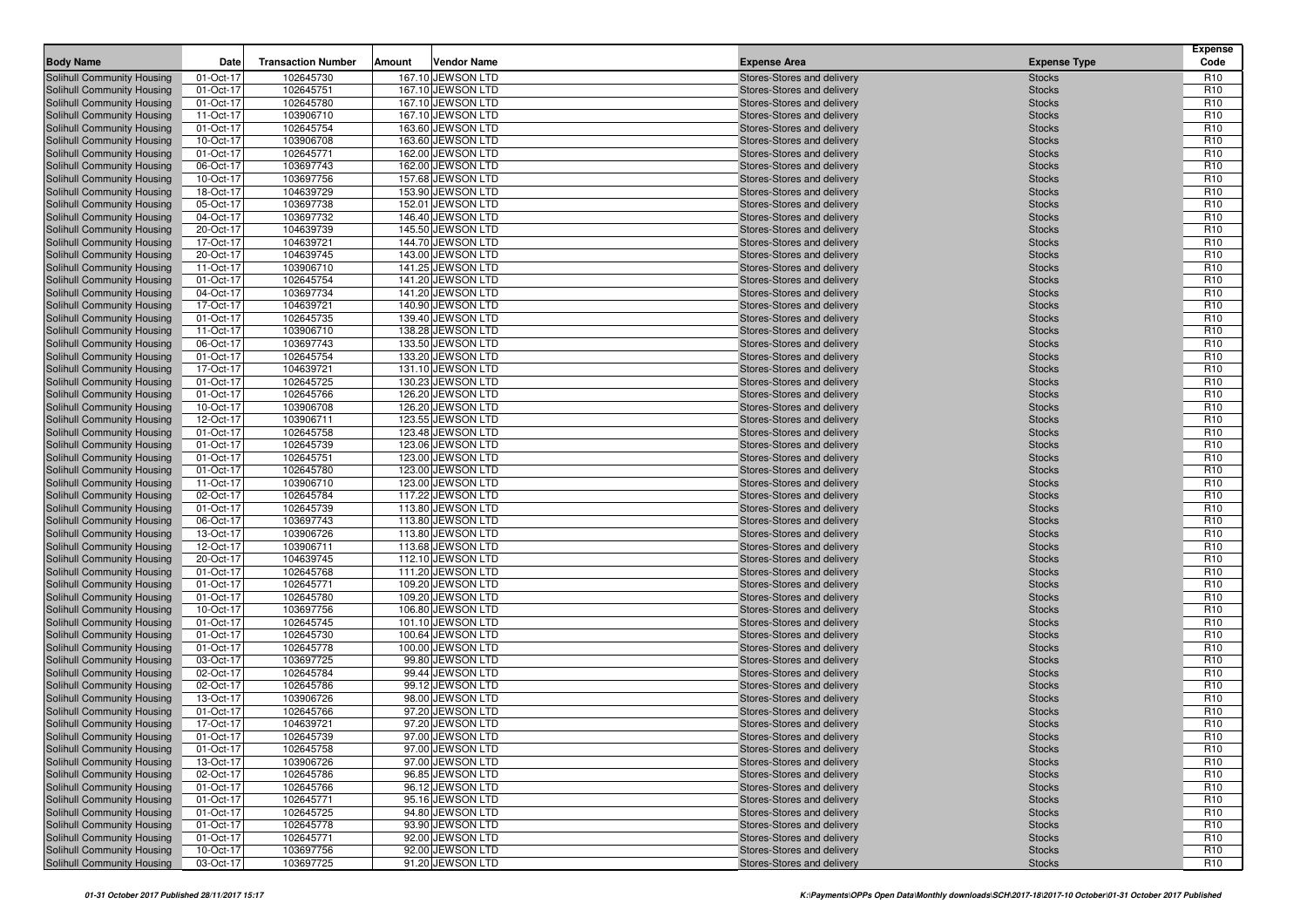| <b>Body Name</b>                                         | Date                   | <b>Transaction Number</b> | Amount | <b>Vendor Name</b>                     | <b>Expense Area</b>                                      | <b>Expense Type</b>            | <b>Expense</b><br>Code             |
|----------------------------------------------------------|------------------------|---------------------------|--------|----------------------------------------|----------------------------------------------------------|--------------------------------|------------------------------------|
| Solihull Community Housing                               | 01-Oct-17              | 102645730                 |        | 167.10 JEWSON LTD                      | Stores-Stores and delivery                               | <b>Stocks</b>                  | R <sub>10</sub>                    |
| Solihull Community Housing                               | 01-Oct-17              | 102645751                 |        | 167.10 JEWSON LTD                      | Stores-Stores and delivery                               | <b>Stocks</b>                  | R <sub>10</sub>                    |
| Solihull Community Housing                               | 01-Oct-17              | 102645780                 |        | 167.10 JEWSON LTD                      | Stores-Stores and delivery                               | <b>Stocks</b>                  | R <sub>10</sub>                    |
| Solihull Community Housing                               | 11-Oct-17              | 103906710                 |        | 167.10 JEWSON LTD                      | Stores-Stores and delivery                               | <b>Stocks</b>                  | R <sub>10</sub>                    |
| Solihull Community Housing                               | 01-Oct-17              | 102645754                 |        | 163.60 JEWSON LTD                      | Stores-Stores and delivery                               | <b>Stocks</b>                  | R <sub>10</sub>                    |
| Solihull Community Housing                               | 10-Oct-17              | 103906708                 |        | 163.60 JEWSON LTD                      | Stores-Stores and delivery                               | <b>Stocks</b>                  | R <sub>10</sub>                    |
| Solihull Community Housing                               | 01-Oct-17              | 102645771                 |        | 162.00 JEWSON LTD                      | Stores-Stores and delivery                               | <b>Stocks</b>                  | R <sub>10</sub>                    |
| Solihull Community Housing                               | 06-Oct-17              | 103697743                 |        | 162.00 JEWSON LTD                      | Stores-Stores and delivery                               | <b>Stocks</b>                  | R <sub>10</sub>                    |
| Solihull Community Housing                               | 10-Oct-17              | 103697756                 |        | 157.68 JEWSON LTD                      | Stores-Stores and delivery                               | <b>Stocks</b>                  | R <sub>10</sub>                    |
| Solihull Community Housing                               | 18-Oct-17              | 104639729                 |        | 153.90 JEWSON LTD                      | Stores-Stores and delivery                               | <b>Stocks</b>                  | R <sub>10</sub>                    |
| Solihull Community Housing                               | 05-Oct-17              | 103697738                 |        | 152.01 JEWSON LTD                      | Stores-Stores and delivery                               | <b>Stocks</b>                  | R <sub>10</sub>                    |
| Solihull Community Housing                               | 04-Oct-17              | 103697732                 |        | 146.40 JEWSON LTD                      | Stores-Stores and delivery                               | <b>Stocks</b>                  | R <sub>10</sub>                    |
| Solihull Community Housing                               | 20-Oct-17              | 104639739                 |        | 145.50 JEWSON LTD                      | Stores-Stores and delivery                               | <b>Stocks</b>                  | R <sub>10</sub>                    |
| Solihull Community Housing<br>Solihull Community Housing | 17-Oct-17              | 104639721                 |        | 144.70 JEWSON LTD                      | Stores-Stores and delivery                               | <b>Stocks</b>                  | R <sub>10</sub>                    |
|                                                          | 20-Oct-17              | 104639745<br>103906710    |        | 143.00 JEWSON LTD<br>141.25 JEWSON LTD | Stores-Stores and delivery                               | <b>Stocks</b>                  | R <sub>10</sub><br>R <sub>10</sub> |
| Solihull Community Housing<br>Solihull Community Housing | 11-Oct-17<br>01-Oct-17 | 102645754                 |        | 141.20 JEWSON LTD                      | Stores-Stores and delivery<br>Stores-Stores and delivery | <b>Stocks</b><br><b>Stocks</b> | R <sub>10</sub>                    |
| Solihull Community Housing                               | 04-Oct-17              | 103697734                 |        | 141.20 JEWSON LTD                      | Stores-Stores and delivery                               | <b>Stocks</b>                  | R <sub>10</sub>                    |
| Solihull Community Housing                               | 17-Oct-17              | 104639721                 |        | 140.90 JEWSON LTD                      | Stores-Stores and delivery                               | <b>Stocks</b>                  | R <sub>10</sub>                    |
| Solihull Community Housing                               | 01-Oct-17              | 102645735                 |        | 139.40 JEWSON LTD                      | Stores-Stores and delivery                               | <b>Stocks</b>                  | R <sub>10</sub>                    |
| Solihull Community Housing                               | 11-Oct-17              | 103906710                 |        | 138.28 JEWSON LTD                      | Stores-Stores and delivery                               | <b>Stocks</b>                  | R <sub>10</sub>                    |
| Solihull Community Housing                               | 06-Oct-17              | 103697743                 |        | 133.50 JEWSON LTD                      | Stores-Stores and delivery                               | <b>Stocks</b>                  | R <sub>10</sub>                    |
| Solihull Community Housing                               | 01-Oct-17              | 102645754                 |        | 133.20 JEWSON LTD                      | Stores-Stores and delivery                               | <b>Stocks</b>                  | R <sub>10</sub>                    |
| Solihull Community Housing                               | 17-Oct-17              | 104639721                 |        | 131.10 JEWSON LTD                      | Stores-Stores and delivery                               | <b>Stocks</b>                  | R <sub>10</sub>                    |
| Solihull Community Housing                               | 01-Oct-17              | 102645725                 |        | 130.23 JEWSON LTD                      | Stores-Stores and delivery                               | <b>Stocks</b>                  | R <sub>10</sub>                    |
| Solihull Community Housing                               | 01-Oct-17              | 102645766                 |        | 126.20 JEWSON LTD                      | Stores-Stores and delivery                               | <b>Stocks</b>                  | R <sub>10</sub>                    |
| Solihull Community Housing                               | 10-Oct-17              | 103906708                 |        | 126.20 JEWSON LTD                      | Stores-Stores and delivery                               | <b>Stocks</b>                  | R <sub>10</sub>                    |
| Solihull Community Housing                               | 12-Oct-17              | 103906711                 |        | 123.55 JEWSON LTD                      | Stores-Stores and delivery                               | <b>Stocks</b>                  | R <sub>10</sub>                    |
| Solihull Community Housing                               | 01-Oct-17              | 102645758                 |        | 123.48 JEWSON LTD                      | Stores-Stores and delivery                               | <b>Stocks</b>                  | R <sub>10</sub>                    |
| Solihull Community Housing                               | 01-Oct-17              | 102645739                 |        | 123.06 JEWSON LTD                      | Stores-Stores and delivery                               | <b>Stocks</b>                  | R <sub>10</sub>                    |
| Solihull Community Housing                               | 01-Oct-17              | 102645751                 |        | 123.00 JEWSON LTD                      | Stores-Stores and delivery                               | <b>Stocks</b>                  | R <sub>10</sub>                    |
| Solihull Community Housing                               | 01-Oct-17              | 102645780                 |        | 123.00 JEWSON LTD                      | Stores-Stores and delivery                               | <b>Stocks</b>                  | R <sub>10</sub>                    |
| Solihull Community Housing                               | 11-Oct-17              | 103906710                 |        | 123.00 JEWSON LTD                      | Stores-Stores and delivery                               | <b>Stocks</b>                  | R <sub>10</sub>                    |
| Solihull Community Housing                               | 02-Oct-17              | 102645784                 |        | 117.22 JEWSON LTD                      | Stores-Stores and delivery                               | <b>Stocks</b>                  | R <sub>10</sub>                    |
| Solihull Community Housing                               | 01-Oct-17              | 102645739                 |        | 113.80 JEWSON LTD                      | Stores-Stores and delivery                               | <b>Stocks</b>                  | R <sub>10</sub>                    |
| Solihull Community Housing                               | 06-Oct-17              | 103697743                 |        | 113.80 JEWSON LTD                      | Stores-Stores and delivery                               | <b>Stocks</b>                  | R <sub>10</sub>                    |
| Solihull Community Housing                               | 13-Oct-17              | 103906726                 |        | 113.80 JEWSON LTD                      | Stores-Stores and delivery                               | <b>Stocks</b>                  | R <sub>10</sub>                    |
| Solihull Community Housing                               | 12-Oct-17              | 103906711                 |        | 113.68 JEWSON LTD                      | Stores-Stores and delivery                               | <b>Stocks</b>                  | R <sub>10</sub>                    |
| Solihull Community Housing                               | 20-Oct-17              | 104639745                 |        | 112.10 JEWSON LTD                      | Stores-Stores and delivery                               | <b>Stocks</b>                  | R <sub>10</sub>                    |
| Solihull Community Housing                               | 01-Oct-17              | 102645768                 |        | 111.20 JEWSON LTD                      | Stores-Stores and delivery                               | <b>Stocks</b>                  | R <sub>10</sub>                    |
| Solihull Community Housing                               | 01-Oct-17              | 102645771                 |        | 109.20 JEWSON LTD                      | Stores-Stores and delivery                               | <b>Stocks</b>                  | R <sub>10</sub>                    |
| Solihull Community Housing                               | 01-Oct-17              | 102645780                 |        | 109.20 JEWSON LTD                      | Stores-Stores and delivery                               | <b>Stocks</b>                  | R <sub>10</sub>                    |
| Solihull Community Housing<br>Solihull Community Housing | 10-Oct-17<br>01-Oct-17 | 103697756<br>102645745    |        | 106.80 JEWSON LTD<br>101.10 JEWSON LTD | Stores-Stores and delivery<br>Stores-Stores and delivery | <b>Stocks</b><br><b>Stocks</b> | R <sub>10</sub><br>R <sub>10</sub> |
| Solihull Community Housing                               | 01-Oct-17              | 102645730                 |        | 100.64 JEWSON LTD                      | Stores-Stores and delivery                               | <b>Stocks</b>                  | R <sub>10</sub>                    |
| Solihull Community Housing                               | 01-Oct-17              | 102645778                 |        | 100.00 JEWSON LTD                      | Stores-Stores and delivery                               | <b>Stocks</b>                  | R <sub>10</sub>                    |
| Solihull Community Housing                               | 03-Oct-17              | 103697725                 |        | 99.80 JEWSON LTD                       | Stores-Stores and delivery                               | <b>Stocks</b>                  | R <sub>10</sub>                    |
| Solihull Community Housing                               | 02-Oct-17              | 102645784                 |        | 99.44 JEWSON LTD                       | Stores-Stores and delivery                               | <b>Stocks</b>                  | R <sub>10</sub>                    |
| Solihull Community Housing                               | 02-Oct-17              | 102645786                 |        | 99.12 JEWSON LTD                       | Stores-Stores and delivery                               | <b>Stocks</b>                  | R <sub>10</sub>                    |
| Solihull Community Housing                               | 13-Oct-17              | 103906726                 |        | 98.00 JEWSON LTD                       | Stores-Stores and delivery                               | <b>Stocks</b>                  | R <sub>10</sub>                    |
| Solihull Community Housing                               | 01-Oct-17              | 102645766                 |        | 97.20 JEWSON LTD                       | Stores-Stores and delivery                               | <b>Stocks</b>                  | R <sub>10</sub>                    |
| Solihull Community Housing                               | 17-Oct-17              | 104639721                 |        | 97.20 JEWSON LTD                       | Stores-Stores and delivery                               | <b>Stocks</b>                  | R <sub>10</sub>                    |
| Solihull Community Housing                               | 01-Oct-17              | 102645739                 |        | 97.00 JEWSON LTD                       | Stores-Stores and delivery                               | <b>Stocks</b>                  | R <sub>10</sub>                    |
| Solihull Community Housing                               | 01-Oct-17              | 102645758                 |        | 97.00 JEWSON LTD                       | Stores-Stores and delivery                               | <b>Stocks</b>                  | R <sub>10</sub>                    |
| Solihull Community Housing                               | 13-Oct-17              | 103906726                 |        | 97.00 JEWSON LTD                       | Stores-Stores and delivery                               | <b>Stocks</b>                  | R <sub>10</sub>                    |
| Solihull Community Housing                               | 02-Oct-17              | 102645786                 |        | 96.85 JEWSON LTD                       | Stores-Stores and delivery                               | <b>Stocks</b>                  | R <sub>10</sub>                    |
| Solihull Community Housing                               | 01-Oct-17              | 102645766                 |        | 96.12 JEWSON LTD                       | Stores-Stores and delivery                               | <b>Stocks</b>                  | R <sub>10</sub>                    |
| Solihull Community Housing                               | 01-Oct-17              | 102645771                 |        | 95.16 JEWSON LTD                       | Stores-Stores and delivery                               | <b>Stocks</b>                  | R <sub>10</sub>                    |
| Solihull Community Housing                               | 01-Oct-17              | 102645725                 |        | 94.80 JEWSON LTD                       | Stores-Stores and delivery                               | <b>Stocks</b>                  | R <sub>10</sub>                    |
| Solihull Community Housing                               | 01-Oct-17              | 102645778                 |        | 93.90 JEWSON LTD                       | Stores-Stores and delivery                               | <b>Stocks</b>                  | R <sub>10</sub>                    |
| Solihull Community Housing                               | 01-Oct-17              | 102645771                 |        | 92.00 JEWSON LTD                       | Stores-Stores and delivery                               | <b>Stocks</b>                  | R <sub>10</sub>                    |
| Solihull Community Housing                               | 10-Oct-17              | 103697756                 |        | 92.00 JEWSON LTD                       | Stores-Stores and delivery                               | <b>Stocks</b>                  | R <sub>10</sub>                    |
| Solihull Community Housing                               | 03-Oct-17              | 103697725                 |        | 91.20 JEWSON LTD                       | Stores-Stores and delivery                               | <b>Stocks</b>                  | R <sub>10</sub>                    |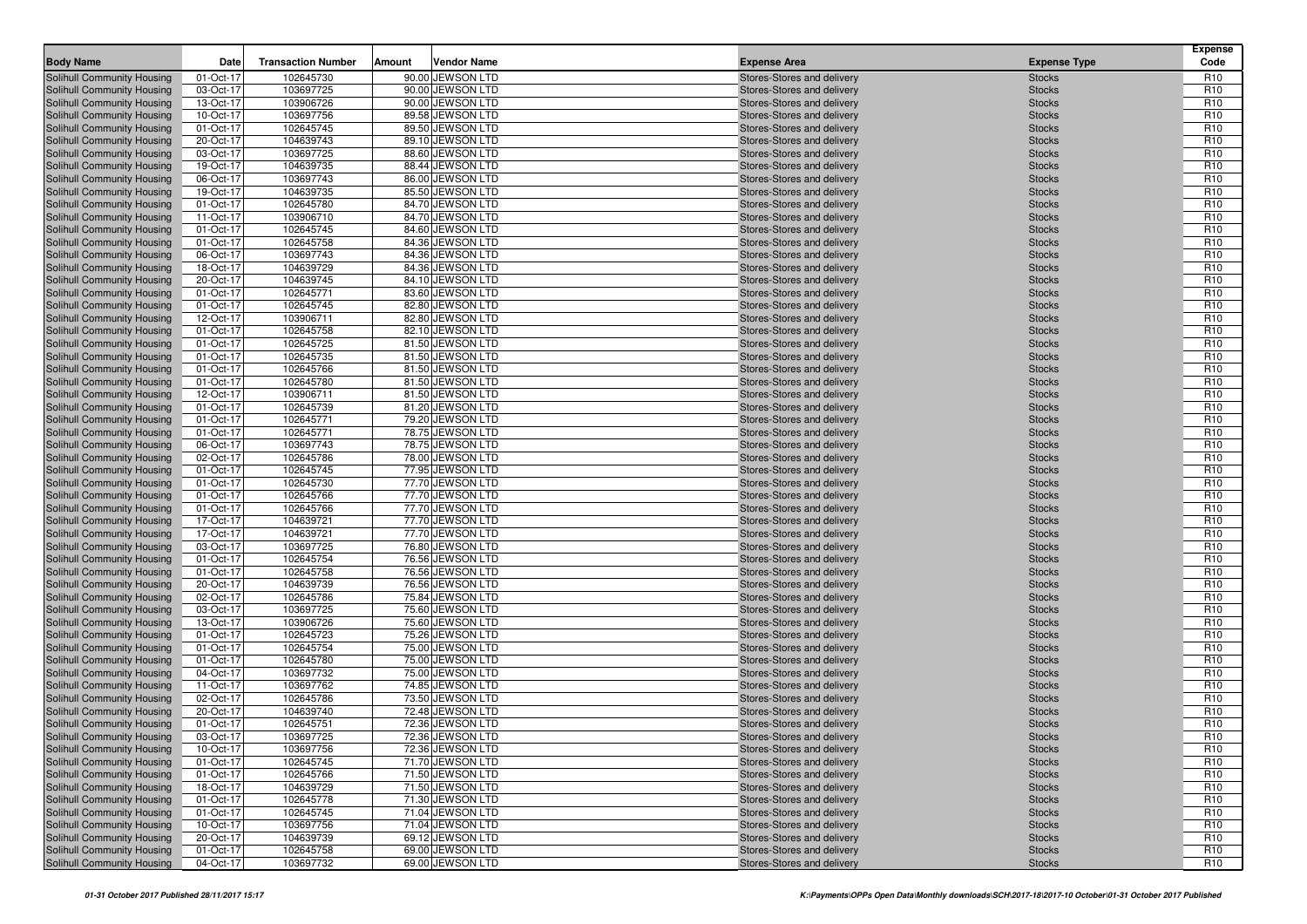| <b>Body Name</b>                                         | Date                   | <b>Transaction Number</b> | Amount | <b>Vendor Name</b>                   | <b>Expense Area</b>                                      | <b>Expense Type</b>            | <b>Expense</b><br>Code             |
|----------------------------------------------------------|------------------------|---------------------------|--------|--------------------------------------|----------------------------------------------------------|--------------------------------|------------------------------------|
| Solihull Community Housing                               | 01-Oct-17              | 102645730                 |        | 90.00 JEWSON LTD                     | Stores-Stores and delivery                               | <b>Stocks</b>                  | R <sub>10</sub>                    |
| Solihull Community Housing                               | 03-Oct-17              | 103697725                 |        | 90.00 JEWSON LTD                     | Stores-Stores and delivery                               | <b>Stocks</b>                  | R <sub>10</sub>                    |
| Solihull Community Housing                               | 13-Oct-17              | 103906726                 |        | 90.00 JEWSON LTD                     | Stores-Stores and delivery                               | <b>Stocks</b>                  | R <sub>10</sub>                    |
| Solihull Community Housing                               | 10-Oct-17              | 103697756                 |        | 89.58 JEWSON LTD                     | Stores-Stores and delivery                               | <b>Stocks</b>                  | R <sub>10</sub>                    |
| Solihull Community Housing                               | 01-Oct-17              | 102645745                 |        | 89.50 JEWSON LTD                     | Stores-Stores and delivery                               | <b>Stocks</b>                  | R <sub>10</sub>                    |
| Solihull Community Housing                               | 20-Oct-17              | 104639743                 |        | 89.10 JEWSON LTD                     | Stores-Stores and delivery                               | <b>Stocks</b>                  | R <sub>10</sub>                    |
| Solihull Community Housing                               | 03-Oct-17              | 103697725                 |        | 88.60 JEWSON LTD                     | Stores-Stores and delivery                               | <b>Stocks</b>                  | R <sub>10</sub>                    |
| Solihull Community Housing                               | 19-Oct-17              | 104639735                 |        | 88.44 JEWSON LTD                     | Stores-Stores and delivery                               | <b>Stocks</b>                  | R <sub>10</sub>                    |
| Solihull Community Housing                               | 06-Oct-17              | 103697743                 |        | 86.00 JEWSON LTD                     | Stores-Stores and delivery                               | <b>Stocks</b>                  | R <sub>10</sub>                    |
| Solihull Community Housing                               | 19-Oct-17              | 104639735                 |        | 85.50 JEWSON LTD                     | Stores-Stores and delivery                               | <b>Stocks</b>                  | R <sub>10</sub>                    |
| Solihull Community Housing                               | 01-Oct-17              | 102645780                 |        | 84.70 JEWSON LTD                     | Stores-Stores and delivery                               | <b>Stocks</b>                  | R <sub>10</sub>                    |
| Solihull Community Housing                               | 11-Oct-17              | 103906710                 |        | 84.70 JEWSON LTD                     | Stores-Stores and delivery                               | <b>Stocks</b>                  | R <sub>10</sub>                    |
| Solihull Community Housing                               | 01-Oct-17              | 102645745                 |        | 84.60 JEWSON LTD                     | Stores-Stores and delivery                               | <b>Stocks</b>                  | R <sub>10</sub>                    |
| Solihull Community Housing                               | 01-Oct-17              | 102645758                 |        | 84.36 JEWSON LTD                     | Stores-Stores and delivery                               | <b>Stocks</b>                  | R <sub>10</sub>                    |
| Solihull Community Housing                               | 06-Oct-17              | 103697743                 |        | 84.36 JEWSON LTD                     | Stores-Stores and delivery                               | <b>Stocks</b>                  | R <sub>10</sub>                    |
| Solihull Community Housing                               | 18-Oct-17              | 104639729                 |        | 84.36 JEWSON LTD                     | Stores-Stores and delivery                               | <b>Stocks</b>                  | R <sub>10</sub>                    |
| Solihull Community Housing                               | 20-Oct-17              | 104639745                 |        | 84.10 JEWSON LTD                     | Stores-Stores and delivery                               | <b>Stocks</b>                  | R <sub>10</sub>                    |
| Solihull Community Housing                               | 01-Oct-17              | 102645771                 |        | 83.60 JEWSON LTD                     | Stores-Stores and delivery                               | <b>Stocks</b>                  | R <sub>10</sub>                    |
| Solihull Community Housing                               | 01-Oct-17              | 102645745                 |        | 82.80 JEWSON LTD                     | Stores-Stores and delivery                               | <b>Stocks</b>                  | R <sub>10</sub>                    |
| Solihull Community Housing                               | 12-Oct-17              | 103906711                 |        | 82.80 JEWSON LTD                     | Stores-Stores and delivery                               | <b>Stocks</b>                  | R <sub>10</sub>                    |
| Solihull Community Housing                               | 01-Oct-17              | 102645758                 |        | 82.10 JEWSON LTD                     | Stores-Stores and delivery                               | <b>Stocks</b>                  | R <sub>10</sub>                    |
| Solihull Community Housing                               | 01-Oct-17              | 102645725                 |        | 81.50 JEWSON LTD                     | Stores-Stores and delivery                               | <b>Stocks</b>                  | R <sub>10</sub>                    |
| Solihull Community Housing                               | 01-Oct-17              | 102645735                 |        | 81.50 JEWSON LTD                     | Stores-Stores and delivery                               | <b>Stocks</b>                  | R <sub>10</sub>                    |
| Solihull Community Housing                               | 01-Oct-17              | 102645766                 |        | 81.50 JEWSON LTD                     | Stores-Stores and delivery                               | <b>Stocks</b>                  | R <sub>10</sub>                    |
| Solihull Community Housing                               | 01-Oct-17              | 102645780                 |        | 81.50 JEWSON LTD                     | Stores-Stores and delivery                               | <b>Stocks</b>                  | R <sub>10</sub>                    |
| Solihull Community Housing                               | 12-Oct-17              | 103906711                 |        | 81.50 JEWSON LTD                     | Stores-Stores and delivery                               | <b>Stocks</b>                  | R <sub>10</sub>                    |
| Solihull Community Housing                               | 01-Oct-17              | 102645739                 |        | 81.20 JEWSON LTD                     | Stores-Stores and delivery                               | <b>Stocks</b>                  | R <sub>10</sub>                    |
| Solihull Community Housing                               | 01-Oct-17              | 102645771                 |        | 79.20 JEWSON LTD                     | Stores-Stores and delivery                               | <b>Stocks</b>                  | R <sub>10</sub>                    |
| Solihull Community Housing                               | 01-Oct-17              | 102645771                 |        | 78.75 JEWSON LTD                     | Stores-Stores and delivery                               | <b>Stocks</b>                  | R <sub>10</sub>                    |
| Solihull Community Housing                               | 06-Oct-17              | 103697743                 |        | 78.75 JEWSON LTD                     | Stores-Stores and delivery                               | <b>Stocks</b>                  | R <sub>10</sub>                    |
| Solihull Community Housing                               | 02-Oct-17              | 102645786                 |        | 78.00 JEWSON LTD                     | Stores-Stores and delivery                               | <b>Stocks</b>                  | R <sub>10</sub>                    |
| Solihull Community Housing                               | 01-Oct-17              | 102645745                 |        | 77.95 JEWSON LTD                     | Stores-Stores and delivery                               | <b>Stocks</b>                  | R <sub>10</sub>                    |
| Solihull Community Housing                               | 01-Oct-17              | 102645730                 |        | 77.70 JEWSON LTD                     | Stores-Stores and delivery                               | <b>Stocks</b>                  | R <sub>10</sub>                    |
| Solihull Community Housing                               | 01-Oct-17              | 102645766                 |        | 77.70 JEWSON LTD                     | Stores-Stores and delivery                               | <b>Stocks</b>                  | R <sub>10</sub><br>R <sub>10</sub> |
| Solihull Community Housing<br>Solihull Community Housing | 01-Oct-17<br>17-Oct-17 | 102645766<br>104639721    |        | 77.70 JEWSON LTD<br>77.70 JEWSON LTD | Stores-Stores and delivery<br>Stores-Stores and delivery | <b>Stocks</b><br><b>Stocks</b> | R <sub>10</sub>                    |
| Solihull Community Housing                               | 17-Oct-17              | 104639721                 |        | 77.70 JEWSON LTD                     | Stores-Stores and delivery                               | <b>Stocks</b>                  | R <sub>10</sub>                    |
| Solihull Community Housing                               | 03-Oct-17              | 103697725                 |        | 76.80 JEWSON LTD                     | Stores-Stores and delivery                               | <b>Stocks</b>                  | R <sub>10</sub>                    |
| Solihull Community Housing                               | 01-Oct-17              | 102645754                 |        | 76.56 JEWSON LTD                     | Stores-Stores and delivery                               | <b>Stocks</b>                  | R <sub>10</sub>                    |
| Solihull Community Housing                               | 01-Oct-17              | 102645758                 |        | 76.56 JEWSON LTD                     | Stores-Stores and delivery                               | <b>Stocks</b>                  | R <sub>10</sub>                    |
| Solihull Community Housing                               | 20-Oct-17              | 104639739                 |        | 76.56 JEWSON LTD                     | Stores-Stores and delivery                               | <b>Stocks</b>                  | R <sub>10</sub>                    |
| Solihull Community Housing                               | 02-Oct-17              | 102645786                 |        | 75.84 JEWSON LTD                     | Stores-Stores and delivery                               | <b>Stocks</b>                  | R <sub>10</sub>                    |
| Solihull Community Housing                               | 03-Oct-17              | 103697725                 |        | 75.60 JEWSON LTD                     | Stores-Stores and delivery                               | <b>Stocks</b>                  | R <sub>10</sub>                    |
| Solihull Community Housing                               | 13-Oct-17              | 103906726                 |        | 75.60 JEWSON LTD                     | Stores-Stores and delivery                               | <b>Stocks</b>                  | R <sub>10</sub>                    |
| Solihull Community Housing                               | 01-Oct-17              | 102645723                 |        | 75.26 JEWSON LTD                     | Stores-Stores and delivery                               | <b>Stocks</b>                  | R <sub>10</sub>                    |
| Solihull Community Housing                               | 01-Oct-17              | 102645754                 |        | 75.00 JEWSON LTD                     | Stores-Stores and delivery                               | <b>Stocks</b>                  | R <sub>10</sub>                    |
| Solihull Community Housing                               | 01-Oct-17              | 102645780                 |        | 75.00 JEWSON LTD                     | Stores-Stores and delivery                               | <b>Stocks</b>                  | R <sub>10</sub>                    |
| Solihull Community Housing                               | 04-Oct-17              | 103697732                 |        | 75.00 JEWSON LTD                     | Stores-Stores and delivery                               | <b>Stocks</b>                  | R <sub>10</sub>                    |
| Solihull Community Housing                               | 11-Oct-17              | 103697762                 |        | 74.85 JEWSON LTD                     | Stores-Stores and delivery                               | <b>Stocks</b>                  | R <sub>10</sub>                    |
| Solihull Community Housing                               | 02-Oct-17              | 102645786                 |        | 73.50 JEWSON LTD                     | Stores-Stores and delivery                               | <b>Stocks</b>                  | R <sub>10</sub>                    |
| Solihull Community Housing                               | 20-Oct-17              | 104639740                 |        | 72.48 JEWSON LTD                     | Stores-Stores and delivery                               | <b>Stocks</b>                  | R <sub>10</sub>                    |
| Solihull Community Housing                               | 01-Oct-17              | 102645751                 |        | 72.36 JEWSON LTD                     | Stores-Stores and delivery                               | <b>Stocks</b>                  | R <sub>10</sub>                    |
| Solihull Community Housing                               | 03-Oct-17              | 103697725                 |        | 72.36 JEWSON LTD                     | Stores-Stores and delivery                               | <b>Stocks</b>                  | R <sub>10</sub>                    |
| Solihull Community Housing                               | 10-Oct-17              | 103697756                 |        | 72.36 JEWSON LTD                     | Stores-Stores and delivery                               | <b>Stocks</b>                  | R <sub>10</sub>                    |
| Solihull Community Housing                               | 01-Oct-17              | 102645745                 |        | 71.70 JEWSON LTD                     | Stores-Stores and delivery                               | <b>Stocks</b>                  | R <sub>10</sub>                    |
| Solihull Community Housing                               | 01-Oct-17              | 102645766                 |        | 71.50 JEWSON LTD                     | Stores-Stores and delivery                               | <b>Stocks</b>                  | R <sub>10</sub>                    |
| Solihull Community Housing                               | 18-Oct-17              | 104639729                 |        | 71.50 JEWSON LTD                     | Stores-Stores and delivery                               | <b>Stocks</b>                  | R <sub>10</sub>                    |
| Solihull Community Housing                               | 01-Oct-17              | 102645778                 |        | 71.30 JEWSON LTD                     | Stores-Stores and delivery                               | <b>Stocks</b>                  | R <sub>10</sub>                    |
| Solihull Community Housing                               | 01-Oct-17              | 102645745                 |        | 71.04 JEWSON LTD                     | Stores-Stores and delivery                               | <b>Stocks</b>                  | R <sub>10</sub>                    |
| Solihull Community Housing                               | 10-Oct-17              | 103697756                 |        | 71.04 JEWSON LTD                     | Stores-Stores and delivery                               | <b>Stocks</b>                  | R <sub>10</sub>                    |
| Solihull Community Housing                               | 20-Oct-17              | 104639739                 |        | 69.12 JEWSON LTD                     | Stores-Stores and delivery                               | <b>Stocks</b>                  | R <sub>10</sub>                    |
| Solihull Community Housing                               | 01-Oct-17              | 102645758                 |        | 69.00 JEWSON LTD                     | Stores-Stores and delivery                               | <b>Stocks</b>                  | R <sub>10</sub>                    |
| Solihull Community Housing                               | 04-Oct-17              | 103697732                 |        | 69.00 JEWSON LTD                     | Stores-Stores and delivery                               | <b>Stocks</b>                  | R <sub>10</sub>                    |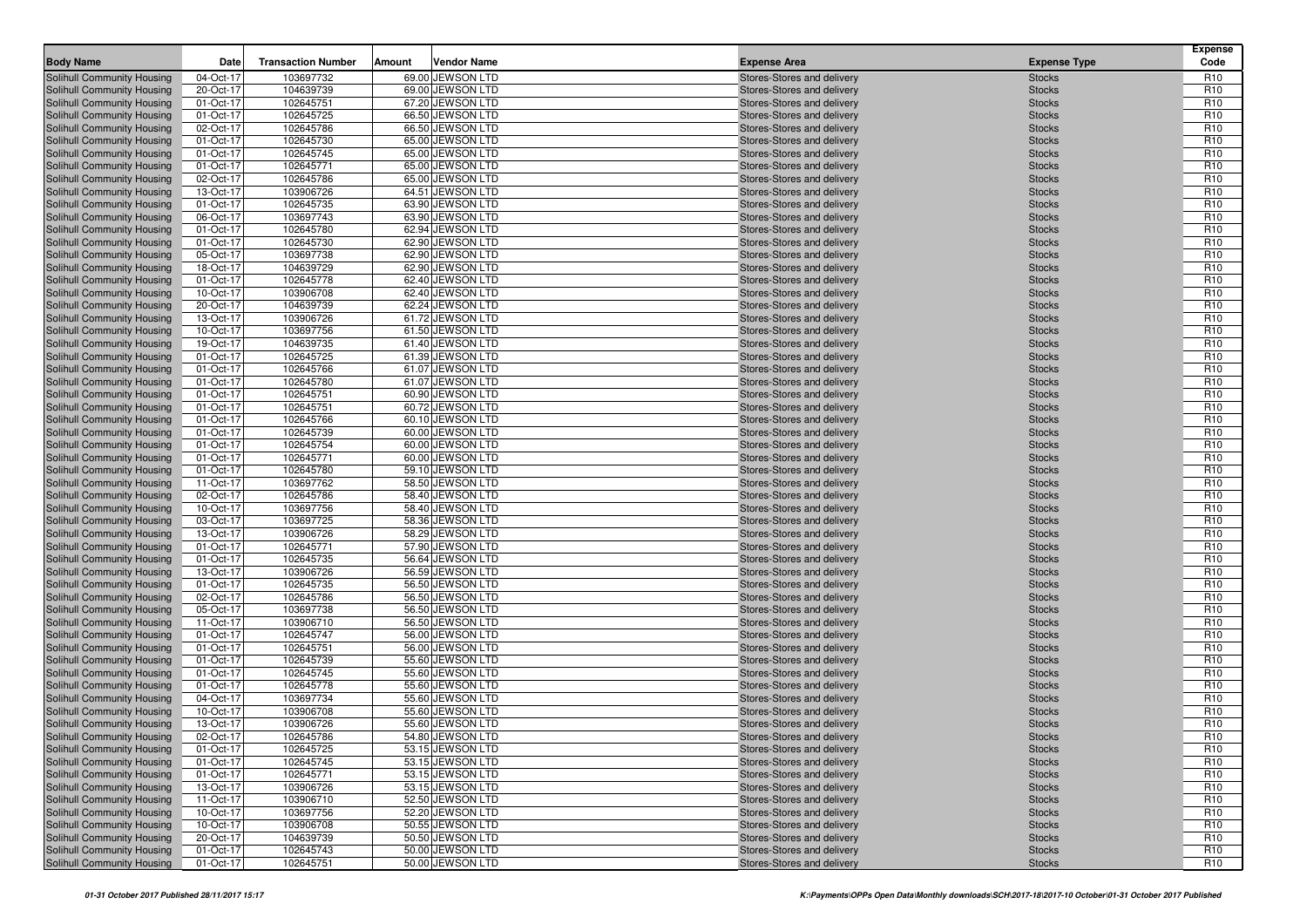|                                                          |                        |                           |        |                                      |                                                          |                                | <b>Expense</b>                     |
|----------------------------------------------------------|------------------------|---------------------------|--------|--------------------------------------|----------------------------------------------------------|--------------------------------|------------------------------------|
| <b>Body Name</b>                                         | Date                   | <b>Transaction Number</b> | Amount | <b>Vendor Name</b>                   | <b>Expense Area</b>                                      | <b>Expense Type</b>            | Code                               |
| Solihull Community Housing                               | 04-Oct-17              | 103697732                 |        | 69.00 JEWSON LTD                     | Stores-Stores and delivery                               | <b>Stocks</b>                  | R <sub>10</sub>                    |
| Solihull Community Housing                               | 20-Oct-17              | 104639739<br>102645751    |        | 69.00 JEWSON LTD<br>67.20 JEWSON LTD | Stores-Stores and delivery                               | <b>Stocks</b>                  | R <sub>10</sub><br>R <sub>10</sub> |
| Solihull Community Housing<br>Solihull Community Housing | 01-Oct-17<br>01-Oct-17 | 102645725                 |        | 66.50 JEWSON LTD                     | Stores-Stores and delivery<br>Stores-Stores and delivery | <b>Stocks</b><br><b>Stocks</b> | R <sub>10</sub>                    |
| Solihull Community Housing                               | 02-Oct-17              | 102645786                 |        | 66.50 JEWSON LTD                     | Stores-Stores and delivery                               | <b>Stocks</b>                  | R <sub>10</sub>                    |
| Solihull Community Housing                               | 01-Oct-17              | 102645730                 |        | 65.00 JEWSON LTD                     | Stores-Stores and delivery                               | <b>Stocks</b>                  | R <sub>10</sub>                    |
| Solihull Community Housing                               | 01-Oct-17              | 102645745                 |        | 65.00 JEWSON LTD                     | Stores-Stores and delivery                               | <b>Stocks</b>                  | R <sub>10</sub>                    |
| Solihull Community Housing                               | 01-Oct-17              | 102645771                 |        | 65.00 JEWSON LTD                     | Stores-Stores and delivery                               | <b>Stocks</b>                  | R <sub>10</sub>                    |
| Solihull Community Housing                               | 02-Oct-17              | 102645786                 |        | 65.00 JEWSON LTD                     | Stores-Stores and delivery                               | <b>Stocks</b>                  | R <sub>10</sub>                    |
| Solihull Community Housing                               | 13-Oct-17              | 103906726                 |        | 64.51 JEWSON LTD                     | Stores-Stores and delivery                               | <b>Stocks</b>                  | R <sub>10</sub>                    |
| Solihull Community Housing                               | 01-Oct-17              | 102645735                 |        | 63.90 JEWSON LTD                     | Stores-Stores and delivery                               | <b>Stocks</b>                  | R <sub>10</sub>                    |
| Solihull Community Housing                               | 06-Oct-17              | 103697743                 |        | 63.90 JEWSON LTD                     | Stores-Stores and delivery                               | <b>Stocks</b>                  | R <sub>10</sub>                    |
| Solihull Community Housing                               | 01-Oct-17              | 102645780                 |        | 62.94 JEWSON LTD                     | Stores-Stores and delivery                               | <b>Stocks</b>                  | R <sub>10</sub>                    |
| Solihull Community Housing                               | 01-Oct-17              | 102645730                 |        | 62.90 JEWSON LTD                     | Stores-Stores and delivery                               | <b>Stocks</b>                  | R <sub>10</sub>                    |
| Solihull Community Housing                               | 05-Oct-17              | 103697738                 |        | 62.90 JEWSON LTD                     | Stores-Stores and delivery                               | <b>Stocks</b>                  | R <sub>10</sub>                    |
| Solihull Community Housing                               | 18-Oct-17              | 104639729                 |        | 62.90 JEWSON LTD                     | Stores-Stores and delivery                               | <b>Stocks</b>                  | R <sub>10</sub>                    |
| Solihull Community Housing                               | 01-Oct-17              | 102645778                 |        | 62.40 JEWSON LTD                     | Stores-Stores and delivery                               | <b>Stocks</b>                  | R <sub>10</sub>                    |
| Solihull Community Housing                               | 10-Oct-17              | 103906708                 |        | 62.40 JEWSON LTD                     | Stores-Stores and delivery                               | <b>Stocks</b>                  | R <sub>10</sub>                    |
| Solihull Community Housing                               | 20-Oct-17              | 104639739                 |        | 62.24 JEWSON LTD                     | Stores-Stores and delivery                               | <b>Stocks</b>                  | R <sub>10</sub>                    |
| Solihull Community Housing                               | 13-Oct-17              | 103906726                 |        | 61.72 JEWSON LTD                     | Stores-Stores and delivery                               | <b>Stocks</b>                  | R <sub>10</sub>                    |
| Solihull Community Housing                               | 10-Oct-17              | 103697756                 |        | 61.50 JEWSON LTD                     | Stores-Stores and delivery                               | <b>Stocks</b>                  | R <sub>10</sub>                    |
| Solihull Community Housing                               | 19-Oct-17              | 104639735                 |        | 61.40 JEWSON LTD                     | Stores-Stores and delivery                               | <b>Stocks</b>                  | R <sub>10</sub>                    |
| Solihull Community Housing<br>Solihull Community Housing | 01-Oct-17              | 102645725                 |        | 61.39 JEWSON LTD<br>61.07 JEWSON LTD | Stores-Stores and delivery                               | <b>Stocks</b>                  | R <sub>10</sub><br>R <sub>10</sub> |
| Solihull Community Housing                               | 01-Oct-17<br>01-Oct-17 | 102645766<br>102645780    |        | 61.07 JEWSON LTD                     | Stores-Stores and delivery<br>Stores-Stores and delivery | <b>Stocks</b><br><b>Stocks</b> | R <sub>10</sub>                    |
| Solihull Community Housing                               | 01-Oct-17              | 102645751                 |        | 60.90 JEWSON LTD                     | Stores-Stores and delivery                               | <b>Stocks</b>                  | R <sub>10</sub>                    |
| Solihull Community Housing                               | 01-Oct-17              | 102645751                 |        | 60.72 JEWSON LTD                     | Stores-Stores and delivery                               | <b>Stocks</b>                  | R <sub>10</sub>                    |
| Solihull Community Housing                               | 01-Oct-17              | 102645766                 |        | 60.10 JEWSON LTD                     | Stores-Stores and delivery                               | <b>Stocks</b>                  | R <sub>10</sub>                    |
| Solihull Community Housing                               | 01-Oct-17              | 102645739                 |        | 60.00 JEWSON LTD                     | Stores-Stores and delivery                               | <b>Stocks</b>                  | R <sub>10</sub>                    |
| Solihull Community Housing                               | 01-Oct-17              | 102645754                 |        | 60.00 JEWSON LTD                     | Stores-Stores and delivery                               | <b>Stocks</b>                  | R <sub>10</sub>                    |
| Solihull Community Housing                               | 01-Oct-17              | 102645771                 |        | 60.00 JEWSON LTD                     | Stores-Stores and delivery                               | <b>Stocks</b>                  | R <sub>10</sub>                    |
| Solihull Community Housing                               | 01-Oct-17              | 102645780                 |        | 59.10 JEWSON LTD                     | Stores-Stores and delivery                               | <b>Stocks</b>                  | R <sub>10</sub>                    |
| Solihull Community Housing                               | 11-Oct-17              | 103697762                 |        | 58.50 JEWSON LTD                     | Stores-Stores and delivery                               | <b>Stocks</b>                  | R <sub>10</sub>                    |
| Solihull Community Housing                               | 02-Oct-17              | 102645786                 |        | 58.40 JEWSON LTD                     | Stores-Stores and delivery                               | <b>Stocks</b>                  | R <sub>10</sub>                    |
| Solihull Community Housing                               | 10-Oct-17              | 103697756                 |        | 58.40 JEWSON LTD                     | Stores-Stores and delivery                               | <b>Stocks</b>                  | R <sub>10</sub>                    |
| Solihull Community Housing                               | 03-Oct-17              | 103697725                 |        | 58.36 JEWSON LTD                     | Stores-Stores and delivery                               | <b>Stocks</b>                  | R <sub>10</sub>                    |
| Solihull Community Housing                               | 13-Oct-17              | 103906726                 |        | 58.29 JEWSON LTD                     | Stores-Stores and delivery                               | <b>Stocks</b>                  | R <sub>10</sub>                    |
| Solihull Community Housing                               | 01-Oct-17              | 102645771                 |        | 57.90 JEWSON LTD                     | Stores-Stores and delivery                               | <b>Stocks</b>                  | R <sub>10</sub>                    |
| Solihull Community Housing                               | 01-Oct-17              | 102645735                 |        | 56.64 JEWSON LTD                     | Stores-Stores and delivery                               | <b>Stocks</b>                  | R <sub>10</sub>                    |
| Solihull Community Housing                               | 13-Oct-17              | 103906726                 |        | 56.59 JEWSON LTD                     | Stores-Stores and delivery                               | <b>Stocks</b>                  | R <sub>10</sub>                    |
| Solihull Community Housing                               | 01-Oct-17              | 102645735                 |        | 56.50 JEWSON LTD                     | Stores-Stores and delivery                               | <b>Stocks</b>                  | R <sub>10</sub>                    |
| Solihull Community Housing                               | 02-Oct-17              | 102645786                 |        | 56.50 JEWSON LTD                     | Stores-Stores and delivery                               | <b>Stocks</b>                  | R <sub>10</sub>                    |
| Solihull Community Housing<br>Solihull Community Housing | 05-Oct-17<br>11-Oct-17 | 103697738<br>103906710    |        | 56.50 JEWSON LTD<br>56.50 JEWSON LTD | Stores-Stores and delivery<br>Stores-Stores and delivery | <b>Stocks</b><br><b>Stocks</b> | R <sub>10</sub><br>R <sub>10</sub> |
| Solihull Community Housing                               | 01-Oct-17              | 102645747                 |        | 56.00 JEWSON LTD                     | Stores-Stores and delivery                               | <b>Stocks</b>                  | R <sub>10</sub>                    |
| Solihull Community Housing                               | 01-Oct-17              | 102645751                 |        | 56.00 JEWSON LTD                     | Stores-Stores and delivery                               | <b>Stocks</b>                  | R <sub>10</sub>                    |
| Solihull Community Housing                               | 01-Oct-17              | 102645739                 |        | 55.60 JEWSON LTD                     | Stores-Stores and delivery                               | <b>Stocks</b>                  | R <sub>10</sub>                    |
| Solihull Community Housing                               | 01-Oct-17              | 102645745                 |        | 55.60 JEWSON LTD                     | Stores-Stores and delivery                               | <b>Stocks</b>                  | R <sub>10</sub>                    |
| Solihull Community Housing                               | 01-Oct-17              | 102645778                 |        | 55.60 JEWSON LTD                     | Stores-Stores and delivery                               | <b>Stocks</b>                  | R <sub>10</sub>                    |
| Solihull Community Housing                               | 04-Oct-17              | 103697734                 |        | 55.60 JEWSON LTD                     | Stores-Stores and delivery                               | <b>Stocks</b>                  | R <sub>10</sub>                    |
| Solihull Community Housing                               | 10-Oct-17              | 103906708                 |        | 55.60 JEWSON LTD                     | Stores-Stores and delivery                               | <b>Stocks</b>                  | R <sub>10</sub>                    |
| Solihull Community Housing                               | 13-Oct-17              | 103906726                 |        | 55.60 JEWSON LTD                     | Stores-Stores and delivery                               | <b>Stocks</b>                  | R <sub>10</sub>                    |
| Solihull Community Housing                               | 02-Oct-17              | 102645786                 |        | 54.80 JEWSON LTD                     | Stores-Stores and delivery                               | <b>Stocks</b>                  | R <sub>10</sub>                    |
| Solihull Community Housing                               | 01-Oct-17              | 102645725                 |        | 53.15 JEWSON LTD                     | Stores-Stores and delivery                               | <b>Stocks</b>                  | R <sub>10</sub>                    |
| Solihull Community Housing                               | 01-Oct-17              | 102645745                 |        | 53.15 JEWSON LTD                     | Stores-Stores and delivery                               | <b>Stocks</b>                  | R <sub>10</sub>                    |
| Solihull Community Housing                               | 01-Oct-17              | 102645771                 |        | 53.15 JEWSON LTD                     | Stores-Stores and delivery                               | <b>Stocks</b>                  | R <sub>10</sub>                    |
| Solihull Community Housing                               | 13-Oct-17              | 103906726                 |        | 53.15 JEWSON LTD                     | Stores-Stores and delivery                               | <b>Stocks</b>                  | R <sub>10</sub>                    |
| Solihull Community Housing                               | 11-Oct-17              | 103906710                 |        | 52.50 JEWSON LTD                     | Stores-Stores and delivery                               | <b>Stocks</b>                  | R <sub>10</sub>                    |
| Solihull Community Housing                               | 10-Oct-17              | 103697756                 |        | 52.20 JEWSON LTD                     | Stores-Stores and delivery                               | <b>Stocks</b>                  | R <sub>10</sub>                    |
| Solihull Community Housing                               | 10-Oct-17              | 103906708                 |        | 50.55 JEWSON LTD                     | Stores-Stores and delivery                               | <b>Stocks</b>                  | R <sub>10</sub>                    |
| Solihull Community Housing                               | 20-Oct-17              | 104639739                 |        | 50.50 JEWSON LTD                     | Stores-Stores and delivery                               | <b>Stocks</b>                  | R <sub>10</sub>                    |
| Solihull Community Housing                               | 01-Oct-17              | 102645743                 |        | 50.00 JEWSON LTD                     | Stores-Stores and delivery                               | <b>Stocks</b>                  | R <sub>10</sub>                    |
| Solihull Community Housing                               | 01-Oct-17              | 102645751                 |        | 50.00 JEWSON LTD                     | Stores-Stores and delivery                               | <b>Stocks</b>                  | R <sub>10</sub>                    |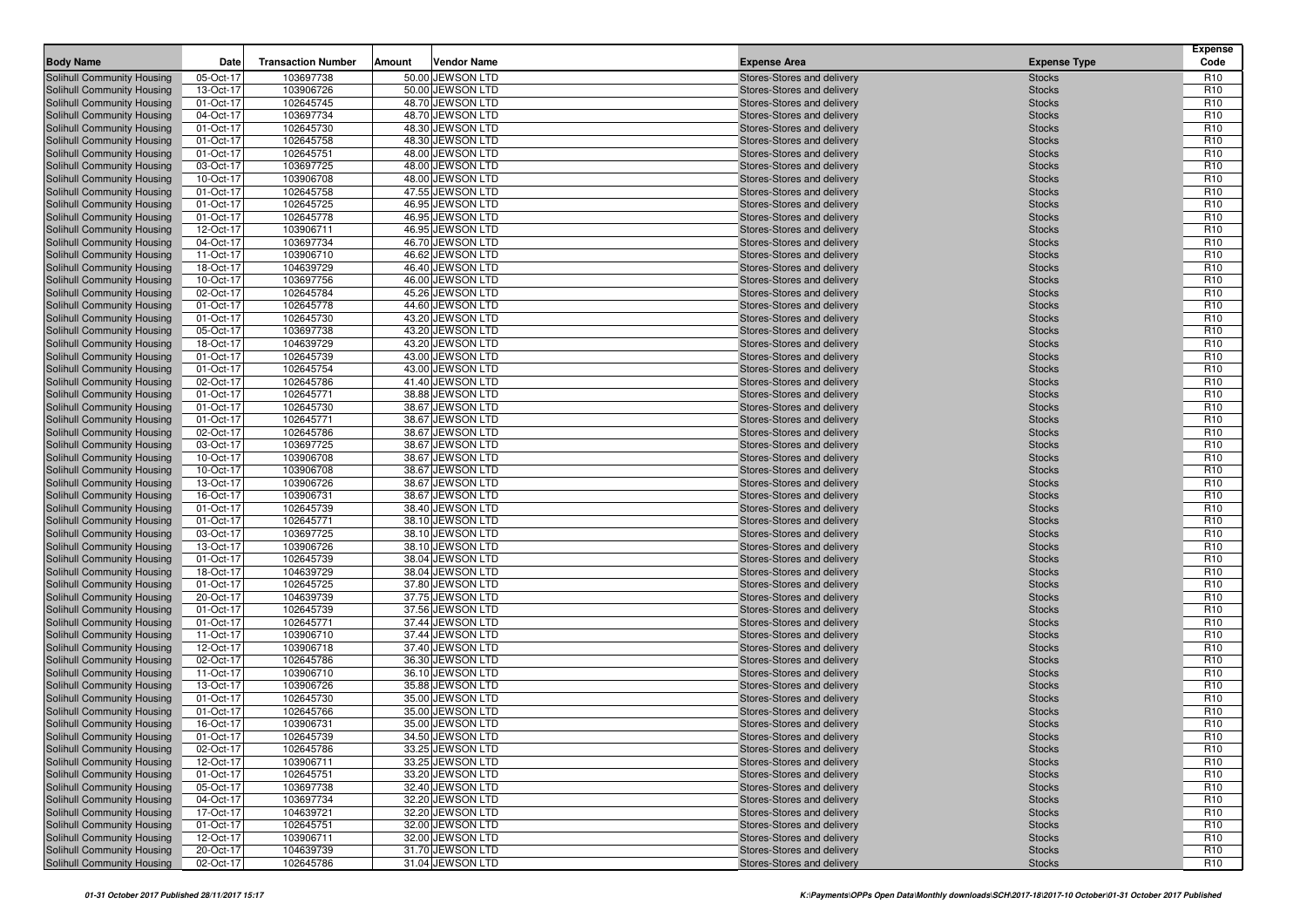| Solihull Community Housing<br>05-Oct-17<br>103697738<br>50.00 JEWSON LTD<br>Stores-Stores and delivery<br><b>Stocks</b><br>13-Oct-17<br>103906726<br>50.00 JEWSON LTD<br>Solihull Community Housing<br>Stores-Stores and delivery<br><b>Stocks</b><br>01-Oct-17<br>102645745<br>48.70 JEWSON LTD<br>Solihull Community Housing<br>Stores-Stores and delivery<br><b>Stocks</b><br>04-Oct-17<br>103697734<br>48.70 JEWSON LTD<br>Solihull Community Housing<br>Stores-Stores and delivery<br><b>Stocks</b><br>01-Oct-17<br>48.30 JEWSON LTD<br>Solihull Community Housing<br>102645730<br>Stores-Stores and delivery<br><b>Stocks</b><br>102645758<br>48.30 JEWSON LTD<br>Solihull Community Housing<br>01-Oct-17<br>Stores-Stores and delivery<br><b>Stocks</b><br>01-Oct-17<br>102645751<br>48.00 JEWSON LTD<br>Solihull Community Housing<br>Stores-Stores and delivery<br><b>Stocks</b><br>03-Oct-17<br>103697725<br>48.00 JEWSON LTD<br>Solihull Community Housing<br>Stores-Stores and delivery<br><b>Stocks</b><br>103906708<br>48.00 JEWSON LTD<br>Solihull Community Housing<br>10-Oct-17<br>Stores-Stores and delivery<br><b>Stocks</b><br>01-Oct-17<br>102645758<br>47.55 JEWSON LTD<br><b>Solihull Community Housing</b><br>Stores-Stores and delivery<br><b>Stocks</b><br>01-Oct-17<br>102645725<br>46.95 JEWSON LTD<br>Solihull Community Housing<br>Stores-Stores and delivery<br><b>Stocks</b><br>01-Oct-17<br>102645778<br>46.95 JEWSON LTD<br>Solihull Community Housing<br>Stores-Stores and delivery<br><b>Stocks</b><br>12-Oct-17<br>103906711<br>46.95 JEWSON LTD<br>Solihull Community Housing<br>Stores-Stores and delivery<br><b>Stocks</b><br><b>Solihull Community Housing</b><br>04-Oct-17<br>103697734<br>46.70 JEWSON LTD<br><b>Stocks</b><br>Stores-Stores and delivery<br>11-Oct-17<br>103906710<br>46.62 JEWSON LTD<br>Solihull Community Housing<br>Stores-Stores and delivery<br><b>Stocks</b><br>18-Oct-17<br>104639729<br>46.40 JEWSON LTD<br>Solihull Community Housing<br>Stores-Stores and delivery<br><b>Stocks</b><br>10-Oct-17<br>103697756<br>46.00 JEWSON LTD<br>Solihull Community Housing<br>Stores-Stores and delivery<br><b>Stocks</b><br>02-Oct-17<br>45.26 JEWSON LTD<br>Solihull Community Housing<br>102645784<br>Stores-Stores and delivery<br><b>Stocks</b><br>44.60 JEWSON LTD<br>Solihull Community Housing<br>01-Oct-17<br>102645778<br>Stores-Stores and delivery<br><b>Stocks</b><br>01-Oct-17<br>102645730<br>43.20 JEWSON LTD<br>Solihull Community Housing<br>Stores-Stores and delivery<br><b>Stocks</b><br>05-Oct-17<br>103697738<br>43.20 JEWSON LTD<br>Solihull Community Housing<br>Stores-Stores and delivery<br><b>Stocks</b><br>18-Oct-17<br>104639729<br>43.20 JEWSON LTD<br>Solihull Community Housing<br>Stores-Stores and delivery<br><b>Stocks</b><br>102645739<br>43.00 JEWSON LTD<br>Solihull Community Housing<br>01-Oct-17<br><b>Stocks</b><br>Stores-Stores and delivery<br>01-Oct-17<br>102645754<br>43.00 JEWSON LTD<br>Solihull Community Housing<br>Stores-Stores and delivery<br><b>Stocks</b><br>02-Oct-17<br>102645786<br>41.40 JEWSON LTD<br>Solihull Community Housing<br>Stores-Stores and delivery<br><b>Stocks</b><br>01-Oct-17<br>102645771<br>38.88 JEWSON LTD<br>Solihull Community Housing<br>Stores-Stores and delivery<br><b>Stocks</b><br>01-Oct-17<br>102645730<br>38.67 JEWSON LTD<br>Solihull Community Housing<br><b>Stocks</b><br>Stores-Stores and delivery<br>102645771<br>38.67 JEWSON LTD<br>Solihull Community Housing<br>01-Oct-17<br>Stores-Stores and delivery<br><b>Stocks</b><br>02-Oct-17<br>102645786<br>38.67 JEWSON LTD<br>Solihull Community Housing<br>Stores-Stores and delivery<br><b>Stocks</b><br>03-Oct-17<br>38.67 JEWSON LTD | Code                               |
|------------------------------------------------------------------------------------------------------------------------------------------------------------------------------------------------------------------------------------------------------------------------------------------------------------------------------------------------------------------------------------------------------------------------------------------------------------------------------------------------------------------------------------------------------------------------------------------------------------------------------------------------------------------------------------------------------------------------------------------------------------------------------------------------------------------------------------------------------------------------------------------------------------------------------------------------------------------------------------------------------------------------------------------------------------------------------------------------------------------------------------------------------------------------------------------------------------------------------------------------------------------------------------------------------------------------------------------------------------------------------------------------------------------------------------------------------------------------------------------------------------------------------------------------------------------------------------------------------------------------------------------------------------------------------------------------------------------------------------------------------------------------------------------------------------------------------------------------------------------------------------------------------------------------------------------------------------------------------------------------------------------------------------------------------------------------------------------------------------------------------------------------------------------------------------------------------------------------------------------------------------------------------------------------------------------------------------------------------------------------------------------------------------------------------------------------------------------------------------------------------------------------------------------------------------------------------------------------------------------------------------------------------------------------------------------------------------------------------------------------------------------------------------------------------------------------------------------------------------------------------------------------------------------------------------------------------------------------------------------------------------------------------------------------------------------------------------------------------------------------------------------------------------------------------------------------------------------------------------------------------------------------------------------------------------------------------------------------------------------------------------------------------------------------------------------------------------------------------------------------------------------------------------------------------------------------------------------------------------------------------------------------------------------------------------------------------------------------------------------------------------|------------------------------------|
|                                                                                                                                                                                                                                                                                                                                                                                                                                                                                                                                                                                                                                                                                                                                                                                                                                                                                                                                                                                                                                                                                                                                                                                                                                                                                                                                                                                                                                                                                                                                                                                                                                                                                                                                                                                                                                                                                                                                                                                                                                                                                                                                                                                                                                                                                                                                                                                                                                                                                                                                                                                                                                                                                                                                                                                                                                                                                                                                                                                                                                                                                                                                                                                                                                                                                                                                                                                                                                                                                                                                                                                                                                                                                                                                                            | R <sub>10</sub>                    |
|                                                                                                                                                                                                                                                                                                                                                                                                                                                                                                                                                                                                                                                                                                                                                                                                                                                                                                                                                                                                                                                                                                                                                                                                                                                                                                                                                                                                                                                                                                                                                                                                                                                                                                                                                                                                                                                                                                                                                                                                                                                                                                                                                                                                                                                                                                                                                                                                                                                                                                                                                                                                                                                                                                                                                                                                                                                                                                                                                                                                                                                                                                                                                                                                                                                                                                                                                                                                                                                                                                                                                                                                                                                                                                                                                            | R <sub>10</sub>                    |
|                                                                                                                                                                                                                                                                                                                                                                                                                                                                                                                                                                                                                                                                                                                                                                                                                                                                                                                                                                                                                                                                                                                                                                                                                                                                                                                                                                                                                                                                                                                                                                                                                                                                                                                                                                                                                                                                                                                                                                                                                                                                                                                                                                                                                                                                                                                                                                                                                                                                                                                                                                                                                                                                                                                                                                                                                                                                                                                                                                                                                                                                                                                                                                                                                                                                                                                                                                                                                                                                                                                                                                                                                                                                                                                                                            | R <sub>10</sub>                    |
|                                                                                                                                                                                                                                                                                                                                                                                                                                                                                                                                                                                                                                                                                                                                                                                                                                                                                                                                                                                                                                                                                                                                                                                                                                                                                                                                                                                                                                                                                                                                                                                                                                                                                                                                                                                                                                                                                                                                                                                                                                                                                                                                                                                                                                                                                                                                                                                                                                                                                                                                                                                                                                                                                                                                                                                                                                                                                                                                                                                                                                                                                                                                                                                                                                                                                                                                                                                                                                                                                                                                                                                                                                                                                                                                                            | R <sub>10</sub>                    |
|                                                                                                                                                                                                                                                                                                                                                                                                                                                                                                                                                                                                                                                                                                                                                                                                                                                                                                                                                                                                                                                                                                                                                                                                                                                                                                                                                                                                                                                                                                                                                                                                                                                                                                                                                                                                                                                                                                                                                                                                                                                                                                                                                                                                                                                                                                                                                                                                                                                                                                                                                                                                                                                                                                                                                                                                                                                                                                                                                                                                                                                                                                                                                                                                                                                                                                                                                                                                                                                                                                                                                                                                                                                                                                                                                            | R <sub>10</sub>                    |
|                                                                                                                                                                                                                                                                                                                                                                                                                                                                                                                                                                                                                                                                                                                                                                                                                                                                                                                                                                                                                                                                                                                                                                                                                                                                                                                                                                                                                                                                                                                                                                                                                                                                                                                                                                                                                                                                                                                                                                                                                                                                                                                                                                                                                                                                                                                                                                                                                                                                                                                                                                                                                                                                                                                                                                                                                                                                                                                                                                                                                                                                                                                                                                                                                                                                                                                                                                                                                                                                                                                                                                                                                                                                                                                                                            | R <sub>10</sub>                    |
|                                                                                                                                                                                                                                                                                                                                                                                                                                                                                                                                                                                                                                                                                                                                                                                                                                                                                                                                                                                                                                                                                                                                                                                                                                                                                                                                                                                                                                                                                                                                                                                                                                                                                                                                                                                                                                                                                                                                                                                                                                                                                                                                                                                                                                                                                                                                                                                                                                                                                                                                                                                                                                                                                                                                                                                                                                                                                                                                                                                                                                                                                                                                                                                                                                                                                                                                                                                                                                                                                                                                                                                                                                                                                                                                                            | R <sub>10</sub>                    |
|                                                                                                                                                                                                                                                                                                                                                                                                                                                                                                                                                                                                                                                                                                                                                                                                                                                                                                                                                                                                                                                                                                                                                                                                                                                                                                                                                                                                                                                                                                                                                                                                                                                                                                                                                                                                                                                                                                                                                                                                                                                                                                                                                                                                                                                                                                                                                                                                                                                                                                                                                                                                                                                                                                                                                                                                                                                                                                                                                                                                                                                                                                                                                                                                                                                                                                                                                                                                                                                                                                                                                                                                                                                                                                                                                            | R <sub>10</sub>                    |
|                                                                                                                                                                                                                                                                                                                                                                                                                                                                                                                                                                                                                                                                                                                                                                                                                                                                                                                                                                                                                                                                                                                                                                                                                                                                                                                                                                                                                                                                                                                                                                                                                                                                                                                                                                                                                                                                                                                                                                                                                                                                                                                                                                                                                                                                                                                                                                                                                                                                                                                                                                                                                                                                                                                                                                                                                                                                                                                                                                                                                                                                                                                                                                                                                                                                                                                                                                                                                                                                                                                                                                                                                                                                                                                                                            | R <sub>10</sub>                    |
|                                                                                                                                                                                                                                                                                                                                                                                                                                                                                                                                                                                                                                                                                                                                                                                                                                                                                                                                                                                                                                                                                                                                                                                                                                                                                                                                                                                                                                                                                                                                                                                                                                                                                                                                                                                                                                                                                                                                                                                                                                                                                                                                                                                                                                                                                                                                                                                                                                                                                                                                                                                                                                                                                                                                                                                                                                                                                                                                                                                                                                                                                                                                                                                                                                                                                                                                                                                                                                                                                                                                                                                                                                                                                                                                                            | R <sub>10</sub>                    |
|                                                                                                                                                                                                                                                                                                                                                                                                                                                                                                                                                                                                                                                                                                                                                                                                                                                                                                                                                                                                                                                                                                                                                                                                                                                                                                                                                                                                                                                                                                                                                                                                                                                                                                                                                                                                                                                                                                                                                                                                                                                                                                                                                                                                                                                                                                                                                                                                                                                                                                                                                                                                                                                                                                                                                                                                                                                                                                                                                                                                                                                                                                                                                                                                                                                                                                                                                                                                                                                                                                                                                                                                                                                                                                                                                            | R <sub>10</sub>                    |
|                                                                                                                                                                                                                                                                                                                                                                                                                                                                                                                                                                                                                                                                                                                                                                                                                                                                                                                                                                                                                                                                                                                                                                                                                                                                                                                                                                                                                                                                                                                                                                                                                                                                                                                                                                                                                                                                                                                                                                                                                                                                                                                                                                                                                                                                                                                                                                                                                                                                                                                                                                                                                                                                                                                                                                                                                                                                                                                                                                                                                                                                                                                                                                                                                                                                                                                                                                                                                                                                                                                                                                                                                                                                                                                                                            | R <sub>10</sub>                    |
|                                                                                                                                                                                                                                                                                                                                                                                                                                                                                                                                                                                                                                                                                                                                                                                                                                                                                                                                                                                                                                                                                                                                                                                                                                                                                                                                                                                                                                                                                                                                                                                                                                                                                                                                                                                                                                                                                                                                                                                                                                                                                                                                                                                                                                                                                                                                                                                                                                                                                                                                                                                                                                                                                                                                                                                                                                                                                                                                                                                                                                                                                                                                                                                                                                                                                                                                                                                                                                                                                                                                                                                                                                                                                                                                                            | R <sub>10</sub><br>R <sub>10</sub> |
|                                                                                                                                                                                                                                                                                                                                                                                                                                                                                                                                                                                                                                                                                                                                                                                                                                                                                                                                                                                                                                                                                                                                                                                                                                                                                                                                                                                                                                                                                                                                                                                                                                                                                                                                                                                                                                                                                                                                                                                                                                                                                                                                                                                                                                                                                                                                                                                                                                                                                                                                                                                                                                                                                                                                                                                                                                                                                                                                                                                                                                                                                                                                                                                                                                                                                                                                                                                                                                                                                                                                                                                                                                                                                                                                                            | R <sub>10</sub>                    |
|                                                                                                                                                                                                                                                                                                                                                                                                                                                                                                                                                                                                                                                                                                                                                                                                                                                                                                                                                                                                                                                                                                                                                                                                                                                                                                                                                                                                                                                                                                                                                                                                                                                                                                                                                                                                                                                                                                                                                                                                                                                                                                                                                                                                                                                                                                                                                                                                                                                                                                                                                                                                                                                                                                                                                                                                                                                                                                                                                                                                                                                                                                                                                                                                                                                                                                                                                                                                                                                                                                                                                                                                                                                                                                                                                            | R <sub>10</sub>                    |
|                                                                                                                                                                                                                                                                                                                                                                                                                                                                                                                                                                                                                                                                                                                                                                                                                                                                                                                                                                                                                                                                                                                                                                                                                                                                                                                                                                                                                                                                                                                                                                                                                                                                                                                                                                                                                                                                                                                                                                                                                                                                                                                                                                                                                                                                                                                                                                                                                                                                                                                                                                                                                                                                                                                                                                                                                                                                                                                                                                                                                                                                                                                                                                                                                                                                                                                                                                                                                                                                                                                                                                                                                                                                                                                                                            | R <sub>10</sub>                    |
|                                                                                                                                                                                                                                                                                                                                                                                                                                                                                                                                                                                                                                                                                                                                                                                                                                                                                                                                                                                                                                                                                                                                                                                                                                                                                                                                                                                                                                                                                                                                                                                                                                                                                                                                                                                                                                                                                                                                                                                                                                                                                                                                                                                                                                                                                                                                                                                                                                                                                                                                                                                                                                                                                                                                                                                                                                                                                                                                                                                                                                                                                                                                                                                                                                                                                                                                                                                                                                                                                                                                                                                                                                                                                                                                                            | R <sub>10</sub>                    |
|                                                                                                                                                                                                                                                                                                                                                                                                                                                                                                                                                                                                                                                                                                                                                                                                                                                                                                                                                                                                                                                                                                                                                                                                                                                                                                                                                                                                                                                                                                                                                                                                                                                                                                                                                                                                                                                                                                                                                                                                                                                                                                                                                                                                                                                                                                                                                                                                                                                                                                                                                                                                                                                                                                                                                                                                                                                                                                                                                                                                                                                                                                                                                                                                                                                                                                                                                                                                                                                                                                                                                                                                                                                                                                                                                            | R <sub>10</sub>                    |
|                                                                                                                                                                                                                                                                                                                                                                                                                                                                                                                                                                                                                                                                                                                                                                                                                                                                                                                                                                                                                                                                                                                                                                                                                                                                                                                                                                                                                                                                                                                                                                                                                                                                                                                                                                                                                                                                                                                                                                                                                                                                                                                                                                                                                                                                                                                                                                                                                                                                                                                                                                                                                                                                                                                                                                                                                                                                                                                                                                                                                                                                                                                                                                                                                                                                                                                                                                                                                                                                                                                                                                                                                                                                                                                                                            | R <sub>10</sub>                    |
|                                                                                                                                                                                                                                                                                                                                                                                                                                                                                                                                                                                                                                                                                                                                                                                                                                                                                                                                                                                                                                                                                                                                                                                                                                                                                                                                                                                                                                                                                                                                                                                                                                                                                                                                                                                                                                                                                                                                                                                                                                                                                                                                                                                                                                                                                                                                                                                                                                                                                                                                                                                                                                                                                                                                                                                                                                                                                                                                                                                                                                                                                                                                                                                                                                                                                                                                                                                                                                                                                                                                                                                                                                                                                                                                                            | R <sub>10</sub>                    |
|                                                                                                                                                                                                                                                                                                                                                                                                                                                                                                                                                                                                                                                                                                                                                                                                                                                                                                                                                                                                                                                                                                                                                                                                                                                                                                                                                                                                                                                                                                                                                                                                                                                                                                                                                                                                                                                                                                                                                                                                                                                                                                                                                                                                                                                                                                                                                                                                                                                                                                                                                                                                                                                                                                                                                                                                                                                                                                                                                                                                                                                                                                                                                                                                                                                                                                                                                                                                                                                                                                                                                                                                                                                                                                                                                            | R <sub>10</sub>                    |
|                                                                                                                                                                                                                                                                                                                                                                                                                                                                                                                                                                                                                                                                                                                                                                                                                                                                                                                                                                                                                                                                                                                                                                                                                                                                                                                                                                                                                                                                                                                                                                                                                                                                                                                                                                                                                                                                                                                                                                                                                                                                                                                                                                                                                                                                                                                                                                                                                                                                                                                                                                                                                                                                                                                                                                                                                                                                                                                                                                                                                                                                                                                                                                                                                                                                                                                                                                                                                                                                                                                                                                                                                                                                                                                                                            | R <sub>10</sub>                    |
|                                                                                                                                                                                                                                                                                                                                                                                                                                                                                                                                                                                                                                                                                                                                                                                                                                                                                                                                                                                                                                                                                                                                                                                                                                                                                                                                                                                                                                                                                                                                                                                                                                                                                                                                                                                                                                                                                                                                                                                                                                                                                                                                                                                                                                                                                                                                                                                                                                                                                                                                                                                                                                                                                                                                                                                                                                                                                                                                                                                                                                                                                                                                                                                                                                                                                                                                                                                                                                                                                                                                                                                                                                                                                                                                                            | R <sub>10</sub>                    |
|                                                                                                                                                                                                                                                                                                                                                                                                                                                                                                                                                                                                                                                                                                                                                                                                                                                                                                                                                                                                                                                                                                                                                                                                                                                                                                                                                                                                                                                                                                                                                                                                                                                                                                                                                                                                                                                                                                                                                                                                                                                                                                                                                                                                                                                                                                                                                                                                                                                                                                                                                                                                                                                                                                                                                                                                                                                                                                                                                                                                                                                                                                                                                                                                                                                                                                                                                                                                                                                                                                                                                                                                                                                                                                                                                            | R <sub>10</sub>                    |
|                                                                                                                                                                                                                                                                                                                                                                                                                                                                                                                                                                                                                                                                                                                                                                                                                                                                                                                                                                                                                                                                                                                                                                                                                                                                                                                                                                                                                                                                                                                                                                                                                                                                                                                                                                                                                                                                                                                                                                                                                                                                                                                                                                                                                                                                                                                                                                                                                                                                                                                                                                                                                                                                                                                                                                                                                                                                                                                                                                                                                                                                                                                                                                                                                                                                                                                                                                                                                                                                                                                                                                                                                                                                                                                                                            | R <sub>10</sub>                    |
|                                                                                                                                                                                                                                                                                                                                                                                                                                                                                                                                                                                                                                                                                                                                                                                                                                                                                                                                                                                                                                                                                                                                                                                                                                                                                                                                                                                                                                                                                                                                                                                                                                                                                                                                                                                                                                                                                                                                                                                                                                                                                                                                                                                                                                                                                                                                                                                                                                                                                                                                                                                                                                                                                                                                                                                                                                                                                                                                                                                                                                                                                                                                                                                                                                                                                                                                                                                                                                                                                                                                                                                                                                                                                                                                                            | R <sub>10</sub>                    |
|                                                                                                                                                                                                                                                                                                                                                                                                                                                                                                                                                                                                                                                                                                                                                                                                                                                                                                                                                                                                                                                                                                                                                                                                                                                                                                                                                                                                                                                                                                                                                                                                                                                                                                                                                                                                                                                                                                                                                                                                                                                                                                                                                                                                                                                                                                                                                                                                                                                                                                                                                                                                                                                                                                                                                                                                                                                                                                                                                                                                                                                                                                                                                                                                                                                                                                                                                                                                                                                                                                                                                                                                                                                                                                                                                            | R <sub>10</sub>                    |
|                                                                                                                                                                                                                                                                                                                                                                                                                                                                                                                                                                                                                                                                                                                                                                                                                                                                                                                                                                                                                                                                                                                                                                                                                                                                                                                                                                                                                                                                                                                                                                                                                                                                                                                                                                                                                                                                                                                                                                                                                                                                                                                                                                                                                                                                                                                                                                                                                                                                                                                                                                                                                                                                                                                                                                                                                                                                                                                                                                                                                                                                                                                                                                                                                                                                                                                                                                                                                                                                                                                                                                                                                                                                                                                                                            | R <sub>10</sub>                    |
| Solihull Community Housing<br>103697725<br>Stores-Stores and delivery<br><b>Stocks</b>                                                                                                                                                                                                                                                                                                                                                                                                                                                                                                                                                                                                                                                                                                                                                                                                                                                                                                                                                                                                                                                                                                                                                                                                                                                                                                                                                                                                                                                                                                                                                                                                                                                                                                                                                                                                                                                                                                                                                                                                                                                                                                                                                                                                                                                                                                                                                                                                                                                                                                                                                                                                                                                                                                                                                                                                                                                                                                                                                                                                                                                                                                                                                                                                                                                                                                                                                                                                                                                                                                                                                                                                                                                                     | R <sub>10</sub>                    |
| 103906708<br>38.67 JEWSON LTD<br>Solihull Community Housing<br>10-Oct-17<br>Stores-Stores and delivery<br><b>Stocks</b>                                                                                                                                                                                                                                                                                                                                                                                                                                                                                                                                                                                                                                                                                                                                                                                                                                                                                                                                                                                                                                                                                                                                                                                                                                                                                                                                                                                                                                                                                                                                                                                                                                                                                                                                                                                                                                                                                                                                                                                                                                                                                                                                                                                                                                                                                                                                                                                                                                                                                                                                                                                                                                                                                                                                                                                                                                                                                                                                                                                                                                                                                                                                                                                                                                                                                                                                                                                                                                                                                                                                                                                                                                    | R <sub>10</sub>                    |
| 10-Oct-17<br>103906708<br>38.67 JEWSON LTD<br>Solihull Community Housing<br>Stores-Stores and delivery<br><b>Stocks</b>                                                                                                                                                                                                                                                                                                                                                                                                                                                                                                                                                                                                                                                                                                                                                                                                                                                                                                                                                                                                                                                                                                                                                                                                                                                                                                                                                                                                                                                                                                                                                                                                                                                                                                                                                                                                                                                                                                                                                                                                                                                                                                                                                                                                                                                                                                                                                                                                                                                                                                                                                                                                                                                                                                                                                                                                                                                                                                                                                                                                                                                                                                                                                                                                                                                                                                                                                                                                                                                                                                                                                                                                                                    | R <sub>10</sub>                    |
| 13-Oct-17<br>103906726<br>38.67 JEWSON LTD<br>Solihull Community Housing<br>Stores-Stores and delivery<br><b>Stocks</b>                                                                                                                                                                                                                                                                                                                                                                                                                                                                                                                                                                                                                                                                                                                                                                                                                                                                                                                                                                                                                                                                                                                                                                                                                                                                                                                                                                                                                                                                                                                                                                                                                                                                                                                                                                                                                                                                                                                                                                                                                                                                                                                                                                                                                                                                                                                                                                                                                                                                                                                                                                                                                                                                                                                                                                                                                                                                                                                                                                                                                                                                                                                                                                                                                                                                                                                                                                                                                                                                                                                                                                                                                                    | R <sub>10</sub>                    |
| 103906731<br>38.67 JEWSON LTD<br>Solihull Community Housing<br>16-Oct-17<br>Stores-Stores and delivery<br><b>Stocks</b>                                                                                                                                                                                                                                                                                                                                                                                                                                                                                                                                                                                                                                                                                                                                                                                                                                                                                                                                                                                                                                                                                                                                                                                                                                                                                                                                                                                                                                                                                                                                                                                                                                                                                                                                                                                                                                                                                                                                                                                                                                                                                                                                                                                                                                                                                                                                                                                                                                                                                                                                                                                                                                                                                                                                                                                                                                                                                                                                                                                                                                                                                                                                                                                                                                                                                                                                                                                                                                                                                                                                                                                                                                    | R <sub>10</sub><br>R <sub>10</sub> |
| Solihull Community Housing<br>01-Oct-17<br>102645739<br>38.40 JEWSON LTD<br>Stores-Stores and delivery<br><b>Stocks</b><br>01-Oct-17<br>102645771<br>38.10 JEWSON LTD<br>Solihull Community Housing<br><b>Stocks</b><br>Stores-Stores and delivery                                                                                                                                                                                                                                                                                                                                                                                                                                                                                                                                                                                                                                                                                                                                                                                                                                                                                                                                                                                                                                                                                                                                                                                                                                                                                                                                                                                                                                                                                                                                                                                                                                                                                                                                                                                                                                                                                                                                                                                                                                                                                                                                                                                                                                                                                                                                                                                                                                                                                                                                                                                                                                                                                                                                                                                                                                                                                                                                                                                                                                                                                                                                                                                                                                                                                                                                                                                                                                                                                                         | R <sub>10</sub>                    |
| 03-Oct-17<br>103697725<br>38.10 JEWSON LTD<br>Solihull Community Housing<br>Stores-Stores and delivery<br><b>Stocks</b>                                                                                                                                                                                                                                                                                                                                                                                                                                                                                                                                                                                                                                                                                                                                                                                                                                                                                                                                                                                                                                                                                                                                                                                                                                                                                                                                                                                                                                                                                                                                                                                                                                                                                                                                                                                                                                                                                                                                                                                                                                                                                                                                                                                                                                                                                                                                                                                                                                                                                                                                                                                                                                                                                                                                                                                                                                                                                                                                                                                                                                                                                                                                                                                                                                                                                                                                                                                                                                                                                                                                                                                                                                    | R <sub>10</sub>                    |
| 13-Oct-17<br>103906726<br>38.10 JEWSON LTD<br>Solihull Community Housing<br>Stores-Stores and delivery<br><b>Stocks</b>                                                                                                                                                                                                                                                                                                                                                                                                                                                                                                                                                                                                                                                                                                                                                                                                                                                                                                                                                                                                                                                                                                                                                                                                                                                                                                                                                                                                                                                                                                                                                                                                                                                                                                                                                                                                                                                                                                                                                                                                                                                                                                                                                                                                                                                                                                                                                                                                                                                                                                                                                                                                                                                                                                                                                                                                                                                                                                                                                                                                                                                                                                                                                                                                                                                                                                                                                                                                                                                                                                                                                                                                                                    | R <sub>10</sub>                    |
| 01-Oct-17<br>38.04 JEWSON LTD<br>Solihull Community Housing<br>102645739<br>Stores-Stores and delivery<br><b>Stocks</b>                                                                                                                                                                                                                                                                                                                                                                                                                                                                                                                                                                                                                                                                                                                                                                                                                                                                                                                                                                                                                                                                                                                                                                                                                                                                                                                                                                                                                                                                                                                                                                                                                                                                                                                                                                                                                                                                                                                                                                                                                                                                                                                                                                                                                                                                                                                                                                                                                                                                                                                                                                                                                                                                                                                                                                                                                                                                                                                                                                                                                                                                                                                                                                                                                                                                                                                                                                                                                                                                                                                                                                                                                                    | R <sub>10</sub>                    |
| 18-Oct-17<br>104639729<br>38.04 JEWSON LTD<br>Solihull Community Housing<br>Stores-Stores and delivery<br><b>Stocks</b>                                                                                                                                                                                                                                                                                                                                                                                                                                                                                                                                                                                                                                                                                                                                                                                                                                                                                                                                                                                                                                                                                                                                                                                                                                                                                                                                                                                                                                                                                                                                                                                                                                                                                                                                                                                                                                                                                                                                                                                                                                                                                                                                                                                                                                                                                                                                                                                                                                                                                                                                                                                                                                                                                                                                                                                                                                                                                                                                                                                                                                                                                                                                                                                                                                                                                                                                                                                                                                                                                                                                                                                                                                    | R <sub>10</sub>                    |
| 102645725<br>37.80 JEWSON LTD<br>Solihull Community Housing<br>01-Oct-17<br>Stores-Stores and delivery<br><b>Stocks</b>                                                                                                                                                                                                                                                                                                                                                                                                                                                                                                                                                                                                                                                                                                                                                                                                                                                                                                                                                                                                                                                                                                                                                                                                                                                                                                                                                                                                                                                                                                                                                                                                                                                                                                                                                                                                                                                                                                                                                                                                                                                                                                                                                                                                                                                                                                                                                                                                                                                                                                                                                                                                                                                                                                                                                                                                                                                                                                                                                                                                                                                                                                                                                                                                                                                                                                                                                                                                                                                                                                                                                                                                                                    | R <sub>10</sub>                    |
| 20-Oct-17<br>104639739<br>37.75 JEWSON LTD<br>Solihull Community Housing<br>Stores-Stores and delivery<br><b>Stocks</b>                                                                                                                                                                                                                                                                                                                                                                                                                                                                                                                                                                                                                                                                                                                                                                                                                                                                                                                                                                                                                                                                                                                                                                                                                                                                                                                                                                                                                                                                                                                                                                                                                                                                                                                                                                                                                                                                                                                                                                                                                                                                                                                                                                                                                                                                                                                                                                                                                                                                                                                                                                                                                                                                                                                                                                                                                                                                                                                                                                                                                                                                                                                                                                                                                                                                                                                                                                                                                                                                                                                                                                                                                                    | R <sub>10</sub>                    |
| 01-Oct-17<br>37.56 JEWSON LTD<br>Solihull Community Housing<br>102645739<br>Stores-Stores and delivery<br><b>Stocks</b>                                                                                                                                                                                                                                                                                                                                                                                                                                                                                                                                                                                                                                                                                                                                                                                                                                                                                                                                                                                                                                                                                                                                                                                                                                                                                                                                                                                                                                                                                                                                                                                                                                                                                                                                                                                                                                                                                                                                                                                                                                                                                                                                                                                                                                                                                                                                                                                                                                                                                                                                                                                                                                                                                                                                                                                                                                                                                                                                                                                                                                                                                                                                                                                                                                                                                                                                                                                                                                                                                                                                                                                                                                    | R <sub>10</sub>                    |
| 37.44 JEWSON LTD<br>Solihull Community Housing<br>01-Oct-17<br>102645771<br>Stores-Stores and delivery<br><b>Stocks</b>                                                                                                                                                                                                                                                                                                                                                                                                                                                                                                                                                                                                                                                                                                                                                                                                                                                                                                                                                                                                                                                                                                                                                                                                                                                                                                                                                                                                                                                                                                                                                                                                                                                                                                                                                                                                                                                                                                                                                                                                                                                                                                                                                                                                                                                                                                                                                                                                                                                                                                                                                                                                                                                                                                                                                                                                                                                                                                                                                                                                                                                                                                                                                                                                                                                                                                                                                                                                                                                                                                                                                                                                                                    | R <sub>10</sub>                    |
| 11-Oct-17<br>103906710<br>37.44 JEWSON LTD<br>Solihull Community Housing<br>Stores-Stores and delivery<br><b>Stocks</b>                                                                                                                                                                                                                                                                                                                                                                                                                                                                                                                                                                                                                                                                                                                                                                                                                                                                                                                                                                                                                                                                                                                                                                                                                                                                                                                                                                                                                                                                                                                                                                                                                                                                                                                                                                                                                                                                                                                                                                                                                                                                                                                                                                                                                                                                                                                                                                                                                                                                                                                                                                                                                                                                                                                                                                                                                                                                                                                                                                                                                                                                                                                                                                                                                                                                                                                                                                                                                                                                                                                                                                                                                                    | R <sub>10</sub>                    |
| 12-Oct-17<br>103906718<br>37.40 JEWSON LTD<br>Solihull Community Housing<br>Stores-Stores and delivery<br><b>Stocks</b>                                                                                                                                                                                                                                                                                                                                                                                                                                                                                                                                                                                                                                                                                                                                                                                                                                                                                                                                                                                                                                                                                                                                                                                                                                                                                                                                                                                                                                                                                                                                                                                                                                                                                                                                                                                                                                                                                                                                                                                                                                                                                                                                                                                                                                                                                                                                                                                                                                                                                                                                                                                                                                                                                                                                                                                                                                                                                                                                                                                                                                                                                                                                                                                                                                                                                                                                                                                                                                                                                                                                                                                                                                    | R <sub>10</sub>                    |
| 02-Oct-17<br>102645786<br>36.30 JEWSON LTD<br>Solihull Community Housing<br>Stores-Stores and delivery<br><b>Stocks</b>                                                                                                                                                                                                                                                                                                                                                                                                                                                                                                                                                                                                                                                                                                                                                                                                                                                                                                                                                                                                                                                                                                                                                                                                                                                                                                                                                                                                                                                                                                                                                                                                                                                                                                                                                                                                                                                                                                                                                                                                                                                                                                                                                                                                                                                                                                                                                                                                                                                                                                                                                                                                                                                                                                                                                                                                                                                                                                                                                                                                                                                                                                                                                                                                                                                                                                                                                                                                                                                                                                                                                                                                                                    | R <sub>10</sub>                    |
| 103906710<br>Solihull Community Housing<br>11-Oct-17<br>36.10 JEWSON LTD<br><b>Stocks</b><br>Stores-Stores and delivery                                                                                                                                                                                                                                                                                                                                                                                                                                                                                                                                                                                                                                                                                                                                                                                                                                                                                                                                                                                                                                                                                                                                                                                                                                                                                                                                                                                                                                                                                                                                                                                                                                                                                                                                                                                                                                                                                                                                                                                                                                                                                                                                                                                                                                                                                                                                                                                                                                                                                                                                                                                                                                                                                                                                                                                                                                                                                                                                                                                                                                                                                                                                                                                                                                                                                                                                                                                                                                                                                                                                                                                                                                    | R <sub>10</sub>                    |
| 13-Oct-17<br>103906726<br>35.88 JEWSON LTD<br>Solihull Community Housing<br>Stores-Stores and delivery<br><b>Stocks</b>                                                                                                                                                                                                                                                                                                                                                                                                                                                                                                                                                                                                                                                                                                                                                                                                                                                                                                                                                                                                                                                                                                                                                                                                                                                                                                                                                                                                                                                                                                                                                                                                                                                                                                                                                                                                                                                                                                                                                                                                                                                                                                                                                                                                                                                                                                                                                                                                                                                                                                                                                                                                                                                                                                                                                                                                                                                                                                                                                                                                                                                                                                                                                                                                                                                                                                                                                                                                                                                                                                                                                                                                                                    | R <sub>10</sub>                    |
| 01-Oct-17<br>102645730<br>35.00 JEWSON LTD<br>Solihull Community Housing<br>Stores-Stores and delivery<br><b>Stocks</b>                                                                                                                                                                                                                                                                                                                                                                                                                                                                                                                                                                                                                                                                                                                                                                                                                                                                                                                                                                                                                                                                                                                                                                                                                                                                                                                                                                                                                                                                                                                                                                                                                                                                                                                                                                                                                                                                                                                                                                                                                                                                                                                                                                                                                                                                                                                                                                                                                                                                                                                                                                                                                                                                                                                                                                                                                                                                                                                                                                                                                                                                                                                                                                                                                                                                                                                                                                                                                                                                                                                                                                                                                                    | R <sub>10</sub>                    |
| 01-Oct-17<br>102645766<br>35.00 JEWSON LTD<br>Solihull Community Housing<br>Stores-Stores and delivery<br><b>Stocks</b>                                                                                                                                                                                                                                                                                                                                                                                                                                                                                                                                                                                                                                                                                                                                                                                                                                                                                                                                                                                                                                                                                                                                                                                                                                                                                                                                                                                                                                                                                                                                                                                                                                                                                                                                                                                                                                                                                                                                                                                                                                                                                                                                                                                                                                                                                                                                                                                                                                                                                                                                                                                                                                                                                                                                                                                                                                                                                                                                                                                                                                                                                                                                                                                                                                                                                                                                                                                                                                                                                                                                                                                                                                    | R <sub>10</sub>                    |
| Solihull Community Housing<br>16-Oct-17<br>103906731<br>35.00 JEWSON LTD<br>Stores-Stores and delivery<br><b>Stocks</b>                                                                                                                                                                                                                                                                                                                                                                                                                                                                                                                                                                                                                                                                                                                                                                                                                                                                                                                                                                                                                                                                                                                                                                                                                                                                                                                                                                                                                                                                                                                                                                                                                                                                                                                                                                                                                                                                                                                                                                                                                                                                                                                                                                                                                                                                                                                                                                                                                                                                                                                                                                                                                                                                                                                                                                                                                                                                                                                                                                                                                                                                                                                                                                                                                                                                                                                                                                                                                                                                                                                                                                                                                                    | R <sub>10</sub>                    |
| Solihull Community Housing<br>01-Oct-17<br>102645739<br>34.50 JEWSON LTD<br>Stores-Stores and delivery<br><b>Stocks</b>                                                                                                                                                                                                                                                                                                                                                                                                                                                                                                                                                                                                                                                                                                                                                                                                                                                                                                                                                                                                                                                                                                                                                                                                                                                                                                                                                                                                                                                                                                                                                                                                                                                                                                                                                                                                                                                                                                                                                                                                                                                                                                                                                                                                                                                                                                                                                                                                                                                                                                                                                                                                                                                                                                                                                                                                                                                                                                                                                                                                                                                                                                                                                                                                                                                                                                                                                                                                                                                                                                                                                                                                                                    | R <sub>10</sub>                    |
| 33.25 JEWSON LTD<br>Solihull Community Housing<br>02-Oct-17<br>102645786<br>Stores-Stores and delivery<br><b>Stocks</b>                                                                                                                                                                                                                                                                                                                                                                                                                                                                                                                                                                                                                                                                                                                                                                                                                                                                                                                                                                                                                                                                                                                                                                                                                                                                                                                                                                                                                                                                                                                                                                                                                                                                                                                                                                                                                                                                                                                                                                                                                                                                                                                                                                                                                                                                                                                                                                                                                                                                                                                                                                                                                                                                                                                                                                                                                                                                                                                                                                                                                                                                                                                                                                                                                                                                                                                                                                                                                                                                                                                                                                                                                                    | R <sub>10</sub>                    |
| Solihull Community Housing<br>103906711<br>33.25 JEWSON LTD<br>12-Oct-17<br>Stores-Stores and delivery<br><b>Stocks</b><br>Solihull Community Housing<br>102645751<br>33.20 JEWSON LTD<br>Stores-Stores and delivery                                                                                                                                                                                                                                                                                                                                                                                                                                                                                                                                                                                                                                                                                                                                                                                                                                                                                                                                                                                                                                                                                                                                                                                                                                                                                                                                                                                                                                                                                                                                                                                                                                                                                                                                                                                                                                                                                                                                                                                                                                                                                                                                                                                                                                                                                                                                                                                                                                                                                                                                                                                                                                                                                                                                                                                                                                                                                                                                                                                                                                                                                                                                                                                                                                                                                                                                                                                                                                                                                                                                       | R <sub>10</sub><br>R <sub>10</sub> |
| 01-Oct-17<br><b>Stocks</b><br>Solihull Community Housing<br>05-Oct-17<br>103697738<br>32.40 JEWSON LTD<br>Stores-Stores and delivery<br><b>Stocks</b>                                                                                                                                                                                                                                                                                                                                                                                                                                                                                                                                                                                                                                                                                                                                                                                                                                                                                                                                                                                                                                                                                                                                                                                                                                                                                                                                                                                                                                                                                                                                                                                                                                                                                                                                                                                                                                                                                                                                                                                                                                                                                                                                                                                                                                                                                                                                                                                                                                                                                                                                                                                                                                                                                                                                                                                                                                                                                                                                                                                                                                                                                                                                                                                                                                                                                                                                                                                                                                                                                                                                                                                                      | R <sub>10</sub>                    |
| Solihull Community Housing<br>04-Oct-17<br>103697734<br>32.20 JEWSON LTD<br>Stores-Stores and delivery<br><b>Stocks</b>                                                                                                                                                                                                                                                                                                                                                                                                                                                                                                                                                                                                                                                                                                                                                                                                                                                                                                                                                                                                                                                                                                                                                                                                                                                                                                                                                                                                                                                                                                                                                                                                                                                                                                                                                                                                                                                                                                                                                                                                                                                                                                                                                                                                                                                                                                                                                                                                                                                                                                                                                                                                                                                                                                                                                                                                                                                                                                                                                                                                                                                                                                                                                                                                                                                                                                                                                                                                                                                                                                                                                                                                                                    | R <sub>10</sub>                    |
| Solihull Community Housing<br>17-Oct-17<br>104639721<br>32.20 JEWSON LTD<br>Stores-Stores and delivery<br><b>Stocks</b>                                                                                                                                                                                                                                                                                                                                                                                                                                                                                                                                                                                                                                                                                                                                                                                                                                                                                                                                                                                                                                                                                                                                                                                                                                                                                                                                                                                                                                                                                                                                                                                                                                                                                                                                                                                                                                                                                                                                                                                                                                                                                                                                                                                                                                                                                                                                                                                                                                                                                                                                                                                                                                                                                                                                                                                                                                                                                                                                                                                                                                                                                                                                                                                                                                                                                                                                                                                                                                                                                                                                                                                                                                    | R <sub>10</sub>                    |
| Solihull Community Housing<br>01-Oct-17<br>102645751<br>32.00 JEWSON LTD<br>Stores-Stores and delivery<br><b>Stocks</b>                                                                                                                                                                                                                                                                                                                                                                                                                                                                                                                                                                                                                                                                                                                                                                                                                                                                                                                                                                                                                                                                                                                                                                                                                                                                                                                                                                                                                                                                                                                                                                                                                                                                                                                                                                                                                                                                                                                                                                                                                                                                                                                                                                                                                                                                                                                                                                                                                                                                                                                                                                                                                                                                                                                                                                                                                                                                                                                                                                                                                                                                                                                                                                                                                                                                                                                                                                                                                                                                                                                                                                                                                                    | R <sub>10</sub>                    |
| Solihull Community Housing<br>12-Oct-17<br>32.00 JEWSON LTD<br>103906711<br>Stores-Stores and delivery<br><b>Stocks</b>                                                                                                                                                                                                                                                                                                                                                                                                                                                                                                                                                                                                                                                                                                                                                                                                                                                                                                                                                                                                                                                                                                                                                                                                                                                                                                                                                                                                                                                                                                                                                                                                                                                                                                                                                                                                                                                                                                                                                                                                                                                                                                                                                                                                                                                                                                                                                                                                                                                                                                                                                                                                                                                                                                                                                                                                                                                                                                                                                                                                                                                                                                                                                                                                                                                                                                                                                                                                                                                                                                                                                                                                                                    | R <sub>10</sub>                    |
| Solihull Community Housing<br>20-Oct-17<br>104639739<br>31.70 JEWSON LTD<br>Stores-Stores and delivery<br><b>Stocks</b>                                                                                                                                                                                                                                                                                                                                                                                                                                                                                                                                                                                                                                                                                                                                                                                                                                                                                                                                                                                                                                                                                                                                                                                                                                                                                                                                                                                                                                                                                                                                                                                                                                                                                                                                                                                                                                                                                                                                                                                                                                                                                                                                                                                                                                                                                                                                                                                                                                                                                                                                                                                                                                                                                                                                                                                                                                                                                                                                                                                                                                                                                                                                                                                                                                                                                                                                                                                                                                                                                                                                                                                                                                    | R <sub>10</sub>                    |
| Solihull Community Housing<br>02-Oct-17<br>102645786<br>31.04 JEWSON LTD<br>Stores-Stores and delivery<br><b>Stocks</b>                                                                                                                                                                                                                                                                                                                                                                                                                                                                                                                                                                                                                                                                                                                                                                                                                                                                                                                                                                                                                                                                                                                                                                                                                                                                                                                                                                                                                                                                                                                                                                                                                                                                                                                                                                                                                                                                                                                                                                                                                                                                                                                                                                                                                                                                                                                                                                                                                                                                                                                                                                                                                                                                                                                                                                                                                                                                                                                                                                                                                                                                                                                                                                                                                                                                                                                                                                                                                                                                                                                                                                                                                                    |                                    |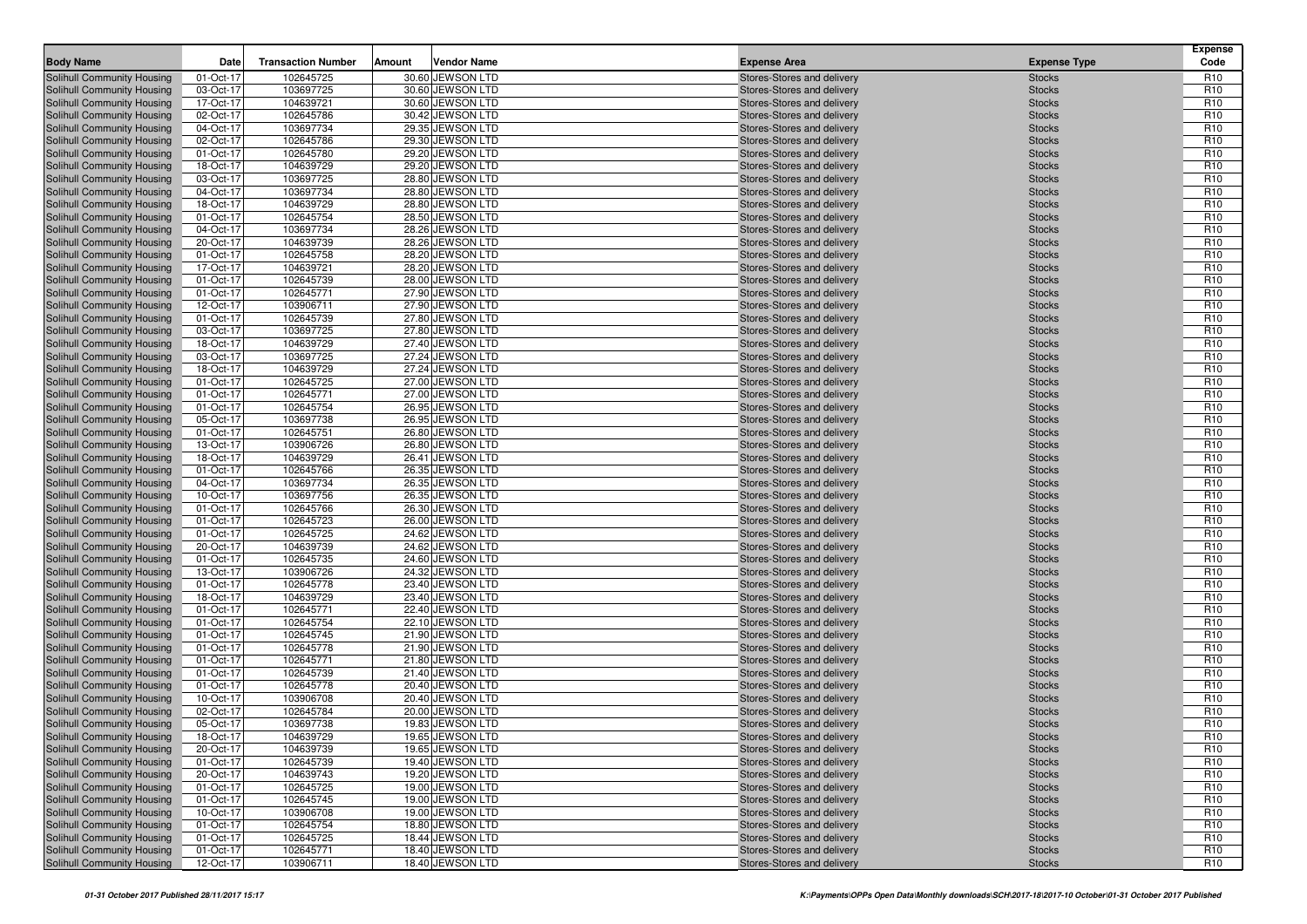| <b>Body Name</b>                                         | Date                   | <b>Transaction Number</b> | Amount | <b>Vendor Name</b>                   | <b>Expense Area</b>                                      | <b>Expense Type</b>            | <b>Expense</b><br>Code             |
|----------------------------------------------------------|------------------------|---------------------------|--------|--------------------------------------|----------------------------------------------------------|--------------------------------|------------------------------------|
| Solihull Community Housing                               | 01-Oct-17              | 102645725                 |        | 30.60 JEWSON LTD                     | Stores-Stores and delivery                               | <b>Stocks</b>                  | R <sub>10</sub>                    |
| Solihull Community Housing                               | 03-Oct-17              | 103697725                 |        | 30.60 JEWSON LTD                     | Stores-Stores and delivery                               | <b>Stocks</b>                  | R <sub>10</sub>                    |
| Solihull Community Housing                               | 17-Oct-17              | 104639721                 |        | 30.60 JEWSON LTD                     | Stores-Stores and delivery                               | <b>Stocks</b>                  | R <sub>10</sub>                    |
| Solihull Community Housing                               | 02-Oct-17              | 102645786                 |        | 30.42 JEWSON LTD                     | Stores-Stores and delivery                               | <b>Stocks</b>                  | R <sub>10</sub>                    |
| Solihull Community Housing                               | 04-Oct-17              | 103697734                 |        | 29.35 JEWSON LTD                     | Stores-Stores and delivery                               | <b>Stocks</b>                  | R <sub>10</sub>                    |
| Solihull Community Housing                               | 02-Oct-17              | 102645786                 |        | 29.30 JEWSON LTD                     | Stores-Stores and delivery                               | <b>Stocks</b>                  | R <sub>10</sub>                    |
| Solihull Community Housing                               | 01-Oct-17              | 102645780                 |        | 29.20 JEWSON LTD                     | Stores-Stores and delivery                               | <b>Stocks</b>                  | R <sub>10</sub>                    |
| Solihull Community Housing                               | 18-Oct-17              | 104639729                 |        | 29.20 JEWSON LTD                     | Stores-Stores and delivery                               | <b>Stocks</b>                  | R <sub>10</sub>                    |
| Solihull Community Housing                               | 03-Oct-17              | 103697725                 |        | 28.80 JEWSON LTD                     | Stores-Stores and delivery                               | <b>Stocks</b>                  | R <sub>10</sub>                    |
| Solihull Community Housing                               | 04-Oct-17              | 103697734                 |        | 28.80 JEWSON LTD                     | Stores-Stores and delivery                               | <b>Stocks</b>                  | R <sub>10</sub>                    |
| Solihull Community Housing                               | 18-Oct-17              | 104639729                 |        | 28.80 JEWSON LTD                     | Stores-Stores and delivery                               | <b>Stocks</b>                  | R <sub>10</sub>                    |
| Solihull Community Housing                               | 01-Oct-17              | 102645754                 |        | 28.50 JEWSON LTD                     | Stores-Stores and delivery                               | <b>Stocks</b>                  | R <sub>10</sub>                    |
| Solihull Community Housing                               | 04-Oct-17              | 103697734                 |        | 28.26 JEWSON LTD                     | Stores-Stores and delivery                               | <b>Stocks</b>                  | R <sub>10</sub>                    |
| Solihull Community Housing                               | 20-Oct-17              | 104639739                 |        | 28.26 JEWSON LTD                     | Stores-Stores and delivery                               | <b>Stocks</b>                  | R <sub>10</sub>                    |
| Solihull Community Housing                               | 01-Oct-17              | 102645758                 |        | 28.20 JEWSON LTD                     | Stores-Stores and delivery                               | <b>Stocks</b>                  | R <sub>10</sub>                    |
| Solihull Community Housing                               | 17-Oct-17              | 104639721                 |        | 28.20 JEWSON LTD                     | Stores-Stores and delivery                               | <b>Stocks</b>                  | R <sub>10</sub>                    |
| Solihull Community Housing                               | 01-Oct-17              | 102645739                 |        | 28.00 JEWSON LTD                     | Stores-Stores and delivery                               | <b>Stocks</b>                  | R <sub>10</sub>                    |
| Solihull Community Housing                               | 01-Oct-17              | 102645771                 |        | 27.90 JEWSON LTD                     | Stores-Stores and delivery                               | <b>Stocks</b>                  | R <sub>10</sub>                    |
| Solihull Community Housing                               | 12-Oct-17              | 103906711                 |        | 27.90 JEWSON LTD                     | Stores-Stores and delivery                               | <b>Stocks</b>                  | R <sub>10</sub>                    |
| Solihull Community Housing                               | 01-Oct-17              | 102645739                 |        | 27.80 JEWSON LTD                     | Stores-Stores and delivery                               | <b>Stocks</b>                  | R <sub>10</sub>                    |
| Solihull Community Housing                               | 03-Oct-17              | 103697725                 |        | 27.80 JEWSON LTD                     | Stores-Stores and delivery                               | <b>Stocks</b>                  | R <sub>10</sub>                    |
| Solihull Community Housing                               | 18-Oct-17              | 104639729                 |        | 27.40 JEWSON LTD                     | Stores-Stores and delivery                               | <b>Stocks</b>                  | R <sub>10</sub>                    |
| Solihull Community Housing                               | 03-Oct-17              | 103697725                 |        | 27.24 JEWSON LTD                     | Stores-Stores and delivery                               | <b>Stocks</b>                  | R <sub>10</sub>                    |
| Solihull Community Housing                               | 18-Oct-17              | 104639729                 |        | 27.24 JEWSON LTD                     | Stores-Stores and delivery                               | <b>Stocks</b>                  | R <sub>10</sub>                    |
| Solihull Community Housing                               | 01-Oct-17              | 102645725                 |        | 27.00 JEWSON LTD                     | Stores-Stores and delivery                               | <b>Stocks</b>                  | R <sub>10</sub>                    |
| Solihull Community Housing                               | 01-Oct-17              | 102645771                 |        | 27.00 JEWSON LTD                     | Stores-Stores and delivery                               | <b>Stocks</b>                  | R <sub>10</sub><br>R <sub>10</sub> |
| Solihull Community Housing                               | 01-Oct-17              | 102645754                 |        | 26.95 JEWSON LTD                     | Stores-Stores and delivery                               | <b>Stocks</b>                  | R <sub>10</sub>                    |
| Solihull Community Housing                               | 05-Oct-17<br>01-Oct-17 | 103697738<br>102645751    |        | 26.95 JEWSON LTD<br>26.80 JEWSON LTD | Stores-Stores and delivery                               | <b>Stocks</b>                  | R <sub>10</sub>                    |
| Solihull Community Housing<br>Solihull Community Housing | 13-Oct-17              | 103906726                 |        | 26.80 JEWSON LTD                     | Stores-Stores and delivery<br>Stores-Stores and delivery | <b>Stocks</b><br><b>Stocks</b> | R <sub>10</sub>                    |
| Solihull Community Housing                               | 18-Oct-17              | 104639729                 |        | 26.41 JEWSON LTD                     | Stores-Stores and delivery                               | <b>Stocks</b>                  | R <sub>10</sub>                    |
| Solihull Community Housing                               | 01-Oct-17              | 102645766                 |        | 26.35 JEWSON LTD                     | Stores-Stores and delivery                               | <b>Stocks</b>                  | R <sub>10</sub>                    |
| Solihull Community Housing                               | 04-Oct-17              | 103697734                 |        | 26.35 JEWSON LTD                     | Stores-Stores and delivery                               | <b>Stocks</b>                  | R <sub>10</sub>                    |
| Solihull Community Housing                               | 10-Oct-17              | 103697756                 |        | 26.35 JEWSON LTD                     | Stores-Stores and delivery                               | <b>Stocks</b>                  | R <sub>10</sub>                    |
| Solihull Community Housing                               | 01-Oct-17              | 102645766                 |        | 26.30 JEWSON LTD                     | Stores-Stores and delivery                               | <b>Stocks</b>                  | R <sub>10</sub>                    |
| Solihull Community Housing                               | 01-Oct-17              | 102645723                 |        | 26.00 JEWSON LTD                     | Stores-Stores and delivery                               | <b>Stocks</b>                  | R <sub>10</sub>                    |
| Solihull Community Housing                               | 01-Oct-17              | 102645725                 |        | 24.62 JEWSON LTD                     | Stores-Stores and delivery                               | <b>Stocks</b>                  | R <sub>10</sub>                    |
| Solihull Community Housing                               | 20-Oct-17              | 104639739                 |        | 24.62 JEWSON LTD                     | Stores-Stores and delivery                               | <b>Stocks</b>                  | R <sub>10</sub>                    |
| Solihull Community Housing                               | 01-Oct-17              | 102645735                 |        | 24.60 JEWSON LTD                     | Stores-Stores and delivery                               | <b>Stocks</b>                  | R <sub>10</sub>                    |
| Solihull Community Housing                               | 13-Oct-17              | 103906726                 |        | 24.32 JEWSON LTD                     | Stores-Stores and delivery                               | <b>Stocks</b>                  | R <sub>10</sub>                    |
| Solihull Community Housing                               | 01-Oct-17              | 102645778                 |        | 23.40 JEWSON LTD                     | Stores-Stores and delivery                               | <b>Stocks</b>                  | R <sub>10</sub>                    |
| Solihull Community Housing                               | 18-Oct-17              | 104639729                 |        | 23.40 JEWSON LTD                     | Stores-Stores and delivery                               | <b>Stocks</b>                  | R <sub>10</sub>                    |
| Solihull Community Housing                               | 01-Oct-17              | 102645771                 |        | 22.40 JEWSON LTD                     | Stores-Stores and delivery                               | <b>Stocks</b>                  | R <sub>10</sub>                    |
| Solihull Community Housing                               | 01-Oct-17              | 102645754                 |        | 22.10 JEWSON LTD                     | Stores-Stores and delivery                               | <b>Stocks</b>                  | R <sub>10</sub>                    |
| Solihull Community Housing                               | 01-Oct-17              | 102645745                 |        | 21.90 JEWSON LTD                     | Stores-Stores and delivery                               | <b>Stocks</b>                  | R <sub>10</sub>                    |
| Solihull Community Housing                               | 01-Oct-17              | 102645778                 |        | 21.90 JEWSON LTD                     | Stores-Stores and delivery                               | <b>Stocks</b>                  | R <sub>10</sub>                    |
| Solihull Community Housing                               | 01-Oct-17              | 102645771                 |        | 21.80 JEWSON LTD                     | Stores-Stores and delivery                               | <b>Stocks</b>                  | R <sub>10</sub>                    |
| Solihull Community Housing                               | 01-Oct-17              | 102645739                 |        | 21.40 JEWSON LTD                     | Stores-Stores and delivery                               | <b>Stocks</b>                  | R <sub>10</sub>                    |
| Solihull Community Housing                               | 01-Oct-17              | 102645778                 |        | 20.40 JEWSON LTD                     | Stores-Stores and delivery                               | <b>Stocks</b>                  | R <sub>10</sub>                    |
| Solihull Community Housing                               | 10-Oct-17              | 103906708                 |        | 20.40 JEWSON LTD                     | Stores-Stores and delivery                               | <b>Stocks</b>                  | R <sub>10</sub>                    |
| Solihull Community Housing                               | 02-Oct-17              | 102645784                 |        | 20.00 JEWSON LTD                     | Stores-Stores and delivery                               | <b>Stocks</b>                  | R <sub>10</sub>                    |
| Solihull Community Housing                               | 05-Oct-17              | 103697738                 |        | 19.83 JEWSON LTD                     | Stores-Stores and delivery                               | <b>Stocks</b>                  | R <sub>10</sub>                    |
| Solihull Community Housing                               | 18-Oct-17              | 104639729                 |        | 19.65 JEWSON LTD                     | Stores-Stores and delivery                               | <b>Stocks</b>                  | R <sub>10</sub>                    |
| Solihull Community Housing                               | 20-Oct-17              | 104639739                 |        | 19.65 JEWSON LTD                     | Stores-Stores and delivery                               | <b>Stocks</b>                  | R <sub>10</sub>                    |
| Solihull Community Housing                               | 01-Oct-17              | 102645739                 |        | 19.40 JEWSON LTD                     | Stores-Stores and delivery                               | <b>Stocks</b>                  | R <sub>10</sub>                    |
| Solihull Community Housing                               | 20-Oct-17              | 104639743                 |        | 19.20 JEWSON LTD                     | Stores-Stores and delivery                               | <b>Stocks</b>                  | R <sub>10</sub>                    |
| Solihull Community Housing                               | 01-Oct-17              | 102645725                 |        | 19.00 JEWSON LTD                     | Stores-Stores and delivery                               | <b>Stocks</b>                  | R <sub>10</sub>                    |
| Solihull Community Housing                               | 01-Oct-17              | 102645745                 |        | 19.00 JEWSON LTD                     | Stores-Stores and delivery                               | <b>Stocks</b>                  | R <sub>10</sub>                    |
| Solihull Community Housing                               | 10-Oct-17              | 103906708                 |        | 19.00 JEWSON LTD                     | Stores-Stores and delivery                               | <b>Stocks</b>                  | R <sub>10</sub>                    |
| Solihull Community Housing                               | 01-Oct-17              | 102645754                 |        | 18.80 JEWSON LTD                     | Stores-Stores and delivery                               | <b>Stocks</b>                  | R <sub>10</sub>                    |
| Solihull Community Housing                               | 01-Oct-17              | 102645725                 |        | 18.44 JEWSON LTD                     | Stores-Stores and delivery                               | <b>Stocks</b>                  | R <sub>10</sub>                    |
| Solihull Community Housing                               | 01-Oct-17              | 102645771                 |        | 18.40 JEWSON LTD                     | Stores-Stores and delivery                               | <b>Stocks</b>                  | R <sub>10</sub>                    |
| Solihull Community Housing                               | 12-Oct-17              | 103906711                 |        | 18.40 JEWSON LTD                     | Stores-Stores and delivery                               | <b>Stocks</b>                  | R <sub>10</sub>                    |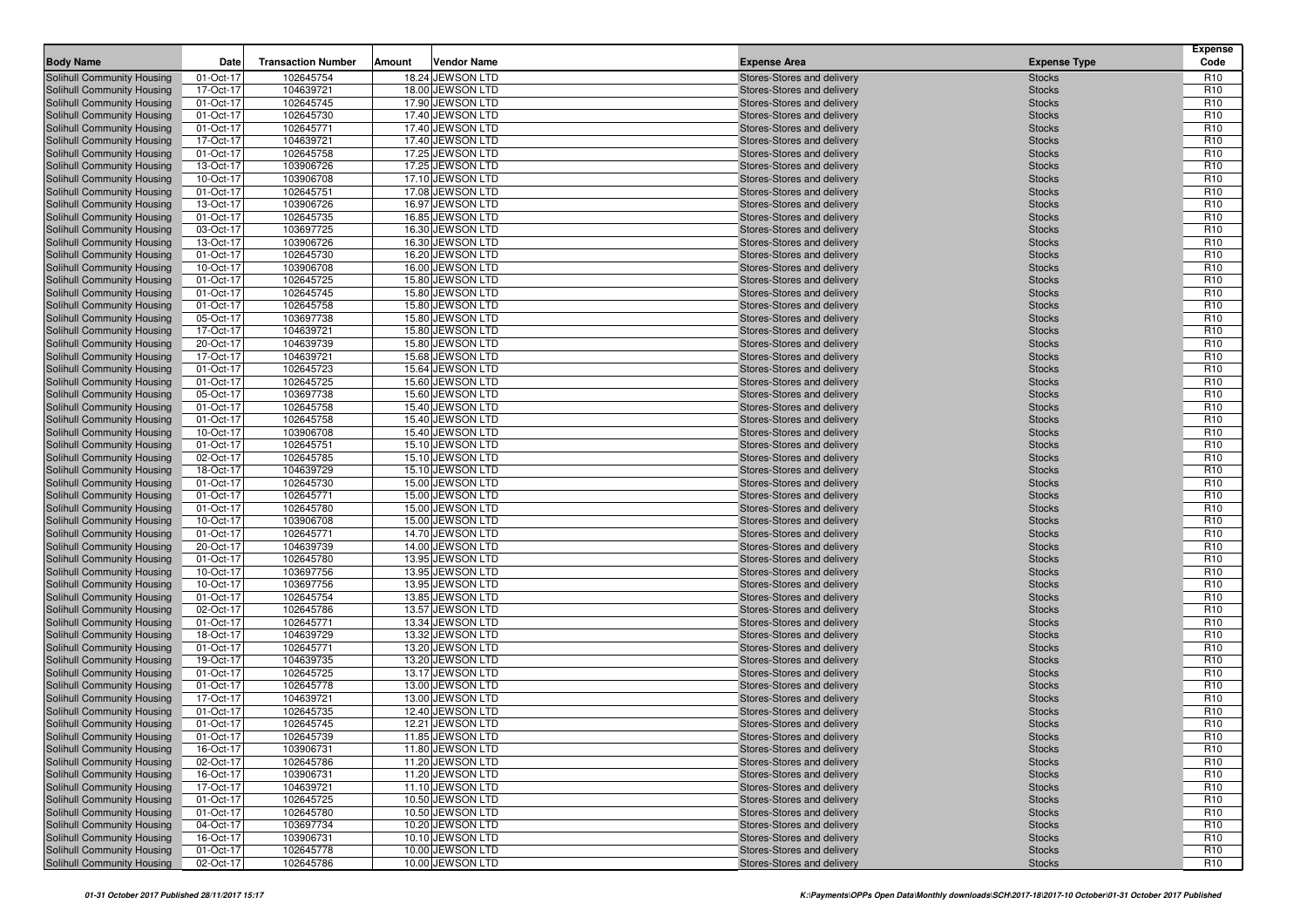| <b>Body Name</b>                                         | Date                   | <b>Transaction Number</b> | Amount | <b>Vendor Name</b>                   | <b>Expense Area</b>                                      | <b>Expense Type</b>            | <b>Expense</b><br>Code             |
|----------------------------------------------------------|------------------------|---------------------------|--------|--------------------------------------|----------------------------------------------------------|--------------------------------|------------------------------------|
| Solihull Community Housing                               | 01-Oct-17              | 102645754                 |        | 18.24 JEWSON LTD                     | Stores-Stores and delivery                               | <b>Stocks</b>                  | R <sub>10</sub>                    |
| Solihull Community Housing                               | 17-Oct-17              | 104639721                 |        | 18.00 JEWSON LTD                     | Stores-Stores and delivery                               | <b>Stocks</b>                  | R <sub>10</sub>                    |
| Solihull Community Housing                               | 01-Oct-17              | 102645745                 |        | 17.90 JEWSON LTD                     | Stores-Stores and delivery                               | <b>Stocks</b>                  | R <sub>10</sub>                    |
| Solihull Community Housing                               | 01-Oct-17              | 102645730                 |        | 17.40 JEWSON LTD                     | Stores-Stores and delivery                               | <b>Stocks</b>                  | R <sub>10</sub>                    |
| Solihull Community Housing                               | 01-Oct-17              | 102645771                 |        | 17.40 JEWSON LTD                     | Stores-Stores and delivery                               | <b>Stocks</b>                  | R <sub>10</sub>                    |
| Solihull Community Housing                               | 17-Oct-17              | 104639721                 |        | 17.40 JEWSON LTD                     | Stores-Stores and delivery                               | <b>Stocks</b>                  | R <sub>10</sub>                    |
| Solihull Community Housing                               | 01-Oct-17              | 102645758                 |        | 17.25 JEWSON LTD                     | Stores-Stores and delivery                               | <b>Stocks</b>                  | R <sub>10</sub>                    |
| Solihull Community Housing                               | 13-Oct-17              | 103906726                 |        | 17.25 JEWSON LTD                     | Stores-Stores and delivery                               | <b>Stocks</b>                  | R <sub>10</sub>                    |
| Solihull Community Housing                               | 10-Oct-17              | 103906708                 |        | 17.10 JEWSON LTD                     | Stores-Stores and delivery                               | <b>Stocks</b>                  | R <sub>10</sub>                    |
| <b>Solihull Community Housing</b>                        | 01-Oct-17              | 102645751                 |        | 17.08 JEWSON LTD                     | Stores-Stores and delivery                               | <b>Stocks</b>                  | R <sub>10</sub>                    |
| Solihull Community Housing                               | 13-Oct-17              | 103906726                 |        | 16.97 JEWSON LTD                     | Stores-Stores and delivery                               | <b>Stocks</b>                  | R <sub>10</sub>                    |
| Solihull Community Housing                               | 01-Oct-17              | 102645735                 |        | 16.85 JEWSON LTD                     | Stores-Stores and delivery                               | <b>Stocks</b>                  | R <sub>10</sub>                    |
| Solihull Community Housing                               | 03-Oct-17              | 103697725                 |        | 16.30 JEWSON LTD                     | Stores-Stores and delivery                               | <b>Stocks</b>                  | R <sub>10</sub>                    |
| <b>Solihull Community Housing</b>                        | 13-Oct-17              | 103906726                 |        | 16.30 JEWSON LTD<br>16.20 JEWSON LTD | Stores-Stores and delivery                               | <b>Stocks</b>                  | R <sub>10</sub>                    |
| Solihull Community Housing                               | 01-Oct-17              | 102645730                 |        |                                      | Stores-Stores and delivery                               | <b>Stocks</b>                  | R <sub>10</sub>                    |
| Solihull Community Housing<br>Solihull Community Housing | 10-Oct-17<br>01-Oct-17 | 103906708<br>102645725    |        | 16.00 JEWSON LTD<br>15.80 JEWSON LTD | Stores-Stores and delivery<br>Stores-Stores and delivery | <b>Stocks</b><br><b>Stocks</b> | R <sub>10</sub><br>R <sub>10</sub> |
| Solihull Community Housing                               | 01-Oct-17              | 102645745                 |        | 15.80 JEWSON LTD                     | Stores-Stores and delivery                               | <b>Stocks</b>                  | R <sub>10</sub>                    |
| Solihull Community Housing                               | 01-Oct-17              | 102645758                 |        | 15.80 JEWSON LTD                     | Stores-Stores and delivery                               | <b>Stocks</b>                  | R <sub>10</sub>                    |
| Solihull Community Housing                               | 05-Oct-17              | 103697738                 |        | 15.80 JEWSON LTD                     | Stores-Stores and delivery                               | <b>Stocks</b>                  | R <sub>10</sub>                    |
| Solihull Community Housing                               | 17-Oct-17              | 104639721                 |        | 15.80 JEWSON LTD                     | Stores-Stores and delivery                               | <b>Stocks</b>                  | R <sub>10</sub>                    |
| Solihull Community Housing                               | 20-Oct-17              | 104639739                 |        | 15.80 JEWSON LTD                     | Stores-Stores and delivery                               | <b>Stocks</b>                  | R <sub>10</sub>                    |
| <b>Solihull Community Housing</b>                        | 17-Oct-17              | 104639721                 |        | 15.68 JEWSON LTD                     | Stores-Stores and delivery                               | <b>Stocks</b>                  | R <sub>10</sub>                    |
| Solihull Community Housing                               | 01-Oct-17              | 102645723                 |        | 15.64 JEWSON LTD                     | Stores-Stores and delivery                               | <b>Stocks</b>                  | R <sub>10</sub>                    |
| Solihull Community Housing                               | 01-Oct-17              | 102645725                 |        | 15.60 JEWSON LTD                     | Stores-Stores and delivery                               | <b>Stocks</b>                  | R <sub>10</sub>                    |
| Solihull Community Housing                               | 05-Oct-17              | 103697738                 |        | 15.60 JEWSON LTD                     | Stores-Stores and delivery                               | <b>Stocks</b>                  | R <sub>10</sub>                    |
| Solihull Community Housing                               | 01-Oct-17              | 102645758                 |        | 15.40 JEWSON LTD                     | Stores-Stores and delivery                               | <b>Stocks</b>                  | R <sub>10</sub>                    |
| Solihull Community Housing                               | 01-Oct-17              | 102645758                 |        | 15.40 JEWSON LTD                     | Stores-Stores and delivery                               | <b>Stocks</b>                  | R <sub>10</sub>                    |
| Solihull Community Housing                               | 10-Oct-17              | 103906708                 |        | 15.40 JEWSON LTD                     | Stores-Stores and delivery                               | <b>Stocks</b>                  | R <sub>10</sub>                    |
| Solihull Community Housing                               | 01-Oct-17              | 102645751                 |        | 15.10 JEWSON LTD                     | Stores-Stores and delivery                               | <b>Stocks</b>                  | R <sub>10</sub>                    |
| Solihull Community Housing                               | 02-Oct-17              | 102645785                 |        | 15.10 JEWSON LTD                     | Stores-Stores and delivery                               | <b>Stocks</b>                  | R <sub>10</sub>                    |
| Solihull Community Housing                               | 18-Oct-17              | 104639729                 |        | 15.10 JEWSON LTD                     | Stores-Stores and delivery                               | <b>Stocks</b>                  | R <sub>10</sub>                    |
| Solihull Community Housing                               | 01-Oct-17              | 102645730                 |        | 15.00 JEWSON LTD                     | Stores-Stores and delivery                               | <b>Stocks</b>                  | R <sub>10</sub>                    |
| Solihull Community Housing                               | 01-Oct-17              | 102645771                 |        | 15.00 JEWSON LTD                     | Stores-Stores and delivery                               | <b>Stocks</b>                  | R <sub>10</sub>                    |
| Solihull Community Housing                               | 01-Oct-17              | 102645780                 |        | 15.00 JEWSON LTD                     | Stores-Stores and delivery                               | <b>Stocks</b>                  | R <sub>10</sub>                    |
| Solihull Community Housing                               | 10-Oct-17              | 103906708                 |        | 15.00 JEWSON LTD                     | Stores-Stores and delivery                               | <b>Stocks</b>                  | R <sub>10</sub>                    |
| Solihull Community Housing                               | 01-Oct-17              | 102645771                 |        | 14.70 JEWSON LTD                     | Stores-Stores and delivery                               | <b>Stocks</b>                  | R <sub>10</sub>                    |
| Solihull Community Housing                               | 20-Oct-17              | 104639739                 |        | 14.00 JEWSON LTD                     | Stores-Stores and delivery                               | <b>Stocks</b>                  | R <sub>10</sub>                    |
| Solihull Community Housing<br>Solihull Community Housing | 01-Oct-17<br>10-Oct-17 | 102645780<br>103697756    |        | 13.95 JEWSON LTD<br>13.95 JEWSON LTD | Stores-Stores and delivery<br>Stores-Stores and delivery | <b>Stocks</b><br><b>Stocks</b> | R <sub>10</sub><br>R <sub>10</sub> |
| Solihull Community Housing                               | 10-Oct-17              | 103697756                 |        | 13.95 JEWSON LTD                     | Stores-Stores and delivery                               | <b>Stocks</b>                  | R <sub>10</sub>                    |
| Solihull Community Housing                               | 01-Oct-17              | 102645754                 |        | 13.85 JEWSON LTD                     | Stores-Stores and delivery                               | <b>Stocks</b>                  | R <sub>10</sub>                    |
| Solihull Community Housing                               | 02-Oct-17              | 102645786                 |        | 13.57 JEWSON LTD                     | Stores-Stores and delivery                               | <b>Stocks</b>                  | R <sub>10</sub>                    |
| Solihull Community Housing                               | 01-Oct-17              | 102645771                 |        | 13.34 JEWSON LTD                     | Stores-Stores and delivery                               | <b>Stocks</b>                  | R <sub>10</sub>                    |
| Solihull Community Housing                               | 18-Oct-17              | 104639729                 |        | 13.32 JEWSON LTD                     | Stores-Stores and delivery                               | <b>Stocks</b>                  | R <sub>10</sub>                    |
| Solihull Community Housing                               | 01-Oct-17              | 102645771                 |        | 13.20 JEWSON LTD                     | Stores-Stores and delivery                               | <b>Stocks</b>                  | R <sub>10</sub>                    |
| Solihull Community Housing                               | 19-Oct-17              | 104639735                 |        | 13.20 JEWSON LTD                     | Stores-Stores and delivery                               | <b>Stocks</b>                  | R <sub>10</sub>                    |
| Solihull Community Housing                               | 01-Oct-17              | 102645725                 |        | 13.17 JEWSON LTD                     | Stores-Stores and delivery                               | <b>Stocks</b>                  | R <sub>10</sub>                    |
| Solihull Community Housing                               | 01-Oct-17              | 102645778                 |        | 13.00 JEWSON LTD                     | Stores-Stores and delivery                               | <b>Stocks</b>                  | R <sub>10</sub>                    |
| Solihull Community Housing                               | 17-Oct-17              | 104639721                 |        | 13.00 JEWSON LTD                     | Stores-Stores and delivery                               | <b>Stocks</b>                  | R <sub>10</sub>                    |
| Solihull Community Housing                               | 01-Oct-17              | 102645735                 |        | 12.40 JEWSON LTD                     | Stores-Stores and delivery                               | <b>Stocks</b>                  | R <sub>10</sub>                    |
| Solihull Community Housing                               | 01-Oct-17              | 102645745                 |        | 12.21 JEWSON LTD                     | Stores-Stores and delivery                               | <b>Stocks</b>                  | R <sub>10</sub>                    |
| Solihull Community Housing                               | 01-Oct-17              | 102645739                 |        | 11.85 JEWSON LTD                     | Stores-Stores and delivery                               | <b>Stocks</b>                  | R <sub>10</sub>                    |
| Solihull Community Housing                               | 16-Oct-17              | 103906731                 |        | 11.80 JEWSON LTD                     | Stores-Stores and delivery                               | <b>Stocks</b>                  | R <sub>10</sub>                    |
| Solihull Community Housing                               | 02-Oct-17              | 102645786                 |        | 11.20 JEWSON LTD                     | Stores-Stores and delivery                               | <b>Stocks</b>                  | R <sub>10</sub>                    |
| Solihull Community Housing                               | 16-Oct-17              | 103906731                 |        | 11.20 JEWSON LTD                     | Stores-Stores and delivery                               | <b>Stocks</b>                  | R <sub>10</sub>                    |
| Solihull Community Housing                               | 17-Oct-17              | 104639721                 |        | 11.10 JEWSON LTD                     | Stores-Stores and delivery                               | <b>Stocks</b>                  | R <sub>10</sub>                    |
| Solihull Community Housing                               | 01-Oct-17              | 102645725                 |        | 10.50 JEWSON LTD                     | Stores-Stores and delivery                               | <b>Stocks</b>                  | R <sub>10</sub>                    |
| Solihull Community Housing                               | 01-Oct-17              | 102645780                 |        | 10.50 JEWSON LTD                     | Stores-Stores and delivery                               | <b>Stocks</b>                  | R <sub>10</sub>                    |
| Solihull Community Housing                               | 04-Oct-17              | 103697734                 |        | 10.20 JEWSON LTD                     | Stores-Stores and delivery                               | <b>Stocks</b>                  | R <sub>10</sub>                    |
| Solihull Community Housing                               | 16-Oct-17              | 103906731                 |        | 10.10 JEWSON LTD                     | Stores-Stores and delivery                               | <b>Stocks</b>                  | R <sub>10</sub>                    |
| Solihull Community Housing                               | 01-Oct-17              | 102645778                 |        | 10.00 JEWSON LTD                     | Stores-Stores and delivery                               | <b>Stocks</b>                  | R <sub>10</sub>                    |
| Solihull Community Housing                               | 02-Oct-17              | 102645786                 |        | 10.00 JEWSON LTD                     | Stores-Stores and delivery                               | <b>Stocks</b>                  | R <sub>10</sub>                    |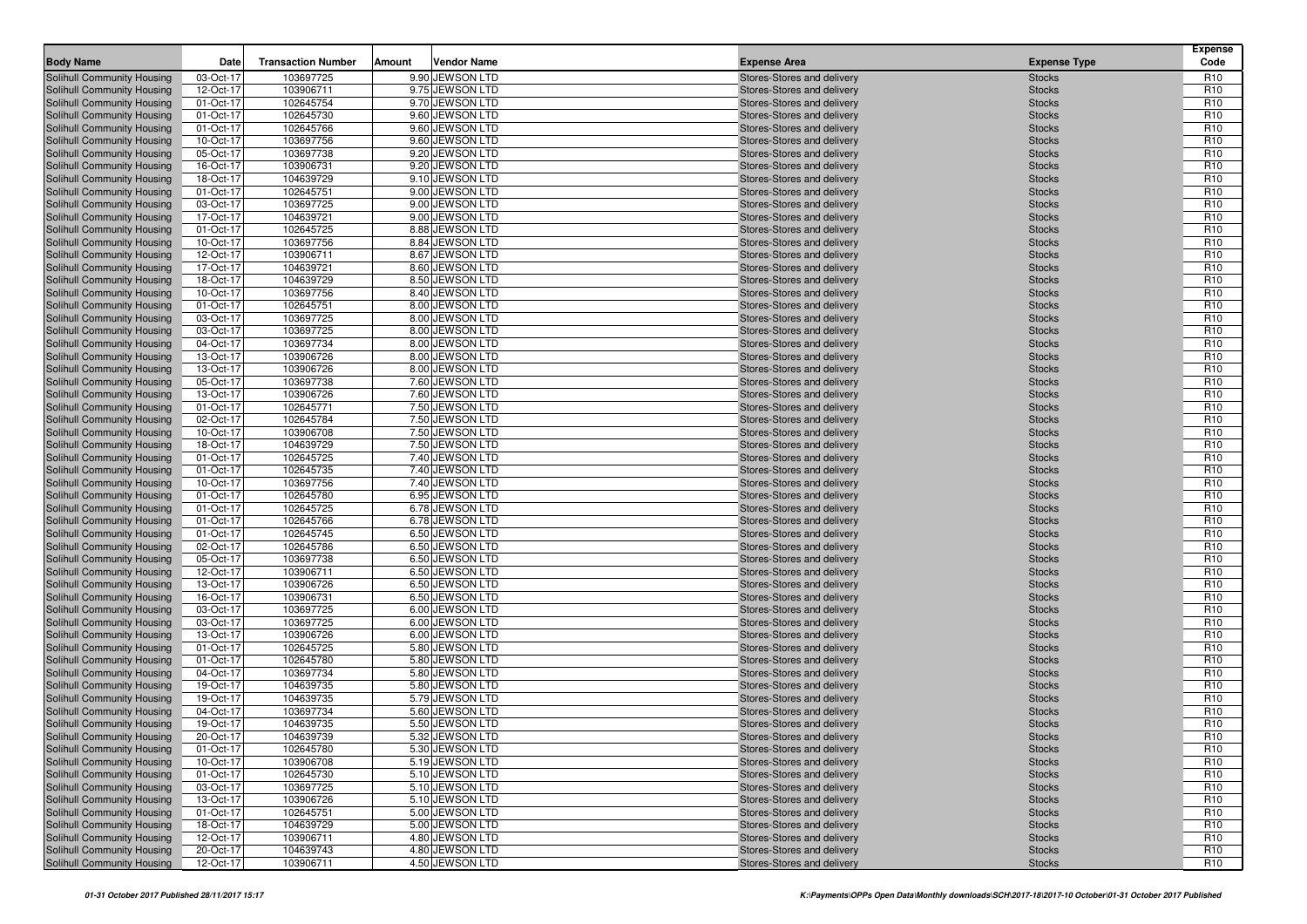| <b>Body Name</b>                                         | Date                   | <b>Transaction Number</b> | Amount | <b>Vendor Name</b>                 | <b>Expense Area</b>                                      | <b>Expense Type</b>            | <b>Expense</b><br>Code             |
|----------------------------------------------------------|------------------------|---------------------------|--------|------------------------------------|----------------------------------------------------------|--------------------------------|------------------------------------|
| Solihull Community Housing                               | 03-Oct-17              | 103697725                 |        | 9.90 JEWSON LTD                    | Stores-Stores and delivery                               | <b>Stocks</b>                  | R <sub>10</sub>                    |
| Solihull Community Housing                               | 12-Oct-17              | 103906711                 |        | 9.75 JEWSON LTD                    | Stores-Stores and delivery                               | <b>Stocks</b>                  | R <sub>10</sub>                    |
| Solihull Community Housing                               | 01-Oct-17              | 102645754                 |        | 9.70 JEWSON LTD                    | Stores-Stores and delivery                               | <b>Stocks</b>                  | R <sub>10</sub>                    |
| Solihull Community Housing                               | 01-Oct-17              | 102645730                 |        | 9.60 JEWSON LTD                    | Stores-Stores and delivery                               | <b>Stocks</b>                  | R <sub>10</sub>                    |
| Solihull Community Housing                               | 01-Oct-17              | 102645766                 |        | 9.60 JEWSON LTD                    | Stores-Stores and delivery                               | <b>Stocks</b>                  | R <sub>10</sub>                    |
| Solihull Community Housing                               | 10-Oct-17              | 103697756                 |        | 9.60 JEWSON LTD                    | Stores-Stores and delivery                               | <b>Stocks</b>                  | R <sub>10</sub>                    |
| Solihull Community Housing                               | 05-Oct-17              | 103697738                 |        | 9.20 JEWSON LTD                    | Stores-Stores and delivery                               | <b>Stocks</b>                  | R <sub>10</sub>                    |
| Solihull Community Housing                               | 16-Oct-17              | 103906731                 |        | 9.20 JEWSON LTD                    | Stores-Stores and delivery                               | <b>Stocks</b>                  | R <sub>10</sub>                    |
| Solihull Community Housing                               | 18-Oct-17              | 104639729                 |        | 9.10 JEWSON LTD                    | Stores-Stores and delivery                               | <b>Stocks</b>                  | R <sub>10</sub>                    |
| Solihull Community Housing                               | 01-Oct-17              | 102645751                 |        | 9.00 JEWSON LTD                    | Stores-Stores and delivery                               | <b>Stocks</b>                  | R <sub>10</sub>                    |
| Solihull Community Housing                               | 03-Oct-17              | 103697725                 |        | 9.00 JEWSON LTD                    | Stores-Stores and delivery                               | <b>Stocks</b>                  | R <sub>10</sub>                    |
| Solihull Community Housing                               | 17-Oct-17              | 104639721                 |        | 9.00 JEWSON LTD                    | Stores-Stores and delivery                               | <b>Stocks</b>                  | R <sub>10</sub>                    |
| Solihull Community Housing                               | 01-Oct-17              | 102645725                 |        | 8.88 JEWSON LTD                    | Stores-Stores and delivery                               | <b>Stocks</b>                  | R <sub>10</sub>                    |
| Solihull Community Housing                               | 10-Oct-17              | 103697756                 |        | 8.84 JEWSON LTD                    | Stores-Stores and delivery                               | <b>Stocks</b>                  | R <sub>10</sub>                    |
| Solihull Community Housing                               | 12-Oct-17              | 103906711                 |        | 8.67 JEWSON LTD                    | Stores-Stores and delivery                               | <b>Stocks</b>                  | R <sub>10</sub>                    |
| Solihull Community Housing                               | 17-Oct-17              | 104639721                 |        | 8.60 JEWSON LTD                    | Stores-Stores and delivery                               | <b>Stocks</b>                  | R <sub>10</sub>                    |
| Solihull Community Housing                               | 18-Oct-17              | 104639729                 |        | 8.50 JEWSON LTD                    | Stores-Stores and delivery                               | <b>Stocks</b>                  | R <sub>10</sub>                    |
| Solihull Community Housing                               | 10-Oct-17              | 103697756                 |        | 8.40 JEWSON LTD                    | Stores-Stores and delivery                               | <b>Stocks</b>                  | R <sub>10</sub>                    |
| Solihull Community Housing                               | 01-Oct-17              | 102645751                 |        | 8.00 JEWSON LTD                    | Stores-Stores and delivery                               | <b>Stocks</b>                  | R <sub>10</sub>                    |
| Solihull Community Housing                               | 03-Oct-17              | 103697725                 |        | 8.00 JEWSON LTD                    | Stores-Stores and delivery                               | <b>Stocks</b>                  | R <sub>10</sub>                    |
| Solihull Community Housing                               | 03-Oct-17              | 103697725                 |        | 8.00 JEWSON LTD                    | Stores-Stores and delivery                               | <b>Stocks</b>                  | R <sub>10</sub>                    |
| Solihull Community Housing                               | 04-Oct-17              | 103697734                 |        | 8.00 JEWSON LTD                    | Stores-Stores and delivery                               | <b>Stocks</b>                  | R <sub>10</sub>                    |
| Solihull Community Housing                               | 13-Oct-17              | 103906726                 |        | 8.00 JEWSON LTD                    | Stores-Stores and delivery                               | <b>Stocks</b>                  | R <sub>10</sub>                    |
| Solihull Community Housing                               | 13-Oct-17              | 103906726                 |        | 8.00 JEWSON LTD                    | Stores-Stores and delivery                               | <b>Stocks</b>                  | R <sub>10</sub>                    |
| Solihull Community Housing                               | 05-Oct-17              | 103697738                 |        | 7.60 JEWSON LTD                    | Stores-Stores and delivery                               | <b>Stocks</b>                  | R <sub>10</sub>                    |
| Solihull Community Housing<br>Solihull Community Housing | 13-Oct-17              | 103906726                 |        | 7.60 JEWSON LTD                    | Stores-Stores and delivery                               | <b>Stocks</b>                  | R <sub>10</sub><br>R <sub>10</sub> |
|                                                          | 01-Oct-17              | 102645771                 |        | 7.50 JEWSON LTD                    | Stores-Stores and delivery                               | <b>Stocks</b>                  | R <sub>10</sub>                    |
| Solihull Community Housing                               | 02-Oct-17<br>10-Oct-17 | 102645784<br>103906708    |        | 7.50 JEWSON LTD<br>7.50 JEWSON LTD | Stores-Stores and delivery                               | <b>Stocks</b>                  | R <sub>10</sub>                    |
| Solihull Community Housing<br>Solihull Community Housing | 18-Oct-17              | 104639729                 |        | 7.50 JEWSON LTD                    | Stores-Stores and delivery<br>Stores-Stores and delivery | <b>Stocks</b><br><b>Stocks</b> | R <sub>10</sub>                    |
| Solihull Community Housing                               | 01-Oct-17              | 102645725                 |        | 7.40 JEWSON LTD                    | Stores-Stores and delivery                               | <b>Stocks</b>                  | R <sub>10</sub>                    |
| Solihull Community Housing                               | 01-Oct-17              | 102645735                 |        | 7.40 JEWSON LTD                    | Stores-Stores and delivery                               | <b>Stocks</b>                  | R <sub>10</sub>                    |
| Solihull Community Housing                               | 10-Oct-17              | 103697756                 |        | 7.40 JEWSON LTD                    | Stores-Stores and delivery                               | <b>Stocks</b>                  | R <sub>10</sub>                    |
| Solihull Community Housing                               | 01-Oct-17              | 102645780                 |        | 6.95 JEWSON LTD                    | Stores-Stores and delivery                               | <b>Stocks</b>                  | R <sub>10</sub>                    |
| Solihull Community Housing                               | 01-Oct-17              | 102645725                 |        | 6.78 JEWSON LTD                    | Stores-Stores and delivery                               | <b>Stocks</b>                  | R <sub>10</sub>                    |
| Solihull Community Housing                               | 01-Oct-17              | 102645766                 |        | 6.78 JEWSON LTD                    | Stores-Stores and delivery                               | <b>Stocks</b>                  | R <sub>10</sub>                    |
| Solihull Community Housing                               | 01-Oct-17              | 102645745                 |        | 6.50 JEWSON LTD                    | Stores-Stores and delivery                               | <b>Stocks</b>                  | R <sub>10</sub>                    |
| Solihull Community Housing                               | 02-Oct-17              | 102645786                 |        | 6.50 JEWSON LTD                    | Stores-Stores and delivery                               | <b>Stocks</b>                  | R <sub>10</sub>                    |
| Solihull Community Housing                               | 05-Oct-17              | 103697738                 |        | 6.50 JEWSON LTD                    | Stores-Stores and delivery                               | <b>Stocks</b>                  | R <sub>10</sub>                    |
| Solihull Community Housing                               | 12-Oct-17              | 103906711                 |        | 6.50 JEWSON LTD                    | Stores-Stores and delivery                               | <b>Stocks</b>                  | R <sub>10</sub>                    |
| Solihull Community Housing                               | 13-Oct-17              | 103906726                 |        | 6.50 JEWSON LTD                    | Stores-Stores and delivery                               | <b>Stocks</b>                  | R <sub>10</sub>                    |
| Solihull Community Housing                               | 16-Oct-17              | 103906731                 |        | 6.50 JEWSON LTD                    | Stores-Stores and delivery                               | <b>Stocks</b>                  | R <sub>10</sub>                    |
| Solihull Community Housing                               | 03-Oct-17              | 103697725                 |        | 6.00 JEWSON LTD                    | Stores-Stores and delivery                               | <b>Stocks</b>                  | R <sub>10</sub>                    |
| Solihull Community Housing                               | 03-Oct-17              | 103697725                 |        | 6.00 JEWSON LTD                    | Stores-Stores and delivery                               | <b>Stocks</b>                  | R <sub>10</sub>                    |
| Solihull Community Housing                               | 13-Oct-17              | 103906726                 |        | 6.00 JEWSON LTD                    | Stores-Stores and delivery                               | <b>Stocks</b>                  | R <sub>10</sub>                    |
| Solihull Community Housing                               | 01-Oct-17              | 102645725                 |        | 5.80 JEWSON LTD                    | Stores-Stores and delivery                               | <b>Stocks</b>                  | R <sub>10</sub>                    |
| Solihull Community Housing                               | 01-Oct-17              | 102645780                 |        | 5.80 JEWSON LTD                    | Stores-Stores and delivery                               | <b>Stocks</b>                  | R <sub>10</sub>                    |
| Solihull Community Housing                               | 04-Oct-17              | 103697734                 |        | 5.80 JEWSON LTD                    | Stores-Stores and delivery                               | <b>Stocks</b>                  | R <sub>10</sub>                    |
| Solihull Community Housing                               | 19-Oct-17              | 104639735                 |        | 5.80 JEWSON LTD                    | Stores-Stores and delivery                               | <b>Stocks</b>                  | R <sub>10</sub>                    |
| Solihull Community Housing                               | 19-Oct-17              | 104639735                 |        | 5.79 JEWSON LTD                    | Stores-Stores and delivery                               | <b>Stocks</b>                  | R <sub>10</sub>                    |
| Solihull Community Housing                               | 04-Oct-17              | 103697734                 |        | 5.60 JEWSON LTD                    | Stores-Stores and delivery                               | <b>Stocks</b>                  | R <sub>10</sub>                    |
| Solihull Community Housing                               | 19-Oct-17              | 104639735                 |        | 5.50 JEWSON LTD                    | Stores-Stores and delivery                               | <b>Stocks</b>                  | R <sub>10</sub>                    |
| Solihull Community Housing                               | 20-Oct-17              | 104639739                 |        | 5.32 JEWSON LTD                    | Stores-Stores and delivery                               | <b>Stocks</b>                  | R <sub>10</sub>                    |
| Solihull Community Housing                               | 01-Oct-17              | 102645780                 |        | 5.30 JEWSON LTD                    | Stores-Stores and delivery                               | <b>Stocks</b>                  | R <sub>10</sub>                    |
| Solihull Community Housing                               | 10-Oct-17              | 103906708                 |        | 5.19 JEWSON LTD                    | Stores-Stores and delivery                               | <b>Stocks</b>                  | R <sub>10</sub>                    |
| Solihull Community Housing                               | 01-Oct-17              | 102645730                 |        | 5.10 JEWSON LTD                    | Stores-Stores and delivery                               | <b>Stocks</b>                  | R <sub>10</sub>                    |
| Solihull Community Housing                               | 03-Oct-17              | 103697725                 |        | 5.10 JEWSON LTD                    | Stores-Stores and delivery                               | <b>Stocks</b>                  | R <sub>10</sub>                    |
| Solihull Community Housing                               | 13-Oct-17              | 103906726                 |        | 5.10 JEWSON LTD                    | Stores-Stores and delivery                               | <b>Stocks</b>                  | R <sub>10</sub>                    |
| Solihull Community Housing                               | 01-Oct-17              | 102645751                 |        | 5.00 JEWSON LTD                    | Stores-Stores and delivery                               | <b>Stocks</b>                  | R <sub>10</sub>                    |
| Solihull Community Housing<br>Solihull Community Housing | 18-Oct-17<br>12-Oct-17 | 104639729<br>103906711    |        | 5.00 JEWSON LTD<br>4.80 JEWSON LTD | Stores-Stores and delivery<br>Stores-Stores and delivery | <b>Stocks</b><br><b>Stocks</b> | R <sub>10</sub><br>R <sub>10</sub> |
| Solihull Community Housing                               | 20-Oct-17              | 104639743                 |        | 4.80 JEWSON LTD                    | Stores-Stores and delivery                               | <b>Stocks</b>                  | R <sub>10</sub>                    |
| Solihull Community Housing                               | 12-Oct-17              | 103906711                 |        | 4.50 JEWSON LTD                    | Stores-Stores and delivery                               | <b>Stocks</b>                  | R <sub>10</sub>                    |
|                                                          |                        |                           |        |                                    |                                                          |                                |                                    |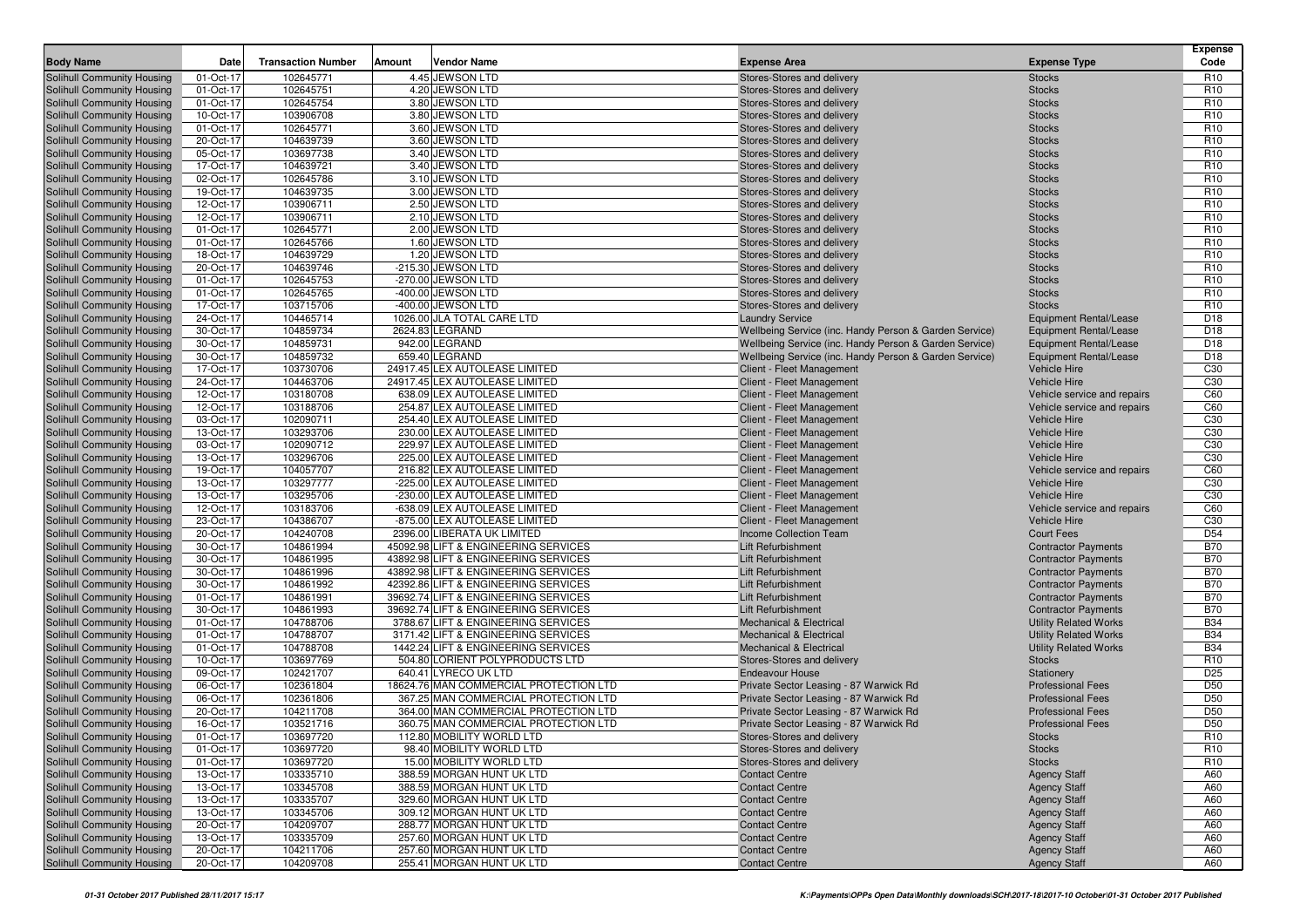|                                                          |                        |                           |        |                                                                              |                                                                                     |                                                          | <b>Expense</b>                     |
|----------------------------------------------------------|------------------------|---------------------------|--------|------------------------------------------------------------------------------|-------------------------------------------------------------------------------------|----------------------------------------------------------|------------------------------------|
| <b>Body Name</b>                                         | Date                   | <b>Transaction Number</b> | Amount | <b>Vendor Name</b>                                                           | <b>Expense Area</b>                                                                 | <b>Expense Type</b>                                      | Code                               |
| Solihull Community Housing                               | 01-Oct-17              | 102645771                 |        | 4.45 JEWSON LTD                                                              | Stores-Stores and delivery                                                          | <b>Stocks</b>                                            | R <sub>10</sub>                    |
| Solihull Community Housing                               | 01-Oct-17              | 102645751<br>102645754    |        | 4.20 JEWSON LTD<br>3.80 JEWSON LTD                                           | Stores-Stores and delivery                                                          | <b>Stocks</b>                                            | R <sub>10</sub><br>R <sub>10</sub> |
| Solihull Community Housing<br>Solihull Community Housing | 01-Oct-17<br>10-Oct-17 | 103906708                 |        | 3.80 JEWSON LTD                                                              | Stores-Stores and delivery<br>Stores-Stores and delivery                            | <b>Stocks</b><br><b>Stocks</b>                           | R <sub>10</sub>                    |
| Solihull Community Housing                               | 01-Oct-17              | 102645771                 |        | 3.60 JEWSON LTD                                                              | Stores-Stores and delivery                                                          | <b>Stocks</b>                                            | R <sub>10</sub>                    |
| Solihull Community Housing                               | 20-Oct-17              | 104639739                 |        | 3.60 JEWSON LTD                                                              | Stores-Stores and delivery                                                          | <b>Stocks</b>                                            | R <sub>10</sub>                    |
| Solihull Community Housing                               | 05-Oct-17              | 103697738                 |        | 3.40 JEWSON LTD                                                              | Stores-Stores and delivery                                                          | <b>Stocks</b>                                            | R <sub>10</sub>                    |
| Solihull Community Housing                               | 17-Oct-17              | 104639721                 |        | 3.40 JEWSON LTD                                                              | Stores-Stores and delivery                                                          | <b>Stocks</b>                                            | R <sub>10</sub>                    |
| Solihull Community Housing                               | 02-Oct-17              | 102645786                 |        | 3.10 JEWSON LTD                                                              | Stores-Stores and delivery                                                          | <b>Stocks</b>                                            | R <sub>10</sub>                    |
| Solihull Community Housing                               | 19-Oct-17              | 104639735                 |        | 3.00 JEWSON LTD                                                              | Stores-Stores and delivery                                                          | <b>Stocks</b>                                            | R <sub>10</sub>                    |
| Solihull Community Housing                               | 12-Oct-17              | 103906711                 |        | 2.50 JEWSON LTD                                                              | Stores-Stores and delivery                                                          | <b>Stocks</b>                                            | R <sub>10</sub>                    |
| Solihull Community Housing                               | 12-Oct-17              | 103906711                 |        | 2.10 JEWSON LTD                                                              | Stores-Stores and delivery                                                          | <b>Stocks</b>                                            | R <sub>10</sub>                    |
| Solihull Community Housing                               | 01-Oct-17              | 102645771                 |        | 2.00 JEWSON LTD                                                              | Stores-Stores and delivery                                                          | <b>Stocks</b>                                            | R <sub>10</sub>                    |
| Solihull Community Housing                               | 01-Oct-17              | 102645766                 |        | 1.60 JEWSON LTD                                                              | Stores-Stores and delivery                                                          | <b>Stocks</b>                                            | R <sub>10</sub>                    |
| Solihull Community Housing                               | 18-Oct-17              | 104639729                 |        | 1.20 JEWSON LTD                                                              | Stores-Stores and delivery                                                          | <b>Stocks</b>                                            | R <sub>10</sub>                    |
| Solihull Community Housing                               | 20-Oct-17              | 104639746                 |        | -215.30 JEWSON LTD                                                           | Stores-Stores and delivery                                                          | <b>Stocks</b>                                            | R <sub>10</sub>                    |
| Solihull Community Housing                               | 01-Oct-17              | 102645753                 |        | -270.00 JEWSON LTD                                                           | Stores-Stores and delivery                                                          | <b>Stocks</b>                                            | R <sub>10</sub>                    |
| Solihull Community Housing                               | 01-Oct-17              | 102645765                 |        | -400.00 JEWSON LTD                                                           | Stores-Stores and delivery                                                          | <b>Stocks</b>                                            | R <sub>10</sub>                    |
| Solihull Community Housing                               | 17-Oct-17              | 103715706                 |        | -400.00 JEWSON LTD                                                           | Stores-Stores and delivery                                                          | <b>Stocks</b>                                            | R <sub>10</sub>                    |
| Solihull Community Housing                               | 24-Oct-17              | 104465714                 |        | 1026.00 JLA TOTAL CARE LTD                                                   | <b>Laundry Service</b>                                                              | Equipment Rental/Lease                                   | D <sub>18</sub>                    |
| Solihull Community Housing                               | 30-Oct-17              | 104859734                 |        | 2624.83 LEGRAND                                                              | Wellbeing Service (inc. Handy Person & Garden Service)                              | Equipment Rental/Lease                                   | D18                                |
| Solihull Community Housing<br>Solihull Community Housing | 30-Oct-17              | 104859731                 |        | 942.00 LEGRAND<br>659.40 LEGRAND                                             | Wellbeing Service (inc. Handy Person & Garden Service)                              | Equipment Rental/Lease                                   | D <sub>18</sub><br>D18             |
| Solihull Community Housing                               | 30-Oct-17<br>17-Oct-17 | 104859732<br>103730706    |        | 24917.45 LEX AUTOLEASE LIMITED                                               | Wellbeing Service (inc. Handy Person & Garden Service)<br>Client - Fleet Management | Equipment Rental/Lease<br><b>Vehicle Hire</b>            | C <sub>30</sub>                    |
| Solihull Community Housing                               | 24-Oct-17              | 104463706                 |        | 24917.45 LEX AUTOLEASE LIMITED                                               | Client - Fleet Management                                                           | <b>Vehicle Hire</b>                                      | C30                                |
| Solihull Community Housing                               | 12-Oct-17              | 103180708                 |        | 638.09 LEX AUTOLEASE LIMITED                                                 | Client - Fleet Management                                                           | Vehicle service and repairs                              | C60                                |
| Solihull Community Housing                               | 12-Oct-17              | 103188706                 |        | 254.87 LEX AUTOLEASE LIMITED                                                 | Client - Fleet Management                                                           | Vehicle service and repairs                              | C60                                |
| Solihull Community Housing                               | 03-Oct-17              | 102090711                 |        | 254.40 LEX AUTOLEASE LIMITED                                                 | Client - Fleet Management                                                           | <b>Vehicle Hire</b>                                      | C30                                |
| Solihull Community Housing                               | 13-Oct-17              | 103293706                 |        | 230.00 LEX AUTOLEASE LIMITED                                                 | Client - Fleet Management                                                           | <b>Vehicle Hire</b>                                      | C <sub>30</sub>                    |
| Solihull Community Housing                               | 03-Oct-17              | 102090712                 |        | 229.97 LEX AUTOLEASE LIMITED                                                 | Client - Fleet Management                                                           | <b>Vehicle Hire</b>                                      | C <sub>30</sub>                    |
| Solihull Community Housing                               | 13-Oct-17              | 103296706                 |        | 225.00 LEX AUTOLEASE LIMITED                                                 | Client - Fleet Management                                                           | <b>Vehicle Hire</b>                                      | C <sub>30</sub>                    |
| Solihull Community Housing                               | 19-Oct-17              | 104057707                 |        | 216.82 LEX AUTOLEASE LIMITED                                                 | Client - Fleet Management                                                           | Vehicle service and repairs                              | C60                                |
| Solihull Community Housing                               | 13-Oct-17              | 103297777                 |        | -225.00 LEX AUTOLEASE LIMITED                                                | Client - Fleet Management                                                           | <b>Vehicle Hire</b>                                      | C30                                |
| Solihull Community Housing                               | 13-Oct-17              | 103295706                 |        | -230.00 LEX AUTOLEASE LIMITED                                                | Client - Fleet Management                                                           | <b>Vehicle Hire</b>                                      | C <sub>30</sub>                    |
| Solihull Community Housing                               | 12-Oct-17              | 103183706                 |        | -638.09 LEX AUTOLEASE LIMITED                                                | Client - Fleet Management                                                           | Vehicle service and repairs                              | C60                                |
| Solihull Community Housing                               | 23-Oct-17              | 104386707                 |        | -875.00 LEX AUTOLEASE LIMITED                                                | Client - Fleet Management                                                           | <b>Vehicle Hire</b>                                      | C <sub>30</sub>                    |
| Solihull Community Housing                               | 20-Oct-17              | 104240708                 |        | 2396.00 LIBERATA UK LIMITED                                                  | Income Collection Team                                                              | <b>Court Fees</b>                                        | D <sub>54</sub>                    |
| Solihull Community Housing                               | 30-Oct-17              | 104861994                 |        | 45092.98 LIFT & ENGINEERING SERVICES                                         | Lift Refurbishment                                                                  | <b>Contractor Payments</b>                               | <b>B70</b>                         |
| Solihull Community Housing                               | 30-Oct-17              | 104861995                 |        | 43892.98 LIFT & ENGINEERING SERVICES                                         | Lift Refurbishment                                                                  | <b>Contractor Payments</b>                               | <b>B70</b>                         |
| Solihull Community Housing                               | 30-Oct-17              | 104861996                 |        | 43892.98 LIFT & ENGINEERING SERVICES                                         | Lift Refurbishment                                                                  | <b>Contractor Payments</b>                               | <b>B70</b>                         |
| Solihull Community Housing                               | 30-Oct-17              | 104861992                 |        | 42392.86 LIFT & ENGINEERING SERVICES                                         | Lift Refurbishment<br>Lift Refurbishment                                            | <b>Contractor Payments</b>                               | <b>B70</b><br><b>B70</b>           |
| Solihull Community Housing<br>Solihull Community Housing | 01-Oct-17<br>30-Oct-17 | 104861991<br>104861993    |        | 39692.74 LIFT & ENGINEERING SERVICES<br>39692.74 LIFT & ENGINEERING SERVICES | Lift Refurbishment                                                                  | <b>Contractor Payments</b><br><b>Contractor Payments</b> | <b>B70</b>                         |
| Solihull Community Housing                               | 01-Oct-17              | 104788706                 |        | 3788.67 LIFT & ENGINEERING SERVICES                                          | Mechanical & Electrical                                                             | <b>Utility Related Works</b>                             | <b>B34</b>                         |
| Solihull Community Housing                               | 01-Oct-17              | 104788707                 |        | 3171.42 LIFT & ENGINEERING SERVICES                                          | <b>Mechanical &amp; Electrical</b>                                                  | <b>Utility Related Works</b>                             | <b>B34</b>                         |
| Solihull Community Housing                               | 01-Oct-17              | 104788708                 |        | 1442.24 LIFT & ENGINEERING SERVICES                                          | <b>Mechanical &amp; Electrical</b>                                                  | <b>Utility Related Works</b>                             | <b>B34</b>                         |
| Solihull Community Housing                               | 10-Oct-17              | 103697769                 |        | 504.80 LORIENT POLYPRODUCTS LTD                                              | Stores-Stores and delivery                                                          | <b>Stocks</b>                                            | R <sub>10</sub>                    |
| Solihull Community Housing                               | 09-Oct-17              | 102421707                 |        | 640.41 LYRECO UK LTD                                                         | <b>Endeavour House</b>                                                              | Stationery                                               | D <sub>25</sub>                    |
| Solihull Community Housing                               | 06-Oct-17              | 102361804                 |        | 18624.76 MAN COMMERCIAL PROTECTION LTD                                       | Private Sector Leasing - 87 Warwick Rd                                              | <b>Professional Fees</b>                                 | D <sub>50</sub>                    |
| Solihull Community Housing                               | 06-Oct-17              | 102361806                 |        | 367.25 MAN COMMERCIAL PROTECTION LTD                                         | Private Sector Leasing - 87 Warwick Rd                                              | <b>Professional Fees</b>                                 | D <sub>50</sub>                    |
| Solihull Community Housing                               | 20-Oct-17              | 104211708                 |        | 364.00 MAN COMMERCIAL PROTECTION LTD                                         | Private Sector Leasing - 87 Warwick Rd                                              | <b>Professional Fees</b>                                 | D50                                |
| <b>Solihull Community Housing</b>                        | 16-Oct-17              | 103521716                 |        | 360.75 MAN COMMERCIAL PROTECTION LTD                                         | Private Sector Leasing - 87 Warwick Rd                                              | <b>Professional Fees</b>                                 | D <sub>50</sub>                    |
| <b>Solihull Community Housing</b>                        | 01-Oct-17              | 103697720                 |        | 112.80 MOBILITY WORLD LTD                                                    | Stores-Stores and delivery                                                          | <b>Stocks</b>                                            | R <sub>10</sub>                    |
| Solihull Community Housing                               | 01-Oct-17              | 103697720                 |        | 98.40 MOBILITY WORLD LTD                                                     | Stores-Stores and delivery                                                          | <b>Stocks</b>                                            | R <sub>10</sub>                    |
| Solihull Community Housing                               | 01-Oct-17              | 103697720                 |        | 15.00 MOBILITY WORLD LTD                                                     | Stores-Stores and delivery                                                          | <b>Stocks</b>                                            | R <sub>10</sub>                    |
| Solihull Community Housing                               | 13-Oct-17              | 103335710                 |        | 388.59 MORGAN HUNT UK LTD                                                    | <b>Contact Centre</b>                                                               | <b>Agency Staff</b>                                      | A60                                |
| Solihull Community Housing                               | 13-Oct-17              | 103345708                 |        | 388.59 MORGAN HUNT UK LTD                                                    | <b>Contact Centre</b>                                                               | <b>Agency Staff</b>                                      | A60                                |
| Solihull Community Housing                               | 13-Oct-17              | 103335707                 |        | 329.60 MORGAN HUNT UK LTD                                                    | <b>Contact Centre</b>                                                               | <b>Agency Staff</b>                                      | A60                                |
| Solihull Community Housing                               | 13-Oct-17              | 103345706                 |        | 309.12 MORGAN HUNT UK LTD                                                    | <b>Contact Centre</b>                                                               | <b>Agency Staff</b>                                      | A60                                |
| Solihull Community Housing                               | 20-Oct-17              | 104209707                 |        | 288.77 MORGAN HUNT UK LTD                                                    | <b>Contact Centre</b>                                                               | <b>Agency Staff</b>                                      | A60                                |
| Solihull Community Housing<br>Solihull Community Housing | 13-Oct-17<br>20-Oct-17 | 103335709<br>104211706    |        | 257.60 MORGAN HUNT UK LTD<br>257.60 MORGAN HUNT UK LTD                       | <b>Contact Centre</b><br><b>Contact Centre</b>                                      | <b>Agency Staff</b><br><b>Agency Staff</b>               | A60<br>A60                         |
| Solihull Community Housing                               | 20-Oct-17              | 104209708                 |        | 255.41 MORGAN HUNT UK LTD                                                    | <b>Contact Centre</b>                                                               | <b>Agency Staff</b>                                      | A60                                |
|                                                          |                        |                           |        |                                                                              |                                                                                     |                                                          |                                    |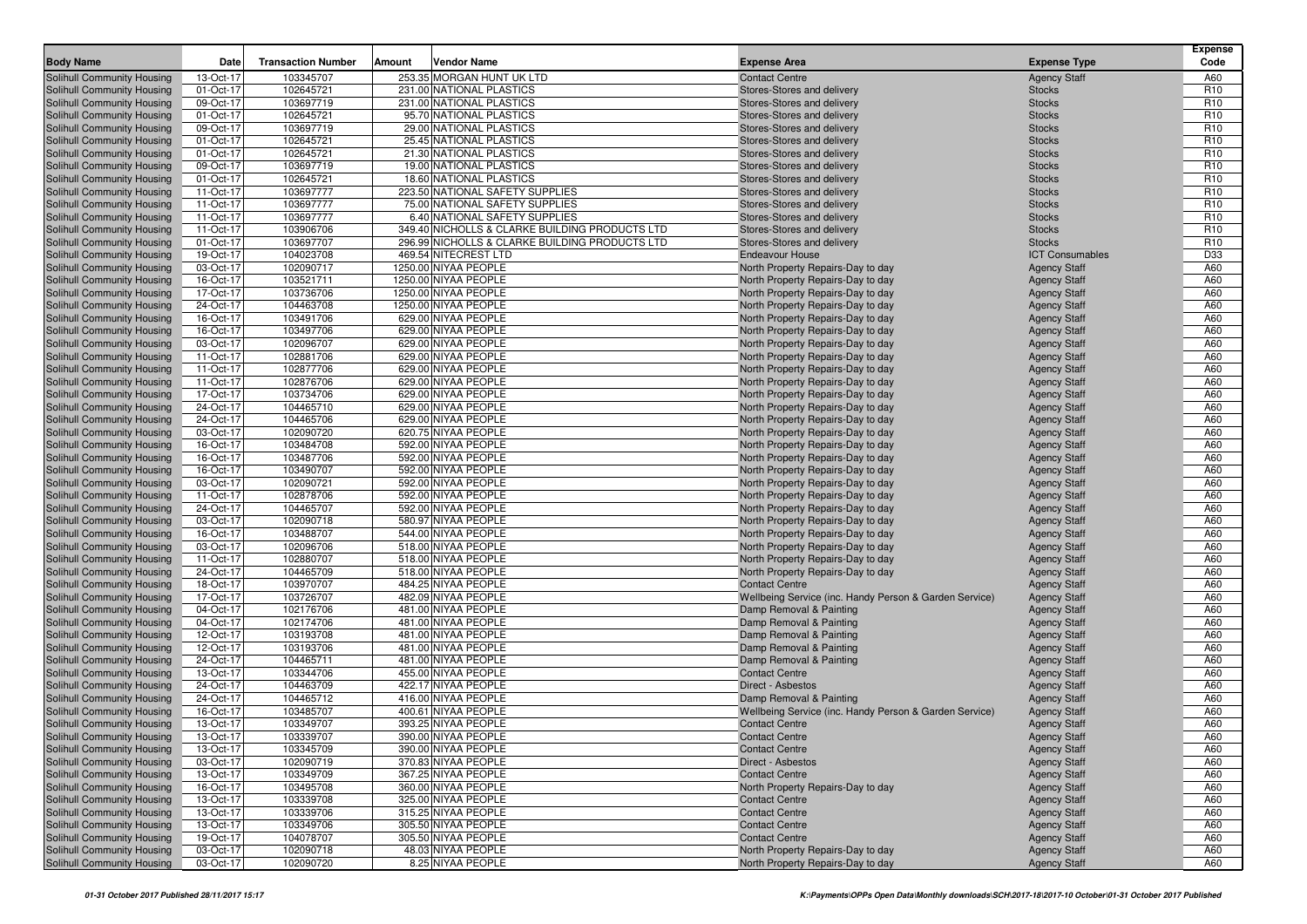| <b>Body Name</b>           | Date      | <b>Transaction Number</b> | Amount | <b>Vendor Name</b>                             | <b>Expense Area</b>                                    | <b>Expense Type</b>    | <b>Expense</b><br>Code |
|----------------------------|-----------|---------------------------|--------|------------------------------------------------|--------------------------------------------------------|------------------------|------------------------|
| Solihull Community Housing | 13-Oct-17 | 103345707                 |        | 253.35 MORGAN HUNT UK LTD                      | <b>Contact Centre</b>                                  | <b>Agency Staff</b>    | A60                    |
| Solihull Community Housing | 01-Oct-17 | 102645721                 |        | 231.00 NATIONAL PLASTICS                       | Stores-Stores and delivery                             | <b>Stocks</b>          | R <sub>10</sub>        |
| Solihull Community Housing | 09-Oct-17 | 103697719                 |        | 231.00 NATIONAL PLASTICS                       | Stores-Stores and delivery                             | <b>Stocks</b>          | R <sub>10</sub>        |
| Solihull Community Housing | 01-Oct-17 | 102645721                 |        | 95.70 NATIONAL PLASTICS                        | Stores-Stores and delivery                             | <b>Stocks</b>          | R <sub>10</sub>        |
| Solihull Community Housing | 09-Oct-17 | 103697719                 |        | 29.00 NATIONAL PLASTICS                        | Stores-Stores and delivery                             | <b>Stocks</b>          | R <sub>10</sub>        |
| Solihull Community Housing | 01-Oct-17 | 102645721                 |        | 25.45 NATIONAL PLASTICS                        | Stores-Stores and delivery                             | <b>Stocks</b>          | R <sub>10</sub>        |
| Solihull Community Housing | 01-Oct-17 | 102645721                 |        | 21.30 NATIONAL PLASTICS                        | Stores-Stores and delivery                             | <b>Stocks</b>          | R <sub>10</sub>        |
| Solihull Community Housing | 09-Oct-17 | 103697719                 |        | 19.00 NATIONAL PLASTICS                        | Stores-Stores and delivery                             | <b>Stocks</b>          | R <sub>10</sub>        |
| Solihull Community Housing | 01-Oct-17 | 102645721                 |        | 18.60 NATIONAL PLASTICS                        | Stores-Stores and delivery                             | <b>Stocks</b>          | R <sub>10</sub>        |
| Solihull Community Housing | 11-Oct-17 | 103697777                 |        | 223.50 NATIONAL SAFETY SUPPLIES                | Stores-Stores and delivery                             | <b>Stocks</b>          | R <sub>10</sub>        |
| Solihull Community Housing | 11-Oct-17 | 103697777                 |        | 75.00 NATIONAL SAFETY SUPPLIES                 | Stores-Stores and delivery                             | <b>Stocks</b>          | R <sub>10</sub>        |
| Solihull Community Housing | 11-Oct-17 | 103697777                 |        | 6.40 NATIONAL SAFETY SUPPLIES                  | Stores-Stores and delivery                             | <b>Stocks</b>          | R <sub>10</sub>        |
| Solihull Community Housing | 11-Oct-17 | 103906706                 |        | 349.40 NICHOLLS & CLARKE BUILDING PRODUCTS LTD | Stores-Stores and delivery                             | <b>Stocks</b>          | R <sub>10</sub>        |
| Solihull Community Housing | 01-Oct-17 | 103697707                 |        | 296.99 NICHOLLS & CLARKE BUILDING PRODUCTS LTD | Stores-Stores and delivery                             | <b>Stocks</b>          | R <sub>10</sub>        |
| Solihull Community Housing | 19-Oct-17 | 104023708                 |        | 469.54 NITECREST LTD                           | <b>Endeavour House</b>                                 | <b>ICT Consumables</b> | D33                    |
| Solihull Community Housing | 03-Oct-17 | 102090717                 |        | 1250.00 NIYAA PEOPLE                           | North Property Repairs-Day to day                      | <b>Agency Staff</b>    | A60                    |
| Solihull Community Housing | 16-Oct-17 | 103521711                 |        | 1250.00 NIYAA PEOPLE                           | North Property Repairs-Day to day                      | <b>Agency Staff</b>    | A60                    |
| Solihull Community Housing | 17-Oct-17 | 103736706                 |        | 1250.00 NIYAA PEOPLE                           | North Property Repairs-Day to day                      | <b>Agency Staff</b>    | A60                    |
| Solihull Community Housing | 24-Oct-17 | 104463708                 |        | 1250.00 NIYAA PEOPLE                           | North Property Repairs-Day to day                      | <b>Agency Staff</b>    | A60                    |
| Solihull Community Housing | 16-Oct-17 | 103491706                 |        | 629.00 NIYAA PEOPLE                            | North Property Repairs-Day to day                      | <b>Agency Staff</b>    | A60                    |
| Solihull Community Housing | 16-Oct-17 | 103497706                 |        | 629.00 NIYAA PEOPLE                            | North Property Repairs-Day to day                      | <b>Agency Staff</b>    | A60                    |
| Solihull Community Housing | 03-Oct-17 | 102096707                 |        | 629.00 NIYAA PEOPLE                            | North Property Repairs-Day to day                      | <b>Agency Staff</b>    | A60                    |
| Solihull Community Housing | 11-Oct-17 | 102881706                 |        | 629.00 NIYAA PEOPLE                            | North Property Repairs-Day to day                      | <b>Agency Staff</b>    | A60                    |
| Solihull Community Housing | 11-Oct-17 | 102877706                 |        | 629.00 NIYAA PEOPLE                            | North Property Repairs-Day to day                      | <b>Agency Staff</b>    | A60                    |
| Solihull Community Housing | 11-Oct-17 | 102876706                 |        | 629.00 NIYAA PEOPLE                            | North Property Repairs-Day to day                      | <b>Agency Staff</b>    | A60                    |
| Solihull Community Housing | 17-Oct-17 | 103734706                 |        | 629.00 NIYAA PEOPLE                            | North Property Repairs-Day to day                      | <b>Agency Staff</b>    | A60                    |
| Solihull Community Housing | 24-Oct-17 | 104465710                 |        | 629.00 NIYAA PEOPLE                            | North Property Repairs-Day to day                      | <b>Agency Staff</b>    | A60                    |
| Solihull Community Housing | 24-Oct-17 | 104465706                 |        | 629.00 NIYAA PEOPLE                            | North Property Repairs-Day to day                      | <b>Agency Staff</b>    | A60                    |
| Solihull Community Housing | 03-Oct-17 | 102090720                 |        | 620.75 NIYAA PEOPLE                            | North Property Repairs-Day to day                      | <b>Agency Staff</b>    | A60                    |
| Solihull Community Housing | 16-Oct-17 | 103484708                 |        | 592.00 NIYAA PEOPLE                            | North Property Repairs-Day to day                      | <b>Agency Staff</b>    | A60                    |
| Solihull Community Housing | 16-Oct-17 | 103487706                 |        | 592.00 NIYAA PEOPLE                            | North Property Repairs-Day to day                      | <b>Agency Staff</b>    | A60                    |
| Solihull Community Housing | 16-Oct-17 | 103490707                 |        | 592.00 NIYAA PEOPLE                            | North Property Repairs-Day to day                      | <b>Agency Staff</b>    | A60                    |
| Solihull Community Housing | 03-Oct-17 | 102090721                 |        | 592.00 NIYAA PEOPLE                            | North Property Repairs-Day to day                      | <b>Agency Staff</b>    | A60                    |
| Solihull Community Housing | 11-Oct-17 | 102878706                 |        | 592.00 NIYAA PEOPLE                            | North Property Repairs-Day to day                      | <b>Agency Staff</b>    | A60                    |
| Solihull Community Housing | 24-Oct-17 | 104465707                 |        | 592.00 NIYAA PEOPLE                            | North Property Repairs-Day to day                      | <b>Agency Staff</b>    | A60                    |
| Solihull Community Housing | 03-Oct-17 | 102090718                 |        | 580.97 NIYAA PEOPLE                            | North Property Repairs-Day to day                      | <b>Agency Staff</b>    | A60                    |
| Solihull Community Housing | 16-Oct-17 | 103488707                 |        | 544.00 NIYAA PEOPLE                            | North Property Repairs-Day to day                      | <b>Agency Staff</b>    | A60                    |
| Solihull Community Housing | 03-Oct-17 | 102096706                 |        | 518.00 NIYAA PEOPLE                            | North Property Repairs-Day to day                      | <b>Agency Staff</b>    | A60                    |
| Solihull Community Housing | 11-Oct-17 | 102880707                 |        | 518.00 NIYAA PEOPLE                            | North Property Repairs-Day to day                      | <b>Agency Staff</b>    | A60                    |
| Solihull Community Housing | 24-Oct-17 | 104465709                 |        | 518.00 NIYAA PEOPLE                            | North Property Repairs-Day to day                      | <b>Agency Staff</b>    | A60                    |
| Solihull Community Housing | 18-Oct-17 | 103970707                 |        | 484.25 NIYAA PEOPLE                            | <b>Contact Centre</b>                                  | <b>Agency Staff</b>    | A60                    |
| Solihull Community Housing | 17-Oct-17 | 103726707                 |        | 482.09 NIYAA PEOPLE                            | Wellbeing Service (inc. Handy Person & Garden Service) | <b>Agency Staff</b>    | A60                    |
| Solihull Community Housing | 04-Oct-17 | 102176706                 |        | 481.00 NIYAA PEOPLE                            | Damp Removal & Painting                                | <b>Agency Staff</b>    | A60                    |
| Solihull Community Housing | 04-Oct-17 | 102174706                 |        | 481.00 NIYAA PEOPLE                            | Damp Removal & Painting                                | <b>Agency Staff</b>    | A60                    |
| Solihull Community Housing | 12-Oct-17 | 103193708                 |        | 481.00 NIYAA PEOPLE                            | Damp Removal & Painting                                | <b>Agency Staff</b>    | A60                    |
| Solihull Community Housing | 12-Oct-17 | 103193706                 |        | 481.00 NIYAA PEOPLE                            | Damp Removal & Painting                                | <b>Agency Staff</b>    | A60                    |
| Solihull Community Housing | 24-Oct-17 | 104465711                 |        | 481.00 NIYAA PEOPLE                            | Damp Removal & Painting                                | <b>Agency Staff</b>    | A60                    |
| Solihull Community Housing | 13-Oct-17 | 103344706                 |        | 455.00 NIYAA PEOPLE                            | <b>Contact Centre</b>                                  | <b>Agency Staff</b>    | A60                    |
| Solihull Community Housing | 24-Oct-17 | 104463709                 |        | 422.17 NIYAA PEOPLE                            | Direct - Asbestos                                      | <b>Agency Staff</b>    | A60                    |
| Solihull Community Housing | 24-Oct-17 | 104465712                 |        | 416.00 NIYAA PEOPLE                            | Damp Removal & Painting                                | <b>Agency Staff</b>    | A60                    |
| Solihull Community Housing | 16-Oct-17 | 103485707                 |        | 400.61 NIYAA PEOPLE                            | Wellbeing Service (inc. Handy Person & Garden Service) | <b>Agency Staff</b>    | A60                    |
| Solihull Community Housing | 13-Oct-17 | 103349707                 |        | 393.25 NIYAA PEOPLE                            | <b>Contact Centre</b>                                  | <b>Agency Staff</b>    | A60                    |
| Solihull Community Housing | 13-Oct-17 | 103339707                 |        | 390.00 NIYAA PEOPLE                            | <b>Contact Centre</b>                                  | <b>Agency Staff</b>    | A60                    |
| Solihull Community Housing | 13-Oct-17 | 103345709                 |        | 390.00 NIYAA PEOPLE                            | <b>Contact Centre</b>                                  | <b>Agency Staff</b>    | A60                    |
| Solihull Community Housing | 03-Oct-17 | 102090719                 |        | 370.83 NIYAA PEOPLE                            | Direct - Asbestos                                      | <b>Agency Staff</b>    | A60                    |
| Solihull Community Housing | 13-Oct-17 | 103349709                 |        | 367.25 NIYAA PEOPLE                            | <b>Contact Centre</b>                                  | <b>Agency Staff</b>    | A60                    |
| Solihull Community Housing | 16-Oct-17 | 103495708                 |        | 360.00 NIYAA PEOPLE                            | North Property Repairs-Day to day                      | <b>Agency Staff</b>    | A60                    |
| Solihull Community Housing | 13-Oct-17 | 103339708                 |        | 325.00 NIYAA PEOPLE                            | <b>Contact Centre</b>                                  | <b>Agency Staff</b>    | A60                    |
| Solihull Community Housing | 13-Oct-17 | 103339706                 |        | 315.25 NIYAA PEOPLE                            | <b>Contact Centre</b>                                  | <b>Agency Staff</b>    | A60                    |
| Solihull Community Housing | 13-Oct-17 | 103349706                 |        | 305.50 NIYAA PEOPLE                            | <b>Contact Centre</b>                                  | <b>Agency Staff</b>    | A60                    |
| Solihull Community Housing | 19-Oct-17 | 104078707                 |        | 305.50 NIYAA PEOPLE                            | <b>Contact Centre</b>                                  | <b>Agency Staff</b>    | A60                    |
| Solihull Community Housing | 03-Oct-17 | 102090718                 |        | 48.03 NIYAA PEOPLE                             | North Property Repairs-Day to day                      | <b>Agency Staff</b>    | A60                    |
| Solihull Community Housing | 03-Oct-17 | 102090720                 |        | 8.25 NIYAA PEOPLE                              | North Property Repairs-Day to day                      | <b>Agency Staff</b>    | A60                    |
|                            |           |                           |        |                                                |                                                        |                        |                        |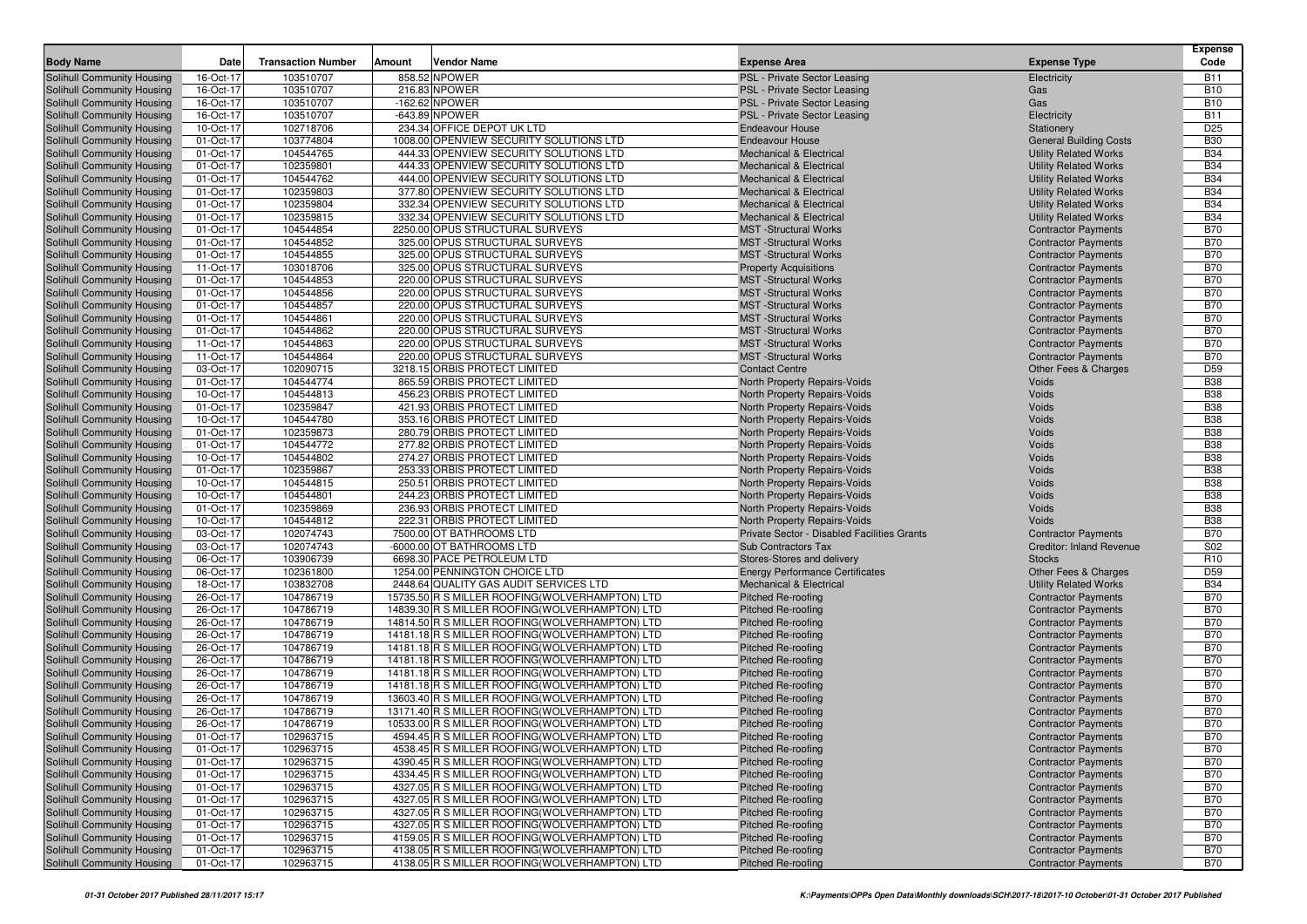|                                                                 | Date                   |                           |        |                                                                                                    |                                                              |                                                          | Expense                  |
|-----------------------------------------------------------------|------------------------|---------------------------|--------|----------------------------------------------------------------------------------------------------|--------------------------------------------------------------|----------------------------------------------------------|--------------------------|
| <b>Body Name</b>                                                |                        | <b>Transaction Number</b> | Amount | Vendor Name                                                                                        | <b>Expense Area</b>                                          | <b>Expense Type</b>                                      | Code                     |
| Solihull Community Housing                                      | 16-Oct-17              | 103510707                 |        | 858.52 NPOWER                                                                                      | PSL - Private Sector Leasing                                 | Electricity                                              | <b>B11</b>               |
| Solihull Community Housing<br>Solihull Community Housing        | 16-Oct-17<br>16-Oct-17 | 103510707<br>103510707    |        | 216.83 NPOWER<br>$-162.62$ NPOWER                                                                  | PSL - Private Sector Leasing<br>PSL - Private Sector Leasing | Gas<br>Gas                                               | <b>B10</b><br><b>B10</b> |
| Solihull Community Housing                                      | 16-Oct-17              | 103510707                 |        | -643.89 NPOWER                                                                                     | PSL - Private Sector Leasing                                 | Electricity                                              | <b>B11</b>               |
| Solihull Community Housing                                      | 10-Oct-17              | 102718706                 |        | 234.34 OFFICE DEPOT UK LTD                                                                         | <b>Endeavour House</b>                                       | Stationery                                               | D <sub>25</sub>          |
| Solihull Community Housing                                      | 01-Oct-17              | 103774804                 |        | 1008.00 OPENVIEW SECURITY SOLUTIONS LTD                                                            | <b>Endeavour House</b>                                       | <b>General Building Costs</b>                            | <b>B30</b>               |
| Solihull Community Housing                                      | 01-Oct-17              | 104544765                 |        | 444.33 OPENVIEW SECURITY SOLUTIONS LTD                                                             | <b>Mechanical &amp; Electrical</b>                           | <b>Utility Related Works</b>                             | <b>B34</b>               |
| Solihull Community Housing                                      | 01-Oct-17              | 102359801                 |        | 444.33 OPENVIEW SECURITY SOLUTIONS LTD                                                             | <b>Mechanical &amp; Electrical</b>                           | <b>Utility Related Works</b>                             | <b>B34</b>               |
| Solihull Community Housing                                      | 01-Oct-17              | 104544762                 |        | 444.00 OPENVIEW SECURITY SOLUTIONS LTD                                                             | <b>Mechanical &amp; Electrical</b>                           | <b>Utility Related Works</b>                             | <b>B34</b>               |
| Solihull Community Housing                                      | 01-Oct-17              | 102359803                 |        | 377.80 OPENVIEW SECURITY SOLUTIONS LTD                                                             | <b>Mechanical &amp; Electrical</b>                           | <b>Utility Related Works</b>                             | <b>B34</b>               |
| Solihull Community Housing                                      | 01-Oct-17              | 102359804                 |        | 332.34 OPENVIEW SECURITY SOLUTIONS LTD                                                             | <b>Mechanical &amp; Electrical</b>                           | <b>Utility Related Works</b>                             | <b>B34</b>               |
| Solihull Community Housing                                      | 01-Oct-17              | 102359815                 |        | 332.34 OPENVIEW SECURITY SOLUTIONS LTD                                                             | <b>Mechanical &amp; Electrical</b>                           | <b>Utility Related Works</b>                             | <b>B34</b>               |
| Solihull Community Housing                                      | 01-Oct-17              | 104544854                 |        | 2250.00 OPUS STRUCTURAL SURVEYS                                                                    | <b>MST</b> -Structural Works                                 | <b>Contractor Payments</b>                               | <b>B70</b>               |
| Solihull Community Housing                                      | 01-Oct-17              | 104544852                 |        | 325.00 OPUS STRUCTURAL SURVEYS                                                                     | <b>MST</b> -Structural Works                                 | <b>Contractor Payments</b>                               | <b>B70</b>               |
| Solihull Community Housing                                      | 01-Oct-17              | 104544855<br>103018706    |        | 325.00 OPUS STRUCTURAL SURVEYS<br>325.00 OPUS STRUCTURAL SURVEYS                                   | <b>MST</b> -Structural Works                                 | <b>Contractor Payments</b>                               | <b>B70</b><br><b>B70</b> |
| Solihull Community Housing<br>Solihull Community Housing        | 11-Oct-17<br>01-Oct-17 | 104544853                 |        | 220.00 OPUS STRUCTURAL SURVEYS                                                                     | <b>Property Acquisitions</b><br><b>MST</b> -Structural Works | <b>Contractor Payments</b><br><b>Contractor Payments</b> | <b>B70</b>               |
| Solihull Community Housing                                      | 01-Oct-17              | 104544856                 |        | 220.00 OPUS STRUCTURAL SURVEYS                                                                     | <b>MST</b> -Structural Works                                 | <b>Contractor Payments</b>                               | <b>B70</b>               |
| Solihull Community Housing                                      | 01-Oct-17              | 104544857                 |        | 220.00 OPUS STRUCTURAL SURVEYS                                                                     | <b>MST</b> -Structural Works                                 | <b>Contractor Payments</b>                               | <b>B70</b>               |
| Solihull Community Housing                                      | 01-Oct-17              | 104544861                 |        | 220.00 OPUS STRUCTURAL SURVEYS                                                                     | <b>MST</b> -Structural Works                                 | <b>Contractor Payments</b>                               | <b>B70</b>               |
| Solihull Community Housing                                      | 01-Oct-17              | 104544862                 |        | 220.00 OPUS STRUCTURAL SURVEYS                                                                     | <b>MST</b> -Structural Works                                 | <b>Contractor Payments</b>                               | <b>B70</b>               |
| Solihull Community Housing                                      | 11-Oct-17              | 104544863                 |        | 220.00 OPUS STRUCTURAL SURVEYS                                                                     | <b>MST</b> -Structural Works                                 | <b>Contractor Payments</b>                               | <b>B70</b>               |
| Solihull Community Housing                                      | 11-Oct-17              | 104544864                 |        | 220.00 OPUS STRUCTURAL SURVEYS                                                                     | <b>MST</b> -Structural Works                                 | <b>Contractor Payments</b>                               | <b>B70</b>               |
| Solihull Community Housing                                      | 03-Oct-17              | 102090715                 |        | 3218.15 ORBIS PROTECT LIMITED                                                                      | <b>Contact Centre</b>                                        | Other Fees & Charges                                     | D <sub>59</sub>          |
| Solihull Community Housing                                      | 01-Oct-17              | 104544774                 |        | 865.59 ORBIS PROTECT LIMITED                                                                       | North Property Repairs-Voids                                 | Voids                                                    | <b>B38</b>               |
| Solihull Community Housing                                      | 10-Oct-17              | 104544813                 |        | 456.23 ORBIS PROTECT LIMITED                                                                       | North Property Repairs-Voids                                 | Voids                                                    | <b>B38</b>               |
| Solihull Community Housing                                      | 01-Oct-17              | 102359847                 |        | 421.93 ORBIS PROTECT LIMITED                                                                       | North Property Repairs-Voids                                 | Voids                                                    | <b>B38</b>               |
| Solihull Community Housing                                      | 10-Oct-17              | 104544780                 |        | 353.16 ORBIS PROTECT LIMITED                                                                       | North Property Repairs-Voids                                 | Voids                                                    | <b>B38</b>               |
| Solihull Community Housing<br>Solihull Community Housing        | 01-Oct-17              | 102359873                 |        | 280.79 ORBIS PROTECT LIMITED                                                                       | North Property Repairs-Voids                                 | Voids                                                    | <b>B38</b>               |
| Solihull Community Housing                                      | 01-Oct-17<br>10-Oct-17 | 104544772<br>104544802    |        | 277.82 ORBIS PROTECT LIMITED<br>274.27 ORBIS PROTECT LIMITED                                       | North Property Repairs-Voids<br>North Property Repairs-Voids | Voids<br>Voids                                           | <b>B38</b><br><b>B38</b> |
| Solihull Community Housing                                      | 01-Oct-17              | 102359867                 |        | 253.33 ORBIS PROTECT LIMITED                                                                       | North Property Repairs-Voids                                 | Voids                                                    | <b>B38</b>               |
| Solihull Community Housing                                      | 10-Oct-17              | 104544815                 |        | 250.51 ORBIS PROTECT LIMITED                                                                       | North Property Repairs-Voids                                 | Voids                                                    | <b>B38</b>               |
| Solihull Community Housing                                      | 10-Oct-17              | 104544801                 |        | 244.23 ORBIS PROTECT LIMITED                                                                       | North Property Repairs-Voids                                 | Voids                                                    | <b>B38</b>               |
| Solihull Community Housing                                      | 01-Oct-17              | 102359869                 |        | 236.93 ORBIS PROTECT LIMITED                                                                       | North Property Repairs-Voids                                 | Voids                                                    | <b>B38</b>               |
| Solihull Community Housing                                      | 10-Oct-17              | 104544812                 |        | 222.31 ORBIS PROTECT LIMITED                                                                       | North Property Repairs-Voids                                 | Voids                                                    | <b>B38</b>               |
| Solihull Community Housing                                      | 03-Oct-17              | 102074743                 |        | 7500.00 OT BATHROOMS LTD                                                                           | Private Sector - Disabled Facilities Grants                  | <b>Contractor Payments</b>                               | <b>B70</b>               |
| Solihull Community Housing                                      | 03-Oct-17              | 102074743                 |        | -6000.00 OT BATHROOMS LTD                                                                          | <b>Sub Contractors Tax</b>                                   | <b>Creditor: Inland Revenue</b>                          | S02                      |
| Solihull Community Housing                                      | 06-Oct-17              | 103906739                 |        | 6698.30 PACE PETROLEUM LTD                                                                         | Stores-Stores and delivery                                   | <b>Stocks</b>                                            | R <sub>10</sub>          |
| Solihull Community Housing                                      | 06-Oct-17              | 102361800                 |        | 1254.00 PENNINGTON CHOICE LTD                                                                      | <b>Energy Performance Certificates</b>                       | Other Fees & Charges                                     | D <sub>59</sub>          |
| Solihull Community Housing                                      | 18-Oct-17              | 103832708                 |        | 2448.64 QUALITY GAS AUDIT SERVICES LTD                                                             | <b>Mechanical &amp; Electrical</b>                           | <b>Utility Related Works</b>                             | <b>B34</b><br><b>B70</b> |
| Solihull Community Housing<br>Solihull Community Housing        | 26-Oct-17<br>26-Oct-17 | 104786719<br>104786719    |        | 15735.50 R S MILLER ROOFING (WOLVERHAMPTON) LTD<br>14839.30 R S MILLER ROOFING (WOLVERHAMPTON) LTD | <b>Pitched Re-roofing</b><br><b>Pitched Re-roofing</b>       | <b>Contractor Payments</b><br><b>Contractor Payments</b> | <b>B70</b>               |
| Solihull Community Housing                                      | 26-Oct-17              | 104786719                 |        | 14814.50 R S MILLER ROOFING (WOLVERHAMPTON) LTD                                                    | <b>Pitched Re-roofing</b>                                    | <b>Contractor Payments</b>                               | <b>B70</b>               |
| Solihull Community Housing                                      | 26-Oct-17              | 104786719                 |        | 14181.18 R S MILLER ROOFING (WOLVERHAMPTON) LTD                                                    | <b>Pitched Re-roofing</b>                                    | <b>Contractor Payments</b>                               | <b>B70</b>               |
| Solihull Community Housing                                      | 26-Oct-17              | 104786719                 |        | 14181.18 R S MILLER ROOFING (WOLVERHAMPTON) LTD                                                    | Pitched Re-roofing                                           | <b>Contractor Payments</b>                               | <b>B70</b>               |
| Solihull Community Housing                                      | 26-Oct-17              | 104786719                 |        | 14181.18 R S MILLER ROOFING (WOLVERHAMPTON) LTD                                                    | Pitched Re-roofing                                           | <b>Contractor Payments</b>                               | <b>B70</b>               |
| Solihull Community Housing                                      | 26-Oct-17              | 104786719                 |        | 14181.18 R S MILLER ROOFING (WOLVERHAMPTON) LTD                                                    | <b>Pitched Re-roofing</b>                                    | <b>Contractor Payments</b>                               | <b>B70</b>               |
| Solihull Community Housing                                      | 26-Oct-17              | 104786719                 |        | 14181.18 R S MILLER ROOFING (WOLVERHAMPTON) LTD                                                    | <b>Pitched Re-roofing</b>                                    | <b>Contractor Payments</b>                               | <b>B70</b>               |
| Solihull Community Housing                                      | 26-Oct-17              | 104786719                 |        | 13603.40 R S MILLER ROOFING (WOLVERHAMPTON) LTD                                                    | <b>Pitched Re-roofing</b>                                    | <b>Contractor Payments</b>                               | <b>B70</b>               |
| Solihull Community Housing                                      | 26-Oct-17              | 104786719                 |        | 13171.40 R S MILLER ROOFING (WOLVERHAMPTON) LTD                                                    | Pitched Re-roofing                                           | <b>Contractor Payments</b>                               | <b>B70</b>               |
| Solihull Community Housing                                      | 26-Oct-17              | 104786719                 |        | 10533.00 R S MILLER ROOFING(WOLVERHAMPTON) LTD                                                     | <b>Pitched Re-roofing</b>                                    | <b>Contractor Payments</b>                               | <b>B70</b>               |
| <b>Solihull Community Housing</b>                               | 01-Oct-17              | 102963715                 |        | 4594.45 R S MILLER ROOFING (WOLVERHAMPTON) LTD                                                     | Pitched Re-roofing                                           | <b>Contractor Payments</b>                               | <b>B70</b>               |
| Solihull Community Housing<br><b>Solihull Community Housing</b> | 01-Oct-17<br>01-Oct-17 | 102963715<br>102963715    |        | 4538.45 R S MILLER ROOFING (WOLVERHAMPTON) LTD<br>4390.45 R S MILLER ROOFING (WOLVERHAMPTON) LTD   | Pitched Re-roofing<br>Pitched Re-roofing                     | <b>Contractor Payments</b><br><b>Contractor Payments</b> | <b>B70</b><br><b>B70</b> |
| Solihull Community Housing                                      | 01-Oct-17              | 102963715                 |        | 4334.45 R S MILLER ROOFING (WOLVERHAMPTON) LTD                                                     | Pitched Re-roofing                                           | <b>Contractor Payments</b>                               | <b>B70</b>               |
| Solihull Community Housing                                      | 01-Oct-17              | 102963715                 |        | 4327.05 R S MILLER ROOFING(WOLVERHAMPTON) LTD                                                      | Pitched Re-roofing                                           | <b>Contractor Payments</b>                               | <b>B70</b>               |
| Solihull Community Housing                                      | 01-Oct-17              | 102963715                 |        | 4327.05 R S MILLER ROOFING (WOLVERHAMPTON) LTD                                                     | <b>Pitched Re-roofing</b>                                    | <b>Contractor Payments</b>                               | <b>B70</b>               |
| Solihull Community Housing                                      | 01-Oct-17              | 102963715                 |        | 4327.05 R S MILLER ROOFING (WOLVERHAMPTON) LTD                                                     | Pitched Re-roofing                                           | <b>Contractor Payments</b>                               | <b>B70</b>               |
| Solihull Community Housing                                      | 01-Oct-17              | 102963715                 |        | 4327.05 R S MILLER ROOFING (WOLVERHAMPTON) LTD                                                     | Pitched Re-roofing                                           | <b>Contractor Payments</b>                               | <b>B70</b>               |
| Solihull Community Housing                                      | 01-Oct-17              | 102963715                 |        | 4159.05 R S MILLER ROOFING (WOLVERHAMPTON) LTD                                                     | Pitched Re-roofing                                           | <b>Contractor Payments</b>                               | <b>B70</b>               |
| Solihull Community Housing                                      | 01-Oct-17              | 102963715                 |        | 4138.05 R S MILLER ROOFING (WOLVERHAMPTON) LTD                                                     | Pitched Re-roofing                                           | <b>Contractor Payments</b>                               | <b>B70</b>               |
| Solihull Community Housing                                      | 01-Oct-17              | 102963715                 |        | 4138.05 R S MILLER ROOFING (WOLVERHAMPTON) LTD                                                     | Pitched Re-roofing                                           | <b>Contractor Payments</b>                               | <b>B70</b>               |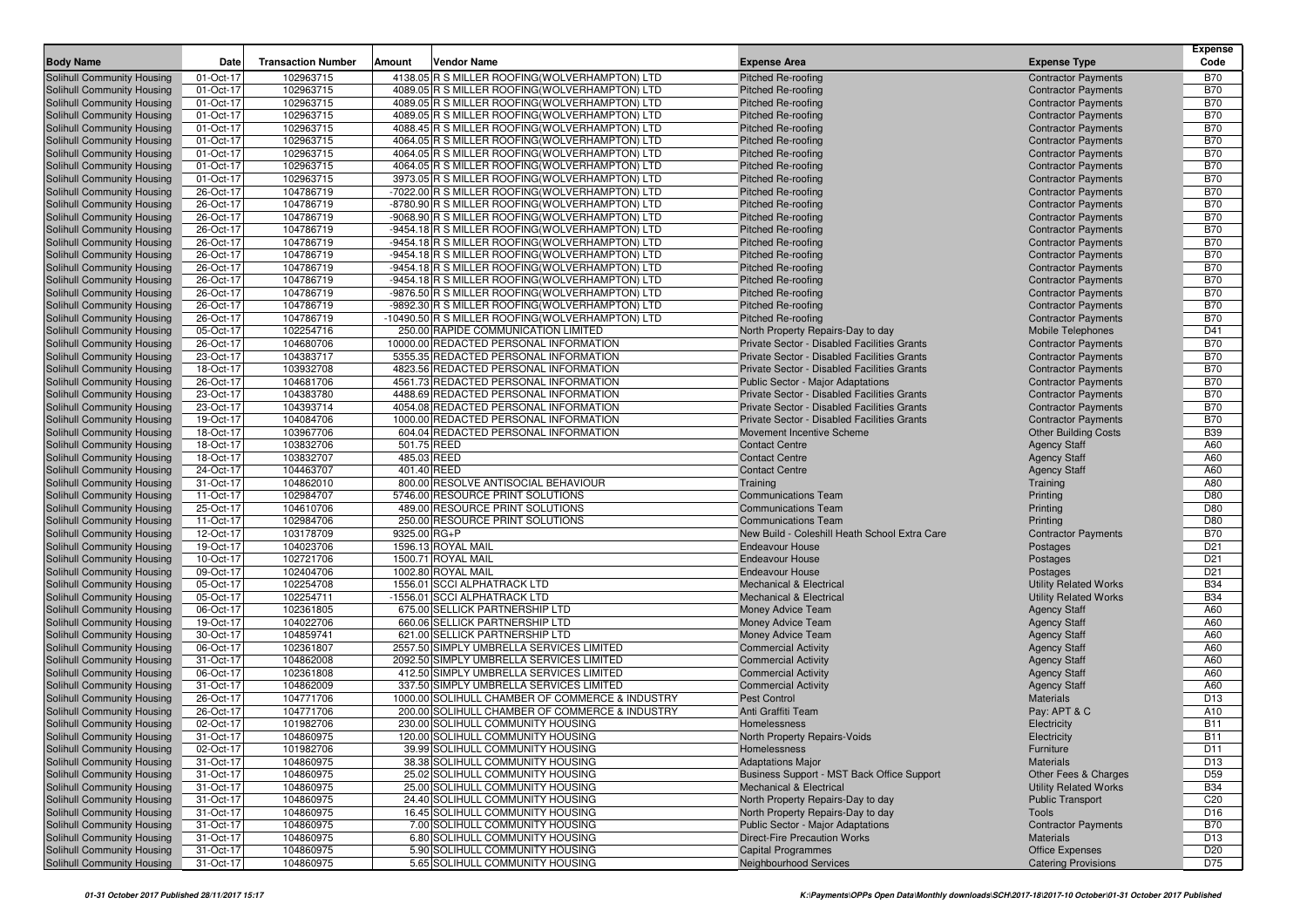| <b>Body Name</b>                                         | Date                   | <b>Transaction Number</b> | <b>Amount</b><br>Vendor Name                                                                     | <b>Expense Area</b>                                      | <b>Expense Type</b>                                      | <b>Expense</b><br>Code   |
|----------------------------------------------------------|------------------------|---------------------------|--------------------------------------------------------------------------------------------------|----------------------------------------------------------|----------------------------------------------------------|--------------------------|
| Solihull Community Housing                               | 01-Oct-17              | 102963715                 | 4138.05 R S MILLER ROOFING(WOLVERHAMPTON) LTD                                                    | <b>Pitched Re-roofing</b>                                | <b>Contractor Payments</b>                               | <b>B70</b>               |
| Solihull Community Housing                               | 01-Oct-17              | 102963715                 | 4089.05 R S MILLER ROOFING (WOLVERHAMPTON) LTD                                                   | <b>Pitched Re-roofing</b>                                | <b>Contractor Payments</b>                               | <b>B70</b>               |
| Solihull Community Housing                               | 01-Oct-17              | 102963715                 | 4089.05 R S MILLER ROOFING (WOLVERHAMPTON) LTD                                                   | <b>Pitched Re-roofing</b>                                | <b>Contractor Payments</b>                               | <b>B70</b>               |
| Solihull Community Housing                               | 01-Oct-17              | 102963715                 | 4089.05 R S MILLER ROOFING (WOLVERHAMPTON) LTD                                                   | <b>Pitched Re-roofing</b>                                | <b>Contractor Payments</b>                               | <b>B70</b>               |
| Solihull Community Housing                               | 01-Oct-17              | 102963715                 | 4088.45 R S MILLER ROOFING(WOLVERHAMPTON) LTD                                                    | <b>Pitched Re-roofing</b>                                | <b>Contractor Payments</b>                               | <b>B70</b>               |
| Solihull Community Housing                               | 01-Oct-17              | 102963715                 | 4064.05 R S MILLER ROOFING (WOLVERHAMPTON) LTD                                                   | <b>Pitched Re-roofing</b>                                | <b>Contractor Payments</b>                               | <b>B70</b>               |
| Solihull Community Housing                               | 01-Oct-17              | 102963715                 | 4064.05 R S MILLER ROOFING (WOLVERHAMPTON) LTD                                                   | <b>Pitched Re-roofing</b>                                | <b>Contractor Payments</b>                               | <b>B70</b>               |
| Solihull Community Housing                               | 01-Oct-17              | 102963715                 | 4064.05 R S MILLER ROOFING (WOLVERHAMPTON) LTD                                                   | <b>Pitched Re-roofing</b>                                | <b>Contractor Payments</b>                               | <b>B70</b>               |
| Solihull Community Housing                               | 01-Oct-17              | 102963715                 | 3973.05 R S MILLER ROOFING (WOLVERHAMPTON) LTD                                                   | <b>Pitched Re-roofing</b>                                | <b>Contractor Payments</b>                               | <b>B70</b>               |
| Solihull Community Housing                               | 26-Oct-17              | 104786719                 | -7022.00 R S MILLER ROOFING(WOLVERHAMPTON) LTD                                                   | <b>Pitched Re-roofing</b>                                | <b>Contractor Payments</b>                               | <b>B70</b>               |
| Solihull Community Housing                               | 26-Oct-17              | 104786719                 | -8780.90 R S MILLER ROOFING(WOLVERHAMPTON) LTD                                                   | <b>Pitched Re-roofing</b>                                | <b>Contractor Payments</b>                               | <b>B70</b>               |
| Solihull Community Housing                               | 26-Oct-17              | 104786719                 | -9068.90 R S MILLER ROOFING(WOLVERHAMPTON) LTD                                                   | <b>Pitched Re-roofing</b>                                | <b>Contractor Payments</b>                               | <b>B70</b>               |
| Solihull Community Housing                               | 26-Oct-17              | 104786719                 | -9454.18 R S MILLER ROOFING(WOLVERHAMPTON) LTD                                                   | Pitched Re-roofing                                       | <b>Contractor Payments</b>                               | <b>B70</b>               |
| Solihull Community Housing                               | 26-Oct-17<br>26-Oct-17 | 104786719<br>104786719    | -9454.18 R S MILLER ROOFING(WOLVERHAMPTON) LTD                                                   | <b>Pitched Re-roofing</b>                                | <b>Contractor Payments</b>                               | <b>B70</b><br><b>B70</b> |
| Solihull Community Housing<br>Solihull Community Housing | 26-Oct-17              | 104786719                 | -9454.18 R S MILLER ROOFING(WOLVERHAMPTON) LTD<br>-9454.18 R S MILLER ROOFING(WOLVERHAMPTON) LTD | <b>Pitched Re-roofing</b><br><b>Pitched Re-roofing</b>   | <b>Contractor Payments</b><br><b>Contractor Payments</b> | <b>B70</b>               |
| Solihull Community Housing                               | 26-Oct-17              | 104786719                 | -9454.18 R S MILLER ROOFING(WOLVERHAMPTON) LTD                                                   | Pitched Re-roofing                                       | <b>Contractor Payments</b>                               | <b>B70</b>               |
| Solihull Community Housing                               | 26-Oct-17              | 104786719                 | -9876.50 R S MILLER ROOFING(WOLVERHAMPTON) LTD                                                   | Pitched Re-roofing                                       | <b>Contractor Payments</b>                               | <b>B70</b>               |
| Solihull Community Housing                               | 26-Oct-17              | 104786719                 | -9892.30 R S MILLER ROOFING(WOLVERHAMPTON) LTD                                                   | <b>Pitched Re-roofing</b>                                | <b>Contractor Payments</b>                               | <b>B70</b>               |
| Solihull Community Housing                               | 26-Oct-17              | 104786719                 | -10490.50 R S MILLER ROOFING (WOLVERHAMPTON) LTD                                                 | <b>Pitched Re-roofing</b>                                | <b>Contractor Payments</b>                               | <b>B70</b>               |
| Solihull Community Housing                               | 05-Oct-17              | 102254716                 | 250.00 RAPIDE COMMUNICATION LIMITED                                                              | North Property Repairs-Day to day                        | Mobile Telephones                                        | D41                      |
| Solihull Community Housing                               | 26-Oct-17              | 104680706                 | 10000.00 REDACTED PERSONAL INFORMATION                                                           | Private Sector - Disabled Facilities Grants              | <b>Contractor Payments</b>                               | <b>B70</b>               |
| Solihull Community Housing                               | 23-Oct-17              | 104383717                 | 5355.35 REDACTED PERSONAL INFORMATION                                                            | Private Sector - Disabled Facilities Grants              | <b>Contractor Payments</b>                               | <b>B70</b>               |
| Solihull Community Housing                               | 18-Oct-17              | 103932708                 | 4823.56 REDACTED PERSONAL INFORMATION                                                            | Private Sector - Disabled Facilities Grants              | <b>Contractor Payments</b>                               | <b>B70</b>               |
| Solihull Community Housing                               | 26-Oct-17              | 104681706                 | 4561.73 REDACTED PERSONAL INFORMATION                                                            | <b>Public Sector - Major Adaptations</b>                 | <b>Contractor Payments</b>                               | <b>B70</b>               |
| Solihull Community Housing                               | 23-Oct-17              | 104383780                 | 4488.69 REDACTED PERSONAL INFORMATION                                                            | Private Sector - Disabled Facilities Grants              | <b>Contractor Payments</b>                               | <b>B70</b>               |
| Solihull Community Housing                               | 23-Oct-17              | 104393714                 | 4054.08 REDACTED PERSONAL INFORMATION                                                            | Private Sector - Disabled Facilities Grants              | <b>Contractor Payments</b>                               | <b>B70</b>               |
| Solihull Community Housing                               | 19-Oct-17              | 104084706                 | 1000.00 REDACTED PERSONAL INFORMATION                                                            | Private Sector - Disabled Facilities Grants              | <b>Contractor Payments</b>                               | <b>B70</b>               |
| Solihull Community Housing                               | 18-Oct-17              | 103967706                 | 604.04 REDACTED PERSONAL INFORMATION                                                             | Movement Incentive Scheme                                | <b>Other Building Costs</b>                              | <b>B39</b>               |
| Solihull Community Housing                               | 18-Oct-17              | 103832706                 | 501.75 REED                                                                                      | <b>Contact Centre</b>                                    | <b>Agency Staff</b>                                      | A60                      |
| Solihull Community Housing                               | 18-Oct-17              | 103832707                 | 485.03 REED                                                                                      | <b>Contact Centre</b>                                    | <b>Agency Staff</b>                                      | A60                      |
| Solihull Community Housing                               | 24-Oct-17              | 104463707                 | 401.40 REED                                                                                      | <b>Contact Centre</b>                                    | <b>Agency Staff</b>                                      | A60                      |
| Solihull Community Housing                               | 31-Oct-17<br>11-Oct-17 | 104862010<br>102984707    | 800.00 RESOLVE ANTISOCIAL BEHAVIOUR<br>5746.00 RESOURCE PRINT SOLUTIONS                          | Training                                                 | Training                                                 | A80<br>D80               |
| Solihull Community Housing<br>Solihull Community Housing | 25-Oct-17              | 104610706                 | 489.00 RESOURCE PRINT SOLUTIONS                                                                  | <b>Communications Team</b><br><b>Communications Team</b> | Printing<br>Printing                                     | D80                      |
| Solihull Community Housing                               | 11-Oct-17              | 102984706                 | 250.00 RESOURCE PRINT SOLUTIONS                                                                  | <b>Communications Team</b>                               | Printing                                                 | D80                      |
| Solihull Community Housing                               | 12-Oct-17              | 103178709                 | 9325.00 RG+P                                                                                     | New Build - Coleshill Heath School Extra Care            | <b>Contractor Payments</b>                               | <b>B70</b>               |
| Solihull Community Housing                               | 19-Oct-17              | 104023706                 | 1596.13 ROYAL MAIL                                                                               | <b>Endeavour House</b>                                   | Postages                                                 | D <sub>21</sub>          |
| Solihull Community Housing                               | 10-Oct-17              | 102721706                 | 1500.71 ROYAL MAIL                                                                               | <b>Endeavour House</b>                                   | Postages                                                 | D <sub>21</sub>          |
| Solihull Community Housing                               | 09-Oct-17              | 102404706                 | 1002.80 ROYAL MAIL                                                                               | <b>Endeavour House</b>                                   | Postages                                                 | D <sub>21</sub>          |
| Solihull Community Housing                               | 05-Oct-17              | 102254708                 | 1556.01 SCCI ALPHATRACK LTD                                                                      | <b>Mechanical &amp; Electrical</b>                       | <b>Utility Related Works</b>                             | <b>B34</b>               |
| Solihull Community Housing                               | 05-Oct-17              | 102254711                 | -1556.01 SCCI ALPHATRACK LTD                                                                     | <b>Mechanical &amp; Electrical</b>                       | <b>Utility Related Works</b>                             | <b>B34</b>               |
| Solihull Community Housing                               | 06-Oct-17              | 102361805                 | 675.00 SELLICK PARTNERSHIP LTD                                                                   | Money Advice Team                                        | <b>Agency Staff</b>                                      | A60                      |
| Solihull Community Housing                               | 19-Oct-17              | 104022706                 | 660.06 SELLICK PARTNERSHIP LTD                                                                   | <b>Money Advice Team</b>                                 | <b>Agency Staff</b>                                      | A60                      |
| Solihull Community Housing                               | 30-Oct-17              | 104859741                 | 621.00 SELLICK PARTNERSHIP LTD                                                                   | Money Advice Team                                        | <b>Agency Staff</b>                                      | A60                      |
| Solihull Community Housing                               | 06-Oct-17              | 102361807                 | 2557.50 SIMPLY UMBRELLA SERVICES LIMITED                                                         | <b>Commercial Activity</b>                               | <b>Agency Staff</b>                                      | A60                      |
| Solihull Community Housing                               | 31-Oct-17              | 104862008                 | 2092.50 SIMPLY UMBRELLA SERVICES LIMITED                                                         | <b>Commercial Activity</b>                               | <b>Agency Staff</b>                                      | A60                      |
| Solihull Community Housing                               | 06-Oct-17              | 102361808                 | 412.50 SIMPLY UMBRELLA SERVICES LIMITED                                                          | <b>Commercial Activity</b>                               | <b>Agency Staff</b>                                      | A60                      |
| Solihull Community Housing                               | 31-Oct-17              | 104862009                 | 337.50 SIMPLY UMBRELLA SERVICES LIMITED<br>1000.00 SOLIHULL CHAMBER OF COMMERCE & INDUSTRY       | <b>Commercial Activity</b>                               | <b>Agency Staff</b>                                      | A60                      |
| Solihull Community Housing                               | 26-Oct-17<br>26-Oct-17 | 104771706<br>104771706    | 200.00 SOLIHULL CHAMBER OF COMMERCE & INDUSTRY                                                   | <b>Pest Control</b><br>Anti Graffiti Team                | <b>Materials</b><br>Pay: APT & C                         | D <sub>13</sub><br>A10   |
| Solihull Community Housing<br>Solihull Community Housing | 02-Oct-17              | 101982706                 | 230.00 SOLIHULL COMMUNITY HOUSING                                                                | Homelessness                                             | Electricity                                              | <b>B11</b>               |
| Solihull Community Housing                               | 31-Oct-17              | 104860975                 | 120.00 SOLIHULL COMMUNITY HOUSING                                                                | North Property Repairs-Voids                             | Electricity                                              | <b>B11</b>               |
| <b>Solihull Community Housing</b>                        | 02-Oct-17              | 101982706                 | 39.99 SOLIHULL COMMUNITY HOUSING                                                                 | Homelessness                                             | Furniture                                                | D11                      |
| Solihull Community Housing                               | 31-Oct-17              | 104860975                 | 38.38 SOLIHULL COMMUNITY HOUSING                                                                 | <b>Adaptations Major</b>                                 | Materials                                                | D <sub>13</sub>          |
| Solihull Community Housing                               | 31-Oct-17              | 104860975                 | 25.02 SOLIHULL COMMUNITY HOUSING                                                                 | Business Support - MST Back Office Support               | Other Fees & Charges                                     | D <sub>59</sub>          |
| Solihull Community Housing                               | 31-Oct-17              | 104860975                 | 25.00 SOLIHULL COMMUNITY HOUSING                                                                 | Mechanical & Electrical                                  | <b>Utility Related Works</b>                             | <b>B34</b>               |
| Solihull Community Housing                               | 31-Oct-17              | 104860975                 | 24.40 SOLIHULL COMMUNITY HOUSING                                                                 | North Property Repairs-Day to day                        | <b>Public Transport</b>                                  | C <sub>20</sub>          |
| Solihull Community Housing                               | 31-Oct-17              | 104860975                 | 16.45 SOLIHULL COMMUNITY HOUSING                                                                 | North Property Repairs-Day to day                        | Tools                                                    | D <sub>16</sub>          |
| Solihull Community Housing                               | 31-Oct-17              | 104860975                 | 7.00 SOLIHULL COMMUNITY HOUSING                                                                  | <b>Public Sector - Major Adaptations</b>                 | <b>Contractor Payments</b>                               | <b>B70</b>               |
| Solihull Community Housing                               | 31-Oct-17              | 104860975                 | 6.80 SOLIHULL COMMUNITY HOUSING                                                                  | <b>Direct-Fire Precaution Works</b>                      | Materials                                                | D <sub>13</sub>          |
| Solihull Community Housing                               | 31-Oct-17              | 104860975                 | 5.90 SOLIHULL COMMUNITY HOUSING                                                                  | <b>Capital Programmes</b>                                | Office Expenses                                          | D <sub>20</sub>          |
| Solihull Community Housing                               | 31-Oct-17              | 104860975                 | 5.65 SOLIHULL COMMUNITY HOUSING                                                                  | Neighbourhood Services                                   | <b>Catering Provisions</b>                               | D75                      |